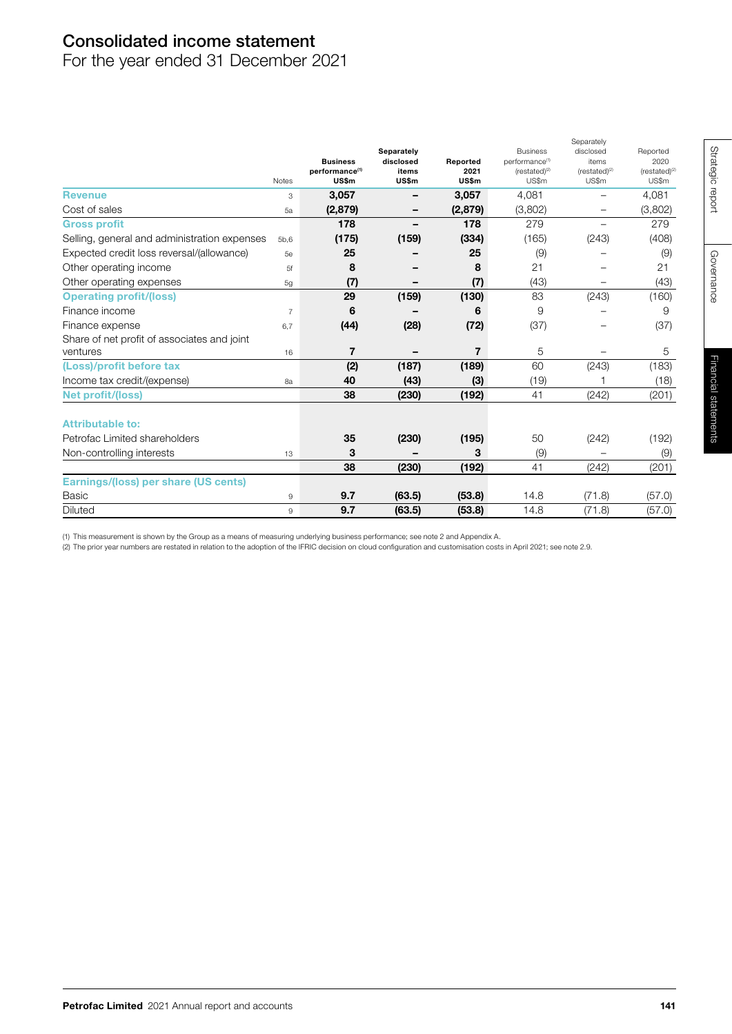# Consolidated income statement

For the year ended 31 December 2021

|                                              | <b>Notes</b>   | <b>Business</b><br>performance <sup>(1)</sup><br>US\$m | Separately<br>disclosed<br>items<br>US\$m | Reported<br>2021<br>US\$m | <b>Business</b><br>performance <sup>(1)</sup><br>$(rested)^{(2)}$<br>US\$m | disclosed<br>items<br>$(rested)^{(2)}$<br>US\$m | Reported<br>2020<br>$(rested)^{(2)}$<br>US\$m |
|----------------------------------------------|----------------|--------------------------------------------------------|-------------------------------------------|---------------------------|----------------------------------------------------------------------------|-------------------------------------------------|-----------------------------------------------|
| <b>Revenue</b>                               | 3              | 3,057                                                  | -                                         | 3,057                     | 4,081                                                                      | $\overline{\phantom{0}}$                        | 4,081                                         |
| Cost of sales                                | 5a             | (2,879)                                                | -                                         | (2,879)                   | (3,802)                                                                    | $\overline{\phantom{0}}$                        | (3,802)                                       |
| <b>Gross profit</b>                          |                | 178                                                    |                                           | 178                       | 279                                                                        |                                                 | 279                                           |
| Selling, general and administration expenses | 5b,6           | (175)                                                  | (159)                                     | (334)                     | (165)                                                                      | (243)                                           | (408)                                         |
| Expected credit loss reversal/(allowance)    | 5e             | 25                                                     |                                           | 25                        | (9)                                                                        |                                                 | (9)                                           |
| Other operating income                       | 5f             | 8                                                      |                                           | 8                         | 21                                                                         |                                                 | 21                                            |
| Other operating expenses                     | 5g             | (7)                                                    |                                           | (7)                       | (43)                                                                       |                                                 | (43)                                          |
| <b>Operating profit/(loss)</b>               |                | 29                                                     | (159)                                     | (130)                     | 83                                                                         | (243)                                           | (160)                                         |
| Finance income                               | $\overline{7}$ | 6                                                      |                                           | 6                         | 9                                                                          |                                                 | 9                                             |
| Finance expense                              | 6,7            | (44)                                                   | (28)                                      | (72)                      | (37)                                                                       |                                                 | (37)                                          |
| Share of net profit of associates and joint  |                |                                                        |                                           |                           |                                                                            |                                                 |                                               |
| ventures                                     | 16             | $\overline{7}$                                         |                                           | $\overline{7}$            | 5                                                                          |                                                 | 5                                             |
| (Loss)/profit before tax                     |                | (2)                                                    | (187)                                     | (189)                     | 60                                                                         | (243)                                           | (183)                                         |
| Income tax credit/(expense)                  | 8a             | 40                                                     | (43)                                      | (3)                       | (19)                                                                       |                                                 | (18)                                          |
| <b>Net profit/(loss)</b>                     |                | 38                                                     | (230)                                     | (192)                     | 41                                                                         | (242)                                           | (201)                                         |
| <b>Attributable to:</b>                      |                |                                                        |                                           |                           |                                                                            |                                                 |                                               |
| Petrofac Limited shareholders                |                | 35                                                     | (230)                                     | (195)                     | 50                                                                         | (242)                                           | (192)                                         |
| Non-controlling interests                    | 13             | 3                                                      |                                           | 3                         | (9)                                                                        |                                                 | (9)                                           |
|                                              |                | 38                                                     | (230)                                     | (192)                     | 41                                                                         | (242)                                           | (201)                                         |
| Earnings/(loss) per share (US cents)         |                |                                                        |                                           |                           |                                                                            |                                                 |                                               |
| Basic                                        | 9              | 9.7                                                    | (63.5)                                    | (53.8)                    | 14.8                                                                       | (71.8)                                          | (57.0)                                        |
| <b>Diluted</b>                               | 9              | 9.7                                                    | (63.5)                                    | (53.8)                    | 14.8                                                                       | (71.8)                                          | (57.0)                                        |

(1) This measurement is shown by the Group as a means of measuring underlying business performance; see note 2 and Appendix A.

(2) The prior year numbers are restated in relation to the adoption of the IFRIC decision on cloud configuration and customisation costs in April 2021; see note 2.9.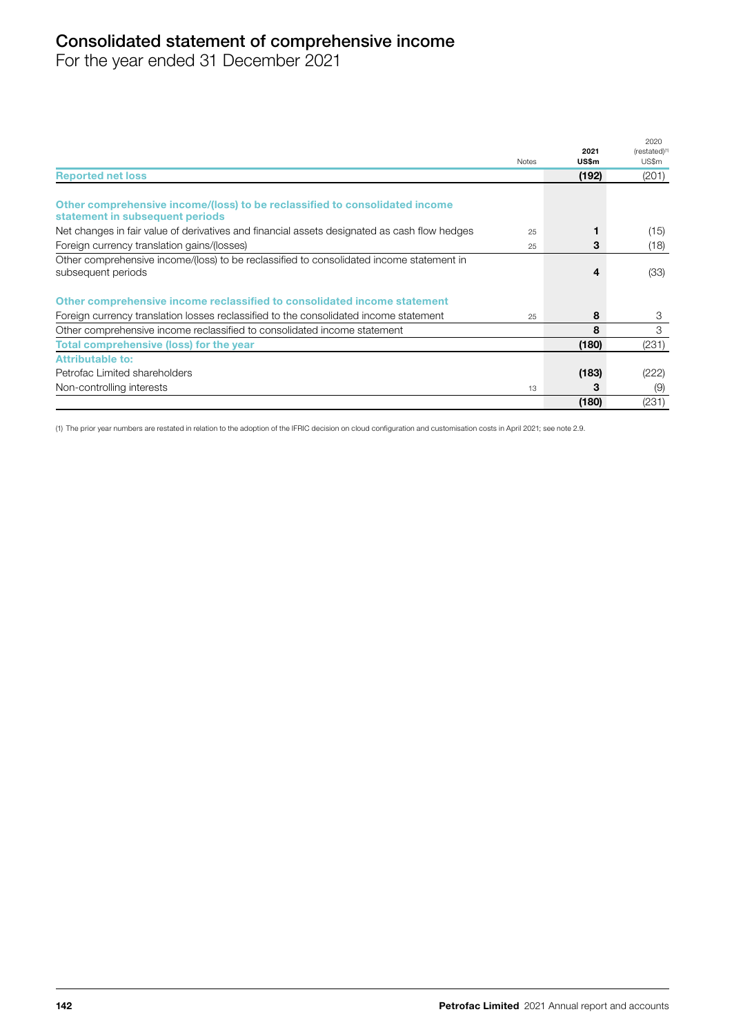# Consolidated statement of comprehensive income

For the year ended 31 December 2021

|                                                                                              |              | 2021  | 2020<br>$(rested)^{(1)}$ |
|----------------------------------------------------------------------------------------------|--------------|-------|--------------------------|
|                                                                                              | <b>Notes</b> | US\$m | US\$m                    |
| <b>Reported net loss</b>                                                                     |              | (192) | (201)                    |
|                                                                                              |              |       |                          |
| Other comprehensive income/(loss) to be reclassified to consolidated income                  |              |       |                          |
| statement in subsequent periods                                                              |              |       |                          |
| Net changes in fair value of derivatives and financial assets designated as cash flow hedges | 25           |       | (15)                     |
| Foreign currency translation gains/(losses)                                                  | 25           | 3     | (18)                     |
| Other comprehensive income/(loss) to be reclassified to consolidated income statement in     |              |       |                          |
| subsequent periods                                                                           |              | 4     | (33)                     |
| Other comprehensive income reclassified to consolidated income statement                     |              |       |                          |
| Foreign currency translation losses reclassified to the consolidated income statement        | 25           | 8     | 3                        |
| Other comprehensive income reclassified to consolidated income statement                     |              | 8     | 3                        |
| Total comprehensive (loss) for the year                                                      |              | (180) | (231)                    |
| <b>Attributable to:</b>                                                                      |              |       |                          |
| Petrofac Limited shareholders                                                                |              | (183) | (222)                    |
| Non-controlling interests                                                                    | 13           | з     | (9)                      |
|                                                                                              |              | (180) | (231)                    |

(1) The prior year numbers are restated in relation to the adoption of the IFRIC decision on cloud configuration and customisation costs in April 2021; see note 2.9.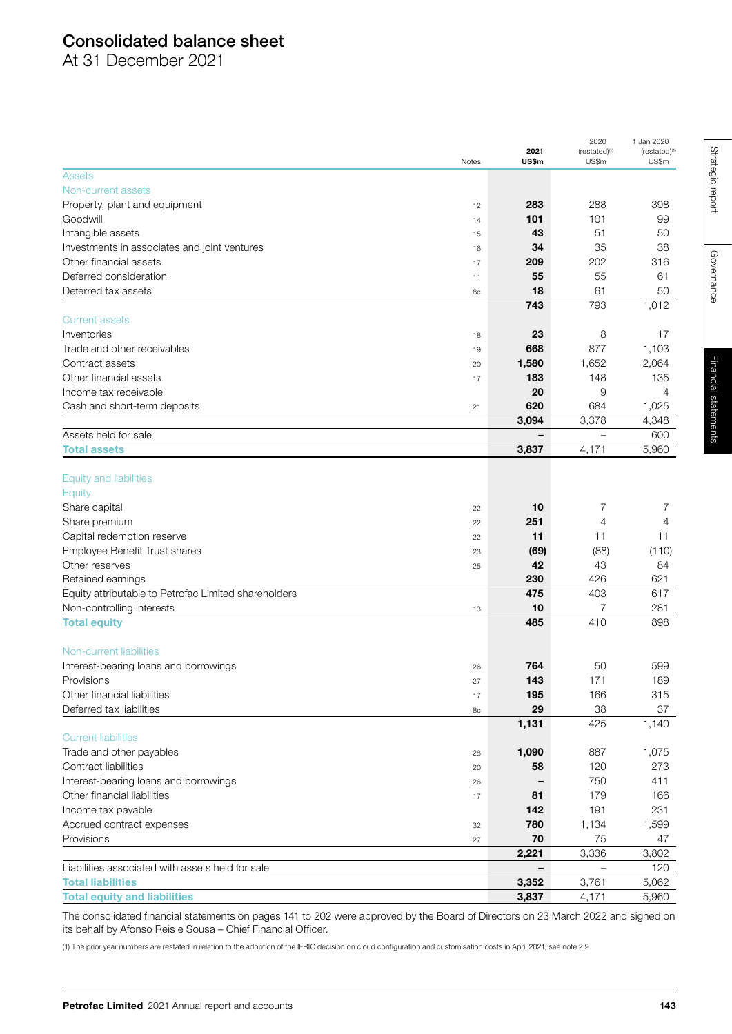# Consolidated balance sheet

At 31 December 2021

|                                                                      |       | 2021                     | 2020<br>$(restated)^{(1)}$ | 1 Jan 2020<br>(restated) <sup>(1)</sup> |
|----------------------------------------------------------------------|-------|--------------------------|----------------------------|-----------------------------------------|
|                                                                      | Notes | US\$m                    | US\$m                      | US\$m                                   |
| <b>Assets</b>                                                        |       |                          |                            |                                         |
| Non-current assets                                                   |       |                          |                            |                                         |
| Property, plant and equipment                                        | 12    | 283                      | 288                        | 398                                     |
| Goodwill                                                             | 14    | 101                      | 101                        | 99                                      |
| Intangible assets                                                    | 15    | 43                       | 51                         | 50                                      |
| Investments in associates and joint ventures                         | 16    | 34                       | 35                         | 38                                      |
| Other financial assets                                               |       | 209                      | 202                        | 316                                     |
| Deferred consideration                                               | 17    | 55                       | 55                         | 61                                      |
| Deferred tax assets                                                  | 11    | 18                       | 61                         | 50                                      |
|                                                                      | 8с    |                          |                            |                                         |
|                                                                      |       | 743                      | 793                        | 1,012                                   |
| <b>Current assets</b>                                                |       |                          |                            |                                         |
| Inventories                                                          | 18    | 23                       | 8                          | 17                                      |
| Trade and other receivables                                          | 19    | 668                      | 877                        | 1,103                                   |
| Contract assets                                                      | 20    | 1,580                    | 1,652                      | 2,064                                   |
| Other financial assets                                               | 17    | 183                      | 148                        | 135                                     |
| Income tax receivable                                                |       | 20                       | 9                          | 4                                       |
| Cash and short-term deposits                                         | 21    | 620                      | 684                        | 1,025                                   |
|                                                                      |       | 3,094                    | 3,378                      | 4,348                                   |
| Assets held for sale                                                 |       | $\overline{\phantom{0}}$ | $\overline{\phantom{0}}$   | 600                                     |
| <b>Total assets</b>                                                  |       | 3,837                    | 4,171                      | 5,960                                   |
|                                                                      |       |                          |                            |                                         |
| <b>Equity and liabilities</b>                                        |       |                          |                            |                                         |
| Equity                                                               |       |                          |                            |                                         |
| Share capital                                                        | 22    | 10                       | 7                          | 7                                       |
| Share premium                                                        | 22    | 251                      | 4                          | 4                                       |
| Capital redemption reserve                                           | 22    | 11                       | 11                         | 11                                      |
| Employee Benefit Trust shares                                        | 23    | (69)                     | (88)                       | (110)                                   |
| Other reserves                                                       | 25    | 42                       | 43                         | 84                                      |
| Retained earnings                                                    |       | 230                      | 426                        | 621                                     |
| Equity attributable to Petrofac Limited shareholders                 |       | 475                      | 403                        | 617                                     |
| Non-controlling interests                                            | 13    | 10                       | $\overline{7}$             | 281                                     |
| <b>Total equity</b>                                                  |       | 485                      | 410                        | 898                                     |
|                                                                      |       |                          |                            |                                         |
| Non-current liabilities                                              |       |                          |                            |                                         |
| Interest-bearing loans and borrowings                                | 26    | 764                      | 50                         | 599                                     |
| Provisions                                                           | 27    | 143                      | 171                        | 189                                     |
| Other financial liabilities                                          | 17    | 195                      | 166                        | 315                                     |
| Deferred tax liabilities                                             | 8c    | 29                       | 38                         | 37                                      |
|                                                                      |       | 1,131                    | 425                        | 1,140                                   |
| <b>Current liabilities</b>                                           |       |                          |                            |                                         |
| Trade and other payables                                             | 28    | 1,090                    | 887                        | 1,075                                   |
| Contract liabilities                                                 |       | 58                       | 120                        | 273                                     |
|                                                                      | 20    |                          | 750                        | 411                                     |
| Interest-bearing loans and borrowings<br>Other financial liabilities | 26    |                          |                            |                                         |
|                                                                      | 17    | 81                       | 179                        | 166                                     |
| Income tax payable                                                   |       | 142                      | 191                        | 231                                     |
| Accrued contract expenses                                            | 32    | 780                      | 1,134                      | 1,599                                   |
| Provisions                                                           | 27    | 70                       | 75                         | 47                                      |
|                                                                      |       | 2,221                    | 3,336                      | 3,802                                   |
| Liabilities associated with assets held for sale                     |       |                          |                            | 120                                     |
| <b>Total liabilities</b>                                             |       | 3,352                    | 3,761                      | 5,062                                   |
| <b>Total equity and liabilities</b>                                  |       | 3,837                    | 4,171                      | 5,960                                   |

The consolidated financial statements on pages 141 to 202 were approved by the Board of Directors on 23 March 2022 and signed on its behalf by Afonso Reis e Sousa – Chief Financial Officer.

(1) The prior year numbers are restated in relation to the adoption of the IFRIC decision on cloud configuration and customisation costs in April 2021; see note 2.9.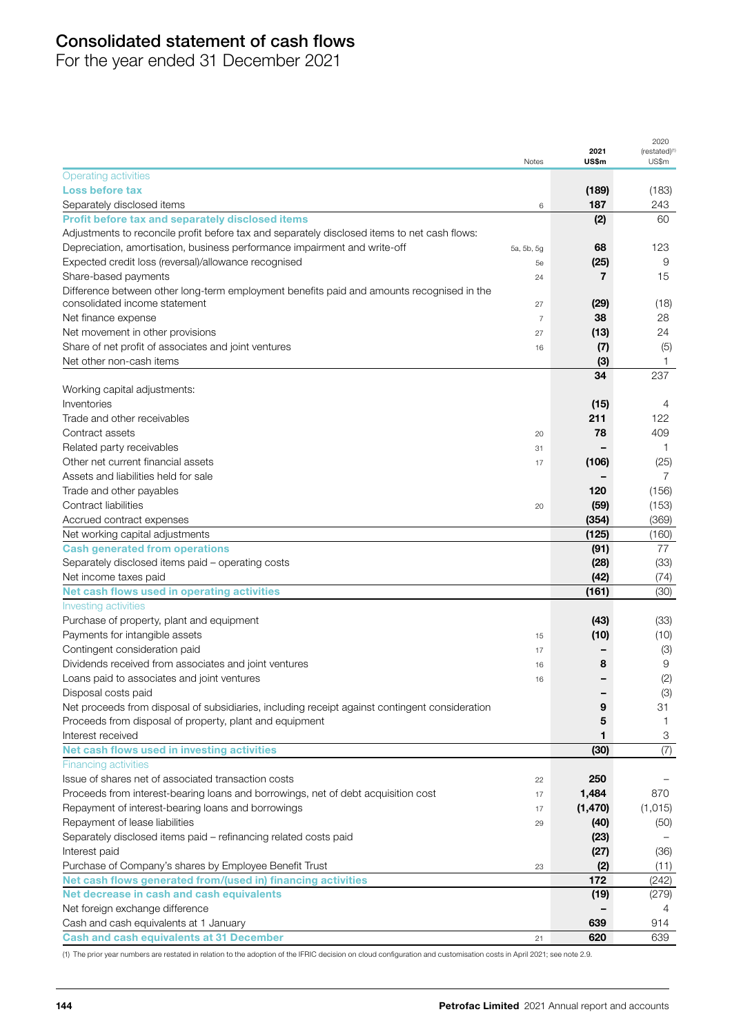# Consolidated statement of cash flows

For the year ended 31 December 2021

|                                                                                                |                |               | 2020                               |
|------------------------------------------------------------------------------------------------|----------------|---------------|------------------------------------|
|                                                                                                | Notes          | 2021<br>US\$m | (restated) <sup>(1)</sup><br>US\$m |
| <b>Operating activities</b>                                                                    |                |               |                                    |
| <b>Loss before tax</b>                                                                         |                | (189)         | (183)                              |
| Separately disclosed items                                                                     | 6              | 187           | 243                                |
| Profit before tax and separately disclosed items                                               |                | (2)           | 60                                 |
| Adjustments to reconcile profit before tax and separately disclosed items to net cash flows:   |                |               |                                    |
| Depreciation, amortisation, business performance impairment and write-off                      | 5a, 5b, 5g     | 68            | 123                                |
| Expected credit loss (reversal)/allowance recognised                                           | 5e             | (25)          | 9                                  |
| Share-based payments                                                                           | 24             | 7             | 15                                 |
| Difference between other long-term employment benefits paid and amounts recognised in the      |                |               |                                    |
| consolidated income statement                                                                  | 27             | (29)          | (18)                               |
| Net finance expense                                                                            | $\overline{7}$ | 38            | 28                                 |
| Net movement in other provisions                                                               | 27             | (13)          | 24                                 |
| Share of net profit of associates and joint ventures                                           | 16             | (7)           | (5)                                |
| Net other non-cash items                                                                       |                | (3)           | 1                                  |
|                                                                                                |                | 34            | 237                                |
| Working capital adjustments:                                                                   |                |               |                                    |
| Inventories                                                                                    |                | (15)          | 4                                  |
| Trade and other receivables                                                                    |                | 211           | 122                                |
| Contract assets                                                                                | 20             | 78            | 409                                |
| Related party receivables                                                                      | 31             |               | 1                                  |
| Other net current financial assets                                                             | 17             | (106)         | (25)                               |
| Assets and liabilities held for sale                                                           |                |               | $\overline{7}$                     |
| Trade and other payables                                                                       |                | 120           | (156)                              |
| Contract liabilities                                                                           | 20             | (59)          | (153)                              |
| Accrued contract expenses                                                                      |                | (354)         | (369)                              |
| Net working capital adjustments                                                                |                | (125)         | (160)                              |
| <b>Cash generated from operations</b>                                                          |                | (91)          | 77                                 |
| Separately disclosed items paid - operating costs                                              |                | (28)          | (33)                               |
| Net income taxes paid                                                                          |                | (42)          | (74)                               |
| Net cash flows used in operating activities                                                    |                | (161)         | (30)                               |
| Investing activities                                                                           |                |               |                                    |
| Purchase of property, plant and equipment                                                      |                | (43)          | (33)                               |
| Payments for intangible assets                                                                 | 15             | (10)          | (10)                               |
| Contingent consideration paid                                                                  | 17             |               | (3)                                |
| Dividends received from associates and joint ventures                                          | 16             | 8             | 9                                  |
| Loans paid to associates and joint ventures                                                    | 16             |               | (2)                                |
| Disposal costs paid                                                                            |                |               |                                    |
| Net proceeds from disposal of subsidiaries, including receipt against contingent consideration |                | 9             | (3)<br>31                          |
| Proceeds from disposal of property, plant and equipment                                        |                | 5             | 1.                                 |
| Interest received                                                                              |                | 1             | 3                                  |
| Net cash flows used in investing activities                                                    |                |               |                                    |
|                                                                                                |                | (30)          | (7)                                |
| <b>Financing activities</b><br>Issue of shares net of associated transaction costs             |                | 250           |                                    |
|                                                                                                | 22             |               | 870                                |
| Proceeds from interest-bearing loans and borrowings, net of debt acquisition cost              | 17             | 1,484         |                                    |
| Repayment of interest-bearing loans and borrowings                                             | 17             | (1, 470)      | (1,015)                            |
| Repayment of lease liabilities                                                                 | 29             | (40)          | (50)                               |
| Separately disclosed items paid - refinancing related costs paid                               |                | (23)          |                                    |
| Interest paid                                                                                  |                | (27)          | (36)                               |
| Purchase of Company's shares by Employee Benefit Trust                                         | 23             | (2)           | (11)                               |
| Net cash flows generated from/(used in) financing activities                                   |                | 172           | (242)                              |
| Net decrease in cash and cash equivalents                                                      |                | (19)          | (279)                              |
| Net foreign exchange difference                                                                |                |               | 4                                  |
| Cash and cash equivalents at 1 January                                                         |                | 639           | 914                                |
| <b>Cash and cash equivalents at 31 December</b>                                                | 21             | 620           | 639                                |

(1) The prior year numbers are restated in relation to the adoption of the IFRIC decision on cloud configuration and customisation costs in April 2021; see note 2.9.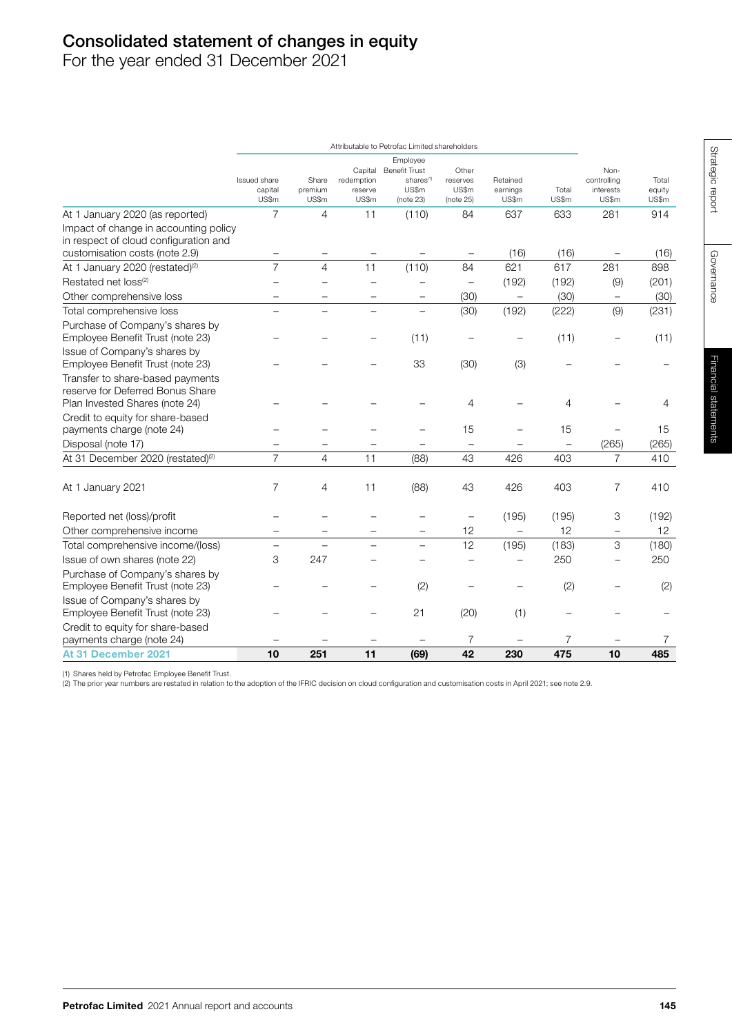# Consolidated statement of changes in equity

For the year ended 31 December 2021

|                                                                                                        | Attributable to Petrofac Limited shareholders |                           |                                           |                                                                                 |                                         |                               |                |                                           |                          |
|--------------------------------------------------------------------------------------------------------|-----------------------------------------------|---------------------------|-------------------------------------------|---------------------------------------------------------------------------------|-----------------------------------------|-------------------------------|----------------|-------------------------------------------|--------------------------|
|                                                                                                        | Issued share<br>capital<br>US\$m              | Share<br>premium<br>US\$m | Capital<br>redemption<br>reserve<br>US\$m | Employee<br><b>Benefit Trust</b><br>shares <sup>(1)</sup><br>US\$m<br>(note 23) | Other<br>reserves<br>US\$m<br>(note 25) | Retained<br>earnings<br>US\$m | Total<br>US\$m | Non-<br>controlling<br>interests<br>US\$m | Total<br>equity<br>US\$m |
| At 1 January 2020 (as reported)                                                                        | 7                                             | 4                         | 11                                        | (110)                                                                           | 84                                      | 637                           | 633            | 281                                       | 914                      |
| Impact of change in accounting policy<br>in respect of cloud configuration and                         |                                               |                           |                                           |                                                                                 |                                         |                               |                |                                           |                          |
| customisation costs (note 2.9)                                                                         |                                               |                           |                                           |                                                                                 | $\overline{\phantom{m}}$                | (16)                          | (16)           |                                           | (16)                     |
| At 1 January 2020 (restated) <sup>(2)</sup>                                                            | $\overline{7}$                                | $\overline{4}$            | 11                                        | (110)                                                                           | 84                                      | 621                           | 617            | 281                                       | 898                      |
| Restated net loss <sup>(2)</sup>                                                                       |                                               |                           | $\overline{\phantom{0}}$                  | ÷                                                                               | $\equiv$                                | (192)                         | (192)          | (9)                                       | (201)                    |
| Other comprehensive loss                                                                               |                                               |                           |                                           | $\overline{\phantom{0}}$                                                        | (30)                                    | $\overline{\phantom{0}}$      | (30)           | $\qquad \qquad -$                         | (30)                     |
| Total comprehensive loss                                                                               |                                               |                           |                                           | $\overline{\phantom{0}}$                                                        | (30)                                    | (192)                         | (222)          | (9)                                       | (231)                    |
| Purchase of Company's shares by<br>Employee Benefit Trust (note 23)                                    |                                               |                           |                                           | (11)                                                                            |                                         |                               | (11)           |                                           | (11)                     |
| Issue of Company's shares by<br>Employee Benefit Trust (note 23)                                       |                                               |                           |                                           | 33                                                                              | (30)                                    | (3)                           |                |                                           |                          |
| Transfer to share-based payments<br>reserve for Deferred Bonus Share<br>Plan Invested Shares (note 24) |                                               |                           |                                           |                                                                                 | 4                                       |                               | 4              |                                           | 4                        |
| Credit to equity for share-based<br>payments charge (note 24)                                          |                                               |                           |                                           |                                                                                 | 15                                      |                               | 15             |                                           | 15                       |
| Disposal (note 17)                                                                                     |                                               |                           |                                           |                                                                                 | $\overline{\phantom{0}}$                |                               |                | (265)                                     | (265)                    |
| At 31 December 2020 (restated) <sup>(2)</sup>                                                          | $\overline{7}$                                | $\overline{4}$            | 11                                        | (88)                                                                            | 43                                      | 426                           | 403            | 7                                         | 410                      |
| At 1 January 2021                                                                                      | $\overline{7}$                                | 4                         | 11                                        | (88)                                                                            | 43                                      | 426                           | 403            | 7                                         | 410                      |
| Reported net (loss)/profit                                                                             |                                               |                           |                                           |                                                                                 | $\overline{\phantom{0}}$                | (195)                         | (195)          | 3                                         | (192)                    |
| Other comprehensive income                                                                             | -                                             |                           | -                                         | $\qquad \qquad -$                                                               | 12                                      | $\qquad \qquad -$             | 12             | $\qquad \qquad -$                         | 12                       |
| Total comprehensive income/(loss)                                                                      | $\equiv$                                      |                           | $\equiv$                                  | $\equiv$                                                                        | 12                                      | (195)                         | (183)          | 3                                         | (180)                    |
| Issue of own shares (note 22)                                                                          | 3                                             | 247                       |                                           |                                                                                 |                                         | $\overline{\phantom{0}}$      | 250            |                                           | 250                      |
| Purchase of Company's shares by<br>Employee Benefit Trust (note 23)                                    |                                               |                           |                                           | (2)                                                                             |                                         |                               | (2)            |                                           | (2)                      |
| Issue of Company's shares by<br>Employee Benefit Trust (note 23)                                       |                                               |                           |                                           | 21                                                                              | (20)                                    | (1)                           |                |                                           |                          |
| Credit to equity for share-based<br>payments charge (note 24)                                          |                                               |                           |                                           |                                                                                 | $\overline{7}$                          |                               | 7              |                                           | 7                        |
| At 31 December 2021                                                                                    | 10                                            | 251                       | 11                                        | (69)                                                                            | 42                                      | 230                           | 475            | 10                                        | 485                      |

(1) Shares held by Petrofac Employee Benefit Trust.

(2) The prior year numbers are restated in relation to the adoption of the IFRIC decision on cloud configuration and customisation costs in April 2021; see note 2.9.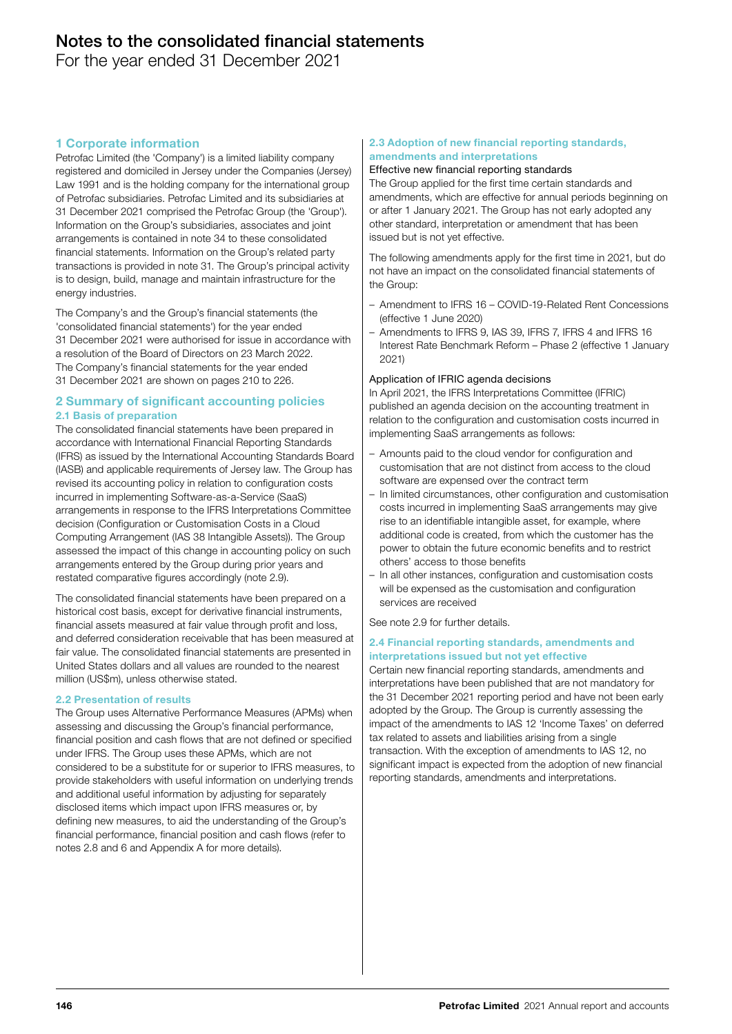For the year ended 31 December 2021

# 1 Corporate information

Petrofac Limited (the 'Company') is a limited liability company registered and domiciled in Jersey under the Companies (Jersey) Law 1991 and is the holding company for the international group of Petrofac subsidiaries. Petrofac Limited and its subsidiaries at 31 December 2021 comprised the Petrofac Group (the 'Group'). Information on the Group's subsidiaries, associates and joint arrangements is contained in note 34 to these consolidated financial statements. Information on the Group's related party transactions is provided in note 31. The Group's principal activity is to design, build, manage and maintain infrastructure for the energy industries.

The Company's and the Group's financial statements (the 'consolidated financial statements') for the year ended 31 December 2021 were authorised for issue in accordance with a resolution of the Board of Directors on 23 March 2022. The Company's financial statements for the year ended 31 December 2021 are shown on pages 210 to 226.

# 2 Summary of significant accounting policies 2.1 Basis of preparation

The consolidated financial statements have been prepared in accordance with International Financial Reporting Standards (IFRS) as issued by the International Accounting Standards Board (IASB) and applicable requirements of Jersey law. The Group has revised its accounting policy in relation to configuration costs incurred in implementing Software-as-a-Service (SaaS) arrangements in response to the IFRS Interpretations Committee decision (Configuration or Customisation Costs in a Cloud Computing Arrangement (IAS 38 Intangible Assets)). The Group assessed the impact of this change in accounting policy on such arrangements entered by the Group during prior years and restated comparative figures accordingly (note 2.9).

The consolidated financial statements have been prepared on a historical cost basis, except for derivative financial instruments, financial assets measured at fair value through profit and loss, and deferred consideration receivable that has been measured at fair value. The consolidated financial statements are presented in United States dollars and all values are rounded to the nearest million (US\$m), unless otherwise stated.

# 2.2 Presentation of results

The Group uses Alternative Performance Measures (APMs) when assessing and discussing the Group's financial performance, financial position and cash flows that are not defined or specified under IFRS. The Group uses these APMs, which are not considered to be a substitute for or superior to IFRS measures, to provide stakeholders with useful information on underlying trends and additional useful information by adjusting for separately disclosed items which impact upon IFRS measures or, by defining new measures, to aid the understanding of the Group's financial performance, financial position and cash flows (refer to notes 2.8 and 6 and Appendix A for more details).

#### 2.3 Adoption of new financial reporting standards, amendments and interpretations

#### Effective new financial reporting standards

The Group applied for the first time certain standards and amendments, which are effective for annual periods beginning on or after 1 January 2021. The Group has not early adopted any other standard, interpretation or amendment that has been issued but is not yet effective.

The following amendments apply for the first time in 2021, but do not have an impact on the consolidated financial statements of the Group:

- Amendment to IFRS 16 COVID-19-Related Rent Concessions (effective 1 June 2020)
- Amendments to IFRS 9, IAS 39, IFRS 7, IFRS 4 and IFRS 16 Interest Rate Benchmark Reform – Phase 2 (effective 1 January 2021)

#### Application of IFRIC agenda decisions

In April 2021, the IFRS Interpretations Committee (IFRIC) published an agenda decision on the accounting treatment in relation to the configuration and customisation costs incurred in implementing SaaS arrangements as follows:

- Amounts paid to the cloud vendor for configuration and customisation that are not distinct from access to the cloud software are expensed over the contract term
- In limited circumstances, other configuration and customisation costs incurred in implementing SaaS arrangements may give rise to an identifiable intangible asset, for example, where additional code is created, from which the customer has the power to obtain the future economic benefits and to restrict others' access to those benefits
- In all other instances, configuration and customisation costs will be expensed as the customisation and configuration services are received

See note 2.9 for further details.

#### 2.4 Financial reporting standards, amendments and interpretations issued but not yet effective

Certain new financial reporting standards, amendments and interpretations have been published that are not mandatory for the 31 December 2021 reporting period and have not been early adopted by the Group. The Group is currently assessing the impact of the amendments to IAS 12 'Income Taxes' on deferred tax related to assets and liabilities arising from a single transaction. With the exception of amendments to IAS 12, no significant impact is expected from the adoption of new financial reporting standards, amendments and interpretations.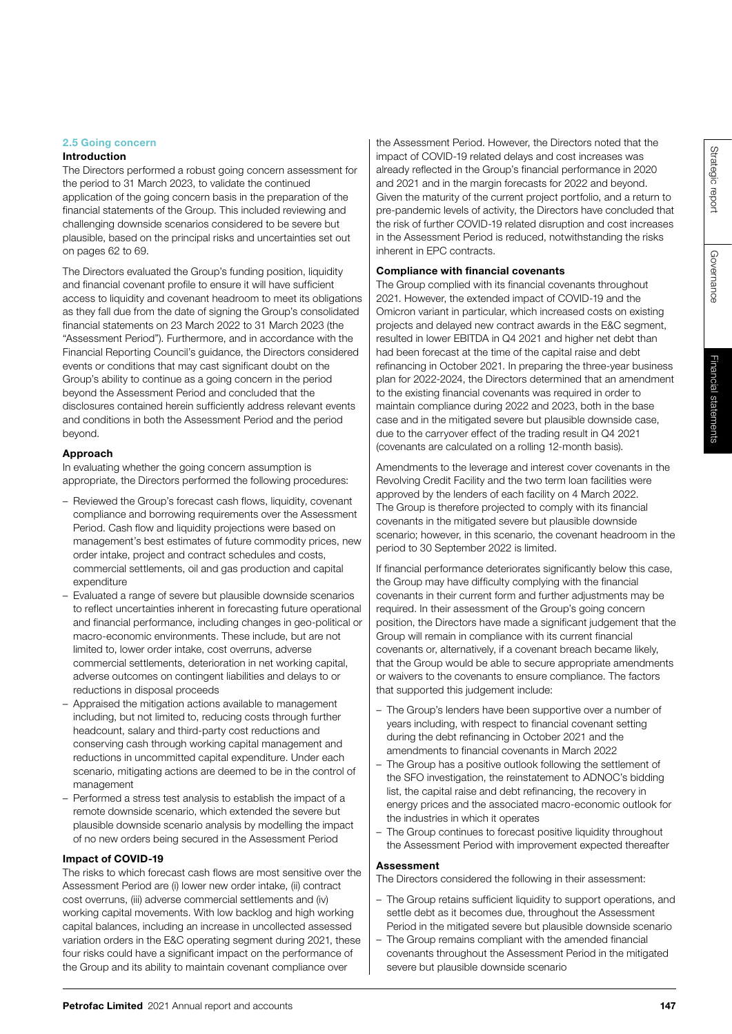# Financial statements Financial statements

# 2.5 Going concern

# Introduction

The Directors performed a robust going concern assessment for the period to 31 March 2023, to validate the continued application of the going concern basis in the preparation of the financial statements of the Group. This included reviewing and challenging downside scenarios considered to be severe but plausible, based on the principal risks and uncertainties set out on pages 62 to 69.

The Directors evaluated the Group's funding position, liquidity and financial covenant profile to ensure it will have sufficient access to liquidity and covenant headroom to meet its obligations as they fall due from the date of signing the Group's consolidated financial statements on 23 March 2022 to 31 March 2023 (the "Assessment Period"). Furthermore, and in accordance with the Financial Reporting Council's guidance, the Directors considered events or conditions that may cast significant doubt on the Group's ability to continue as a going concern in the period beyond the Assessment Period and concluded that the disclosures contained herein sufficiently address relevant events and conditions in both the Assessment Period and the period beyond.

## Approach

In evaluating whether the going concern assumption is appropriate, the Directors performed the following procedures:

- Reviewed the Group's forecast cash flows, liquidity, covenant compliance and borrowing requirements over the Assessment Period. Cash flow and liquidity projections were based on management's best estimates of future commodity prices, new order intake, project and contract schedules and costs, commercial settlements, oil and gas production and capital expenditure
- Evaluated a range of severe but plausible downside scenarios to reflect uncertainties inherent in forecasting future operational and financial performance, including changes in geo-political or macro-economic environments. These include, but are not limited to, lower order intake, cost overruns, adverse commercial settlements, deterioration in net working capital, adverse outcomes on contingent liabilities and delays to or reductions in disposal proceeds
- Appraised the mitigation actions available to management including, but not limited to, reducing costs through further headcount, salary and third-party cost reductions and conserving cash through working capital management and reductions in uncommitted capital expenditure. Under each scenario, mitigating actions are deemed to be in the control of management
- Performed a stress test analysis to establish the impact of a remote downside scenario, which extended the severe but plausible downside scenario analysis by modelling the impact of no new orders being secured in the Assessment Period

# Impact of COVID-19

The risks to which forecast cash flows are most sensitive over the Assessment Period are (i) lower new order intake, (ii) contract cost overruns, (iii) adverse commercial settlements and (iv) working capital movements. With low backlog and high working capital balances, including an increase in uncollected assessed variation orders in the E&C operating segment during 2021, these four risks could have a significant impact on the performance of the Group and its ability to maintain covenant compliance over

the Assessment Period. However, the Directors noted that the impact of COVID-19 related delays and cost increases was already reflected in the Group's financial performance in 2020 and 2021 and in the margin forecasts for 2022 and beyond. Given the maturity of the current project portfolio, and a return to pre-pandemic levels of activity, the Directors have concluded that the risk of further COVID-19 related disruption and cost increases in the Assessment Period is reduced, notwithstanding the risks inherent in EPC contracts.

## Compliance with financial covenants

The Group complied with its financial covenants throughout 2021. However, the extended impact of COVID-19 and the Omicron variant in particular, which increased costs on existing projects and delayed new contract awards in the E&C segment, resulted in lower EBITDA in Q4 2021 and higher net debt than had been forecast at the time of the capital raise and debt refinancing in October 2021. In preparing the three-year business plan for 2022-2024, the Directors determined that an amendment to the existing financial covenants was required in order to maintain compliance during 2022 and 2023, both in the base case and in the mitigated severe but plausible downside case, due to the carryover effect of the trading result in Q4 2021 (covenants are calculated on a rolling 12-month basis).

Amendments to the leverage and interest cover covenants in the Revolving Credit Facility and the two term loan facilities were approved by the lenders of each facility on 4 March 2022. The Group is therefore projected to comply with its financial covenants in the mitigated severe but plausible downside scenario; however, in this scenario, the covenant headroom in the period to 30 September 2022 is limited.

If financial performance deteriorates significantly below this case, the Group may have difficulty complying with the financial covenants in their current form and further adjustments may be required. In their assessment of the Group's going concern position, the Directors have made a significant judgement that the Group will remain in compliance with its current financial covenants or, alternatively, if a covenant breach became likely, that the Group would be able to secure appropriate amendments or waivers to the covenants to ensure compliance. The factors that supported this judgement include:

- The Group's lenders have been supportive over a number of years including, with respect to financial covenant setting during the debt refinancing in October 2021 and the amendments to financial covenants in March 2022
- The Group has a positive outlook following the settlement of the SFO investigation, the reinstatement to ADNOC's bidding list, the capital raise and debt refinancing, the recovery in energy prices and the associated macro-economic outlook for the industries in which it operates
- The Group continues to forecast positive liquidity throughout the Assessment Period with improvement expected thereafter

# Assessment

The Directors considered the following in their assessment:

- The Group retains sufficient liquidity to support operations, and settle debt as it becomes due, throughout the Assessment Period in the mitigated severe but plausible downside scenario
- The Group remains compliant with the amended financial covenants throughout the Assessment Period in the mitigated severe but plausible downside scenario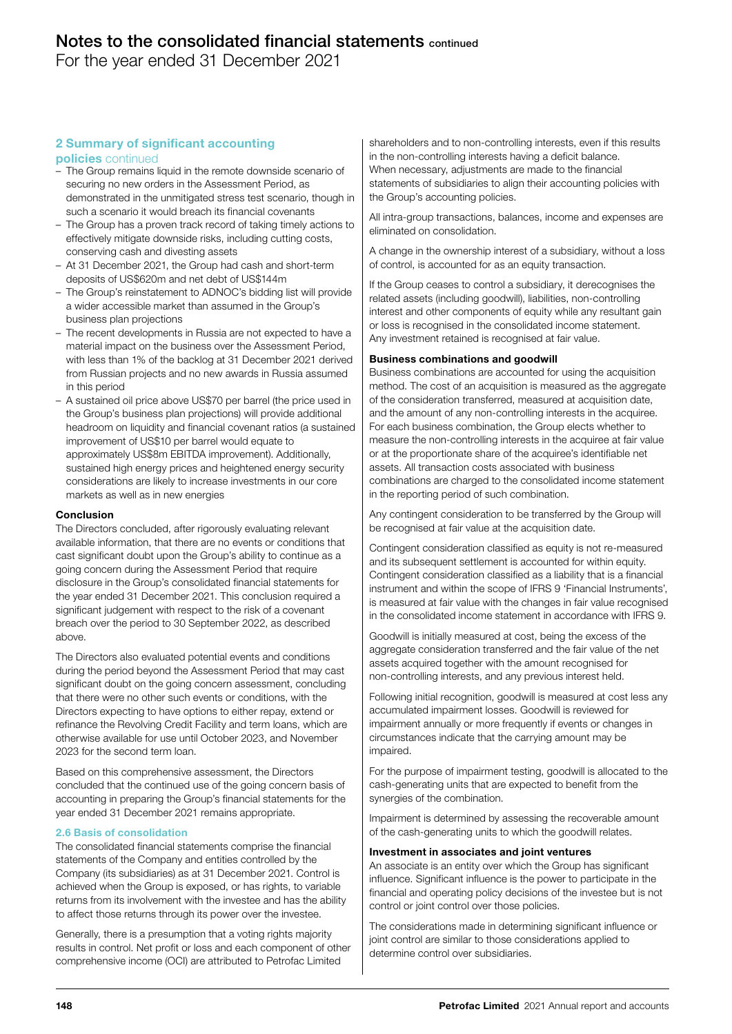For the year ended 31 December 2021

# 2 Summary of significant accounting

# policies continued

- The Group remains liquid in the remote downside scenario of securing no new orders in the Assessment Period, as demonstrated in the unmitigated stress test scenario, though in such a scenario it would breach its financial covenants
- The Group has a proven track record of taking timely actions to effectively mitigate downside risks, including cutting costs, conserving cash and divesting assets
- At 31 December 2021, the Group had cash and short-term deposits of US\$620m and net debt of US\$144m
- The Group's reinstatement to ADNOC's bidding list will provide a wider accessible market than assumed in the Group's business plan projections
- The recent developments in Russia are not expected to have a material impact on the business over the Assessment Period, with less than 1% of the backlog at 31 December 2021 derived from Russian projects and no new awards in Russia assumed in this period
- A sustained oil price above US\$70 per barrel (the price used in the Group's business plan projections) will provide additional headroom on liquidity and financial covenant ratios (a sustained improvement of US\$10 per barrel would equate to approximately US\$8m EBITDA improvement). Additionally, sustained high energy prices and heightened energy security considerations are likely to increase investments in our core markets as well as in new energies

## Conclusion

The Directors concluded, after rigorously evaluating relevant available information, that there are no events or conditions that cast significant doubt upon the Group's ability to continue as a going concern during the Assessment Period that require disclosure in the Group's consolidated financial statements for the year ended 31 December 2021. This conclusion required a significant judgement with respect to the risk of a covenant breach over the period to 30 September 2022, as described above.

The Directors also evaluated potential events and conditions during the period beyond the Assessment Period that may cast significant doubt on the going concern assessment, concluding that there were no other such events or conditions, with the Directors expecting to have options to either repay, extend or refinance the Revolving Credit Facility and term loans, which are otherwise available for use until October 2023, and November 2023 for the second term loan.

Based on this comprehensive assessment, the Directors concluded that the continued use of the going concern basis of accounting in preparing the Group's financial statements for the year ended 31 December 2021 remains appropriate.

# 2.6 Basis of consolidation

The consolidated financial statements comprise the financial statements of the Company and entities controlled by the Company (its subsidiaries) as at 31 December 2021. Control is achieved when the Group is exposed, or has rights, to variable returns from its involvement with the investee and has the ability to affect those returns through its power over the investee.

Generally, there is a presumption that a voting rights majority results in control. Net profit or loss and each component of other comprehensive income (OCI) are attributed to Petrofac Limited

shareholders and to non-controlling interests, even if this results in the non-controlling interests having a deficit balance. When necessary, adjustments are made to the financial statements of subsidiaries to align their accounting policies with the Group's accounting policies.

All intra-group transactions, balances, income and expenses are eliminated on consolidation.

A change in the ownership interest of a subsidiary, without a loss of control, is accounted for as an equity transaction.

If the Group ceases to control a subsidiary, it derecognises the related assets (including goodwill), liabilities, non-controlling interest and other components of equity while any resultant gain or loss is recognised in the consolidated income statement. Any investment retained is recognised at fair value.

#### Business combinations and goodwill

Business combinations are accounted for using the acquisition method. The cost of an acquisition is measured as the aggregate of the consideration transferred, measured at acquisition date, and the amount of any non-controlling interests in the acquiree. For each business combination, the Group elects whether to measure the non-controlling interests in the acquiree at fair value or at the proportionate share of the acquiree's identifiable net assets. All transaction costs associated with business combinations are charged to the consolidated income statement in the reporting period of such combination.

Any contingent consideration to be transferred by the Group will be recognised at fair value at the acquisition date.

Contingent consideration classified as equity is not re-measured and its subsequent settlement is accounted for within equity. Contingent consideration classified as a liability that is a financial instrument and within the scope of IFRS 9 'Financial Instruments', is measured at fair value with the changes in fair value recognised in the consolidated income statement in accordance with IFRS 9.

Goodwill is initially measured at cost, being the excess of the aggregate consideration transferred and the fair value of the net assets acquired together with the amount recognised for non-controlling interests, and any previous interest held.

Following initial recognition, goodwill is measured at cost less any accumulated impairment losses. Goodwill is reviewed for impairment annually or more frequently if events or changes in circumstances indicate that the carrying amount may be impaired.

For the purpose of impairment testing, goodwill is allocated to the cash-generating units that are expected to benefit from the synergies of the combination.

Impairment is determined by assessing the recoverable amount of the cash-generating units to which the goodwill relates.

# Investment in associates and joint ventures

An associate is an entity over which the Group has significant influence. Significant influence is the power to participate in the financial and operating policy decisions of the investee but is not control or joint control over those policies.

The considerations made in determining significant influence or joint control are similar to those considerations applied to determine control over subsidiaries.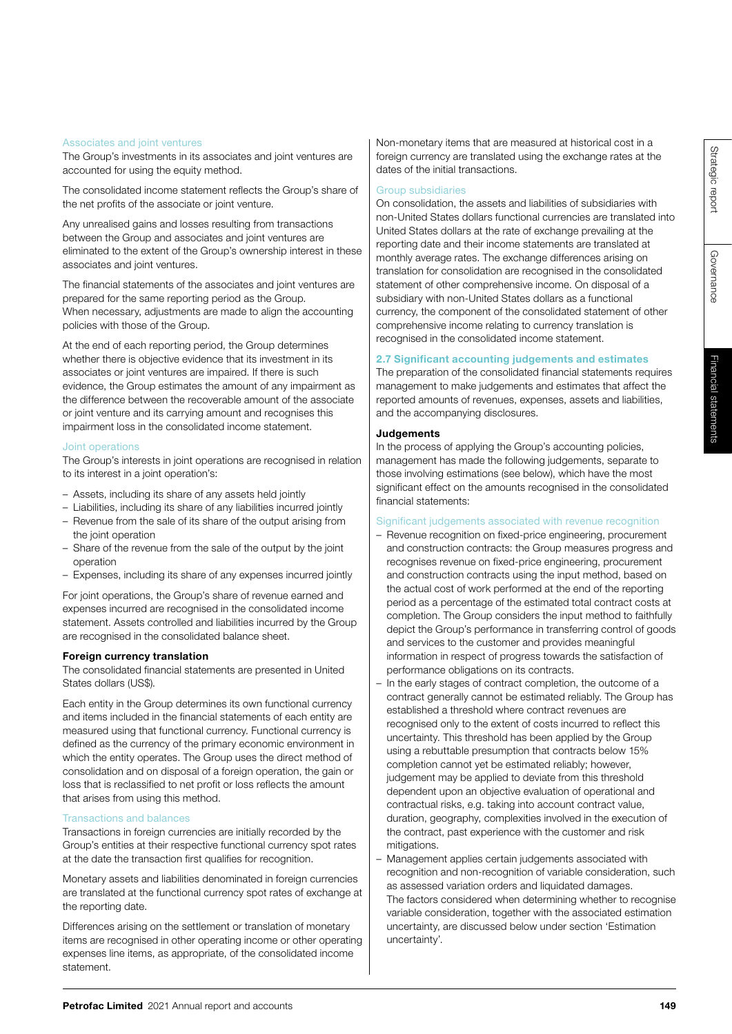Governance

Governance

# Associates and joint ventures

The Group's investments in its associates and joint ventures are accounted for using the equity method.

The consolidated income statement reflects the Group's share of the net profits of the associate or joint venture.

Any unrealised gains and losses resulting from transactions between the Group and associates and joint ventures are eliminated to the extent of the Group's ownership interest in these associates and joint ventures.

The financial statements of the associates and joint ventures are prepared for the same reporting period as the Group. When necessary, adjustments are made to align the accounting policies with those of the Group.

At the end of each reporting period, the Group determines whether there is objective evidence that its investment in its associates or joint ventures are impaired. If there is such evidence, the Group estimates the amount of any impairment as the difference between the recoverable amount of the associate or joint venture and its carrying amount and recognises this impairment loss in the consolidated income statement.

#### Joint operations

The Group's interests in joint operations are recognised in relation to its interest in a joint operation's:

- Assets, including its share of any assets held jointly
- Liabilities, including its share of any liabilities incurred jointly
- Revenue from the sale of its share of the output arising from the joint operation
- Share of the revenue from the sale of the output by the joint operation
- Expenses, including its share of any expenses incurred jointly

For joint operations, the Group's share of revenue earned and expenses incurred are recognised in the consolidated income statement. Assets controlled and liabilities incurred by the Group are recognised in the consolidated balance sheet.

#### Foreign currency translation

The consolidated financial statements are presented in United States dollars (US\$).

Each entity in the Group determines its own functional currency and items included in the financial statements of each entity are measured using that functional currency. Functional currency is defined as the currency of the primary economic environment in which the entity operates. The Group uses the direct method of consolidation and on disposal of a foreign operation, the gain or loss that is reclassified to net profit or loss reflects the amount that arises from using this method.

#### Transactions and balances

Transactions in foreign currencies are initially recorded by the Group's entities at their respective functional currency spot rates at the date the transaction first qualifies for recognition.

Monetary assets and liabilities denominated in foreign currencies are translated at the functional currency spot rates of exchange at the reporting date.

Differences arising on the settlement or translation of monetary items are recognised in other operating income or other operating expenses line items, as appropriate, of the consolidated income statement.

Non-monetary items that are measured at historical cost in a foreign currency are translated using the exchange rates at the dates of the initial transactions.

## Group subsidiaries

On consolidation, the assets and liabilities of subsidiaries with non-United States dollars functional currencies are translated into United States dollars at the rate of exchange prevailing at the reporting date and their income statements are translated at monthly average rates. The exchange differences arising on translation for consolidation are recognised in the consolidated statement of other comprehensive income. On disposal of a subsidiary with non-United States dollars as a functional currency, the component of the consolidated statement of other comprehensive income relating to currency translation is recognised in the consolidated income statement.

# 2.7 Significant accounting judgements and estimates

The preparation of the consolidated financial statements requires management to make judgements and estimates that affect the reported amounts of revenues, expenses, assets and liabilities, and the accompanying disclosures.

#### Judgements

In the process of applying the Group's accounting policies, management has made the following judgements, separate to those involving estimations (see below), which have the most significant effect on the amounts recognised in the consolidated financial statements:

#### Significant judgements associated with revenue recognition

- Revenue recognition on fixed-price engineering, procurement and construction contracts: the Group measures progress and recognises revenue on fixed-price engineering, procurement and construction contracts using the input method, based on the actual cost of work performed at the end of the reporting period as a percentage of the estimated total contract costs at completion. The Group considers the input method to faithfully depict the Group's performance in transferring control of goods and services to the customer and provides meaningful information in respect of progress towards the satisfaction of performance obligations on its contracts.
- In the early stages of contract completion, the outcome of a contract generally cannot be estimated reliably. The Group has established a threshold where contract revenues are recognised only to the extent of costs incurred to reflect this uncertainty. This threshold has been applied by the Group using a rebuttable presumption that contracts below 15% completion cannot yet be estimated reliably; however, judgement may be applied to deviate from this threshold dependent upon an objective evaluation of operational and contractual risks, e.g. taking into account contract value, duration, geography, complexities involved in the execution of the contract, past experience with the customer and risk mitigations.
- Management applies certain judgements associated with recognition and non-recognition of variable consideration, such as assessed variation orders and liquidated damages. The factors considered when determining whether to recognise variable consideration, together with the associated estimation uncertainty, are discussed below under section 'Estimation uncertainty'.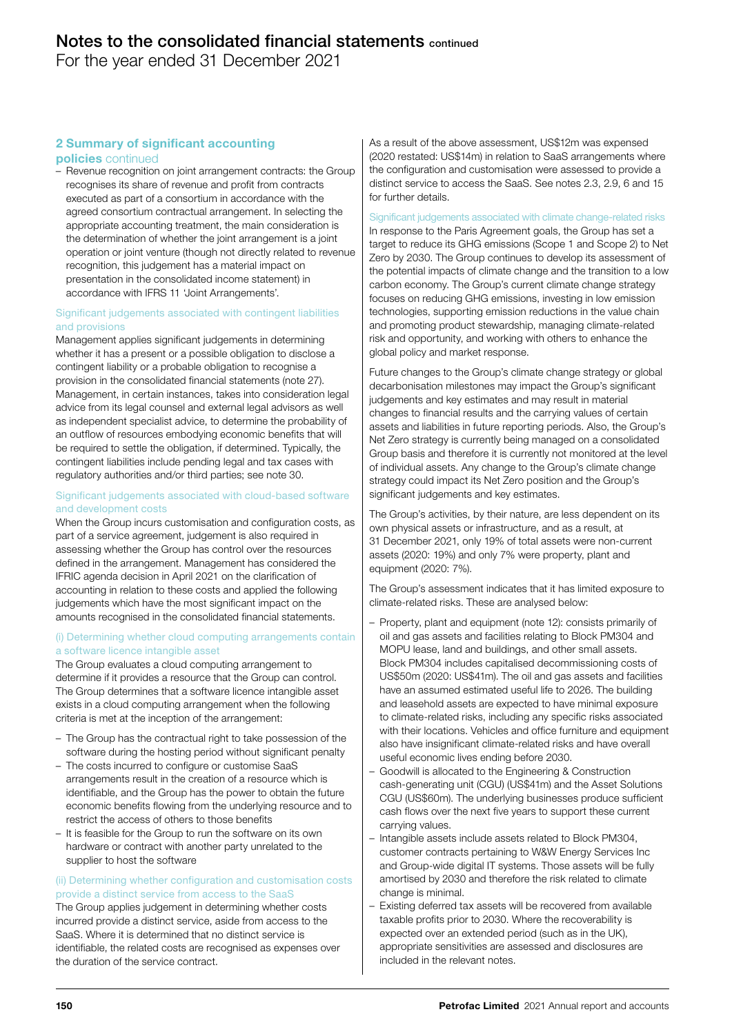For the year ended 31 December 2021

# 2 Summary of significant accounting

# policies continued

– Revenue recognition on joint arrangement contracts: the Group recognises its share of revenue and profit from contracts executed as part of a consortium in accordance with the agreed consortium contractual arrangement. In selecting the appropriate accounting treatment, the main consideration is the determination of whether the joint arrangement is a joint operation or joint venture (though not directly related to revenue recognition, this judgement has a material impact on presentation in the consolidated income statement) in accordance with IFRS 11 'Joint Arrangements'.

## Significant judgements associated with contingent liabilities and provisions

Management applies significant judgements in determining whether it has a present or a possible obligation to disclose a contingent liability or a probable obligation to recognise a provision in the consolidated financial statements (note 27). Management, in certain instances, takes into consideration legal advice from its legal counsel and external legal advisors as well as independent specialist advice, to determine the probability of an outflow of resources embodying economic benefits that will be required to settle the obligation, if determined. Typically, the contingent liabilities include pending legal and tax cases with regulatory authorities and/or third parties; see note 30.

# Significant judgements associated with cloud-based software and development costs

When the Group incurs customisation and configuration costs, as part of a service agreement, judgement is also required in assessing whether the Group has control over the resources defined in the arrangement. Management has considered the IFRIC agenda decision in April 2021 on the clarification of accounting in relation to these costs and applied the following judgements which have the most significant impact on the amounts recognised in the consolidated financial statements.

# (i) Determining whether cloud computing arrangements contain a software licence intangible asset

The Group evaluates a cloud computing arrangement to determine if it provides a resource that the Group can control. The Group determines that a software licence intangible asset exists in a cloud computing arrangement when the following criteria is met at the inception of the arrangement:

- The Group has the contractual right to take possession of the software during the hosting period without significant penalty
- The costs incurred to configure or customise SaaS arrangements result in the creation of a resource which is identifiable, and the Group has the power to obtain the future economic benefits flowing from the underlying resource and to restrict the access of others to those benefits
- It is feasible for the Group to run the software on its own hardware or contract with another party unrelated to the supplier to host the software

## (ii) Determining whether configuration and customisation costs provide a distinct service from access to the SaaS

The Group applies judgement in determining whether costs incurred provide a distinct service, aside from access to the SaaS. Where it is determined that no distinct service is identifiable, the related costs are recognised as expenses over the duration of the service contract.

As a result of the above assessment, US\$12m was expensed (2020 restated: US\$14m) in relation to SaaS arrangements where the configuration and customisation were assessed to provide a distinct service to access the SaaS. See notes 2.3, 2.9, 6 and 15 for further details.

# Significant judgements associated with climate change-related risks

In response to the Paris Agreement goals, the Group has set a target to reduce its GHG emissions (Scope 1 and Scope 2) to Net Zero by 2030. The Group continues to develop its assessment of the potential impacts of climate change and the transition to a low carbon economy. The Group's current climate change strategy focuses on reducing GHG emissions, investing in low emission technologies, supporting emission reductions in the value chain and promoting product stewardship, managing climate-related risk and opportunity, and working with others to enhance the global policy and market response.

Future changes to the Group's climate change strategy or global decarbonisation milestones may impact the Group's significant judgements and key estimates and may result in material changes to financial results and the carrying values of certain assets and liabilities in future reporting periods. Also, the Group's Net Zero strategy is currently being managed on a consolidated Group basis and therefore it is currently not monitored at the level of individual assets. Any change to the Group's climate change strategy could impact its Net Zero position and the Group's significant judgements and key estimates.

The Group's activities, by their nature, are less dependent on its own physical assets or infrastructure, and as a result, at 31 December 2021, only 19% of total assets were non-current assets (2020: 19%) and only 7% were property, plant and equipment (2020: 7%).

The Group's assessment indicates that it has limited exposure to climate-related risks. These are analysed below:

- Property, plant and equipment (note 12): consists primarily of oil and gas assets and facilities relating to Block PM304 and MOPU lease, land and buildings, and other small assets. Block PM304 includes capitalised decommissioning costs of US\$50m (2020: US\$41m). The oil and gas assets and facilities have an assumed estimated useful life to 2026. The building and leasehold assets are expected to have minimal exposure to climate-related risks, including any specific risks associated with their locations. Vehicles and office furniture and equipment also have insignificant climate-related risks and have overall useful economic lives ending before 2030.
- Goodwill is allocated to the Engineering & Construction cash-generating unit (CGU) (US\$41m) and the Asset Solutions CGU (US\$60m). The underlying businesses produce sufficient cash flows over the next five years to support these current carrying values.
- Intangible assets include assets related to Block PM304, customer contracts pertaining to W&W Energy Services Inc and Group-wide digital IT systems. Those assets will be fully amortised by 2030 and therefore the risk related to climate change is minimal.
- Existing deferred tax assets will be recovered from available taxable profits prior to 2030. Where the recoverability is expected over an extended period (such as in the UK), appropriate sensitivities are assessed and disclosures are included in the relevant notes.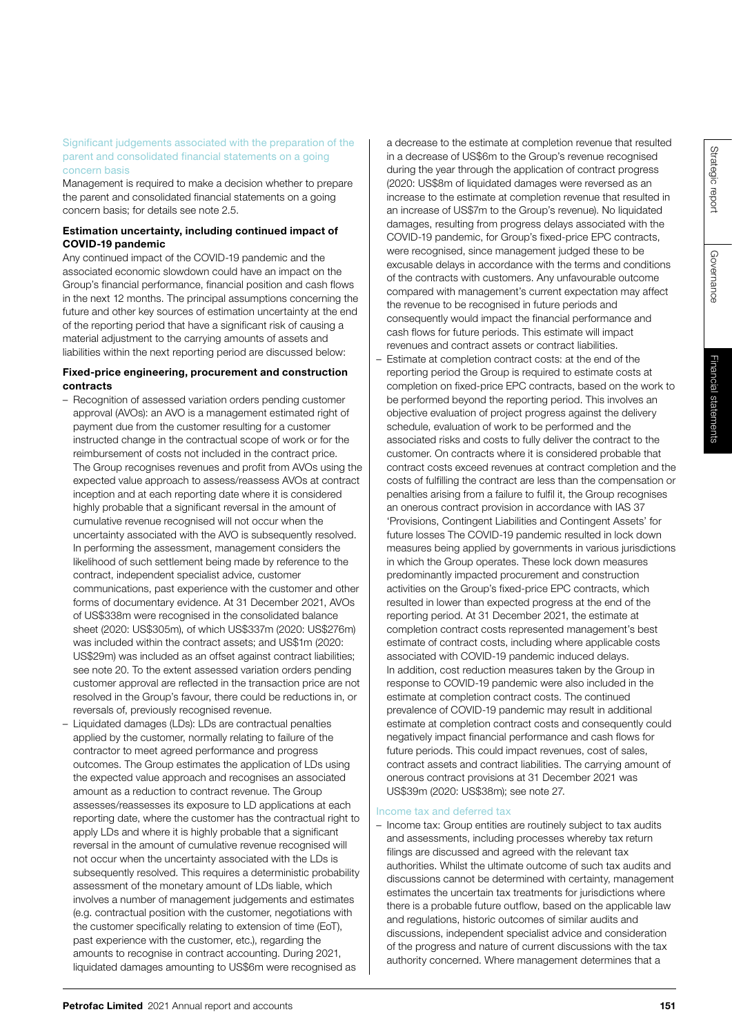Significant judgements associated with the preparation of the parent and consolidated financial statements on a going concern basis

Management is required to make a decision whether to prepare the parent and consolidated financial statements on a going concern basis; for details see note 2.5.

# Estimation uncertainty, including continued impact of COVID-19 pandemic

Any continued impact of the COVID-19 pandemic and the associated economic slowdown could have an impact on the Group's financial performance, financial position and cash flows in the next 12 months. The principal assumptions concerning the future and other key sources of estimation uncertainty at the end of the reporting period that have a significant risk of causing a material adjustment to the carrying amounts of assets and liabilities within the next reporting period are discussed below:

# Fixed-price engineering, procurement and construction contracts

- Recognition of assessed variation orders pending customer approval (AVOs): an AVO is a management estimated right of payment due from the customer resulting for a customer instructed change in the contractual scope of work or for the reimbursement of costs not included in the contract price. The Group recognises revenues and profit from AVOs using the expected value approach to assess/reassess AVOs at contract inception and at each reporting date where it is considered highly probable that a significant reversal in the amount of cumulative revenue recognised will not occur when the uncertainty associated with the AVO is subsequently resolved. In performing the assessment, management considers the likelihood of such settlement being made by reference to the contract, independent specialist advice, customer communications, past experience with the customer and other forms of documentary evidence. At 31 December 2021, AVOs of US\$338m were recognised in the consolidated balance sheet (2020: US\$305m), of which US\$337m (2020: US\$276m) was included within the contract assets; and US\$1m (2020: US\$29m) was included as an offset against contract liabilities; see note 20. To the extent assessed variation orders pending customer approval are reflected in the transaction price are not resolved in the Group's favour, there could be reductions in, or reversals of, previously recognised revenue.
- Liquidated damages (LDs): LDs are contractual penalties applied by the customer, normally relating to failure of the contractor to meet agreed performance and progress outcomes. The Group estimates the application of LDs using the expected value approach and recognises an associated amount as a reduction to contract revenue. The Group assesses/reassesses its exposure to LD applications at each reporting date, where the customer has the contractual right to apply LDs and where it is highly probable that a significant reversal in the amount of cumulative revenue recognised will not occur when the uncertainty associated with the LDs is subsequently resolved. This requires a deterministic probability assessment of the monetary amount of LDs liable, which involves a number of management judgements and estimates (e.g. contractual position with the customer, negotiations with the customer specifically relating to extension of time (EoT), past experience with the customer, etc.), regarding the amounts to recognise in contract accounting. During 2021, liquidated damages amounting to US\$6m were recognised as

a decrease to the estimate at completion revenue that resulted in a decrease of US\$6m to the Group's revenue recognised during the year through the application of contract progress (2020: US\$8m of liquidated damages were reversed as an increase to the estimate at completion revenue that resulted in an increase of US\$7m to the Group's revenue). No liquidated damages, resulting from progress delays associated with the COVID-19 pandemic, for Group's fixed-price EPC contracts, were recognised, since management judged these to be excusable delays in accordance with the terms and conditions of the contracts with customers. Any unfavourable outcome compared with management's current expectation may affect the revenue to be recognised in future periods and consequently would impact the financial performance and cash flows for future periods. This estimate will impact revenues and contract assets or contract liabilities.

– Estimate at completion contract costs: at the end of the reporting period the Group is required to estimate costs at completion on fixed-price EPC contracts, based on the work to be performed beyond the reporting period. This involves an objective evaluation of project progress against the delivery schedule, evaluation of work to be performed and the associated risks and costs to fully deliver the contract to the customer. On contracts where it is considered probable that contract costs exceed revenues at contract completion and the costs of fulfilling the contract are less than the compensation or penalties arising from a failure to fulfil it, the Group recognises an onerous contract provision in accordance with IAS 37 'Provisions, Contingent Liabilities and Contingent Assets' for future losses The COVID-19 pandemic resulted in lock down measures being applied by governments in various jurisdictions in which the Group operates. These lock down measures predominantly impacted procurement and construction activities on the Group's fixed-price EPC contracts, which resulted in lower than expected progress at the end of the reporting period. At 31 December 2021, the estimate at completion contract costs represented management's best estimate of contract costs, including where applicable costs associated with COVID-19 pandemic induced delays. In addition, cost reduction measures taken by the Group in response to COVID-19 pandemic were also included in the estimate at completion contract costs. The continued prevalence of COVID-19 pandemic may result in additional estimate at completion contract costs and consequently could negatively impact financial performance and cash flows for future periods. This could impact revenues, cost of sales, contract assets and contract liabilities. The carrying amount of onerous contract provisions at 31 December 2021 was US\$39m (2020: US\$38m); see note 27.

# Income tax and deferred tax

– Income tax: Group entities are routinely subject to tax audits and assessments, including processes whereby tax return filings are discussed and agreed with the relevant tax authorities. Whilst the ultimate outcome of such tax audits and discussions cannot be determined with certainty, management estimates the uncertain tax treatments for jurisdictions where there is a probable future outflow, based on the applicable law and regulations, historic outcomes of similar audits and discussions, independent specialist advice and consideration of the progress and nature of current discussions with the tax authority concerned. Where management determines that a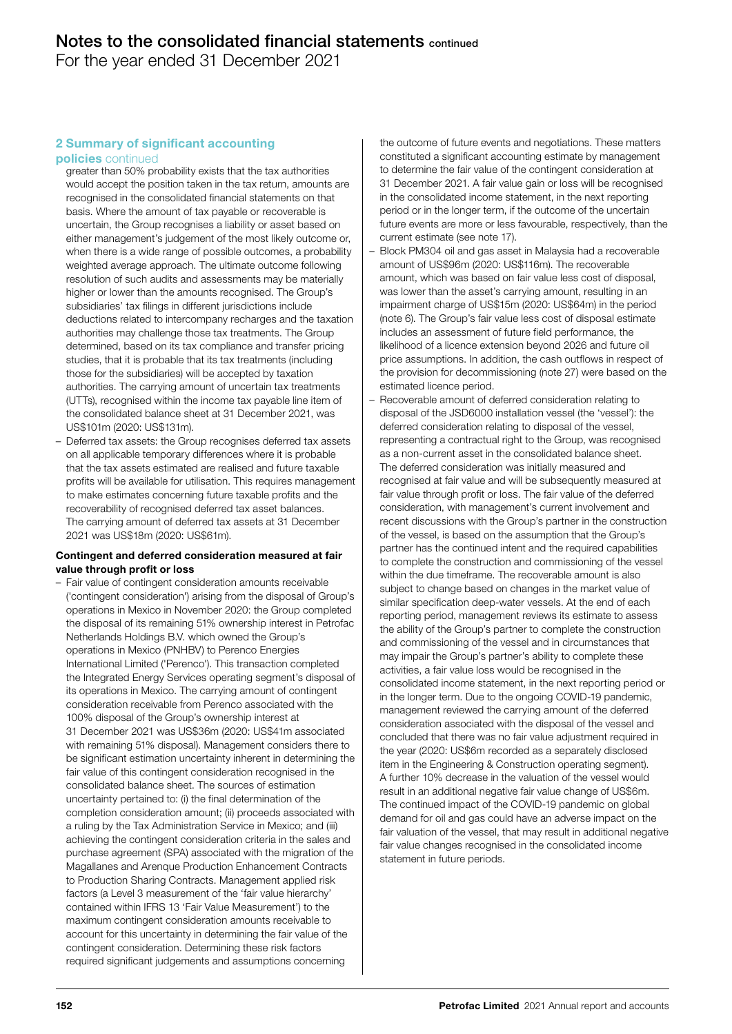For the year ended 31 December 2021

# 2 Summary of significant accounting

## policies continued

- greater than 50% probability exists that the tax authorities would accept the position taken in the tax return, amounts are recognised in the consolidated financial statements on that basis. Where the amount of tax payable or recoverable is uncertain, the Group recognises a liability or asset based on either management's judgement of the most likely outcome or, when there is a wide range of possible outcomes, a probability weighted average approach. The ultimate outcome following resolution of such audits and assessments may be materially higher or lower than the amounts recognised. The Group's subsidiaries' tax filings in different jurisdictions include deductions related to intercompany recharges and the taxation authorities may challenge those tax treatments. The Group determined, based on its tax compliance and transfer pricing studies, that it is probable that its tax treatments (including those for the subsidiaries) will be accepted by taxation authorities. The carrying amount of uncertain tax treatments (UTTs), recognised within the income tax payable line item of the consolidated balance sheet at 31 December 2021, was US\$101m (2020: US\$131m).
- Deferred tax assets: the Group recognises deferred tax assets on all applicable temporary differences where it is probable that the tax assets estimated are realised and future taxable profits will be available for utilisation. This requires management to make estimates concerning future taxable profits and the recoverability of recognised deferred tax asset balances. The carrying amount of deferred tax assets at 31 December 2021 was US\$18m (2020: US\$61m).

## Contingent and deferred consideration measured at fair value through profit or loss

– Fair value of contingent consideration amounts receivable ('contingent consideration') arising from the disposal of Group's operations in Mexico in November 2020: the Group completed the disposal of its remaining 51% ownership interest in Petrofac Netherlands Holdings B.V. which owned the Group's operations in Mexico (PNHBV) to Perenco Energies International Limited ('Perenco'). This transaction completed the Integrated Energy Services operating segment's disposal of its operations in Mexico. The carrying amount of contingent consideration receivable from Perenco associated with the 100% disposal of the Group's ownership interest at 31 December 2021 was US\$36m (2020: US\$41m associated with remaining 51% disposal). Management considers there to be significant estimation uncertainty inherent in determining the fair value of this contingent consideration recognised in the consolidated balance sheet. The sources of estimation uncertainty pertained to: (i) the final determination of the completion consideration amount; (ii) proceeds associated with a ruling by the Tax Administration Service in Mexico; and (iii) achieving the contingent consideration criteria in the sales and purchase agreement (SPA) associated with the migration of the Magallanes and Arenque Production Enhancement Contracts to Production Sharing Contracts. Management applied risk factors (a Level 3 measurement of the 'fair value hierarchy' contained within IFRS 13 'Fair Value Measurement') to the maximum contingent consideration amounts receivable to account for this uncertainty in determining the fair value of the contingent consideration. Determining these risk factors required significant judgements and assumptions concerning

the outcome of future events and negotiations. These matters constituted a significant accounting estimate by management to determine the fair value of the contingent consideration at 31 December 2021. A fair value gain or loss will be recognised in the consolidated income statement, in the next reporting period or in the longer term, if the outcome of the uncertain future events are more or less favourable, respectively, than the current estimate (see note 17).

- Block PM304 oil and gas asset in Malaysia had a recoverable amount of US\$96m (2020: US\$116m). The recoverable amount, which was based on fair value less cost of disposal, was lower than the asset's carrying amount, resulting in an impairment charge of US\$15m (2020: US\$64m) in the period (note 6). The Group's fair value less cost of disposal estimate includes an assessment of future field performance, the likelihood of a licence extension beyond 2026 and future oil price assumptions. In addition, the cash outflows in respect of the provision for decommissioning (note 27) were based on the estimated licence period.
- Recoverable amount of deferred consideration relating to disposal of the JSD6000 installation vessel (the 'vessel'): the deferred consideration relating to disposal of the vessel, representing a contractual right to the Group, was recognised as a non-current asset in the consolidated balance sheet. The deferred consideration was initially measured and recognised at fair value and will be subsequently measured at fair value through profit or loss. The fair value of the deferred consideration, with management's current involvement and recent discussions with the Group's partner in the construction of the vessel, is based on the assumption that the Group's partner has the continued intent and the required capabilities to complete the construction and commissioning of the vessel within the due timeframe. The recoverable amount is also subject to change based on changes in the market value of similar specification deep-water vessels. At the end of each reporting period, management reviews its estimate to assess the ability of the Group's partner to complete the construction and commissioning of the vessel and in circumstances that may impair the Group's partner's ability to complete these activities, a fair value loss would be recognised in the consolidated income statement, in the next reporting period or in the longer term. Due to the ongoing COVID-19 pandemic, management reviewed the carrying amount of the deferred consideration associated with the disposal of the vessel and concluded that there was no fair value adjustment required in the year (2020: US\$6m recorded as a separately disclosed item in the Engineering & Construction operating segment). A further 10% decrease in the valuation of the vessel would result in an additional negative fair value change of US\$6m. The continued impact of the COVID-19 pandemic on global demand for oil and gas could have an adverse impact on the fair valuation of the vessel, that may result in additional negative fair value changes recognised in the consolidated income statement in future periods.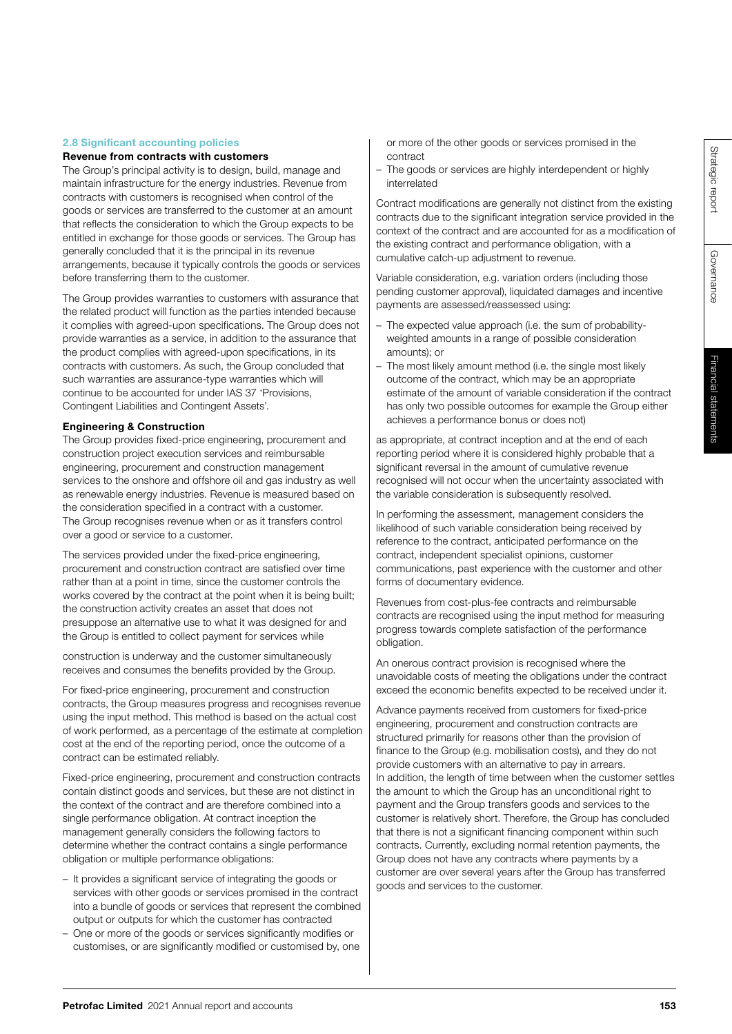Governance

Governance

# 2.8 Significant accounting policies

# Revenue from contracts with customers

The Group's principal activity is to design, build, manage and maintain infrastructure for the energy industries. Revenue from contracts with customers is recognised when control of the goods or services are transferred to the customer at an amount that reflects the consideration to which the Group expects to be entitled in exchange for those goods or services. The Group has generally concluded that it is the principal in its revenue arrangements, because it typically controls the goods or services before transferring them to the customer.

The Group provides warranties to customers with assurance that the related product will function as the parties intended because it complies with agreed-upon specifications. The Group does not provide warranties as a service, in addition to the assurance that the product complies with agreed-upon specifications, in its contracts with customers. As such, the Group concluded that such warranties are assurance-type warranties which will continue to be accounted for under IAS 37 'Provisions, Contingent Liabilities and Contingent Assets'.

# Engineering & Construction

The Group provides fixed-price engineering, procurement and construction project execution services and reimbursable engineering, procurement and construction management services to the onshore and offshore oil and gas industry as well as renewable energy industries. Revenue is measured based on the consideration specified in a contract with a customer. The Group recognises revenue when or as it transfers control over a good or service to a customer.

The services provided under the fixed-price engineering, procurement and construction contract are satisfied over time rather than at a point in time, since the customer controls the works covered by the contract at the point when it is being built; the construction activity creates an asset that does not presuppose an alternative use to what it was designed for and the Group is entitled to collect payment for services while

construction is underway and the customer simultaneously receives and consumes the benefits provided by the Group.

For fixed-price engineering, procurement and construction contracts, the Group measures progress and recognises revenue using the input method. This method is based on the actual cost of work performed, as a percentage of the estimate at completion cost at the end of the reporting period, once the outcome of a contract can be estimated reliably.

Fixed-price engineering, procurement and construction contracts contain distinct goods and services, but these are not distinct in the context of the contract and are therefore combined into a single performance obligation. At contract inception the management generally considers the following factors to determine whether the contract contains a single performance obligation or multiple performance obligations:

- It provides a significant service of integrating the goods or services with other goods or services promised in the contract into a bundle of goods or services that represent the combined output or outputs for which the customer has contracted
- One or more of the goods or services significantly modifies or customises, or are significantly modified or customised by, one
- or more of the other goods or services promised in the contract
- The goods or services are highly interdependent or highly interrelated

Contract modifications are generally not distinct from the existing contracts due to the significant integration service provided in the context of the contract and are accounted for as a modification of the existing contract and performance obligation, with a cumulative catch-up adjustment to revenue.

Variable consideration, e.g. variation orders (including those pending customer approval), liquidated damages and incentive payments are assessed/reassessed using:

- The expected value approach (i.e. the sum of probabilityweighted amounts in a range of possible consideration amounts); or
- The most likely amount method (i.e. the single most likely outcome of the contract, which may be an appropriate estimate of the amount of variable consideration if the contract has only two possible outcomes for example the Group either achieves a performance bonus or does not)

as appropriate, at contract inception and at the end of each reporting period where it is considered highly probable that a significant reversal in the amount of cumulative revenue recognised will not occur when the uncertainty associated with the variable consideration is subsequently resolved.

In performing the assessment, management considers the likelihood of such variable consideration being received by reference to the contract, anticipated performance on the contract, independent specialist opinions, customer communications, past experience with the customer and other forms of documentary evidence.

Revenues from cost-plus-fee contracts and reimbursable contracts are recognised using the input method for measuring progress towards complete satisfaction of the performance obligation.

An onerous contract provision is recognised where the unavoidable costs of meeting the obligations under the contract exceed the economic benefits expected to be received under it.

Advance payments received from customers for fixed-price engineering, procurement and construction contracts are structured primarily for reasons other than the provision of finance to the Group (e.g. mobilisation costs), and they do not provide customers with an alternative to pay in arrears. In addition, the length of time between when the customer settles the amount to which the Group has an unconditional right to payment and the Group transfers goods and services to the customer is relatively short. Therefore, the Group has concluded that there is not a significant financing component within such contracts. Currently, excluding normal retention payments, the Group does not have any contracts where payments by a customer are over several years after the Group has transferred goods and services to the customer.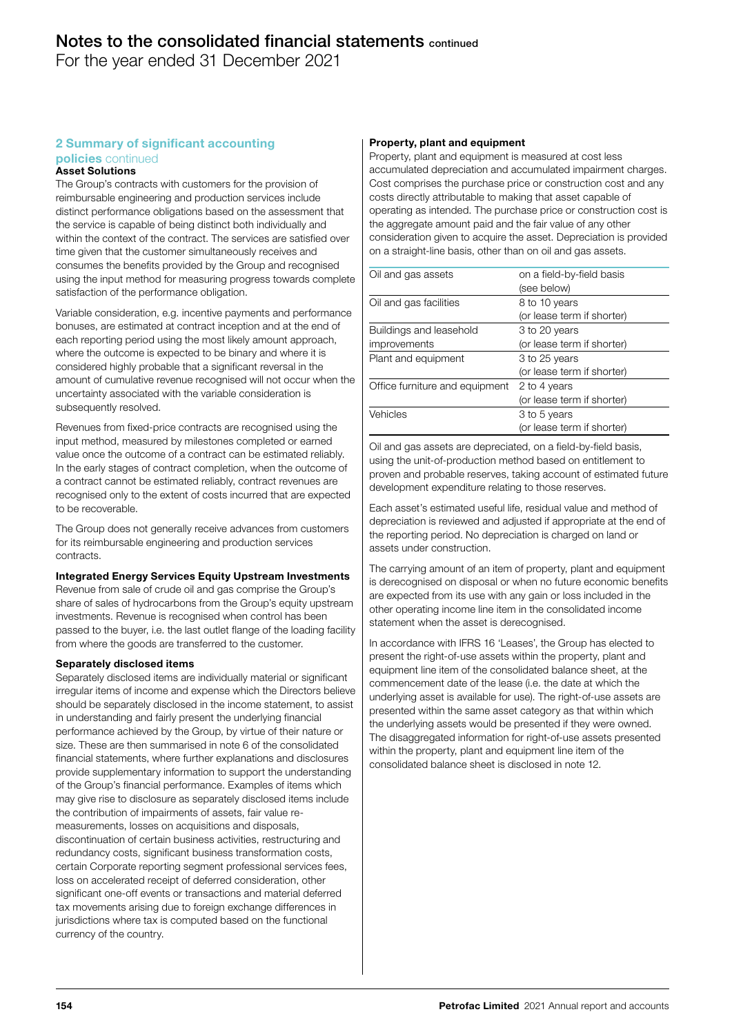For the year ended 31 December 2021

# 2 Summary of significant accounting

# policies continued

# Asset Solutions

The Group's contracts with customers for the provision of reimbursable engineering and production services include distinct performance obligations based on the assessment that the service is capable of being distinct both individually and within the context of the contract. The services are satisfied over time given that the customer simultaneously receives and consumes the benefits provided by the Group and recognised using the input method for measuring progress towards complete satisfaction of the performance obligation.

Variable consideration, e.g. incentive payments and performance bonuses, are estimated at contract inception and at the end of each reporting period using the most likely amount approach, where the outcome is expected to be binary and where it is considered highly probable that a significant reversal in the amount of cumulative revenue recognised will not occur when the uncertainty associated with the variable consideration is subsequently resolved.

Revenues from fixed-price contracts are recognised using the input method, measured by milestones completed or earned value once the outcome of a contract can be estimated reliably. In the early stages of contract completion, when the outcome of a contract cannot be estimated reliably, contract revenues are recognised only to the extent of costs incurred that are expected to be recoverable.

The Group does not generally receive advances from customers for its reimbursable engineering and production services contracts.

# Integrated Energy Services Equity Upstream Investments

Revenue from sale of crude oil and gas comprise the Group's share of sales of hydrocarbons from the Group's equity upstream investments. Revenue is recognised when control has been passed to the buyer, i.e. the last outlet flange of the loading facility from where the goods are transferred to the customer.

#### Separately disclosed items

Separately disclosed items are individually material or significant irregular items of income and expense which the Directors believe should be separately disclosed in the income statement, to assist in understanding and fairly present the underlying financial performance achieved by the Group, by virtue of their nature or size. These are then summarised in note 6 of the consolidated financial statements, where further explanations and disclosures provide supplementary information to support the understanding of the Group's financial performance. Examples of items which may give rise to disclosure as separately disclosed items include the contribution of impairments of assets, fair value remeasurements, losses on acquisitions and disposals, discontinuation of certain business activities, restructuring and redundancy costs, significant business transformation costs, certain Corporate reporting segment professional services fees, loss on accelerated receipt of deferred consideration, other significant one-off events or transactions and material deferred tax movements arising due to foreign exchange differences in jurisdictions where tax is computed based on the functional currency of the country.

## Property, plant and equipment

Property, plant and equipment is measured at cost less accumulated depreciation and accumulated impairment charges. Cost comprises the purchase price or construction cost and any costs directly attributable to making that asset capable of operating as intended. The purchase price or construction cost is the aggregate amount paid and the fair value of any other consideration given to acquire the asset. Depreciation is provided on a straight-line basis, other than on oil and gas assets.

| Oil and gas assets             | on a field-by-field basis<br>(see below) |
|--------------------------------|------------------------------------------|
| Oil and gas facilities         | 8 to 10 years                            |
|                                | (or lease term if shorter)               |
| Buildings and leasehold        | 3 to 20 years                            |
| improvements                   | (or lease term if shorter)               |
| Plant and equipment            | 3 to 25 years                            |
|                                | (or lease term if shorter)               |
| Office furniture and equipment | 2 to 4 years                             |
|                                | (or lease term if shorter)               |
| Vehicles                       | 3 to 5 years                             |
|                                | (or lease term if shorter)               |

Oil and gas assets are depreciated, on a field-by-field basis, using the unit-of-production method based on entitlement to proven and probable reserves, taking account of estimated future development expenditure relating to those reserves.

Each asset's estimated useful life, residual value and method of depreciation is reviewed and adjusted if appropriate at the end of the reporting period. No depreciation is charged on land or assets under construction.

The carrying amount of an item of property, plant and equipment is derecognised on disposal or when no future economic benefits are expected from its use with any gain or loss included in the other operating income line item in the consolidated income statement when the asset is derecognised.

In accordance with IFRS 16 'Leases', the Group has elected to present the right-of-use assets within the property, plant and equipment line item of the consolidated balance sheet, at the commencement date of the lease (i.e. the date at which the underlying asset is available for use). The right-of-use assets are presented within the same asset category as that within which the underlying assets would be presented if they were owned. The disaggregated information for right-of-use assets presented within the property, plant and equipment line item of the consolidated balance sheet is disclosed in note 12.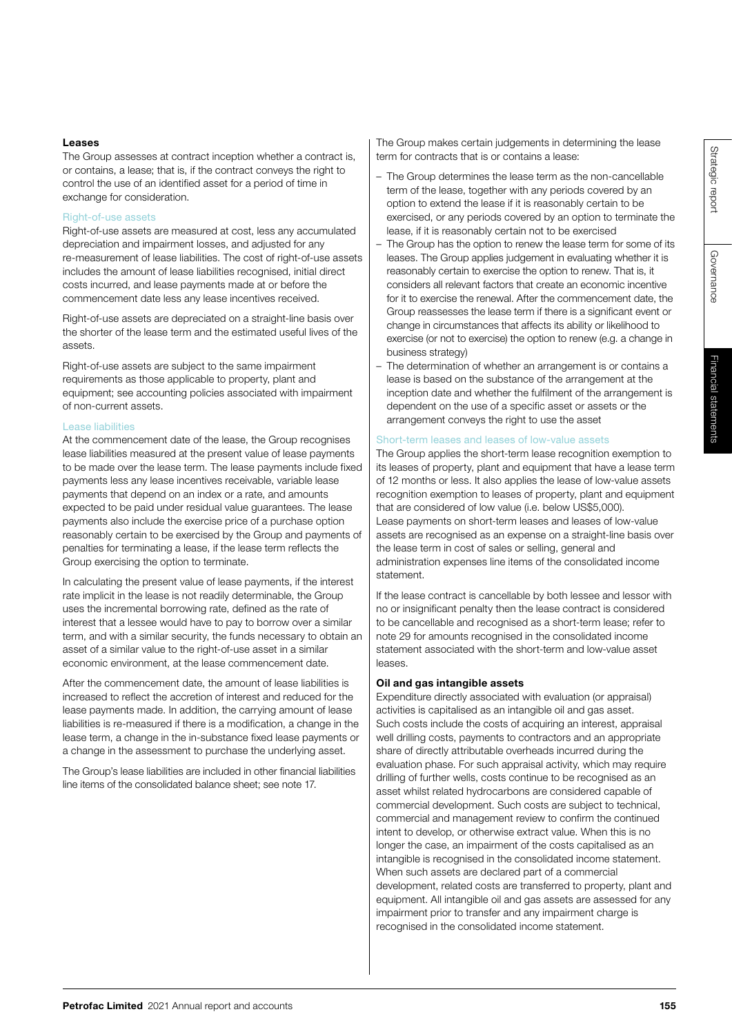Governance

# Financial statements Financial statements

# Leases

The Group assesses at contract inception whether a contract is, or contains, a lease; that is, if the contract conveys the right to control the use of an identified asset for a period of time in exchange for consideration.

# Right-of-use assets

Right-of-use assets are measured at cost, less any accumulated depreciation and impairment losses, and adjusted for any re-measurement of lease liabilities. The cost of right-of-use assets includes the amount of lease liabilities recognised, initial direct costs incurred, and lease payments made at or before the commencement date less any lease incentives received.

Right-of-use assets are depreciated on a straight-line basis over the shorter of the lease term and the estimated useful lives of the assets.

Right-of-use assets are subject to the same impairment requirements as those applicable to property, plant and equipment; see accounting policies associated with impairment of non-current assets.

# Lease liabilities

At the commencement date of the lease, the Group recognises lease liabilities measured at the present value of lease payments to be made over the lease term. The lease payments include fixed payments less any lease incentives receivable, variable lease payments that depend on an index or a rate, and amounts expected to be paid under residual value guarantees. The lease payments also include the exercise price of a purchase option reasonably certain to be exercised by the Group and payments of penalties for terminating a lease, if the lease term reflects the Group exercising the option to terminate.

In calculating the present value of lease payments, if the interest rate implicit in the lease is not readily determinable, the Group uses the incremental borrowing rate, defined as the rate of interest that a lessee would have to pay to borrow over a similar term, and with a similar security, the funds necessary to obtain an asset of a similar value to the right-of-use asset in a similar economic environment, at the lease commencement date.

After the commencement date, the amount of lease liabilities is increased to reflect the accretion of interest and reduced for the lease payments made. In addition, the carrying amount of lease liabilities is re-measured if there is a modification, a change in the lease term, a change in the in-substance fixed lease payments or a change in the assessment to purchase the underlying asset.

The Group's lease liabilities are included in other financial liabilities line items of the consolidated balance sheet; see note 17.

The Group makes certain judgements in determining the lease term for contracts that is or contains a lease:

- The Group determines the lease term as the non-cancellable term of the lease, together with any periods covered by an option to extend the lease if it is reasonably certain to be exercised, or any periods covered by an option to terminate the lease, if it is reasonably certain not to be exercised
- The Group has the option to renew the lease term for some of its leases. The Group applies judgement in evaluating whether it is reasonably certain to exercise the option to renew. That is, it considers all relevant factors that create an economic incentive for it to exercise the renewal. After the commencement date, the Group reassesses the lease term if there is a significant event or change in circumstances that affects its ability or likelihood to exercise (or not to exercise) the option to renew (e.g. a change in business strategy)
- The determination of whether an arrangement is or contains a lease is based on the substance of the arrangement at the inception date and whether the fulfilment of the arrangement is dependent on the use of a specific asset or assets or the arrangement conveys the right to use the asset

# Short-term leases and leases of low-value assets

The Group applies the short-term lease recognition exemption to its leases of property, plant and equipment that have a lease term of 12 months or less. It also applies the lease of low-value assets recognition exemption to leases of property, plant and equipment that are considered of low value (i.e. below US\$5,000). Lease payments on short-term leases and leases of low-value assets are recognised as an expense on a straight-line basis over the lease term in cost of sales or selling, general and administration expenses line items of the consolidated income statement.

If the lease contract is cancellable by both lessee and lessor with no or insignificant penalty then the lease contract is considered to be cancellable and recognised as a short-term lease; refer to note 29 for amounts recognised in the consolidated income statement associated with the short-term and low-value asset leases.

# Oil and gas intangible assets

Expenditure directly associated with evaluation (or appraisal) activities is capitalised as an intangible oil and gas asset. Such costs include the costs of acquiring an interest, appraisal well drilling costs, payments to contractors and an appropriate share of directly attributable overheads incurred during the evaluation phase. For such appraisal activity, which may require drilling of further wells, costs continue to be recognised as an asset whilst related hydrocarbons are considered capable of commercial development. Such costs are subject to technical, commercial and management review to confirm the continued intent to develop, or otherwise extract value. When this is no longer the case, an impairment of the costs capitalised as an intangible is recognised in the consolidated income statement. When such assets are declared part of a commercial development, related costs are transferred to property, plant and equipment. All intangible oil and gas assets are assessed for any impairment prior to transfer and any impairment charge is recognised in the consolidated income statement.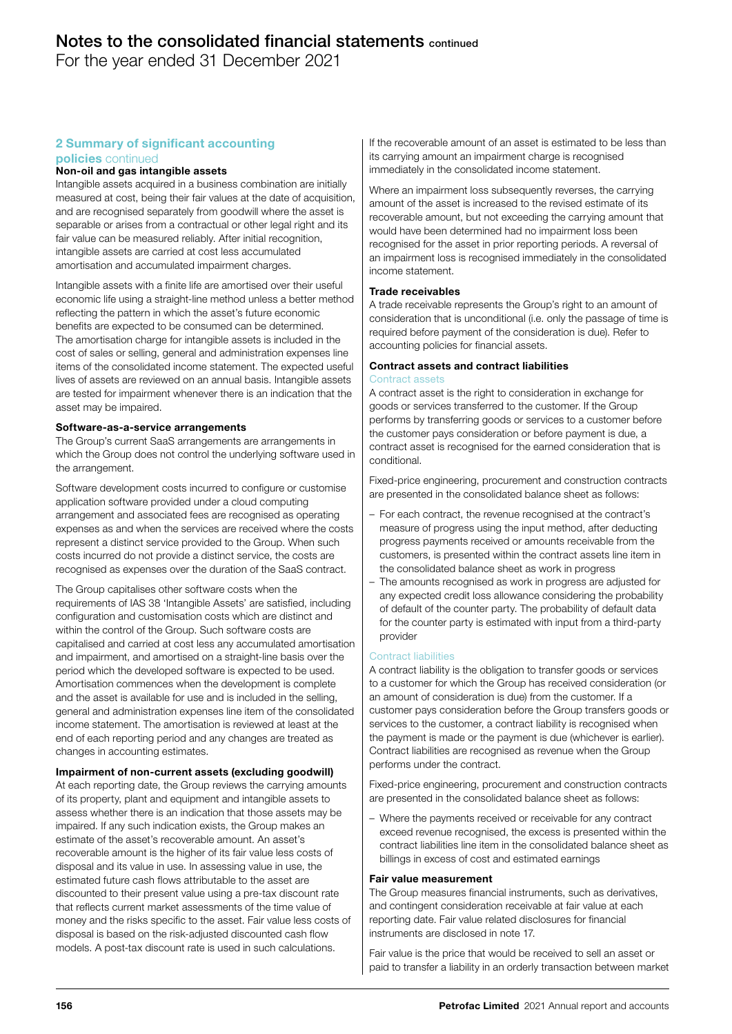For the year ended 31 December 2021

## 2 Summary of significant accounting policies continued

# Non-oil and gas intangible assets

Intangible assets acquired in a business combination are initially measured at cost, being their fair values at the date of acquisition, and are recognised separately from goodwill where the asset is separable or arises from a contractual or other legal right and its fair value can be measured reliably. After initial recognition, intangible assets are carried at cost less accumulated amortisation and accumulated impairment charges.

Intangible assets with a finite life are amortised over their useful economic life using a straight-line method unless a better method reflecting the pattern in which the asset's future economic benefits are expected to be consumed can be determined. The amortisation charge for intangible assets is included in the cost of sales or selling, general and administration expenses line items of the consolidated income statement. The expected useful lives of assets are reviewed on an annual basis. Intangible assets are tested for impairment whenever there is an indication that the asset may be impaired.

## Software-as-a-service arrangements

The Group's current SaaS arrangements are arrangements in which the Group does not control the underlying software used in the arrangement.

Software development costs incurred to configure or customise application software provided under a cloud computing arrangement and associated fees are recognised as operating expenses as and when the services are received where the costs represent a distinct service provided to the Group. When such costs incurred do not provide a distinct service, the costs are recognised as expenses over the duration of the SaaS contract.

The Group capitalises other software costs when the requirements of IAS 38 'Intangible Assets' are satisfied, including configuration and customisation costs which are distinct and within the control of the Group. Such software costs are capitalised and carried at cost less any accumulated amortisation and impairment, and amortised on a straight-line basis over the period which the developed software is expected to be used. Amortisation commences when the development is complete and the asset is available for use and is included in the selling, general and administration expenses line item of the consolidated income statement. The amortisation is reviewed at least at the end of each reporting period and any changes are treated as changes in accounting estimates.

## Impairment of non-current assets (excluding goodwill)

At each reporting date, the Group reviews the carrying amounts of its property, plant and equipment and intangible assets to assess whether there is an indication that those assets may be impaired. If any such indication exists, the Group makes an estimate of the asset's recoverable amount. An asset's recoverable amount is the higher of its fair value less costs of disposal and its value in use. In assessing value in use, the estimated future cash flows attributable to the asset are discounted to their present value using a pre-tax discount rate that reflects current market assessments of the time value of money and the risks specific to the asset. Fair value less costs of disposal is based on the risk-adjusted discounted cash flow models. A post-tax discount rate is used in such calculations.

If the recoverable amount of an asset is estimated to be less than its carrying amount an impairment charge is recognised immediately in the consolidated income statement.

Where an impairment loss subsequently reverses, the carrying amount of the asset is increased to the revised estimate of its recoverable amount, but not exceeding the carrying amount that would have been determined had no impairment loss been recognised for the asset in prior reporting periods. A reversal of an impairment loss is recognised immediately in the consolidated income statement.

#### Trade receivables

A trade receivable represents the Group's right to an amount of consideration that is unconditional (i.e. only the passage of time is required before payment of the consideration is due). Refer to accounting policies for financial assets.

#### Contract assets and contract liabilities Contract assets

A contract asset is the right to consideration in exchange for goods or services transferred to the customer. If the Group performs by transferring goods or services to a customer before the customer pays consideration or before payment is due, a contract asset is recognised for the earned consideration that is conditional.

Fixed-price engineering, procurement and construction contracts are presented in the consolidated balance sheet as follows:

- For each contract, the revenue recognised at the contract's measure of progress using the input method, after deducting progress payments received or amounts receivable from the customers, is presented within the contract assets line item in the consolidated balance sheet as work in progress
- The amounts recognised as work in progress are adjusted for any expected credit loss allowance considering the probability of default of the counter party. The probability of default data for the counter party is estimated with input from a third-party provider

#### Contract liabilities

A contract liability is the obligation to transfer goods or services to a customer for which the Group has received consideration (or an amount of consideration is due) from the customer. If a customer pays consideration before the Group transfers goods or services to the customer, a contract liability is recognised when the payment is made or the payment is due (whichever is earlier). Contract liabilities are recognised as revenue when the Group performs under the contract.

Fixed-price engineering, procurement and construction contracts are presented in the consolidated balance sheet as follows:

– Where the payments received or receivable for any contract exceed revenue recognised, the excess is presented within the contract liabilities line item in the consolidated balance sheet as billings in excess of cost and estimated earnings

#### Fair value measurement

The Group measures financial instruments, such as derivatives, and contingent consideration receivable at fair value at each reporting date. Fair value related disclosures for financial instruments are disclosed in note 17.

Fair value is the price that would be received to sell an asset or paid to transfer a liability in an orderly transaction between market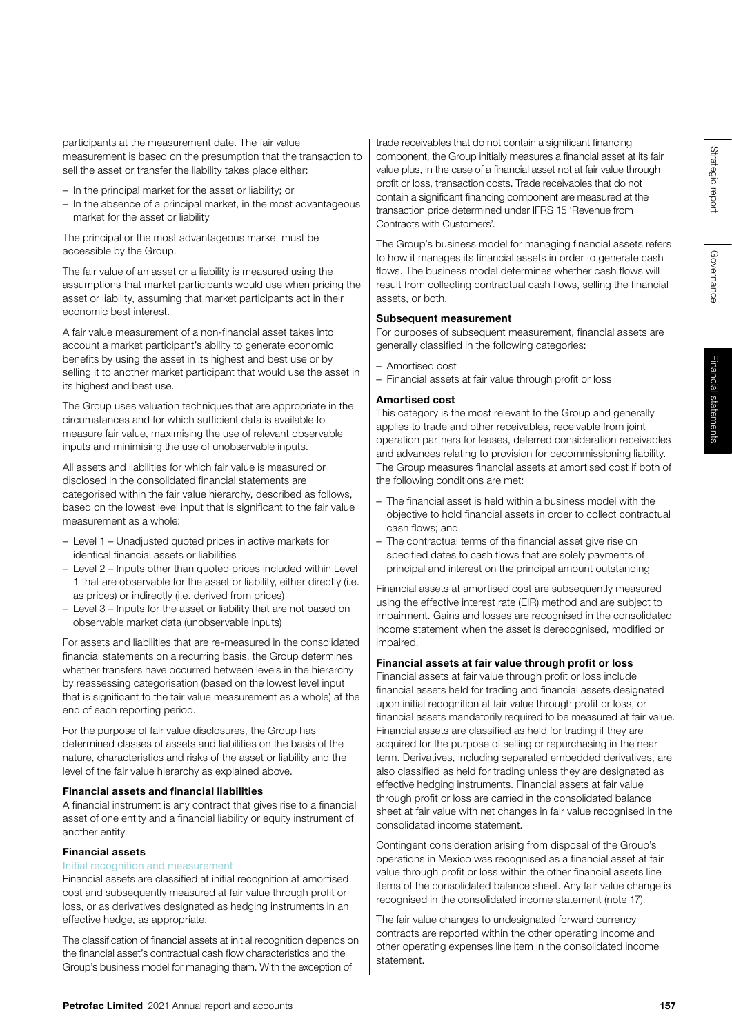Governance

Governance

– Level 1 – Unadjusted quoted prices in active markets for – Level 2 – Inputs other than quoted prices included within Level

1 that are observable for the asset or liability, either directly (i.e. as prices) or indirectly (i.e. derived from prices) – Level 3 – Inputs for the asset or liability that are not based on

observable market data (unobservable inputs)

participants at the measurement date. The fair value

sell the asset or transfer the liability takes place either: – In the principal market for the asset or liability; or

The principal or the most advantageous market must be

The fair value of an asset or a liability is measured using the assumptions that market participants would use when pricing the asset or liability, assuming that market participants act in their

A fair value measurement of a non-financial asset takes into account a market participant's ability to generate economic benefits by using the asset in its highest and best use or by selling it to another market participant that would use the asset in

The Group uses valuation techniques that are appropriate in the circumstances and for which sufficient data is available to measure fair value, maximising the use of relevant observable inputs and minimising the use of unobservable inputs. All assets and liabilities for which fair value is measured or disclosed in the consolidated financial statements are

categorised within the fair value hierarchy, described as follows, based on the lowest level input that is significant to the fair value

market for the asset or liability

accessible by the Group.

economic best interest.

its highest and best use.

measurement as a whole:

identical financial assets or liabilities

measurement is based on the presumption that the transaction to

– In the absence of a principal market, in the most advantageous

For assets and liabilities that are re-measured in the consolidated financial statements on a recurring basis, the Group determines whether transfers have occurred between levels in the hierarchy by reassessing categorisation (based on the lowest level input that is significant to the fair value measurement as a whole) at the end of each reporting period.

For the purpose of fair value disclosures, the Group has determined classes of assets and liabilities on the basis of the nature, characteristics and risks of the asset or liability and the level of the fair value hierarchy as explained above.

# Financial assets and financial liabilities

A financial instrument is any contract that gives rise to a financial asset of one entity and a financial liability or equity instrument of another entity.

# Financial assets

# Initial recognition and measurement

Financial assets are classified at initial recognition at amortised cost and subsequently measured at fair value through profit or loss, or as derivatives designated as hedging instruments in an effective hedge, as appropriate.

The classification of financial assets at initial recognition depends on the financial asset's contractual cash flow characteristics and the Group's business model for managing them. With the exception of

trade receivables that do not contain a significant financing component, the Group initially measures a financial asset at its fair value plus, in the case of a financial asset not at fair value through profit or loss, transaction costs. Trade receivables that do not contain a significant financing component are measured at the transaction price determined under IFRS 15 'Revenue from Contracts with Customers'.

The Group's business model for managing financial assets refers to how it manages its financial assets in order to generate cash flows. The business model determines whether cash flows will result from collecting contractual cash flows, selling the financial assets, or both.

## Subsequent measurement

For purposes of subsequent measurement, financial assets are generally classified in the following categories:

- Amortised cost
- Financial assets at fair value through profit or loss

# Amortised cost

This category is the most relevant to the Group and generally applies to trade and other receivables, receivable from joint operation partners for leases, deferred consideration receivables and advances relating to provision for decommissioning liability. The Group measures financial assets at amortised cost if both of the following conditions are met:

- The financial asset is held within a business model with the objective to hold financial assets in order to collect contractual cash flows; and
- The contractual terms of the financial asset give rise on specified dates to cash flows that are solely payments of principal and interest on the principal amount outstanding

Financial assets at amortised cost are subsequently measured using the effective interest rate (EIR) method and are subject to impairment. Gains and losses are recognised in the consolidated income statement when the asset is derecognised, modified or impaired.

# Financial assets at fair value through profit or loss

Financial assets at fair value through profit or loss include financial assets held for trading and financial assets designated upon initial recognition at fair value through profit or loss, or financial assets mandatorily required to be measured at fair value. Financial assets are classified as held for trading if they are acquired for the purpose of selling or repurchasing in the near term. Derivatives, including separated embedded derivatives, are also classified as held for trading unless they are designated as effective hedging instruments. Financial assets at fair value through profit or loss are carried in the consolidated balance sheet at fair value with net changes in fair value recognised in the consolidated income statement.

Contingent consideration arising from disposal of the Group's operations in Mexico was recognised as a financial asset at fair value through profit or loss within the other financial assets line items of the consolidated balance sheet. Any fair value change is recognised in the consolidated income statement (note 17).

The fair value changes to undesignated forward currency contracts are reported within the other operating income and other operating expenses line item in the consolidated income statement.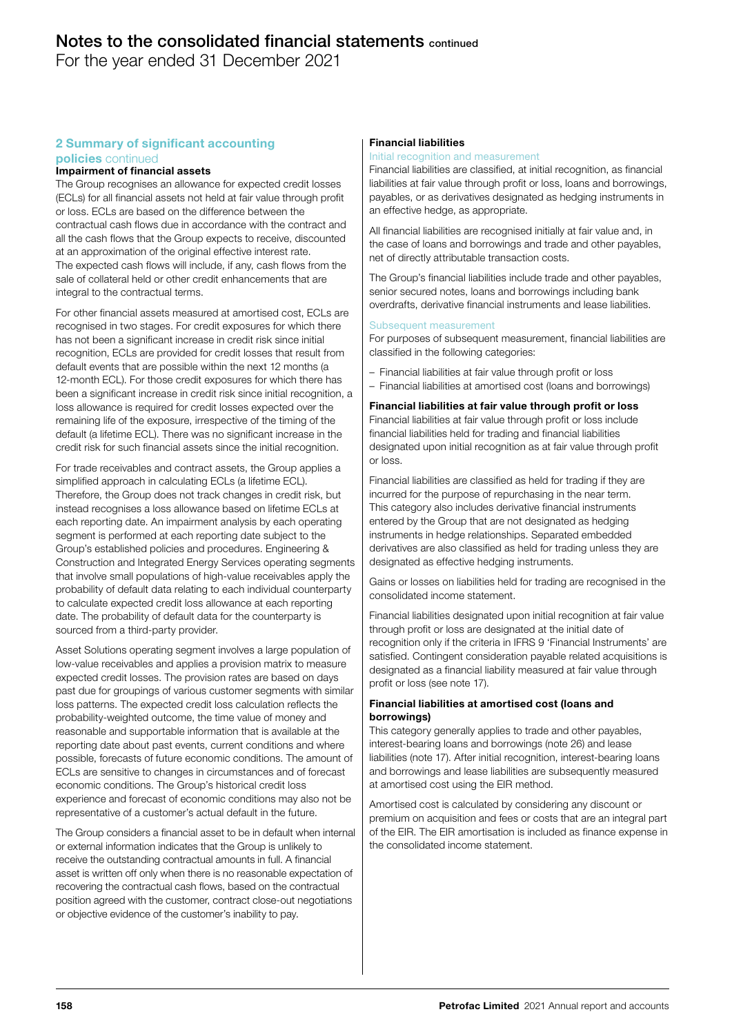For the year ended 31 December 2021

## 2 Summary of significant accounting policies continued

# Impairment of financial assets

The Group recognises an allowance for expected credit losses (ECLs) for all financial assets not held at fair value through profit or loss. ECLs are based on the difference between the contractual cash flows due in accordance with the contract and all the cash flows that the Group expects to receive, discounted at an approximation of the original effective interest rate. The expected cash flows will include, if any, cash flows from the sale of collateral held or other credit enhancements that are integral to the contractual terms.

For other financial assets measured at amortised cost, ECLs are recognised in two stages. For credit exposures for which there has not been a significant increase in credit risk since initial recognition, ECLs are provided for credit losses that result from default events that are possible within the next 12 months (a 12-month ECL). For those credit exposures for which there has been a significant increase in credit risk since initial recognition, a loss allowance is required for credit losses expected over the remaining life of the exposure, irrespective of the timing of the default (a lifetime ECL). There was no significant increase in the credit risk for such financial assets since the initial recognition.

For trade receivables and contract assets, the Group applies a simplified approach in calculating ECLs (a lifetime ECL). Therefore, the Group does not track changes in credit risk, but instead recognises a loss allowance based on lifetime ECLs at each reporting date. An impairment analysis by each operating segment is performed at each reporting date subject to the Group's established policies and procedures. Engineering & Construction and Integrated Energy Services operating segments that involve small populations of high-value receivables apply the probability of default data relating to each individual counterparty to calculate expected credit loss allowance at each reporting date. The probability of default data for the counterparty is sourced from a third-party provider.

Asset Solutions operating segment involves a large population of low-value receivables and applies a provision matrix to measure expected credit losses. The provision rates are based on days past due for groupings of various customer segments with similar loss patterns. The expected credit loss calculation reflects the probability-weighted outcome, the time value of money and reasonable and supportable information that is available at the reporting date about past events, current conditions and where possible, forecasts of future economic conditions. The amount of ECLs are sensitive to changes in circumstances and of forecast economic conditions. The Group's historical credit loss experience and forecast of economic conditions may also not be representative of a customer's actual default in the future.

The Group considers a financial asset to be in default when internal or external information indicates that the Group is unlikely to receive the outstanding contractual amounts in full. A financial asset is written off only when there is no reasonable expectation of recovering the contractual cash flows, based on the contractual position agreed with the customer, contract close-out negotiations or objective evidence of the customer's inability to pay.

# Financial liabilities

#### Initial recognition and measurement

Financial liabilities are classified, at initial recognition, as financial liabilities at fair value through profit or loss, loans and borrowings, payables, or as derivatives designated as hedging instruments in an effective hedge, as appropriate.

All financial liabilities are recognised initially at fair value and, in the case of loans and borrowings and trade and other payables, net of directly attributable transaction costs.

The Group's financial liabilities include trade and other payables, senior secured notes, loans and borrowings including bank overdrafts, derivative financial instruments and lease liabilities.

#### Subsequent measurement

For purposes of subsequent measurement, financial liabilities are classified in the following categories:

- Financial liabilities at fair value through profit or loss
- Financial liabilities at amortised cost (loans and borrowings)

Financial liabilities at fair value through profit or loss Financial liabilities at fair value through profit or loss include financial liabilities held for trading and financial liabilities designated upon initial recognition as at fair value through profit or loss.

Financial liabilities are classified as held for trading if they are incurred for the purpose of repurchasing in the near term. This category also includes derivative financial instruments entered by the Group that are not designated as hedging instruments in hedge relationships. Separated embedded derivatives are also classified as held for trading unless they are designated as effective hedging instruments.

Gains or losses on liabilities held for trading are recognised in the consolidated income statement.

Financial liabilities designated upon initial recognition at fair value through profit or loss are designated at the initial date of recognition only if the criteria in IFRS 9 'Financial Instruments' are satisfied. Contingent consideration payable related acquisitions is designated as a financial liability measured at fair value through profit or loss (see note 17).

## Financial liabilities at amortised cost (loans and borrowings)

This category generally applies to trade and other payables, interest-bearing loans and borrowings (note 26) and lease liabilities (note 17). After initial recognition, interest-bearing loans and borrowings and lease liabilities are subsequently measured at amortised cost using the EIR method.

Amortised cost is calculated by considering any discount or premium on acquisition and fees or costs that are an integral part of the EIR. The EIR amortisation is included as finance expense in the consolidated income statement.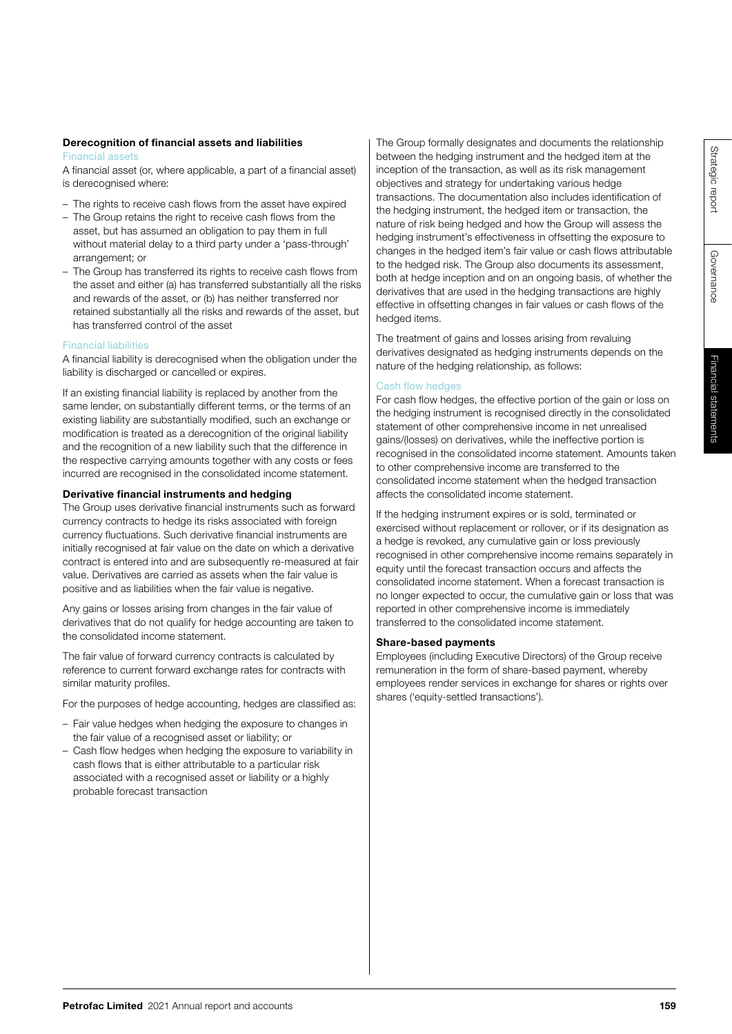Governance

Governance

# Derecognition of financial assets and liabilities

# Financial assets

A financial asset (or, where applicable, a part of a financial asset) is derecognised where:

- The rights to receive cash flows from the asset have expired
- The Group retains the right to receive cash flows from the asset, but has assumed an obligation to pay them in full without material delay to a third party under a 'pass-through' arrangement; or
- The Group has transferred its rights to receive cash flows from the asset and either (a) has transferred substantially all the risks and rewards of the asset, or (b) has neither transferred nor retained substantially all the risks and rewards of the asset, but has transferred control of the asset

# Financial liabilities

A financial liability is derecognised when the obligation under the liability is discharged or cancelled or expires.

If an existing financial liability is replaced by another from the same lender, on substantially different terms, or the terms of an existing liability are substantially modified, such an exchange or modification is treated as a derecognition of the original liability and the recognition of a new liability such that the difference in the respective carrying amounts together with any costs or fees incurred are recognised in the consolidated income statement.

# Derivative financial instruments and hedging

The Group uses derivative financial instruments such as forward currency contracts to hedge its risks associated with foreign currency fluctuations. Such derivative financial instruments are initially recognised at fair value on the date on which a derivative contract is entered into and are subsequently re-measured at fair value. Derivatives are carried as assets when the fair value is positive and as liabilities when the fair value is negative.

Any gains or losses arising from changes in the fair value of derivatives that do not qualify for hedge accounting are taken to the consolidated income statement.

The fair value of forward currency contracts is calculated by reference to current forward exchange rates for contracts with similar maturity profiles.

For the purposes of hedge accounting, hedges are classified as:

- Fair value hedges when hedging the exposure to changes in the fair value of a recognised asset or liability; or
- Cash flow hedges when hedging the exposure to variability in cash flows that is either attributable to a particular risk associated with a recognised asset or liability or a highly probable forecast transaction

The Group formally designates and documents the relationship between the hedging instrument and the hedged item at the inception of the transaction, as well as its risk management objectives and strategy for undertaking various hedge transactions. The documentation also includes identification of the hedging instrument, the hedged item or transaction, the nature of risk being hedged and how the Group will assess the hedging instrument's effectiveness in offsetting the exposure to changes in the hedged item's fair value or cash flows attributable to the hedged risk. The Group also documents its assessment, both at hedge inception and on an ongoing basis, of whether the derivatives that are used in the hedging transactions are highly effective in offsetting changes in fair values or cash flows of the hedged items.

The treatment of gains and losses arising from revaluing derivatives designated as hedging instruments depends on the nature of the hedging relationship, as follows:

# Cash flow hedges

For cash flow hedges, the effective portion of the gain or loss on the hedging instrument is recognised directly in the consolidated statement of other comprehensive income in net unrealised gains/(losses) on derivatives, while the ineffective portion is recognised in the consolidated income statement. Amounts taken to other comprehensive income are transferred to the consolidated income statement when the hedged transaction affects the consolidated income statement.

If the hedging instrument expires or is sold, terminated or exercised without replacement or rollover, or if its designation as a hedge is revoked, any cumulative gain or loss previously recognised in other comprehensive income remains separately in equity until the forecast transaction occurs and affects the consolidated income statement. When a forecast transaction is no longer expected to occur, the cumulative gain or loss that was reported in other comprehensive income is immediately transferred to the consolidated income statement.

# Share-based payments

Employees (including Executive Directors) of the Group receive remuneration in the form of share-based payment, whereby employees render services in exchange for shares or rights over shares ('equity-settled transactions').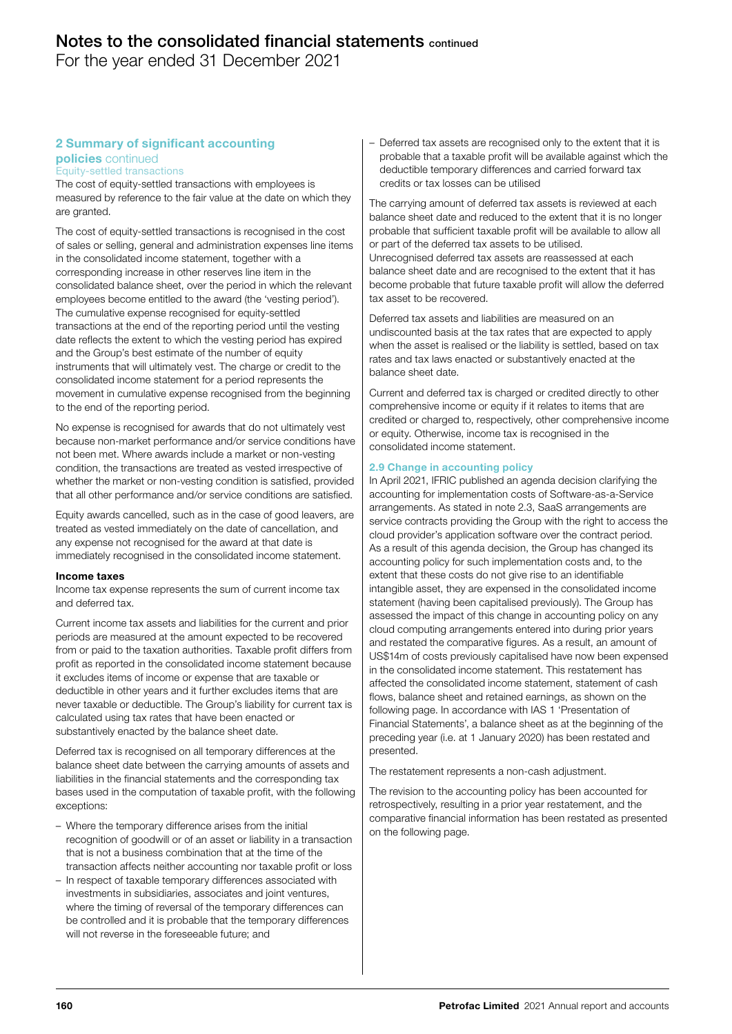For the year ended 31 December 2021

# 2 Summary of significant accounting

Equity-settled transactions policies continued

The cost of equity-settled transactions with employees is measured by reference to the fair value at the date on which they are granted.

The cost of equity-settled transactions is recognised in the cost of sales or selling, general and administration expenses line items in the consolidated income statement, together with a corresponding increase in other reserves line item in the consolidated balance sheet, over the period in which the relevant employees become entitled to the award (the 'vesting period'). The cumulative expense recognised for equity-settled transactions at the end of the reporting period until the vesting date reflects the extent to which the vesting period has expired and the Group's best estimate of the number of equity instruments that will ultimately vest. The charge or credit to the consolidated income statement for a period represents the movement in cumulative expense recognised from the beginning to the end of the reporting period.

No expense is recognised for awards that do not ultimately vest because non-market performance and/or service conditions have not been met. Where awards include a market or non-vesting condition, the transactions are treated as vested irrespective of whether the market or non-vesting condition is satisfied, provided that all other performance and/or service conditions are satisfied.

Equity awards cancelled, such as in the case of good leavers, are treated as vested immediately on the date of cancellation, and any expense not recognised for the award at that date is immediately recognised in the consolidated income statement.

#### Income taxes

Income tax expense represents the sum of current income tax and deferred tax.

Current income tax assets and liabilities for the current and prior periods are measured at the amount expected to be recovered from or paid to the taxation authorities. Taxable profit differs from profit as reported in the consolidated income statement because it excludes items of income or expense that are taxable or deductible in other years and it further excludes items that are never taxable or deductible. The Group's liability for current tax is calculated using tax rates that have been enacted or substantively enacted by the balance sheet date.

Deferred tax is recognised on all temporary differences at the balance sheet date between the carrying amounts of assets and liabilities in the financial statements and the corresponding tax bases used in the computation of taxable profit, with the following exceptions:

- Where the temporary difference arises from the initial recognition of goodwill or of an asset or liability in a transaction that is not a business combination that at the time of the transaction affects neither accounting nor taxable profit or loss
- In respect of taxable temporary differences associated with investments in subsidiaries, associates and joint ventures, where the timing of reversal of the temporary differences can be controlled and it is probable that the temporary differences will not reverse in the foreseeable future; and

– Deferred tax assets are recognised only to the extent that it is probable that a taxable profit will be available against which the deductible temporary differences and carried forward tax credits or tax losses can be utilised

The carrying amount of deferred tax assets is reviewed at each balance sheet date and reduced to the extent that it is no longer probable that sufficient taxable profit will be available to allow all or part of the deferred tax assets to be utilised.

Unrecognised deferred tax assets are reassessed at each balance sheet date and are recognised to the extent that it has become probable that future taxable profit will allow the deferred tax asset to be recovered.

Deferred tax assets and liabilities are measured on an undiscounted basis at the tax rates that are expected to apply when the asset is realised or the liability is settled, based on tax rates and tax laws enacted or substantively enacted at the balance sheet date.

Current and deferred tax is charged or credited directly to other comprehensive income or equity if it relates to items that are credited or charged to, respectively, other comprehensive income or equity. Otherwise, income tax is recognised in the consolidated income statement.

# 2.9 Change in accounting policy

In April 2021, IFRIC published an agenda decision clarifying the accounting for implementation costs of Software-as-a-Service arrangements. As stated in note 2.3, SaaS arrangements are service contracts providing the Group with the right to access the cloud provider's application software over the contract period. As a result of this agenda decision, the Group has changed its accounting policy for such implementation costs and, to the extent that these costs do not give rise to an identifiable intangible asset, they are expensed in the consolidated income statement (having been capitalised previously). The Group has assessed the impact of this change in accounting policy on any cloud computing arrangements entered into during prior years and restated the comparative figures. As a result, an amount of US\$14m of costs previously capitalised have now been expensed in the consolidated income statement. This restatement has affected the consolidated income statement, statement of cash flows, balance sheet and retained earnings, as shown on the following page. In accordance with IAS 1 'Presentation of Financial Statements', a balance sheet as at the beginning of the preceding year (i.e. at 1 January 2020) has been restated and presented.

The restatement represents a non-cash adjustment.

The revision to the accounting policy has been accounted for retrospectively, resulting in a prior year restatement, and the comparative financial information has been restated as presented on the following page.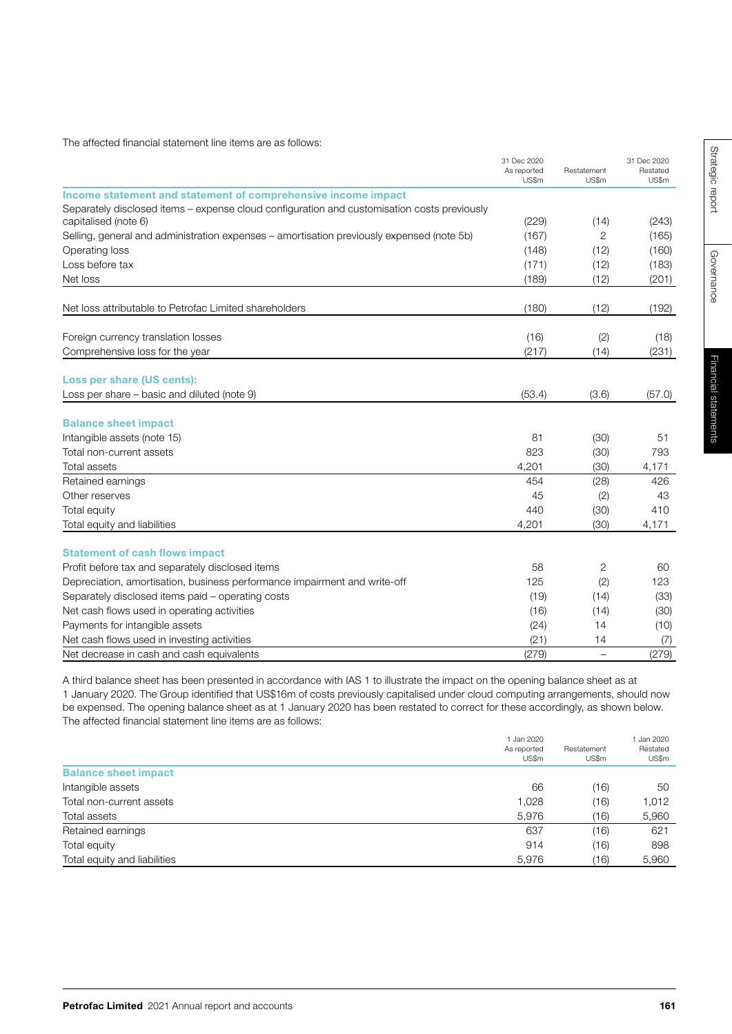The affected financial statement line items are as follows:

| Income statement and statement of comprehensive income impact<br>Separately disclosed items - expense cloud configuration and customisation costs previously | US\$m<br>(229)<br>(167) | US\$m<br>(14)            | US\$m  |
|--------------------------------------------------------------------------------------------------------------------------------------------------------------|-------------------------|--------------------------|--------|
|                                                                                                                                                              |                         |                          |        |
|                                                                                                                                                              |                         |                          |        |
|                                                                                                                                                              |                         |                          |        |
| capitalised (note 6)                                                                                                                                         |                         |                          | (243)  |
| Selling, general and administration expenses – amortisation previously expensed (note 5b)                                                                    |                         | 2                        | (165)  |
| Operating loss                                                                                                                                               | (148)                   | (12)                     | (160)  |
| Loss before tax                                                                                                                                              | (171)                   | (12)                     | (183)  |
| Net loss                                                                                                                                                     | (189)                   | (12)                     | (201)  |
| Net loss attributable to Petrofac Limited shareholders                                                                                                       | (180)                   | (12)                     | (192)  |
| Foreign currency translation losses                                                                                                                          | (16)                    | (2)                      | (18)   |
| Comprehensive loss for the year                                                                                                                              | (217)                   | (14)                     | (231)  |
| Loss per share (US cents):                                                                                                                                   |                         |                          |        |
| Loss per share - basic and diluted (note 9)                                                                                                                  | (53.4)                  | (3.6)                    | (57.0) |
| <b>Balance sheet impact</b>                                                                                                                                  |                         |                          |        |
| Intangible assets (note 15)                                                                                                                                  | 81                      | (30)                     | 51     |
| Total non-current assets                                                                                                                                     | 823                     | (30)                     | 793    |
| <b>Total assets</b>                                                                                                                                          | 4,201                   | (30)                     | 4,171  |
| Retained earnings                                                                                                                                            | 454                     | (28)                     | 426    |
| Other reserves                                                                                                                                               | 45                      | (2)                      | 43     |
| Total equity                                                                                                                                                 | 440                     | (30)                     | 410    |
| Total equity and liabilities                                                                                                                                 | 4,201                   | (30)                     | 4,171  |
| <b>Statement of cash flows impact</b>                                                                                                                        |                         |                          |        |
| Profit before tax and separately disclosed items                                                                                                             | 58                      | 2                        | 60     |
| Depreciation, amortisation, business performance impairment and write-off                                                                                    | 125                     | (2)                      | 123    |
| Separately disclosed items paid - operating costs                                                                                                            | (19)                    | (14)                     | (33)   |
| Net cash flows used in operating activities                                                                                                                  | (16)                    | (14)                     | (30)   |
| Payments for intangible assets                                                                                                                               | (24)                    | 14                       | (10)   |
| Net cash flows used in investing activities                                                                                                                  | (21)                    | 14                       | (7)    |
| Net decrease in cash and cash equivalents                                                                                                                    | (279)                   | $\overline{\phantom{0}}$ | (279)  |

A third balance sheet has been presented in accordance with IAS 1 to illustrate the impact on the opening balance sheet as at 1 January 2020. The Group identified that US\$16m of costs previously capitalised under cloud computing arrangements, should now be expensed. The opening balance sheet as at 1 January 2020 has been restated to correct for these accordingly, as shown below. The affected financial statement line items are as follows:

|                              | 1 Jan 2020<br>As reported<br>US\$m | Restatement<br>US\$m | 1 Jan 2020<br>Restated<br>US\$m |
|------------------------------|------------------------------------|----------------------|---------------------------------|
| <b>Balance sheet impact</b>  |                                    |                      |                                 |
| Intangible assets            | 66                                 | (16)                 | 50                              |
| Total non-current assets     | 1,028                              | (16)                 | 1,012                           |
| Total assets                 | 5,976                              | (16)                 | 5,960                           |
| Retained earnings            | 637                                | (16)                 | 621                             |
| Total equity                 | 914                                | (16)                 | 898                             |
| Total equity and liabilities | 5,976                              | (16)                 | 5,960                           |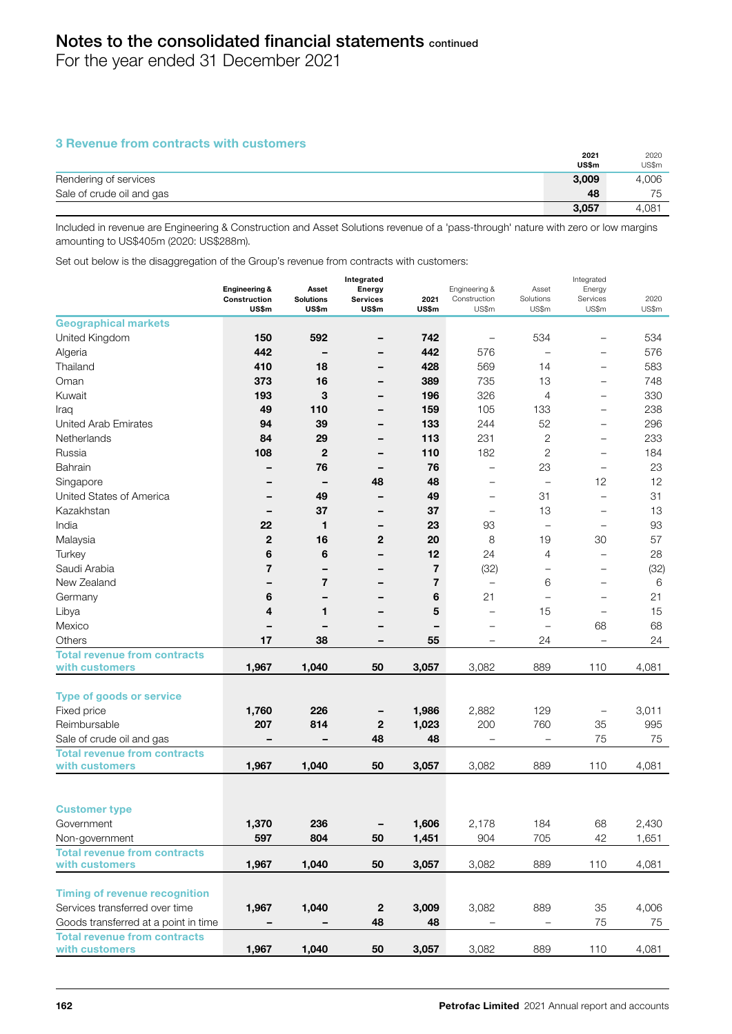For the year ended 31 December 2021

# 3 Revenue from contracts with customers

|                           | 2021  | 2020  |
|---------------------------|-------|-------|
|                           | US\$m | US\$m |
| Rendering of services     | 3.009 | 4,006 |
| Sale of crude oil and gas | 48    | 75    |
|                           | 3,057 | 4,081 |

Included in revenue are Engineering & Construction and Asset Solutions revenue of a 'pass-through' nature with zero or low margins amounting to US\$405m (2020: US\$288m).

Set out below is the disaggregation of the Group's revenue from contracts with customers:

|                                      |                          |                           |                          |               |                          |                    | Integrated               |               |  |
|--------------------------------------|--------------------------|---------------------------|--------------------------|---------------|--------------------------|--------------------|--------------------------|---------------|--|
|                                      | <b>Engineering &amp;</b> | Asset                     | Energy                   |               | Engineering &            | Asset              | Energy                   |               |  |
|                                      | Construction<br>US\$m    | <b>Solutions</b><br>US\$m | <b>Services</b><br>US\$m | 2021<br>US\$m | Construction<br>US\$m    | Solutions<br>US\$m | Services<br>US\$m        | 2020<br>US\$m |  |
| <b>Geographical markets</b>          |                          |                           |                          |               |                          |                    |                          |               |  |
| United Kingdom                       | 150                      | 592                       | -                        | 742           | —                        | 534                | $\overline{\phantom{0}}$ | 534           |  |
| Algeria                              | 442                      |                           | -                        | 442           | 576                      |                    | $\overline{\phantom{0}}$ | 576           |  |
| Thailand                             | 410                      | 18                        | -                        | 428           | 569                      | 14                 | $\overline{\phantom{0}}$ | 583           |  |
| Oman                                 | 373                      | 16                        | -                        | 389           | 735                      | 13                 | —                        | 748           |  |
| Kuwait                               | 193                      | 3                         |                          | 196           | 326                      | 4                  | $\overline{\phantom{0}}$ | 330           |  |
| Iraq                                 | 49                       | 110                       | -                        | 159           | 105                      | 133                | $\overline{\phantom{0}}$ | 238           |  |
| <b>United Arab Emirates</b>          | 94                       | 39                        | -                        | 133           | 244                      | 52                 | $\overline{\phantom{0}}$ | 296           |  |
| Netherlands                          | 84                       | 29                        | -                        | 113           | 231                      | 2                  | $\overline{\phantom{0}}$ | 233           |  |
| Russia                               | 108                      | $\overline{2}$            | -                        | 110           | 182                      | 2                  | ۳                        | 184           |  |
| Bahrain                              |                          | 76                        | -                        | 76            | $\overline{\phantom{0}}$ | 23                 | $\overline{\phantom{0}}$ | 23            |  |
| Singapore                            |                          |                           | 48                       | 48            | $\overline{\phantom{0}}$ | $\equiv$           | 12                       | 12            |  |
| United States of America             | $\qquad \qquad$          | 49                        | -                        | 49            | $\overline{\phantom{0}}$ | 31                 | $\overline{\phantom{0}}$ | 31            |  |
| Kazakhstan                           | $\qquad \qquad$          | 37                        | -                        | 37            | $\qquad \qquad -$        | 13                 | $\overline{\phantom{0}}$ | 13            |  |
| India                                | 22                       | 1                         | -                        | 23            | 93                       |                    |                          | 93            |  |
| Malaysia                             | $\mathbf{2}$             | 16                        | 2                        | 20            | 8                        | 19                 | 30                       | 57            |  |
| Turkey                               | 6                        | 6                         | -                        | 12            | 24                       | 4                  | $\overline{\phantom{0}}$ | 28            |  |
| Saudi Arabia                         | $\overline{7}$           |                           |                          | 7             | (32)                     | $\qquad \qquad -$  |                          | (32)          |  |
| New Zealand                          | -                        | 7                         | -                        | 7             | $\qquad \qquad -$        | 6                  | $\overline{\phantom{0}}$ | 6             |  |
| Germany                              | 6                        | -                         | -                        | 6             | 21                       |                    | $\overline{\phantom{0}}$ | 21            |  |
| Libya                                | 4                        | 1                         | -                        | 5             | $\overline{\phantom{0}}$ | 15                 |                          | 15            |  |
| Mexico                               | -                        |                           |                          | -             | —                        | $\qquad \qquad -$  | 68                       | 68            |  |
| Others                               | 17                       | 38                        | -                        | 55            | -                        | 24                 | $\overline{\phantom{0}}$ | 24            |  |
| <b>Total revenue from contracts</b>  |                          |                           |                          |               |                          |                    |                          |               |  |
| with customers                       | 1,967                    | 1,040                     | 50                       | 3,057         | 3,082                    | 889                | 110                      | 4,081         |  |
| <b>Type of goods or service</b>      |                          |                           |                          |               |                          |                    |                          |               |  |
| Fixed price                          | 1,760                    | 226                       |                          | 1,986         | 2,882                    | 129                | -                        | 3,011         |  |
| Reimbursable                         | 207                      | 814                       | $\mathbf{2}$             | 1,023         | 200                      | 760                | 35                       | 995           |  |
| Sale of crude oil and gas            | -                        |                           | 48                       | 48            |                          |                    | 75                       | 75            |  |
| <b>Total revenue from contracts</b>  |                          |                           |                          |               |                          |                    |                          |               |  |
| with customers                       | 1,967                    | 1,040                     | 50                       | 3,057         | 3,082                    | 889                | 110                      | 4,081         |  |
|                                      |                          |                           |                          |               |                          |                    |                          |               |  |
|                                      |                          |                           |                          |               |                          |                    |                          |               |  |
| <b>Customer type</b>                 |                          |                           |                          |               |                          |                    |                          |               |  |
| Government                           | 1,370                    | 236                       |                          | 1,606         | 2,178                    | 184                | 68                       | 2,430         |  |
| Non-government                       | 597                      | 804                       | 50                       | 1,451         | 904                      | 705                | 42                       | 1,651         |  |
| <b>Total revenue from contracts</b>  |                          |                           |                          |               |                          |                    |                          |               |  |
| with customers                       | 1,967                    | 1,040                     | 50                       | 3,057         | 3,082                    | 889                | 110                      | 4,081         |  |
| <b>Timing of revenue recognition</b> |                          |                           |                          |               |                          |                    |                          |               |  |
| Services transferred over time       | 1,967                    | 1,040                     | $\boldsymbol{2}$         | 3,009         | 3,082                    | 889                | 35                       | 4,006         |  |
| Goods transferred at a point in time |                          |                           | 48                       | 48            |                          |                    | 75                       | 75            |  |
| <b>Total revenue from contracts</b>  |                          |                           |                          |               |                          |                    |                          |               |  |
| with customers                       | 1,967                    | 1,040                     | 50                       | 3,057         | 3,082                    | 889                | 110                      | 4,081         |  |
|                                      |                          |                           |                          |               |                          |                    |                          |               |  |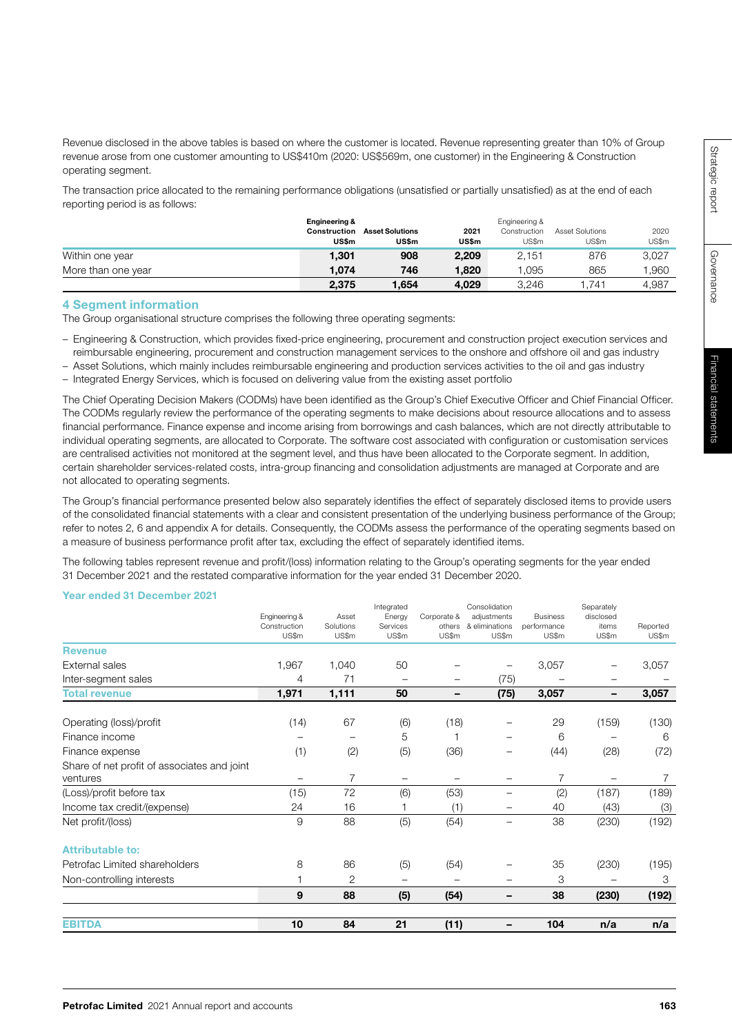Governance

Revenue disclosed in the above tables is based on where the customer is located. Revenue representing greater than 10% of Group revenue arose from one customer amounting to US\$410m (2020: US\$569m, one customer) in the Engineering & Construction operating segment.

The transaction price allocated to the remaining performance obligations (unsatisfied or partially unsatisfied) as at the end of each reporting period is as follows:

|                    | Engineering &<br>Construction<br>US\$m | <b>Asset Solutions</b><br>US\$m | 2021<br><b>US\$m</b> | Engineering &<br>Construction<br>US\$m | Asset Solutions<br>US\$m | 2020<br>US\$m |
|--------------------|----------------------------------------|---------------------------------|----------------------|----------------------------------------|--------------------------|---------------|
| Within one year    | 1.301                                  | 908                             | 2,209                | 2.151                                  | 876                      | 3,027         |
| More than one year | 1.074                                  | 746                             | 1.820                | .095                                   | 865                      | ,960          |
|                    | 2.375                                  | .654،                           | 4,029                | 3.246                                  | 1.741                    | 4.987         |

# 4 Segment information

The Group organisational structure comprises the following three operating segments:

– Engineering & Construction, which provides fixed-price engineering, procurement and construction project execution services and reimbursable engineering, procurement and construction management services to the onshore and offshore oil and gas industry

– Asset Solutions, which mainly includes reimbursable engineering and production services activities to the oil and gas industry

– Integrated Energy Services, which is focused on delivering value from the existing asset portfolio

The Chief Operating Decision Makers (CODMs) have been identified as the Group's Chief Executive Officer and Chief Financial Officer. The CODMs regularly review the performance of the operating segments to make decisions about resource allocations and to assess financial performance. Finance expense and income arising from borrowings and cash balances, which are not directly attributable to individual operating segments, are allocated to Corporate. The software cost associated with configuration or customisation services are centralised activities not monitored at the segment level, and thus have been allocated to the Corporate segment. In addition, certain shareholder services-related costs, intra-group financing and consolidation adjustments are managed at Corporate and are not allocated to operating segments.

The Group's financial performance presented below also separately identifies the effect of separately disclosed items to provide users of the consolidated financial statements with a clear and consistent presentation of the underlying business performance of the Group; refer to notes 2, 6 and appendix A for details. Consequently, the CODMs assess the performance of the operating segments based on a measure of business performance profit after tax, excluding the effect of separately identified items.

The following tables represent revenue and profit/(loss) information relating to the Group's operating segments for the year ended 31 December 2021 and the restated comparative information for the year ended 31 December 2020.

# Year ended 31 December 2021

|                                                         | Engineering &<br>Construction<br>US\$m | Asset<br>Solutions<br>US\$m | Integrated<br>Energy<br>Services<br>US\$m | Corporate &<br>others<br>US\$m | Consolidation<br>adjustments<br>& eliminations<br>US\$m | <b>Business</b><br>performance<br>US\$m | Separately<br>disclosed<br>items<br>US\$m | Reported<br>US\$m |
|---------------------------------------------------------|----------------------------------------|-----------------------------|-------------------------------------------|--------------------------------|---------------------------------------------------------|-----------------------------------------|-------------------------------------------|-------------------|
| <b>Revenue</b>                                          |                                        |                             |                                           |                                |                                                         |                                         |                                           |                   |
| External sales                                          | 1,967                                  | 1,040                       | 50                                        |                                |                                                         | 3,057                                   |                                           | 3,057             |
| Inter-segment sales                                     | 4                                      | 71                          |                                           |                                | (75)                                                    |                                         |                                           |                   |
| <b>Total revenue</b>                                    | 1,971                                  | 1,111                       | 50                                        | -                              | (75)                                                    | 3,057                                   | -                                         | 3,057             |
| Operating (loss)/profit                                 | (14)                                   | 67                          | (6)                                       | (18)                           |                                                         | 29                                      | (159)                                     | (130)             |
| Finance income                                          |                                        |                             | 5                                         |                                |                                                         | 6                                       |                                           | 6                 |
| Finance expense                                         | (1)                                    | (2)                         | (5)                                       | (36)                           |                                                         | (44)                                    | (28)                                      | (72)              |
| Share of net profit of associates and joint<br>ventures |                                        | 7                           |                                           |                                |                                                         | 7                                       |                                           | $\overline{7}$    |
| (Loss)/profit before tax                                | (15)                                   | 72                          | (6)                                       | (53)                           | -                                                       | (2)                                     | (187)                                     | (189)             |
| Income tax credit/(expense)                             | 24                                     | 16                          |                                           | (1)                            | -                                                       | 40                                      | (43)                                      | (3)               |
| Net profit/(loss)                                       | 9                                      | 88                          | (5)                                       | (54)                           |                                                         | 38                                      | (230)                                     | (192)             |
| <b>Attributable to:</b>                                 |                                        |                             |                                           |                                |                                                         |                                         |                                           |                   |
| Petrofac Limited shareholders                           | 8                                      | 86                          | (5)                                       | (54)                           |                                                         | 35                                      | (230)                                     | (195)             |
| Non-controlling interests                               |                                        | 2                           |                                           |                                |                                                         | 3                                       |                                           | 3                 |
|                                                         | 9                                      | 88                          | (5)                                       | (54)                           | -                                                       | 38                                      | (230)                                     | (192)             |
| <b>EBITDA</b>                                           | 10                                     | 84                          | 21                                        | (11)                           |                                                         | 104                                     | n/a                                       | n/a               |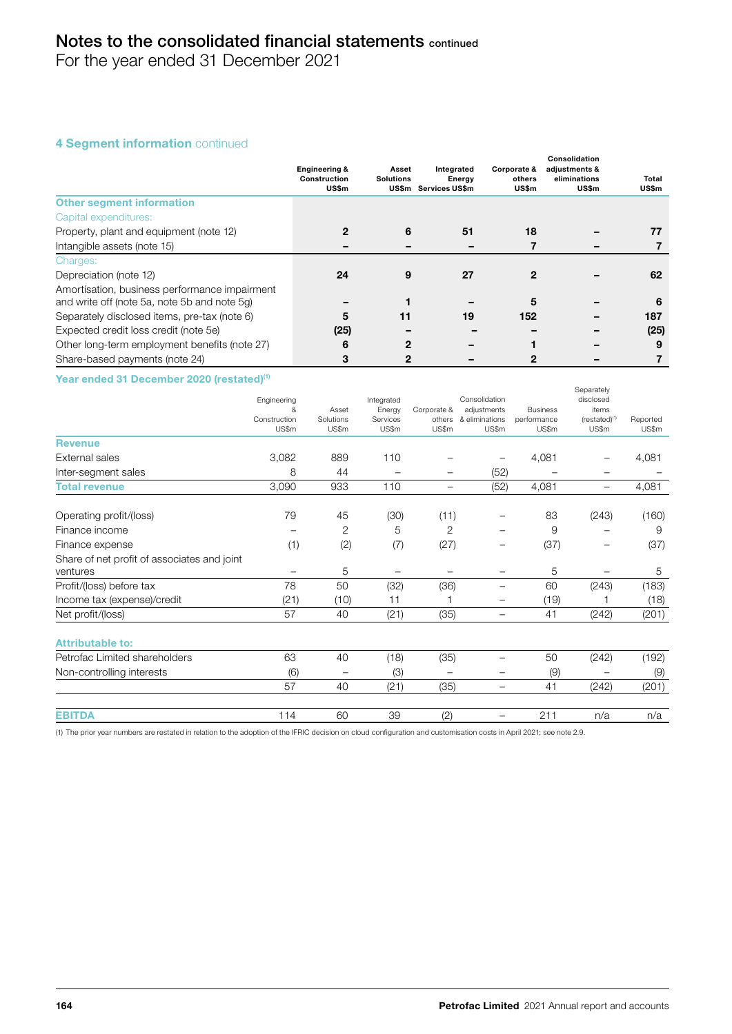For the year ended 31 December 2021

# 4 Segment information continued

|                                               | <b>Engineering &amp;</b><br>Construction<br>US\$m | Asset<br><b>Solutions</b> | Integrated<br>Energy<br>US\$m Services US\$m | Corporate &<br>others<br><b>US\$m</b> | Consolidation<br>adjustments &<br>eliminations<br><b>US\$m</b> | Total<br>US\$m |
|-----------------------------------------------|---------------------------------------------------|---------------------------|----------------------------------------------|---------------------------------------|----------------------------------------------------------------|----------------|
| <b>Other segment information</b>              |                                                   |                           |                                              |                                       |                                                                |                |
| Capital expenditures:                         |                                                   |                           |                                              |                                       |                                                                |                |
| Property, plant and equipment (note 12)       |                                                   | 6                         | 51                                           | 18                                    |                                                                | 77             |
| Intangible assets (note 15)                   |                                                   |                           |                                              |                                       |                                                                |                |
| Charges:                                      |                                                   |                           |                                              |                                       |                                                                |                |
| Depreciation (note 12)                        | 24                                                | 9                         | 27                                           |                                       |                                                                | 62             |
| Amortisation, business performance impairment |                                                   |                           |                                              |                                       |                                                                |                |
| and write off (note 5a, note 5b and note 5g)  |                                                   |                           |                                              | 5                                     |                                                                | 6              |
| Separately disclosed items, pre-tax (note 6)  | 5                                                 | 11                        | 19                                           | 152                                   |                                                                | 187            |
| Expected credit loss credit (note 5e)         | (25)                                              |                           |                                              |                                       |                                                                | (25)           |
| Other long-term employment benefits (note 27) | 6                                                 | 2                         |                                              |                                       |                                                                | 9              |
| Share-based payments (note 24)                | 3                                                 | 2                         |                                              |                                       |                                                                |                |

Year ended 31 December 2020 (restated)<sup>(1)</sup>

|                                             | Engineering<br>&<br>Construction<br>US\$m | Asset<br>Solutions<br>US\$m | Integrated<br>Energy<br>Services<br>US\$m | Corporate &<br>others<br>US\$m | Consolidation<br>adjustments<br>& eliminations<br>US\$m | <b>Business</b><br>performance<br>US\$m | <b>Separately</b><br>disclosed<br>items<br>$(restated)^{(1)}$<br>US\$m | Reported<br>US\$m |
|---------------------------------------------|-------------------------------------------|-----------------------------|-------------------------------------------|--------------------------------|---------------------------------------------------------|-----------------------------------------|------------------------------------------------------------------------|-------------------|
| <b>Revenue</b>                              |                                           |                             |                                           |                                |                                                         |                                         |                                                                        |                   |
| External sales                              | 3,082                                     | 889                         | 110                                       |                                |                                                         | 4,081                                   |                                                                        | 4,081             |
| Inter-segment sales                         | 8                                         | 44                          |                                           | -                              | (52)                                                    |                                         | -                                                                      |                   |
| <b>Total revenue</b>                        | 3,090                                     | 933                         | 110                                       | -                              | (52)                                                    | 4,081                                   | -                                                                      | 4,081             |
| Operating profit/(loss)                     | 79                                        | 45                          | (30)                                      | (11)                           |                                                         | 83                                      | (243)                                                                  | (160)             |
| Finance income                              |                                           | 2                           | 5                                         | 2                              |                                                         | 9                                       |                                                                        | 9                 |
| Finance expense                             | (1)                                       | (2)                         | (7)                                       | (27)                           | -                                                       | (37)                                    | -                                                                      | (37)              |
| Share of net profit of associates and joint |                                           |                             |                                           |                                |                                                         |                                         |                                                                        |                   |
| ventures                                    | -                                         | 5                           |                                           |                                | -                                                       | 5                                       |                                                                        | 5                 |
| Profit/(loss) before tax                    | 78                                        | 50                          | (32)                                      | (36)                           | -                                                       | 60                                      | (243)                                                                  | (183)             |
| Income tax (expense)/credit                 | (21)                                      | (10)                        | 11                                        |                                |                                                         | (19)                                    |                                                                        | (18)              |
| Net profit/(loss)                           | 57                                        | 40                          | (21)                                      | (35)                           | $\qquad \qquad -$                                       | 41                                      | (242)                                                                  | (201)             |
| <b>Attributable to:</b>                     |                                           |                             |                                           |                                |                                                         |                                         |                                                                        |                   |
| Petrofac Limited shareholders               | 63                                        | 40                          | (18)                                      | (35)                           |                                                         | 50                                      | (242)                                                                  | (192)             |
| Non-controlling interests                   | (6)                                       |                             | (3)                                       |                                |                                                         | (9)                                     |                                                                        | (9)               |
|                                             | 57                                        | 40                          | (21)                                      | (35)                           | $\overline{\phantom{0}}$                                | 41                                      | (242)                                                                  | (201)             |
| <b>EBITDA</b>                               | 114                                       | 60                          | 39                                        | (2)                            |                                                         | 211                                     | n/a                                                                    | n/a               |

(1) The prior year numbers are restated in relation to the adoption of the IFRIC decision on cloud configuration and customisation costs in April 2021; see note 2.9.

Separately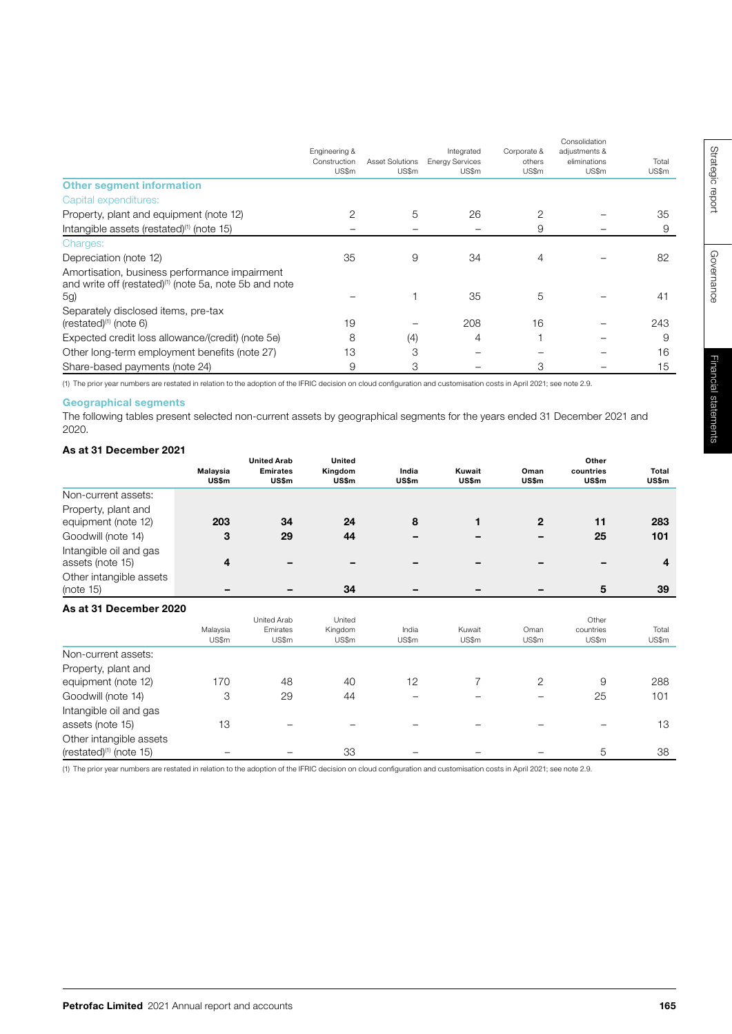|                                                                                                                            | Engineering &<br>Construction<br>US\$m | Asset Solutions<br>US\$m | Integrated<br><b>Energy Services</b><br>US\$m | Corporate &<br>others<br>US\$m | Consolidation<br>adjustments &<br>eliminations<br>US\$m | Total<br>US\$m |
|----------------------------------------------------------------------------------------------------------------------------|----------------------------------------|--------------------------|-----------------------------------------------|--------------------------------|---------------------------------------------------------|----------------|
| <b>Other segment information</b>                                                                                           |                                        |                          |                                               |                                |                                                         |                |
| Capital expenditures:                                                                                                      |                                        |                          |                                               |                                |                                                         |                |
| Property, plant and equipment (note 12)                                                                                    | $\overline{2}$                         | 5                        | 26                                            | 2                              |                                                         | 35             |
| Intangible assets (restated) <sup>(1)</sup> (note 15)                                                                      |                                        |                          |                                               | 9                              |                                                         | 9              |
| Charges:                                                                                                                   |                                        |                          |                                               |                                |                                                         |                |
| Depreciation (note 12)                                                                                                     | 35                                     | 9                        | 34                                            | 4                              |                                                         | 82             |
| Amortisation, business performance impairment<br>and write off (restated) <sup>(1)</sup> (note 5a, note 5b and note<br>5g) |                                        |                          | 35                                            | 5                              |                                                         | 41             |
| Separately disclosed items, pre-tax<br>$(rested)^{(1)}$ (note 6)                                                           | 19                                     |                          | 208                                           | 16                             |                                                         | 243            |
| Expected credit loss allowance/(credit) (note 5e)                                                                          | 8                                      | (4)                      | 4                                             |                                |                                                         | 9              |
| Other long-term employment benefits (note 27)                                                                              | 13                                     | 3                        |                                               |                                |                                                         | 16             |
| Share-based payments (note 24)                                                                                             | 9                                      | 3                        |                                               | 3                              |                                                         | 15             |

(1) The prior year numbers are restated in relation to the adoption of the IFRIC decision on cloud configuration and customisation costs in April 2021; see note 2.9.

# Geographical segments

The following tables present selected non-current assets by geographical segments for the years ended 31 December 2021 and 2020.

## As at 31 December 2021

|                                                                | Malaysia<br><b>US\$m</b> | <b>United Arab</b><br><b>Emirates</b><br>US\$m | <b>United</b><br>Kingdom<br>US\$m | India<br>US\$m | Kuwait<br>US\$m | Oman<br>US\$m | Other<br>countries<br>US\$m | Total<br>US\$m |
|----------------------------------------------------------------|--------------------------|------------------------------------------------|-----------------------------------|----------------|-----------------|---------------|-----------------------------|----------------|
| Non-current assets:                                            |                          |                                                |                                   |                |                 |               |                             |                |
| Property, plant and<br>equipment (note 12)                     | 203                      | 34                                             | 24                                | 8              | 1               | $\mathbf{2}$  | 11                          | 283            |
| Goodwill (note 14)                                             | 3                        | 29                                             | 44                                |                |                 |               | 25                          | 101            |
| Intangible oil and gas<br>assets (note 15)                     | 4                        |                                                |                                   |                |                 |               |                             | 4              |
| Other intangible assets<br>(note 15)                           |                          |                                                | 34                                |                |                 |               | 5                           | 39             |
| As at 31 December 2020                                         |                          |                                                |                                   |                |                 |               |                             |                |
|                                                                | Malaysia<br>US\$m        | <b>United Arab</b><br>Emirates<br>US\$m        | United<br>Kingdom<br>US\$m        | India<br>US\$m | Kuwait<br>US\$m | Oman<br>US\$m | Other<br>countries<br>US\$m | Total<br>US\$m |
| Non-current assets:                                            |                          |                                                |                                   |                |                 |               |                             |                |
| Property, plant and<br>equipment (note 12)                     | 170                      | 48                                             | 40                                | 12             | 7               | 2             | 9                           | 288            |
| Goodwill (note 14)                                             | 3                        | 29                                             | 44                                |                |                 |               | 25                          | 101            |
| Intangible oil and gas                                         |                          |                                                |                                   |                |                 |               |                             |                |
| assets (note 15)                                               | 13                       |                                                |                                   |                |                 |               |                             | 13             |
| Other intangible assets<br>(restated) <sup>(1)</sup> (note 15) |                          |                                                | 33                                |                |                 |               | 5                           | 38             |

(1) The prior year numbers are restated in relation to the adoption of the IFRIC decision on cloud configuration and customisation costs in April 2021; see note 2.9.

Governance

Governance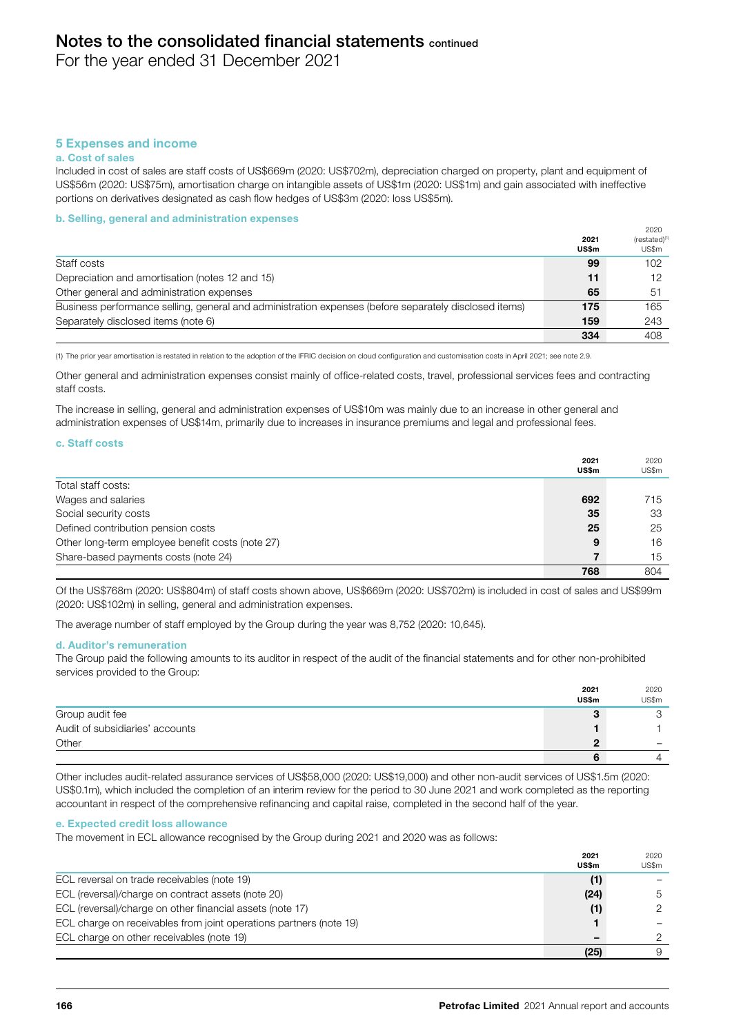For the year ended 31 December 2021

# 5 Expenses and income

#### a. Cost of sales

Included in cost of sales are staff costs of US\$669m (2020: US\$702m), depreciation charged on property, plant and equipment of US\$56m (2020: US\$75m), amortisation charge on intangible assets of US\$1m (2020: US\$1m) and gain associated with ineffective portions on derivatives designated as cash flow hedges of US\$3m (2020: loss US\$5m).

#### b. Selling, general and administration expenses

|                                                                                                       | 2021<br><b>US\$m</b> | 2020<br>(restated) <sup>(1</sup><br>US\$m |
|-------------------------------------------------------------------------------------------------------|----------------------|-------------------------------------------|
| Staff costs                                                                                           | 99                   | 102                                       |
| Depreciation and amortisation (notes 12 and 15)                                                       | 11                   | 12                                        |
| Other general and administration expenses                                                             | 65                   | -51                                       |
| Business performance selling, general and administration expenses (before separately disclosed items) | 175                  | 165                                       |
| Separately disclosed items (note 6)                                                                   | 159                  | 243                                       |
|                                                                                                       | 334                  | 408                                       |

(1) The prior year amortisation is restated in relation to the adoption of the IFRIC decision on cloud configuration and customisation costs in April 2021; see note 2.9.

Other general and administration expenses consist mainly of office-related costs, travel, professional services fees and contracting staff costs.

The increase in selling, general and administration expenses of US\$10m was mainly due to an increase in other general and administration expenses of US\$14m, primarily due to increases in insurance premiums and legal and professional fees.

#### c. Staff costs

|                                                  | 2021<br>US\$m | 2020<br>US\$m |
|--------------------------------------------------|---------------|---------------|
| Total staff costs:                               |               |               |
| Wages and salaries                               | 692           | 715           |
| Social security costs                            | 35            | 33            |
| Defined contribution pension costs               | 25            | 25            |
| Other long-term employee benefit costs (note 27) | 9             | 16            |
| Share-based payments costs (note 24)             |               | 15            |
|                                                  | 768           | 804           |

Of the US\$768m (2020: US\$804m) of staff costs shown above, US\$669m (2020: US\$702m) is included in cost of sales and US\$99m (2020: US\$102m) in selling, general and administration expenses.

The average number of staff employed by the Group during the year was 8,752 (2020: 10,645).

#### d. Auditor's remuneration

The Group paid the following amounts to its auditor in respect of the audit of the financial statements and for other non-prohibited services provided to the Group:

|                                 | 2021<br><b>US\$m</b> | 2020<br>US\$m |
|---------------------------------|----------------------|---------------|
| Group audit fee                 |                      |               |
| Audit of subsidiaries' accounts |                      |               |
| Other                           |                      | -             |
|                                 |                      |               |

Other includes audit-related assurance services of US\$58,000 (2020: US\$19,000) and other non-audit services of US\$1.5m (2020: US\$0.1m), which included the completion of an interim review for the period to 30 June 2021 and work completed as the reporting accountant in respect of the comprehensive refinancing and capital raise, completed in the second half of the year.

#### e. Expected credit loss allowance

The movement in ECL allowance recognised by the Group during 2021 and 2020 was as follows:

|                                                                    | 2021         | 2020          |
|--------------------------------------------------------------------|--------------|---------------|
|                                                                    | <b>US\$m</b> | US\$m         |
| ECL reversal on trade receivables (note 19)                        | (1)          |               |
| ECL (reversal)/charge on contract assets (note 20)                 | (24)         | 5             |
| ECL (reversal)/charge on other financial assets (note 17)          | (1)          | $\mathcal{P}$ |
| ECL charge on receivables from joint operations partners (note 19) |              |               |
| ECL charge on other receivables (note 19)                          |              |               |
|                                                                    | (25)         |               |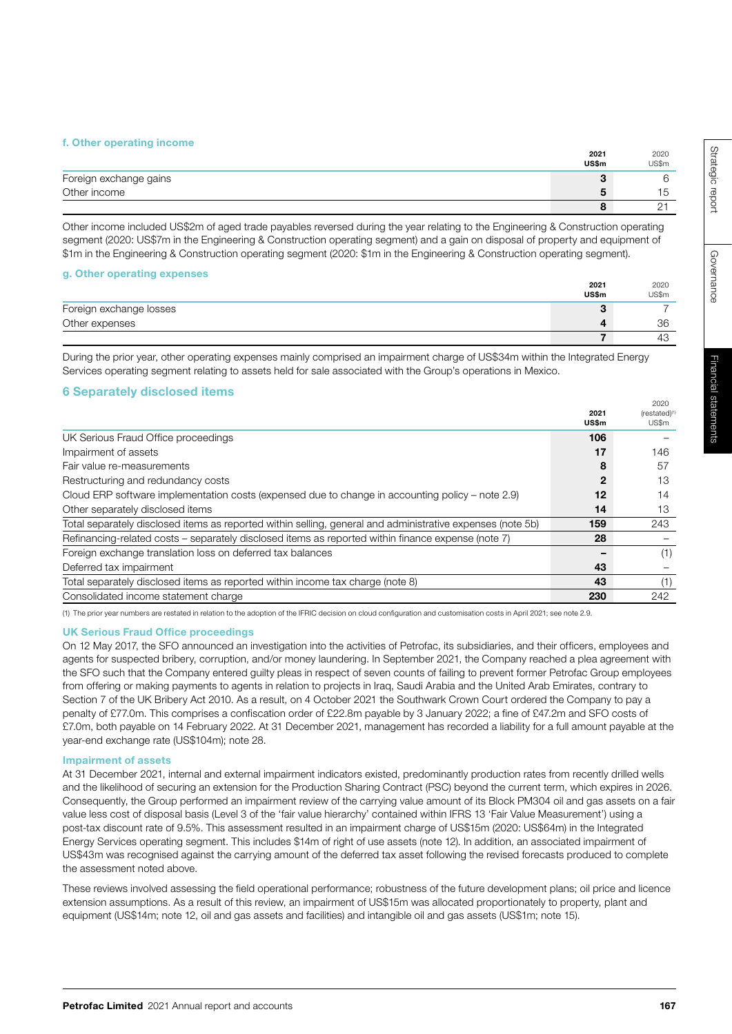#### f. Other operating income

|                        | 2021<br>US\$m            | 2020<br>US\$m |
|------------------------|--------------------------|---------------|
| Foreign exchange gains | v                        |               |
| Other income           | $\overline{\phantom{a}}$ |               |
|                        |                          | <u>_</u>      |

Other income included US\$2m of aged trade payables reversed during the year relating to the Engineering & Construction operating segment (2020: US\$7m in the Engineering & Construction operating segment) and a gain on disposal of property and equipment of \$1m in the Engineering & Construction operating segment (2020: \$1m in the Engineering & Construction operating segment).

## g. Other operating expenses

|                         | 2021         | 2020  |
|-------------------------|--------------|-------|
|                         | <b>US\$m</b> | US\$m |
| Foreign exchange losses | u            |       |
| Other expenses          |              | 36    |
|                         |              | ے 4   |

During the prior year, other operating expenses mainly comprised an impairment charge of US\$34m within the Integrated Energy Services operating segment relating to assets held for sale associated with the Group's operations in Mexico.

## 6 Separately disclosed items

|                                                                                                            | 2021<br><b>US\$m</b> | ZUZU.<br>(restated) <sup>(1</sup><br>US\$m |
|------------------------------------------------------------------------------------------------------------|----------------------|--------------------------------------------|
| UK Serious Fraud Office proceedings                                                                        | 106                  |                                            |
| Impairment of assets                                                                                       | 17                   | 146                                        |
| Fair value re-measurements                                                                                 | 8                    | 57                                         |
| Restructuring and redundancy costs                                                                         | 2                    | 13                                         |
| Cloud ERP software implementation costs (expensed due to change in accounting policy – note 2.9)           | 12                   | 14                                         |
| Other separately disclosed items                                                                           | 14                   | 13                                         |
| Total separately disclosed items as reported within selling, general and administrative expenses (note 5b) | 159                  | 243                                        |
| Refinancing-related costs - separately disclosed items as reported within finance expense (note 7)         | 28                   |                                            |
| Foreign exchange translation loss on deferred tax balances                                                 |                      | (1)                                        |
| Deferred tax impairment                                                                                    | 43                   |                                            |
| Total separately disclosed items as reported within income tax charge (note 8)                             | 43                   | (1)                                        |
| Consolidated income statement charge                                                                       | 230                  | 242                                        |

(1) The prior year numbers are restated in relation to the adoption of the IFRIC decision on cloud configuration and customisation costs in April 2021; see note 2.9.

#### UK Serious Fraud Office proceedings

On 12 May 2017, the SFO announced an investigation into the activities of Petrofac, its subsidiaries, and their officers, employees and agents for suspected bribery, corruption, and/or money laundering. In September 2021, the Company reached a plea agreement with the SFO such that the Company entered guilty pleas in respect of seven counts of failing to prevent former Petrofac Group employees from offering or making payments to agents in relation to projects in Iraq, Saudi Arabia and the United Arab Emirates, contrary to Section 7 of the UK Bribery Act 2010. As a result, on 4 October 2021 the Southwark Crown Court ordered the Company to pay a penalty of £77.0m. This comprises a confiscation order of £22.8m payable by 3 January 2022; a fine of £47.2m and SFO costs of £7.0m, both payable on 14 February 2022. At 31 December 2021, management has recorded a liability for a full amount payable at the year-end exchange rate (US\$104m); note 28.

#### Impairment of assets

At 31 December 2021, internal and external impairment indicators existed, predominantly production rates from recently drilled wells and the likelihood of securing an extension for the Production Sharing Contract (PSC) beyond the current term, which expires in 2026. Consequently, the Group performed an impairment review of the carrying value amount of its Block PM304 oil and gas assets on a fair value less cost of disposal basis (Level 3 of the 'fair value hierarchy' contained within IFRS 13 'Fair Value Measurement') using a post-tax discount rate of 9.5%. This assessment resulted in an impairment charge of US\$15m (2020: US\$64m) in the Integrated Energy Services operating segment. This includes \$14m of right of use assets (note 12). In addition, an associated impairment of US\$43m was recognised against the carrying amount of the deferred tax asset following the revised forecasts produced to complete the assessment noted above.

These reviews involved assessing the field operational performance; robustness of the future development plans; oil price and licence extension assumptions. As a result of this review, an impairment of US\$15m was allocated proportionately to property, plant and equipment (US\$14m; note 12, oil and gas assets and facilities) and intangible oil and gas assets (US\$1m; note 15).

2020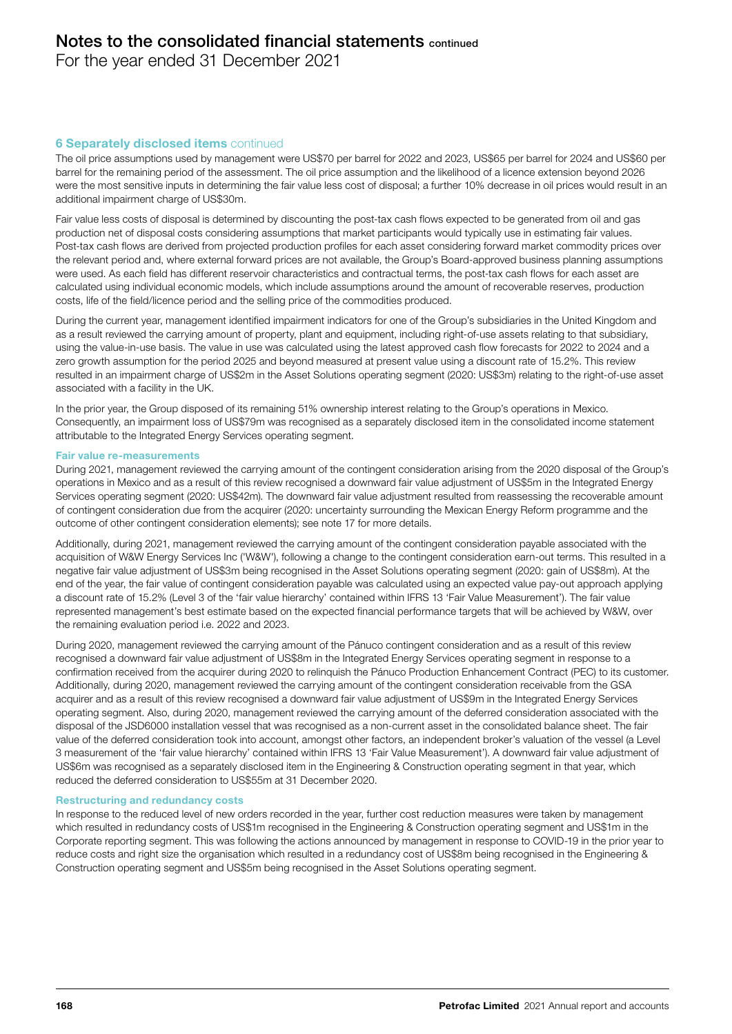For the year ended 31 December 2021

# **6 Separately disclosed items continued**

The oil price assumptions used by management were US\$70 per barrel for 2022 and 2023, US\$65 per barrel for 2024 and US\$60 per barrel for the remaining period of the assessment. The oil price assumption and the likelihood of a licence extension beyond 2026 were the most sensitive inputs in determining the fair value less cost of disposal; a further 10% decrease in oil prices would result in an additional impairment charge of US\$30m.

Fair value less costs of disposal is determined by discounting the post-tax cash flows expected to be generated from oil and gas production net of disposal costs considering assumptions that market participants would typically use in estimating fair values. Post-tax cash flows are derived from projected production profiles for each asset considering forward market commodity prices over the relevant period and, where external forward prices are not available, the Group's Board-approved business planning assumptions were used. As each field has different reservoir characteristics and contractual terms, the post-tax cash flows for each asset are calculated using individual economic models, which include assumptions around the amount of recoverable reserves, production costs, life of the field/licence period and the selling price of the commodities produced.

During the current year, management identified impairment indicators for one of the Group's subsidiaries in the United Kingdom and as a result reviewed the carrying amount of property, plant and equipment, including right-of-use assets relating to that subsidiary, using the value-in-use basis. The value in use was calculated using the latest approved cash flow forecasts for 2022 to 2024 and a zero growth assumption for the period 2025 and beyond measured at present value using a discount rate of 15.2%. This review resulted in an impairment charge of US\$2m in the Asset Solutions operating segment (2020: US\$3m) relating to the right-of-use asset associated with a facility in the UK.

In the prior year, the Group disposed of its remaining 51% ownership interest relating to the Group's operations in Mexico. Consequently, an impairment loss of US\$79m was recognised as a separately disclosed item in the consolidated income statement attributable to the Integrated Energy Services operating segment.

#### Fair value re-measurements

During 2021, management reviewed the carrying amount of the contingent consideration arising from the 2020 disposal of the Group's operations in Mexico and as a result of this review recognised a downward fair value adjustment of US\$5m in the Integrated Energy Services operating segment (2020: US\$42m). The downward fair value adjustment resulted from reassessing the recoverable amount of contingent consideration due from the acquirer (2020: uncertainty surrounding the Mexican Energy Reform programme and the outcome of other contingent consideration elements); see note 17 for more details.

Additionally, during 2021, management reviewed the carrying amount of the contingent consideration payable associated with the acquisition of W&W Energy Services Inc ('W&W'), following a change to the contingent consideration earn-out terms. This resulted in a negative fair value adjustment of US\$3m being recognised in the Asset Solutions operating segment (2020: gain of US\$8m). At the end of the year, the fair value of contingent consideration payable was calculated using an expected value pay-out approach applying a discount rate of 15.2% (Level 3 of the 'fair value hierarchy' contained within IFRS 13 'Fair Value Measurement'). The fair value represented management's best estimate based on the expected financial performance targets that will be achieved by W&W, over the remaining evaluation period i.e. 2022 and 2023.

During 2020, management reviewed the carrying amount of the Pánuco contingent consideration and as a result of this review recognised a downward fair value adjustment of US\$8m in the Integrated Energy Services operating segment in response to a confirmation received from the acquirer during 2020 to relinquish the Pánuco Production Enhancement Contract (PEC) to its customer. Additionally, during 2020, management reviewed the carrying amount of the contingent consideration receivable from the GSA acquirer and as a result of this review recognised a downward fair value adjustment of US\$9m in the Integrated Energy Services operating segment. Also, during 2020, management reviewed the carrying amount of the deferred consideration associated with the disposal of the JSD6000 installation vessel that was recognised as a non-current asset in the consolidated balance sheet. The fair value of the deferred consideration took into account, amongst other factors, an independent broker's valuation of the vessel (a Level 3 measurement of the 'fair value hierarchy' contained within IFRS 13 'Fair Value Measurement'). A downward fair value adjustment of US\$6m was recognised as a separately disclosed item in the Engineering & Construction operating segment in that year, which reduced the deferred consideration to US\$55m at 31 December 2020.

#### Restructuring and redundancy costs

In response to the reduced level of new orders recorded in the year, further cost reduction measures were taken by management which resulted in redundancy costs of US\$1m recognised in the Engineering & Construction operating segment and US\$1m in the Corporate reporting segment. This was following the actions announced by management in response to COVID-19 in the prior year to reduce costs and right size the organisation which resulted in a redundancy cost of US\$8m being recognised in the Engineering & Construction operating segment and US\$5m being recognised in the Asset Solutions operating segment.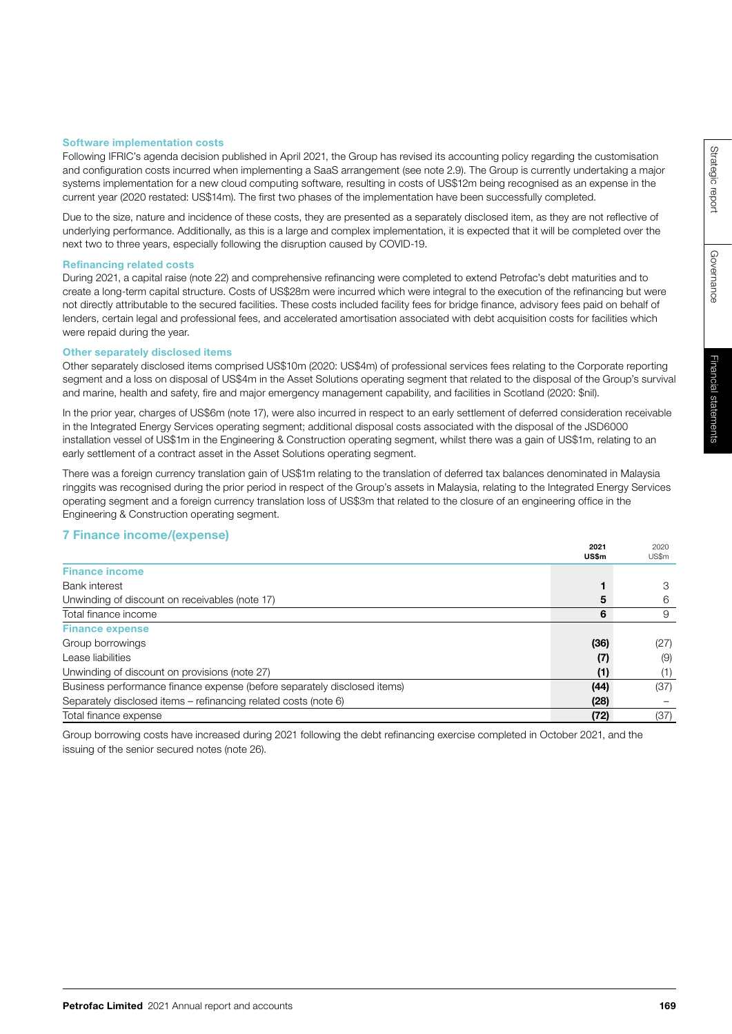#### Software implementation costs

Following IFRIC's agenda decision published in April 2021, the Group has revised its accounting policy regarding the customisation and configuration costs incurred when implementing a SaaS arrangement (see note 2.9). The Group is currently undertaking a major systems implementation for a new cloud computing software, resulting in costs of US\$12m being recognised as an expense in the current year (2020 restated: US\$14m). The first two phases of the implementation have been successfully completed.

Due to the size, nature and incidence of these costs, they are presented as a separately disclosed item, as they are not reflective of underlying performance. Additionally, as this is a large and complex implementation, it is expected that it will be completed over the next two to three years, especially following the disruption caused by COVID-19.

#### Refinancing related costs

During 2021, a capital raise (note 22) and comprehensive refinancing were completed to extend Petrofac's debt maturities and to create a long-term capital structure. Costs of US\$28m were incurred which were integral to the execution of the refinancing but were not directly attributable to the secured facilities. These costs included facility fees for bridge finance, advisory fees paid on behalf of lenders, certain legal and professional fees, and accelerated amortisation associated with debt acquisition costs for facilities which were repaid during the year.

#### Other separately disclosed items

Other separately disclosed items comprised US\$10m (2020: US\$4m) of professional services fees relating to the Corporate reporting segment and a loss on disposal of US\$4m in the Asset Solutions operating segment that related to the disposal of the Group's survival and marine, health and safety, fire and major emergency management capability, and facilities in Scotland (2020: \$nil).

In the prior year, charges of US\$6m (note 17), were also incurred in respect to an early settlement of deferred consideration receivable in the Integrated Energy Services operating segment; additional disposal costs associated with the disposal of the JSD6000 installation vessel of US\$1m in the Engineering & Construction operating segment, whilst there was a gain of US\$1m, relating to an early settlement of a contract asset in the Asset Solutions operating segment.

There was a foreign currency translation gain of US\$1m relating to the translation of deferred tax balances denominated in Malaysia ringgits was recognised during the prior period in respect of the Group's assets in Malaysia, relating to the Integrated Energy Services operating segment and a foreign currency translation loss of US\$3m that related to the closure of an engineering office in the Engineering & Construction operating segment.

# 7 Finance income/(expense)

|                                                                          | 2021  | 2020  |
|--------------------------------------------------------------------------|-------|-------|
|                                                                          | US\$m | US\$m |
| <b>Finance income</b>                                                    |       |       |
| <b>Bank interest</b>                                                     |       | З     |
| Unwinding of discount on receivables (note 17)                           | 5     | 6     |
| Total finance income                                                     | 6     | 9     |
| <b>Finance expense</b>                                                   |       |       |
| Group borrowings                                                         | (36)  | (27)  |
| Lease liabilities                                                        | (7)   | (9)   |
| Unwinding of discount on provisions (note 27)                            | (1)   | (1)   |
| Business performance finance expense (before separately disclosed items) | (44)  | (37)  |
| Separately disclosed items – refinancing related costs (note 6)          | (28)  |       |
| Total finance expense                                                    | (72)  | (37)  |

Group borrowing costs have increased during 2021 following the debt refinancing exercise completed in October 2021, and the issuing of the senior secured notes (note 26).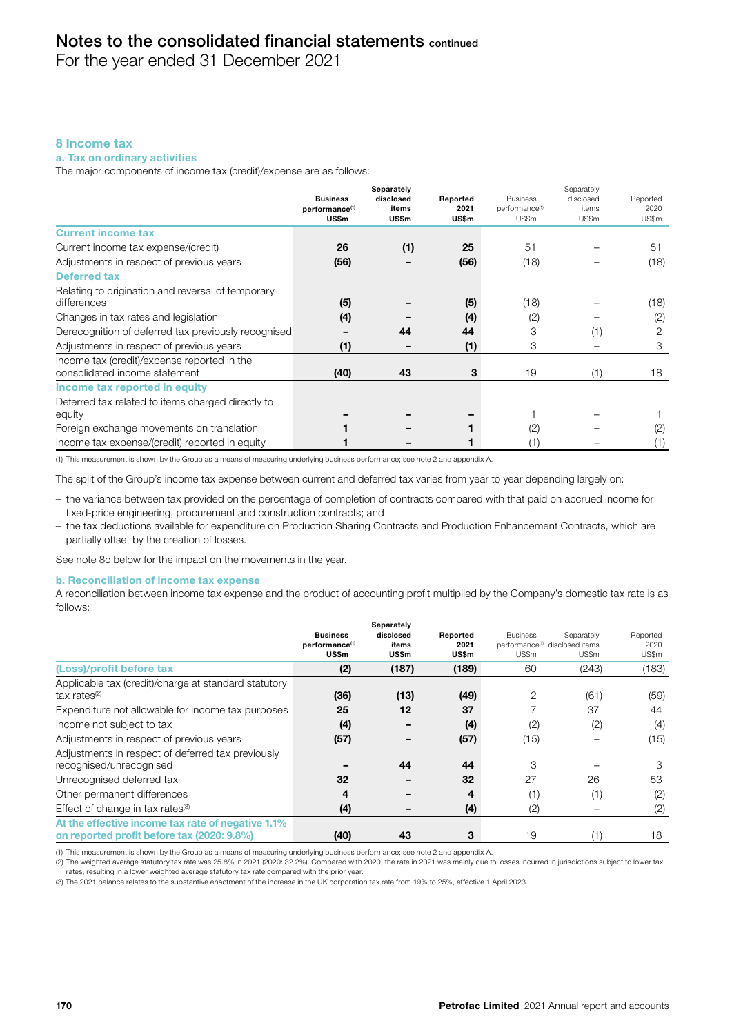For the year ended 31 December 2021

# 8 Income tax

## a. Tax on ordinary activities

The major components of income tax (credit)/expense are as follows:

|                                                                              | <b>Business</b><br>performance <sup>(1)</sup><br>US\$m | Separately<br>disclosed<br>items<br><b>US\$m</b> | Reported<br>2021<br>US\$m | <b>Business</b><br>performance <sup>(1)</sup><br>US\$m | Separately<br>disclosed<br>items<br>US\$m | Reported<br>2020<br>US\$m |
|------------------------------------------------------------------------------|--------------------------------------------------------|--------------------------------------------------|---------------------------|--------------------------------------------------------|-------------------------------------------|---------------------------|
| <b>Current income tax</b>                                                    |                                                        |                                                  |                           |                                                        |                                           |                           |
| Current income tax expense/(credit)                                          | 26                                                     | (1)                                              | 25                        | 51                                                     |                                           | 51                        |
| Adjustments in respect of previous years                                     | (56)                                                   |                                                  | (56)                      | (18)                                                   |                                           | (18)                      |
| <b>Deferred tax</b>                                                          |                                                        |                                                  |                           |                                                        |                                           |                           |
| Relating to origination and reversal of temporary                            |                                                        |                                                  |                           |                                                        |                                           |                           |
| differences                                                                  | (5)                                                    |                                                  | (5)                       | (18)                                                   |                                           | (18)                      |
| Changes in tax rates and legislation                                         | (4)                                                    |                                                  | (4)                       | (2)                                                    |                                           | (2)                       |
| Derecognition of deferred tax previously recognised                          |                                                        | 44                                               | 44                        | 3                                                      | (1)                                       | 2                         |
| Adjustments in respect of previous years                                     | (1)                                                    |                                                  | (1)                       | 3                                                      |                                           | 3                         |
| Income tax (credit)/expense reported in the<br>consolidated income statement | (40)                                                   | 43                                               | 3                         | 19                                                     | (1)                                       | 18                        |
| Income tax reported in equity                                                |                                                        |                                                  |                           |                                                        |                                           |                           |
| Deferred tax related to items charged directly to                            |                                                        |                                                  |                           |                                                        |                                           |                           |
| equity                                                                       |                                                        |                                                  |                           |                                                        |                                           |                           |
| Foreign exchange movements on translation                                    |                                                        |                                                  |                           | (2)                                                    |                                           | (2)                       |
| Income tax expense/(credit) reported in equity                               |                                                        |                                                  |                           | (1)                                                    |                                           | (1)                       |

(1) This measurement is shown by the Group as a means of measuring underlying business performance; see note 2 and appendix A.

The split of the Group's income tax expense between current and deferred tax varies from year to year depending largely on:

- the variance between tax provided on the percentage of completion of contracts compared with that paid on accrued income for fixed-price engineering, procurement and construction contracts; and
- the tax deductions available for expenditure on Production Sharing Contracts and Production Enhancement Contracts, which are partially offset by the creation of losses.

See note 8c below for the impact on the movements in the year.

#### b. Reconciliation of income tax expense

A reconciliation between income tax expense and the product of accounting profit multiplied by the Company's domestic tax rate is as follows:

|                                                                                                 | <b>Business</b>                     | Separately<br>disclosed | Reported      | <b>Business</b>                                     | Separately | Reported      |
|-------------------------------------------------------------------------------------------------|-------------------------------------|-------------------------|---------------|-----------------------------------------------------|------------|---------------|
|                                                                                                 | performance <sup>(1)</sup><br>US\$m | items<br>US\$m          | 2021<br>US\$m | performance <sup>(1)</sup> disclosed items<br>US\$m | US\$m      | 2020<br>US\$m |
| (Loss)/profit before tax                                                                        | (2)                                 | (187)                   | (189)         | 60                                                  | (243)      | (183)         |
| Applicable tax (credit)/charge at standard statutory<br>$tax$ rates $(2)$                       | (36)                                | (13)                    | (49)          | $\overline{2}$                                      | (61)       | (59)          |
| Expenditure not allowable for income tax purposes                                               | 25                                  | 12                      | 37            |                                                     | 37         | 44            |
| Income not subject to tax                                                                       | (4)                                 |                         | (4)           | (2)                                                 | (2)        | (4)           |
| Adjustments in respect of previous years                                                        | (57)                                |                         | (57)          | (15)                                                |            | (15)          |
| Adjustments in respect of deferred tax previously<br>recognised/unrecognised                    |                                     | 44                      | 44            | 3                                                   |            | 3             |
| Unrecognised deferred tax                                                                       | 32                                  |                         | 32            | 27                                                  | 26         | 53            |
| Other permanent differences                                                                     | 4                                   |                         | 4             | (1)                                                 | (1)        | (2)           |
| Effect of change in tax rates $(3)$                                                             | (4)                                 |                         | (4)           | (2)                                                 |            | (2)           |
| At the effective income tax rate of negative 1.1%<br>on reported profit before tax (2020: 9.8%) | (40)                                | 43                      | 3             | 19                                                  | (1)        | 18            |

(1) This measurement is shown by the Group as a means of measuring underlying business performance; see note 2 and appendix A.

(2) The weighted average statutory tax rate was 25.8% in 2021 (2020: 32.2%). Compared with 2020, the rate in 2021 was mainly due to losses incurred in jurisdictions subject to lower tax rates, resulting in a lower weighted average statutory tax rate compared with the prior year.

(3) The 2021 balance relates to the substantive enactment of the increase in the UK corporation tax rate from 19% to 25%, effective 1 April 2023.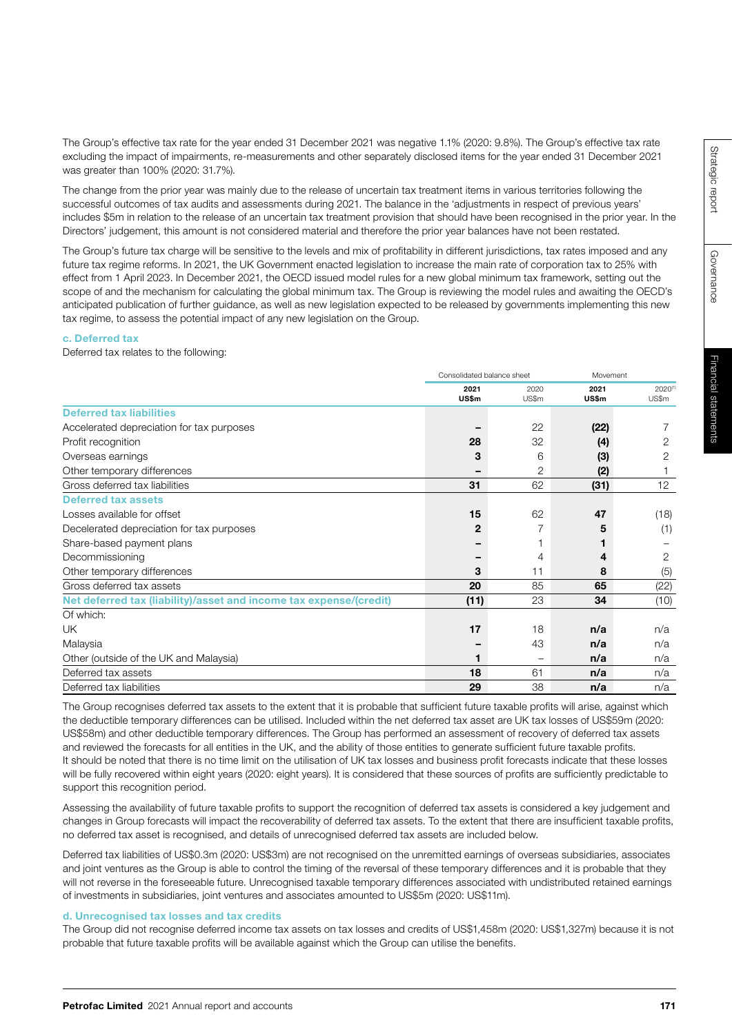The Group's effective tax rate for the year ended 31 December 2021 was negative 1.1% (2020: 9.8%). The Group's effective tax rate excluding the impact of impairments, re-measurements and other separately disclosed items for the year ended 31 December 2021 was greater than 100% (2020: 31.7%).

The change from the prior year was mainly due to the release of uncertain tax treatment items in various territories following the successful outcomes of tax audits and assessments during 2021. The balance in the 'adjustments in respect of previous years' includes \$5m in relation to the release of an uncertain tax treatment provision that should have been recognised in the prior year. In the Directors' judgement, this amount is not considered material and therefore the prior year balances have not been restated.

The Group's future tax charge will be sensitive to the levels and mix of profitability in different jurisdictions, tax rates imposed and any future tax regime reforms. In 2021, the UK Government enacted legislation to increase the main rate of corporation tax to 25% with effect from 1 April 2023. In December 2021, the OECD issued model rules for a new global minimum tax framework, setting out the scope of and the mechanism for calculating the global minimum tax. The Group is reviewing the model rules and awaiting the OECD's anticipated publication of further guidance, as well as new legislation expected to be released by governments implementing this new tax regime, to assess the potential impact of any new legislation on the Group.

#### c. Deferred tax

Deferred tax relates to the following:

|                                                                    | Consolidated balance sheet |       |       | Movement |  |
|--------------------------------------------------------------------|----------------------------|-------|-------|----------|--|
|                                                                    | 2021                       | 2020  | 2021  | 2020(1)  |  |
|                                                                    | US\$m                      | US\$m | US\$m | US\$m    |  |
| <b>Deferred tax liabilities</b>                                    |                            |       |       |          |  |
| Accelerated depreciation for tax purposes                          |                            | 22    | (22)  |          |  |
| Profit recognition                                                 | 28                         | 32    | (4)   | 2        |  |
| Overseas earnings                                                  | 3                          | 6     | (3)   | 2        |  |
| Other temporary differences                                        |                            | 2     | (2)   |          |  |
| Gross deferred tax liabilities                                     | 31                         | 62    | (31)  | 12       |  |
| <b>Deferred tax assets</b>                                         |                            |       |       |          |  |
| Losses available for offset                                        | 15                         | 62    | 47    | (18)     |  |
| Decelerated depreciation for tax purposes                          | 2                          | 7     | 5     | (1)      |  |
| Share-based payment plans                                          |                            |       |       |          |  |
| Decommissioning                                                    |                            | 4     | 4     | 2        |  |
| Other temporary differences                                        | 3                          | 11    | 8     | (5)      |  |
| Gross deferred tax assets                                          | 20                         | 85    | 65    | (22)     |  |
| Net deferred tax (liability)/asset and income tax expense/(credit) | (11)                       | 23    | 34    | (10)     |  |
| Of which:                                                          |                            |       |       |          |  |
| UK                                                                 | 17                         | 18    | n/a   | n/a      |  |
| Malaysia                                                           |                            | 43    | n/a   | n/a      |  |
| Other (outside of the UK and Malaysia)                             |                            | -     | n/a   | n/a      |  |
| Deferred tax assets                                                | 18                         | 61    | n/a   | n/a      |  |
| Deferred tax liabilities                                           | 29                         | 38    | n/a   | n/a      |  |

The Group recognises deferred tax assets to the extent that it is probable that sufficient future taxable profits will arise, against which the deductible temporary differences can be utilised. Included within the net deferred tax asset are UK tax losses of US\$59m (2020: US\$58m) and other deductible temporary differences. The Group has performed an assessment of recovery of deferred tax assets and reviewed the forecasts for all entities in the UK, and the ability of those entities to generate sufficient future taxable profits. It should be noted that there is no time limit on the utilisation of UK tax losses and business profit forecasts indicate that these losses will be fully recovered within eight years (2020: eight years). It is considered that these sources of profits are sufficiently predictable to support this recognition period.

Assessing the availability of future taxable profits to support the recognition of deferred tax assets is considered a key judgement and changes in Group forecasts will impact the recoverability of deferred tax assets. To the extent that there are insufficient taxable profits, no deferred tax asset is recognised, and details of unrecognised deferred tax assets are included below.

Deferred tax liabilities of US\$0.3m (2020: US\$3m) are not recognised on the unremitted earnings of overseas subsidiaries, associates and joint ventures as the Group is able to control the timing of the reversal of these temporary differences and it is probable that they will not reverse in the foreseeable future. Unrecognised taxable temporary differences associated with undistributed retained earnings of investments in subsidiaries, joint ventures and associates amounted to US\$5m (2020: US\$11m).

#### d. Unrecognised tax losses and tax credits

The Group did not recognise deferred income tax assets on tax losses and credits of US\$1,458m (2020: US\$1,327m) because it is not probable that future taxable profits will be available against which the Group can utilise the benefits.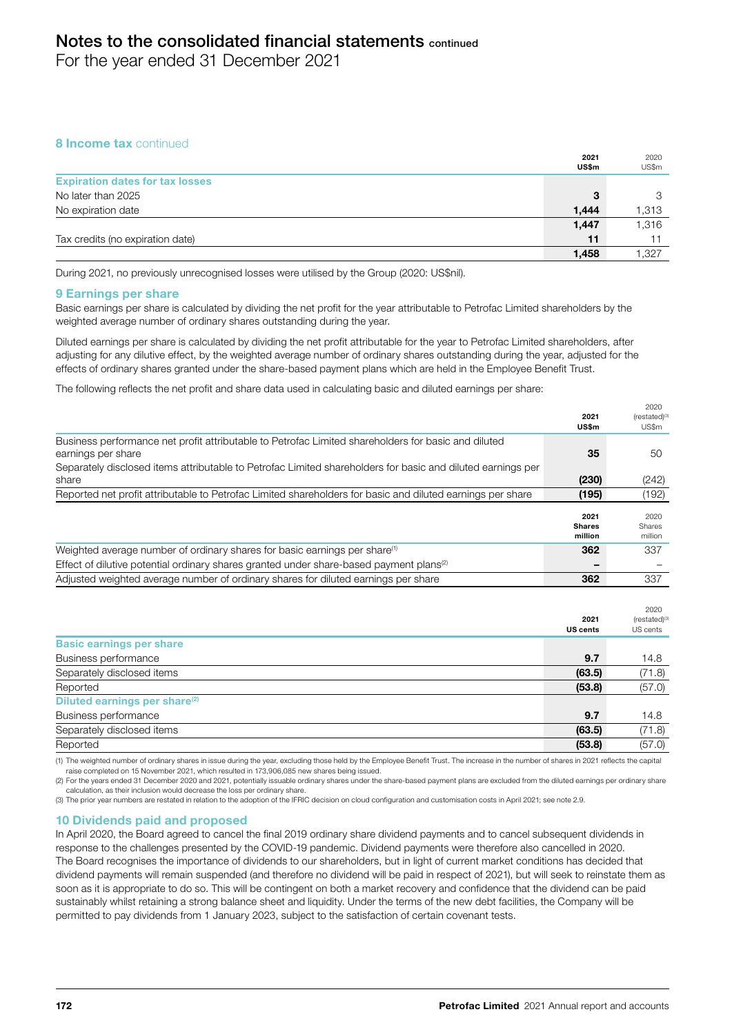For the year ended 31 December 2021

# 8 **Income tax** continued

|                                        | 2021<br><b>US\$m</b> | 2020<br>US\$m |
|----------------------------------------|----------------------|---------------|
| <b>Expiration dates for tax losses</b> |                      |               |
| No later than 2025                     | 3                    | 3             |
| No expiration date                     | 1.444                | 1,313         |
|                                        | 1.447                | 1.316         |
| Tax credits (no expiration date)       | 11                   |               |
|                                        | 1,458                | 1.327         |

During 2021, no previously unrecognised losses were utilised by the Group (2020: US\$nil).

#### 9 Earnings per share

Basic earnings per share is calculated by dividing the net profit for the year attributable to Petrofac Limited shareholders by the weighted average number of ordinary shares outstanding during the year.

Diluted earnings per share is calculated by dividing the net profit attributable for the year to Petrofac Limited shareholders, after adjusting for any dilutive effect, by the weighted average number of ordinary shares outstanding during the year, adjusted for the effects of ordinary shares granted under the share-based payment plans which are held in the Employee Benefit Trust.

The following reflects the net profit and share data used in calculating basic and diluted earnings per share:

|                                                                                                             | 2021<br>US\$m            | $(rested)^{(3)}$<br>US\$m |
|-------------------------------------------------------------------------------------------------------------|--------------------------|---------------------------|
| Business performance net profit attributable to Petrofac Limited shareholders for basic and diluted         |                          |                           |
| earnings per share                                                                                          | 35                       | 50                        |
| Separately disclosed items attributable to Petrofac Limited shareholders for basic and diluted earnings per |                          |                           |
| share                                                                                                       | (230)                    | (242)                     |
| Reported net profit attributable to Petrofac Limited shareholders for basic and diluted earnings per share  | (195)                    | (192)                     |
|                                                                                                             | 2021                     | 2020                      |
|                                                                                                             | <b>Shares</b><br>million | Shares<br>million         |
| Weighted average number of ordinary shares for basic earnings per share <sup>(1)</sup>                      | 362                      | 337                       |
| Effect of dilutive potential ordinary shares granted under share-based payment plans <sup>(2)</sup>         |                          |                           |
| Adjusted weighted average number of ordinary shares for diluted earnings per share                          | 362                      | 337                       |
|                                                                                                             |                          |                           |
|                                                                                                             |                          | 2020                      |
|                                                                                                             | 2021<br><b>US cents</b>  | (restated)(3)<br>US cents |
| <b>Basic earnings per share</b>                                                                             |                          |                           |
| Business performance                                                                                        | 9.7                      | 14.8                      |
| Separately disclosed items                                                                                  | (63.5)                   | (71.8)                    |
| Reported                                                                                                    | (53.8)                   | (57.0)                    |
| Diluted earnings per share <sup>(2)</sup>                                                                   |                          |                           |
| Business performance                                                                                        | 9.7                      | 14.8                      |
| Separately disclosed items                                                                                  | (63.5)                   | (71.8)                    |
|                                                                                                             |                          |                           |

Reported **(53.8)** (57.0) (1) The weighted number of ordinary shares in issue during the year, excluding those held by the Employee Benefit Trust. The increase in the number of shares in 2021 reflects the capital

raise completed on 15 November 2021, which resulted in 173,906,085 new shares being issued. (2) For the years ended 31 December 2020 and 2021, potentially issuable ordinary shares under the share-based payment plans are excluded from the diluted earnings per ordinary share calculation, as their inclusion would decrease the loss per ordinary share.

(3) The prior year numbers are restated in relation to the adoption of the IFRIC decision on cloud configuration and customisation costs in April 2021; see note 2.9.

#### 10 Dividends paid and proposed

In April 2020, the Board agreed to cancel the final 2019 ordinary share dividend payments and to cancel subsequent dividends in response to the challenges presented by the COVID-19 pandemic. Dividend payments were therefore also cancelled in 2020. The Board recognises the importance of dividends to our shareholders, but in light of current market conditions has decided that dividend payments will remain suspended (and therefore no dividend will be paid in respect of 2021), but will seek to reinstate them as soon as it is appropriate to do so. This will be contingent on both a market recovery and confidence that the dividend can be paid sustainably whilst retaining a strong balance sheet and liquidity. Under the terms of the new debt facilities, the Company will be permitted to pay dividends from 1 January 2023, subject to the satisfaction of certain covenant tests.

2020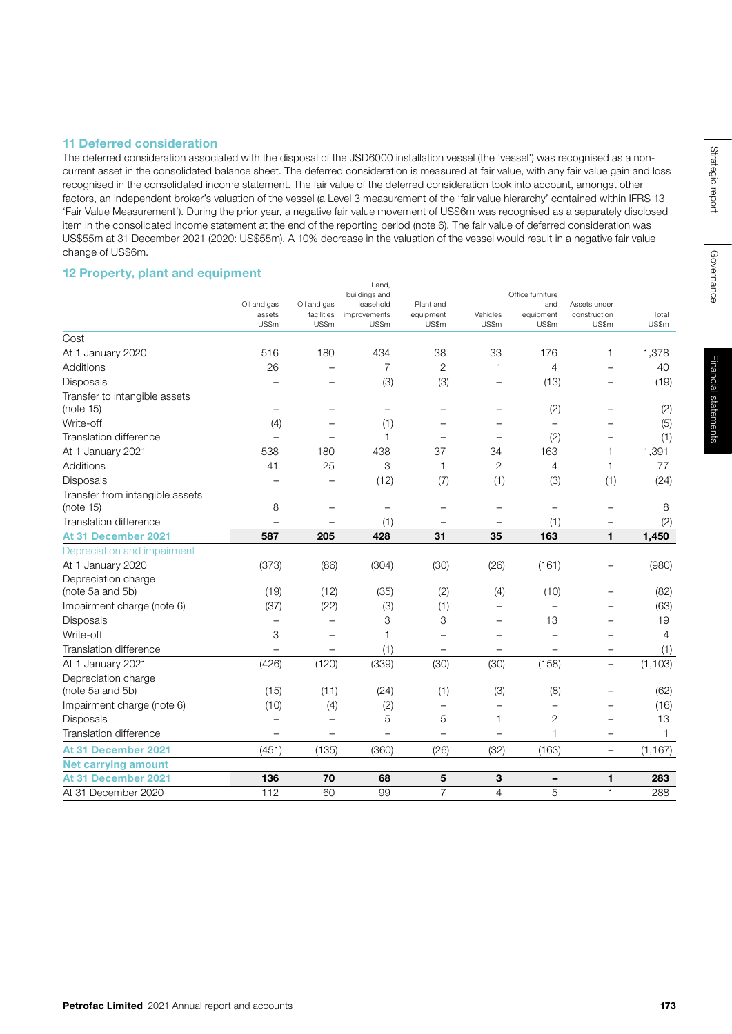# 11 Deferred consideration

The deferred consideration associated with the disposal of the JSD6000 installation vessel (the 'vessel') was recognised as a noncurrent asset in the consolidated balance sheet. The deferred consideration is measured at fair value, with any fair value gain and loss recognised in the consolidated income statement. The fair value of the deferred consideration took into account, amongst other factors, an independent broker's valuation of the vessel (a Level 3 measurement of the 'fair value hierarchy' contained within IFRS 13 'Fair Value Measurement'). During the prior year, a negative fair value movement of US\$6m was recognised as a separately disclosed item in the consolidated income statement at the end of the reporting period (note 6). The fair value of deferred consideration was US\$55m at 31 December 2021 (2020: US\$55m). A 10% decrease in the valuation of the vessel would result in a negative fair value change of US\$6m.

# 12 Property, plant and equipment

|                                              |                                |                                    | Land,<br>buildings and             |                                 |                          | Office furniture          |                                       |                |
|----------------------------------------------|--------------------------------|------------------------------------|------------------------------------|---------------------------------|--------------------------|---------------------------|---------------------------------------|----------------|
|                                              | Oil and gas<br>assets<br>US\$m | Oil and gas<br>facilities<br>US\$m | leasehold<br>improvements<br>US\$m | Plant and<br>equipment<br>US\$m | Vehicles<br>US\$m        | and<br>equipment<br>US\$m | Assets under<br>construction<br>US\$m | Total<br>US\$m |
| Cost                                         |                                |                                    |                                    |                                 |                          |                           |                                       |                |
| At 1 January 2020                            | 516                            | 180                                | 434                                | 38                              | 33                       | 176                       | 1                                     | 1,378          |
| Additions                                    | 26                             |                                    | $\overline{7}$                     | 2                               | 1                        | 4                         |                                       | 40             |
| <b>Disposals</b>                             |                                |                                    | (3)                                | (3)                             |                          | (13)                      |                                       | (19)           |
| Transfer to intangible assets<br>(note 15)   |                                |                                    | $\equiv$                           |                                 |                          | (2)                       |                                       | (2)            |
| Write-off                                    | (4)                            |                                    | (1)                                |                                 |                          |                           |                                       | (5)            |
| Translation difference                       |                                |                                    | 1                                  | -                               | $\qquad \qquad -$        | (2)                       | $\overline{\phantom{0}}$              | (1)            |
| At 1 January 2021                            | 538                            | 180                                | 438                                | 37                              | 34                       | 163                       | 1                                     | 1,391          |
| Additions                                    | 41                             | 25                                 | 3                                  | 1                               | 2                        | $\overline{4}$            | 1                                     | 77             |
| Disposals                                    |                                |                                    | (12)                               | (7)                             | (1)                      | (3)                       | (1)                                   | (24)           |
| Transfer from intangible assets<br>(note 15) | 8                              | $\overline{\phantom{0}}$           | $\overline{\phantom{0}}$           |                                 | $\overline{\phantom{0}}$ | $\overline{\phantom{0}}$  | $\overline{\phantom{0}}$              | 8              |
| Translation difference                       |                                |                                    | (1)                                |                                 | $\overline{\phantom{0}}$ | (1)                       | $\overline{\phantom{0}}$              | (2)            |
| At 31 December 2021                          | 587                            | 205                                | 428                                | 31                              | 35                       | 163                       | 1                                     | 1,450          |
| Depreciation and impairment                  |                                |                                    |                                    |                                 |                          |                           |                                       |                |
| At 1 January 2020                            | (373)                          | (86)                               | (304)                              | (30)                            | (26)                     | (161)                     |                                       | (980)          |
| Depreciation charge<br>(note 5a and 5b)      | (19)                           | (12)                               | (35)                               | (2)                             | (4)                      | (10)                      |                                       | (82)           |
| Impairment charge (note 6)                   | (37)                           | (22)                               | (3)                                | (1)                             |                          |                           |                                       | (63)           |
| Disposals                                    |                                |                                    | 3                                  | 3                               |                          | 13                        |                                       | 19             |
| Write-off                                    | 3                              |                                    | $\overline{1}$                     |                                 |                          |                           |                                       | $\overline{4}$ |
| Translation difference                       | $\overline{\phantom{0}}$       |                                    | (1)                                |                                 |                          |                           |                                       | (1)            |
| At 1 January 2021                            | (426)                          | (120)                              | (339)                              | (30)                            | (30)                     | (158)                     | $\overline{\phantom{0}}$              | (1, 103)       |
| Depreciation charge<br>(note 5a and 5b)      | (15)                           | (11)                               | (24)                               | (1)                             | (3)                      | (8)                       |                                       | (62)           |
| Impairment charge (note 6)                   | (10)                           | (4)                                |                                    | $\overline{\phantom{0}}$        | $\overline{\phantom{0}}$ |                           |                                       | (16)           |
|                                              |                                |                                    | (2)<br>5                           | 5                               | 1                        | $\overline{2}$            |                                       | 13             |
| Disposals<br><b>Translation difference</b>   |                                |                                    | $\overline{\phantom{a}}$           |                                 | $\equiv$                 | $\overline{1}$            | L.                                    |                |
|                                              |                                |                                    |                                    |                                 |                          |                           |                                       | 1              |
| At 31 December 2021                          | (451)                          | (135)                              | (360)                              | (26)                            | (32)                     | (163)                     | $\overline{\phantom{0}}$              | (1, 167)       |
| <b>Net carrying amount</b>                   |                                |                                    |                                    |                                 |                          |                           |                                       |                |
| At 31 December 2021                          | 136                            | 70                                 | 68                                 | 5                               | 3                        |                           | 1                                     | 283            |
| At 31 December 2020                          | 112                            | 60                                 | 99                                 | $\overline{7}$                  | $\overline{4}$           | 5                         | $\mathbf{1}$                          | 288            |

Governance

Governance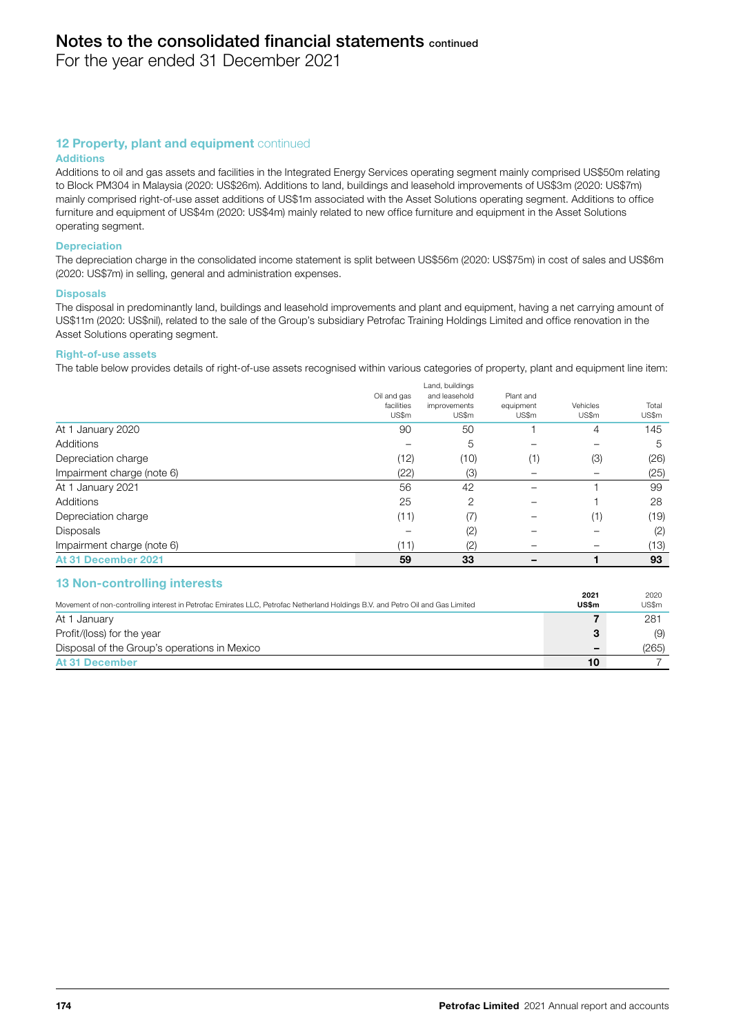For the year ended 31 December 2021

# 12 Property, plant and equipment continued

#### Additions

Additions to oil and gas assets and facilities in the Integrated Energy Services operating segment mainly comprised US\$50m relating to Block PM304 in Malaysia (2020: US\$26m). Additions to land, buildings and leasehold improvements of US\$3m (2020: US\$7m) mainly comprised right-of-use asset additions of US\$1m associated with the Asset Solutions operating segment. Additions to office furniture and equipment of US\$4m (2020: US\$4m) mainly related to new office furniture and equipment in the Asset Solutions operating segment.

#### **Depreciation**

The depreciation charge in the consolidated income statement is split between US\$56m (2020: US\$75m) in cost of sales and US\$6m (2020: US\$7m) in selling, general and administration expenses.

#### **Disposals**

The disposal in predominantly land, buildings and leasehold improvements and plant and equipment, having a net carrying amount of US\$11m (2020: US\$nil), related to the sale of the Group's subsidiary Petrofac Training Holdings Limited and office renovation in the Asset Solutions operating segment.

#### Right-of-use assets

The table below provides details of right-of-use assets recognised within various categories of property, plant and equipment line item:

|                            | Oil and gas<br>facilities<br>US\$m | Land, buildings<br>and leasehold<br>improvements<br>US\$m | Plant and<br>equipment<br>US\$m | Vehicles<br>US\$m | Total<br>US\$m |
|----------------------------|------------------------------------|-----------------------------------------------------------|---------------------------------|-------------------|----------------|
| At 1 January 2020          | 90                                 | 50                                                        |                                 | 4                 | 145            |
| Additions                  |                                    | 5                                                         |                                 |                   | 5              |
| Depreciation charge        | (12)                               | (10)                                                      | (1)                             | (3)               | (26)           |
| Impairment charge (note 6) | (22)                               | (3)                                                       |                                 |                   | (25)           |
| At 1 January 2021          | 56                                 | 42                                                        |                                 |                   | 99             |
| Additions                  | 25                                 | 2                                                         |                                 |                   | 28             |
| Depreciation charge        | (11)                               | (7)                                                       |                                 | (1)               | (19)           |
| <b>Disposals</b>           |                                    | (2)                                                       |                                 |                   | (2)            |
| Impairment charge (note 6) | (11)                               | (2)                                                       |                                 |                   | (13)           |
| At 31 December 2021        | 59                                 | 33                                                        |                                 |                   | 93             |

#### 13 Non-controlling interests

|                                                                                                                                | 2021  | 2020  |
|--------------------------------------------------------------------------------------------------------------------------------|-------|-------|
| Movement of non-controlling interest in Petrofac Emirates LLC, Petrofac Netherland Holdings B.V. and Petro Oil and Gas Limited | US\$m | US\$m |
| At 1 January                                                                                                                   |       | 281   |
| Profit/(loss) for the year                                                                                                     | 3     | (9)   |
| Disposal of the Group's operations in Mexico                                                                                   |       | (265) |
| At 31 December                                                                                                                 | 10    |       |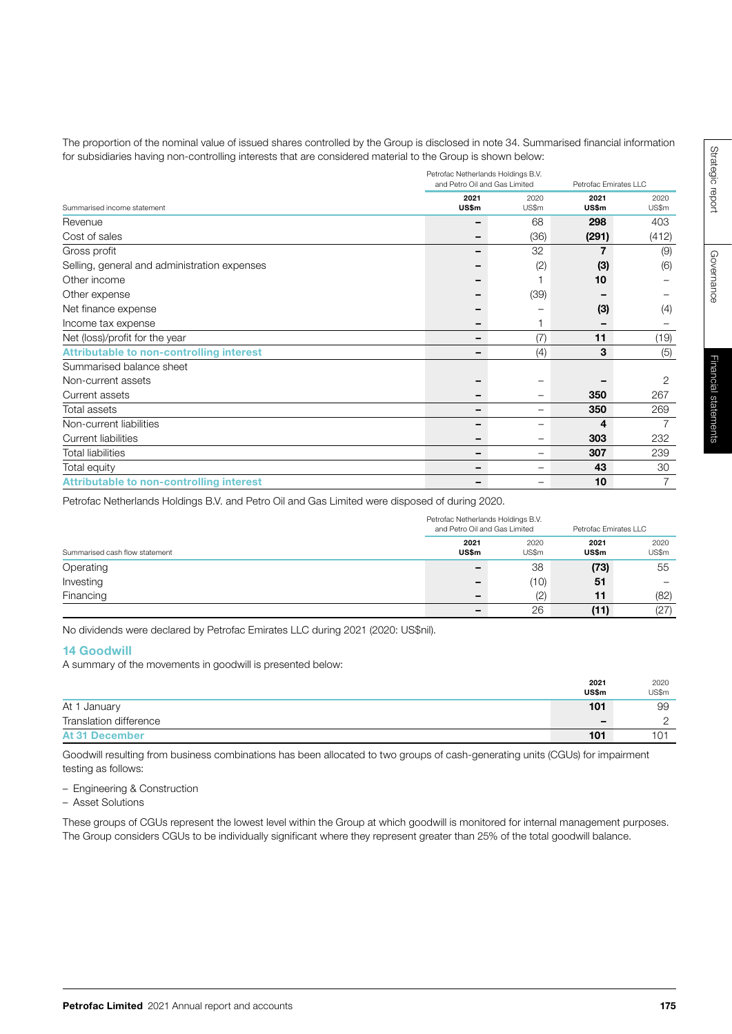The proportion of the nominal value of issued shares controlled by the Group is disclosed in note 34. Summarised financial information for subsidiaries having non-controlling interests that are considered material to the Group is shown below:

|                                                 | Petrofac Netherlands Holdings B.V.<br>and Petro Oil and Gas Limited | Petrofac Emirates LLC |               |                |
|-------------------------------------------------|---------------------------------------------------------------------|-----------------------|---------------|----------------|
| Summarised income statement                     | 2021<br>US\$m                                                       | 2020<br>US\$m         | 2021<br>US\$m | 2020<br>US\$m  |
| Revenue                                         |                                                                     | 68                    | 298           | 403            |
| Cost of sales                                   |                                                                     | (36)                  | (291)         | (412)          |
| Gross profit                                    |                                                                     | 32                    |               | (9)            |
| Selling, general and administration expenses    |                                                                     | (2)                   | (3)           | (6)            |
| Other income                                    |                                                                     |                       | 10            |                |
| Other expense                                   |                                                                     | (39)                  |               |                |
| Net finance expense                             |                                                                     |                       | (3)           | (4)            |
| Income tax expense                              |                                                                     |                       |               |                |
| Net (loss)/profit for the year                  | -                                                                   | (7)                   | 11            | (19)           |
| <b>Attributable to non-controlling interest</b> |                                                                     | (4)                   | 3             | (5)            |
| Summarised balance sheet                        |                                                                     |                       |               |                |
| Non-current assets                              |                                                                     |                       |               | $\overline{2}$ |
| Current assets                                  |                                                                     |                       | 350           | 267            |
| Total assets                                    |                                                                     | -                     | 350           | 269            |
| Non-current liabilities                         |                                                                     |                       | 4             | 7              |
| <b>Current liabilities</b>                      |                                                                     | -                     | 303           | 232            |
| <b>Total liabilities</b>                        | -                                                                   | -                     | 307           | 239            |
| Total equity                                    |                                                                     | -                     | 43            | 30             |
| <b>Attributable to non-controlling interest</b> |                                                                     |                       | 10            | 7              |

Petrofac Netherlands Holdings B.V. and Petro Oil and Gas Limited were disposed of during 2020.

|                                | Petrofac Netherlands Holdings B.V.<br>and Petro Oil and Gas Limited |               | Petrofac Emirates LLC |               |
|--------------------------------|---------------------------------------------------------------------|---------------|-----------------------|---------------|
| Summarised cash flow statement | 2021<br><b>US\$m</b>                                                | 2020<br>US\$m | 2021<br><b>US\$m</b>  | 2020<br>US\$m |
| Operating                      | -                                                                   | 38            | (73)                  | 55            |
| Investing                      | -                                                                   | (10)          | 51                    | -             |
| Financing                      | -                                                                   | (2)           | 11                    | (82)          |
|                                | -                                                                   | 26            | (11)                  | (27)          |

No dividends were declared by Petrofac Emirates LLC during 2021 (2020: US\$nil).

# 14 Goodwill

A summary of the movements in goodwill is presented below:

|                        | 2021  | 2020  |
|------------------------|-------|-------|
|                        | US\$m | US\$m |
| At 1 January           | 101   | 99    |
| Translation difference | -     |       |
| <b>At 31 December</b>  | 101   | 1 N 1 |

Goodwill resulting from business combinations has been allocated to two groups of cash-generating units (CGUs) for impairment testing as follows:

– Engineering & Construction

– Asset Solutions

These groups of CGUs represent the lowest level within the Group at which goodwill is monitored for internal management purposes. The Group considers CGUs to be individually significant where they represent greater than 25% of the total goodwill balance.

Governance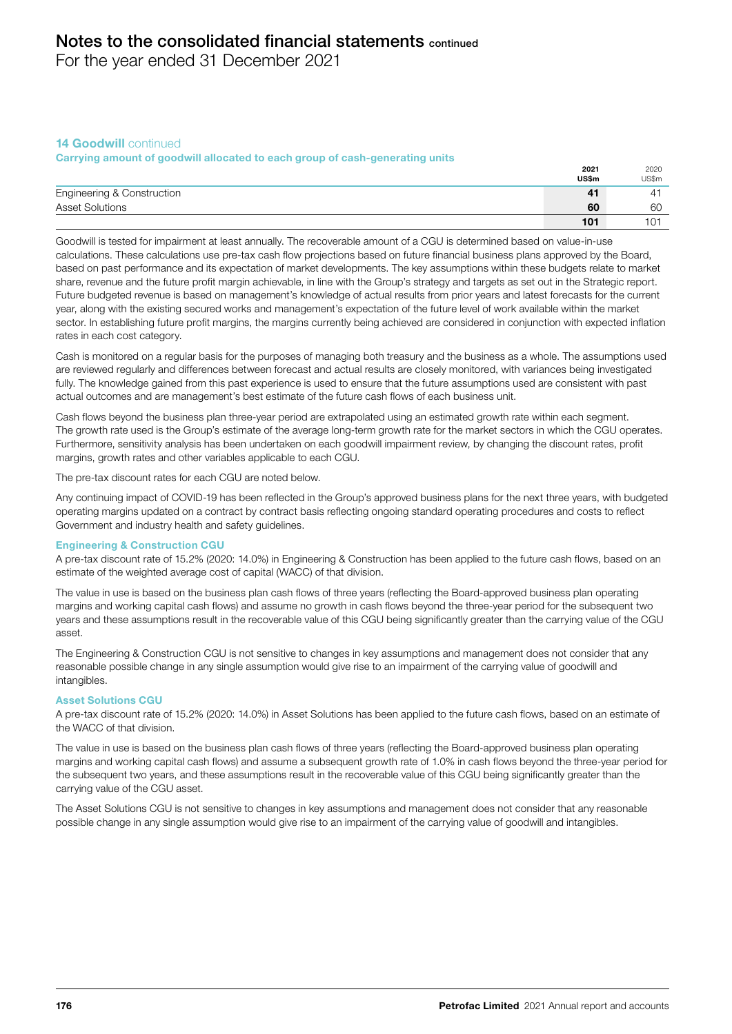For the year ended 31 December 2021

# 14 **Goodwill** continued

## Carrying amount of goodwill allocated to each group of cash-generating units

|                            | 2021  | 2020  |
|----------------------------|-------|-------|
|                            | US\$m | US\$m |
| Engineering & Construction | 41    |       |
| <b>Asset Solutions</b>     | 60    | 60    |
|                            | 101   |       |

Goodwill is tested for impairment at least annually. The recoverable amount of a CGU is determined based on value-in-use calculations. These calculations use pre-tax cash flow projections based on future financial business plans approved by the Board, based on past performance and its expectation of market developments. The key assumptions within these budgets relate to market share, revenue and the future profit margin achievable, in line with the Group's strategy and targets as set out in the Strategic report. Future budgeted revenue is based on management's knowledge of actual results from prior years and latest forecasts for the current year, along with the existing secured works and management's expectation of the future level of work available within the market sector. In establishing future profit margins, the margins currently being achieved are considered in conjunction with expected inflation rates in each cost category.

Cash is monitored on a regular basis for the purposes of managing both treasury and the business as a whole. The assumptions used are reviewed regularly and differences between forecast and actual results are closely monitored, with variances being investigated fully. The knowledge gained from this past experience is used to ensure that the future assumptions used are consistent with past actual outcomes and are management's best estimate of the future cash flows of each business unit.

Cash flows beyond the business plan three-year period are extrapolated using an estimated growth rate within each segment. The growth rate used is the Group's estimate of the average long-term growth rate for the market sectors in which the CGU operates. Furthermore, sensitivity analysis has been undertaken on each goodwill impairment review, by changing the discount rates, profit margins, growth rates and other variables applicable to each CGU.

The pre-tax discount rates for each CGU are noted below.

Any continuing impact of COVID-19 has been reflected in the Group's approved business plans for the next three years, with budgeted operating margins updated on a contract by contract basis reflecting ongoing standard operating procedures and costs to reflect Government and industry health and safety guidelines.

# Engineering & Construction CGU

A pre-tax discount rate of 15.2% (2020: 14.0%) in Engineering & Construction has been applied to the future cash flows, based on an estimate of the weighted average cost of capital (WACC) of that division.

The value in use is based on the business plan cash flows of three years (reflecting the Board-approved business plan operating margins and working capital cash flows) and assume no growth in cash flows beyond the three-year period for the subsequent two years and these assumptions result in the recoverable value of this CGU being significantly greater than the carrying value of the CGU asset.

The Engineering & Construction CGU is not sensitive to changes in key assumptions and management does not consider that any reasonable possible change in any single assumption would give rise to an impairment of the carrying value of goodwill and intangibles.

#### Asset Solutions CGU

A pre-tax discount rate of 15.2% (2020: 14.0%) in Asset Solutions has been applied to the future cash flows, based on an estimate of the WACC of that division.

The value in use is based on the business plan cash flows of three years (reflecting the Board-approved business plan operating margins and working capital cash flows) and assume a subsequent growth rate of 1.0% in cash flows beyond the three-year period for the subsequent two years, and these assumptions result in the recoverable value of this CGU being significantly greater than the carrying value of the CGU asset.

The Asset Solutions CGU is not sensitive to changes in key assumptions and management does not consider that any reasonable possible change in any single assumption would give rise to an impairment of the carrying value of goodwill and intangibles.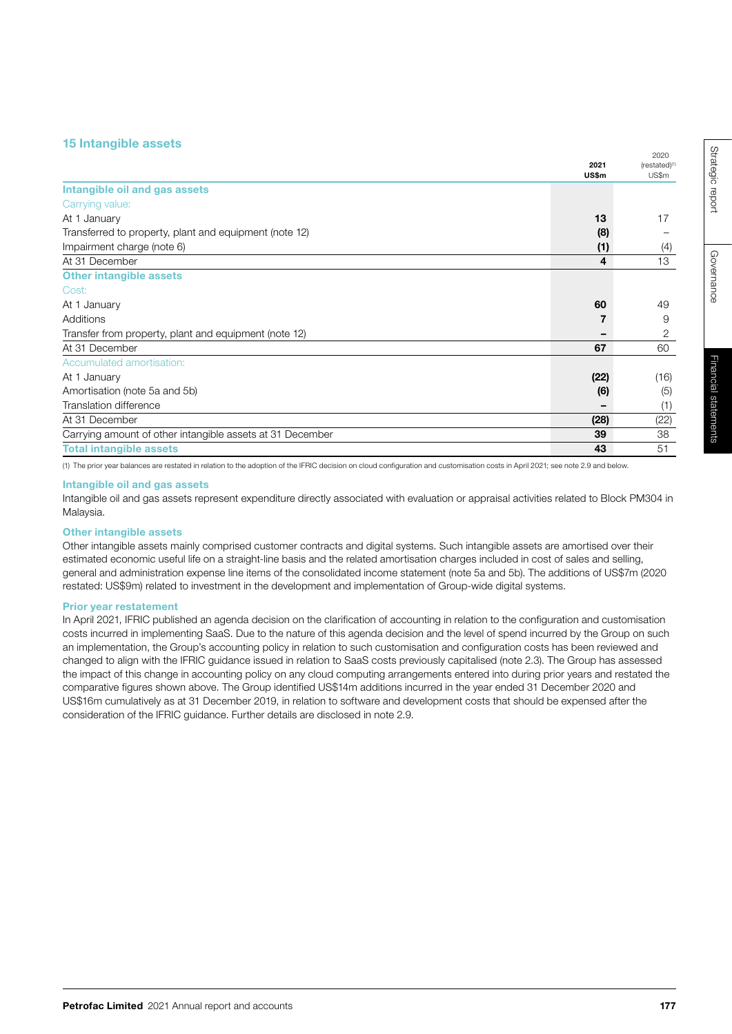# 15 Intangible assets

|                                                           | 2021<br>US\$m | (restated) <sup>(1)</sup><br>US\$m |
|-----------------------------------------------------------|---------------|------------------------------------|
| Intangible oil and gas assets                             |               |                                    |
| Carrying value:                                           |               |                                    |
| At 1 January                                              | 13            | 17                                 |
| Transferred to property, plant and equipment (note 12)    | (8)           |                                    |
| Impairment charge (note 6)                                | (1)           | (4)                                |
| At 31 December                                            | 4             | 13                                 |
| <b>Other intangible assets</b>                            |               |                                    |
| Cost:                                                     |               |                                    |
| At 1 January                                              | 60            | 49                                 |
| Additions                                                 |               | 9                                  |
| Transfer from property, plant and equipment (note 12)     |               | 2                                  |
| At 31 December                                            | 67            | 60                                 |
| Accumulated amortisation:                                 |               |                                    |
| At 1 January                                              | (22)          | (16)                               |
| Amortisation (note 5a and 5b)                             | (6)           | (5)                                |
| Translation difference                                    |               | (1)                                |
| At 31 December                                            | (28)          | (22)                               |
| Carrying amount of other intangible assets at 31 December | 39            | 38                                 |
| <b>Total intangible assets</b>                            | 43            | 51                                 |
|                                                           |               |                                    |

(1) The prior year balances are restated in relation to the adoption of the IFRIC decision on cloud configuration and customisation costs in April 2021; see note 2.9 and below.

#### Intangible oil and gas assets

Intangible oil and gas assets represent expenditure directly associated with evaluation or appraisal activities related to Block PM304 in Malaysia.

## Other intangible assets

Other intangible assets mainly comprised customer contracts and digital systems. Such intangible assets are amortised over their estimated economic useful life on a straight-line basis and the related amortisation charges included in cost of sales and selling, general and administration expense line items of the consolidated income statement (note 5a and 5b). The additions of US\$7m (2020 restated: US\$9m) related to investment in the development and implementation of Group-wide digital systems.

#### Prior year restatement

In April 2021, IFRIC published an agenda decision on the clarification of accounting in relation to the configuration and customisation costs incurred in implementing SaaS. Due to the nature of this agenda decision and the level of spend incurred by the Group on such an implementation, the Group's accounting policy in relation to such customisation and configuration costs has been reviewed and changed to align with the IFRIC guidance issued in relation to SaaS costs previously capitalised (note 2.3). The Group has assessed the impact of this change in accounting policy on any cloud computing arrangements entered into during prior years and restated the comparative figures shown above. The Group identified US\$14m additions incurred in the year ended 31 December 2020 and US\$16m cumulatively as at 31 December 2019, in relation to software and development costs that should be expensed after the consideration of the IFRIC guidance. Further details are disclosed in note 2.9.

2020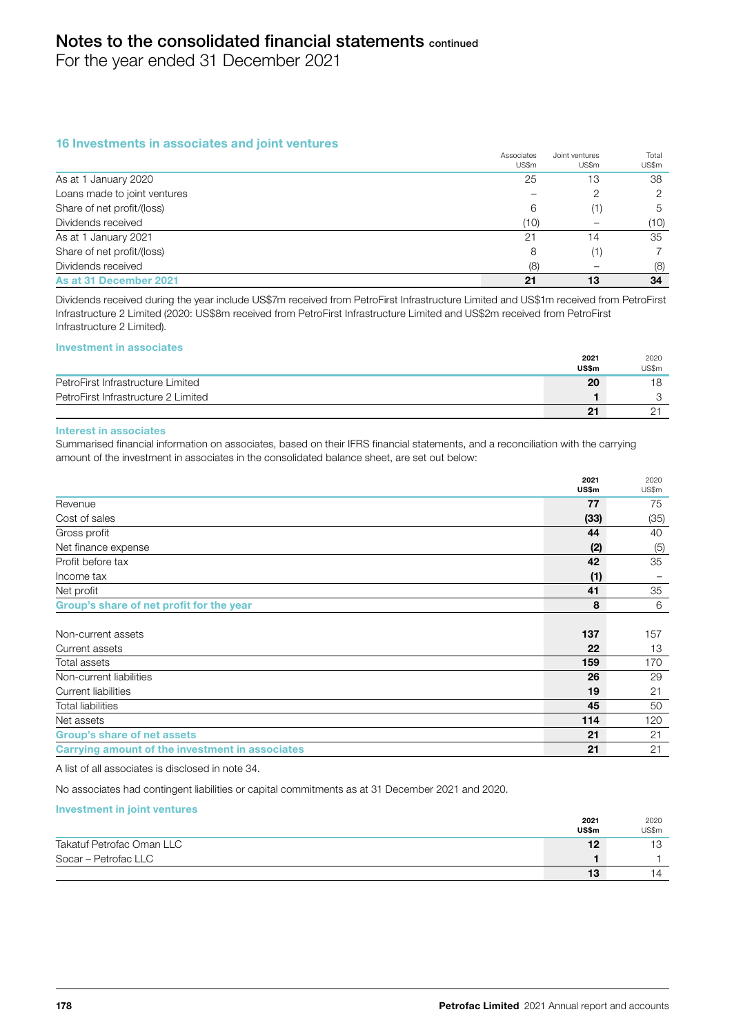For the year ended 31 December 2021

# 16 Investments in associates and joint ventures

|                              | Associates<br>US\$m | Joint ventures<br>US\$m | Total<br>US\$m |
|------------------------------|---------------------|-------------------------|----------------|
| As at 1 January 2020         | 25                  | 13                      | 38             |
| Loans made to joint ventures |                     | 2                       | 2              |
| Share of net profit/(loss)   | 6                   | (1)                     | 5              |
| Dividends received           | (10)                |                         | (10)           |
| As at 1 January 2021         | 21                  | 14                      | 35             |
| Share of net profit/(loss)   | 8                   | (1)                     |                |
| Dividends received           | (8)                 |                         | (8)            |
| As at 31 December 2021       | 21                  | 13                      | 34             |

Dividends received during the year include US\$7m received from PetroFirst Infrastructure Limited and US\$1m received from PetroFirst Infrastructure 2 Limited (2020: US\$8m received from PetroFirst Infrastructure Limited and US\$2m received from PetroFirst Infrastructure 2 Limited).

#### Investment in associates

|                                     | 2021  | 2020  |
|-------------------------------------|-------|-------|
|                                     | US\$m | US\$m |
| PetroFirst Infrastructure Limited   | 20    |       |
| PetroFirst Infrastructure 2 Limited |       |       |
|                                     | 21    |       |

#### Interest in associates

Summarised financial information on associates, based on their IFRS financial statements, and a reconciliation with the carrying amount of the investment in associates in the consolidated balance sheet, are set out below:

|                                                 | 2021<br>US\$m | 2020<br>US\$m |
|-------------------------------------------------|---------------|---------------|
| Revenue                                         | 77            | 75            |
| Cost of sales                                   | (33)          | (35)          |
| Gross profit                                    | 44            | 40            |
| Net finance expense                             | (2)           | (5)           |
| Profit before tax                               | 42            | 35            |
| Income tax                                      | (1)           |               |
| Net profit                                      | 41            | 35            |
| Group's share of net profit for the year        | 8             | 6             |
|                                                 |               |               |
| Non-current assets                              | 137           | 157           |
| Current assets                                  | 22            | 13            |
| Total assets                                    | 159           | 170           |
| Non-current liabilities                         | 26            | 29            |
| <b>Current liabilities</b>                      | 19            | 21            |
| <b>Total liabilities</b>                        | 45            | 50            |
| Net assets                                      | 114           | 120           |
| <b>Group's share of net assets</b>              | 21            | 21            |
| Carrying amount of the investment in associates | 21            | 21            |

A list of all associates is disclosed in note 34.

No associates had contingent liabilities or capital commitments as at 31 December 2021 and 2020.

#### Investment in joint ventures

|                           | 2021<br>US\$m | 2020<br>US\$m  |
|---------------------------|---------------|----------------|
| Takatuf Petrofac Oman LLC | 12            | 13             |
| Socar - Petrofac LLC      |               |                |
|                           | 13            | $\overline{4}$ |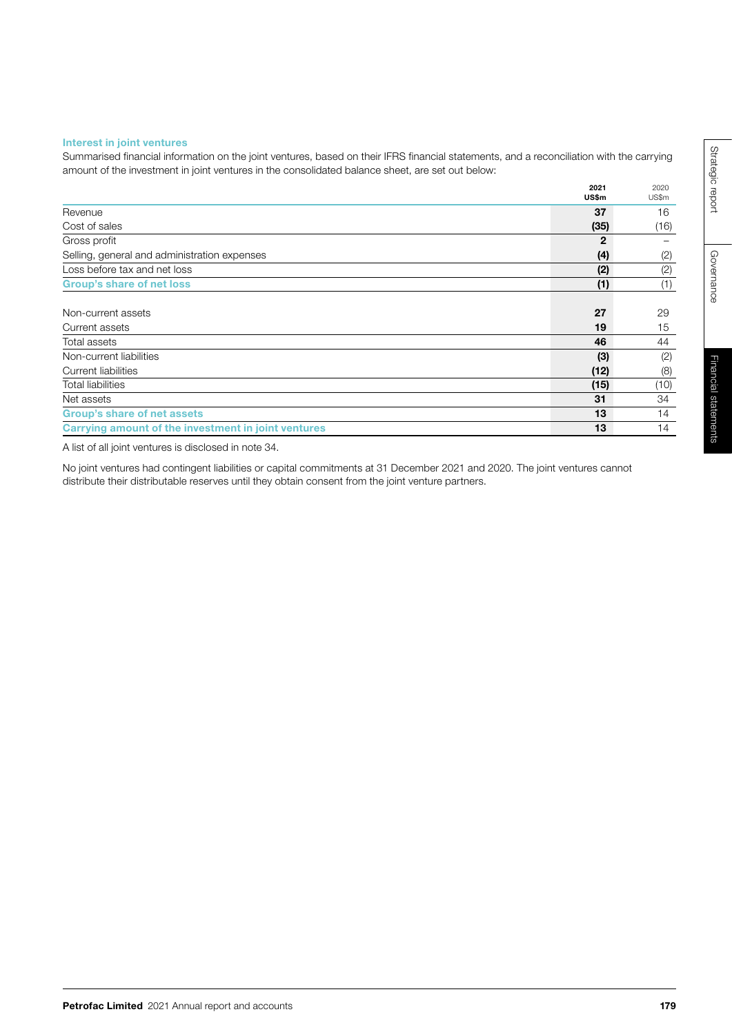## Interest in joint ventures

Summarised financial information on the joint ventures, based on their IFRS financial statements, and a reconciliation with the carrying amount of the investment in joint ventures in the consolidated balance sheet, are set out below:

|                                                     | 2021<br>US\$m | 2020<br>US\$m |
|-----------------------------------------------------|---------------|---------------|
| Revenue                                             | 37            | 16            |
| Cost of sales                                       | (35)          | (16)          |
| Gross profit                                        | 2             |               |
| Selling, general and administration expenses        | (4)           | (2)           |
| Loss before tax and net loss                        | (2)           | (2)           |
| <b>Group's share of net loss</b>                    | (1)           | (1)           |
|                                                     |               |               |
| Non-current assets                                  | 27            | 29            |
| Current assets                                      | 19            | 15            |
| Total assets                                        | 46            | 44            |
| Non-current liabilities                             | (3)           | (2)           |
| Current liabilities                                 | (12)          | (8)           |
| <b>Total liabilities</b>                            | (15)          | (10)          |
| Net assets                                          | 31            | 34            |
| <b>Group's share of net assets</b>                  | 13            | 14            |
| Carrying amount of the investment in joint ventures | 13            | 14            |

A list of all joint ventures is disclosed in note 34.

No joint ventures had contingent liabilities or capital commitments at 31 December 2021 and 2020. The joint ventures cannot distribute their distributable reserves until they obtain consent from the joint venture partners.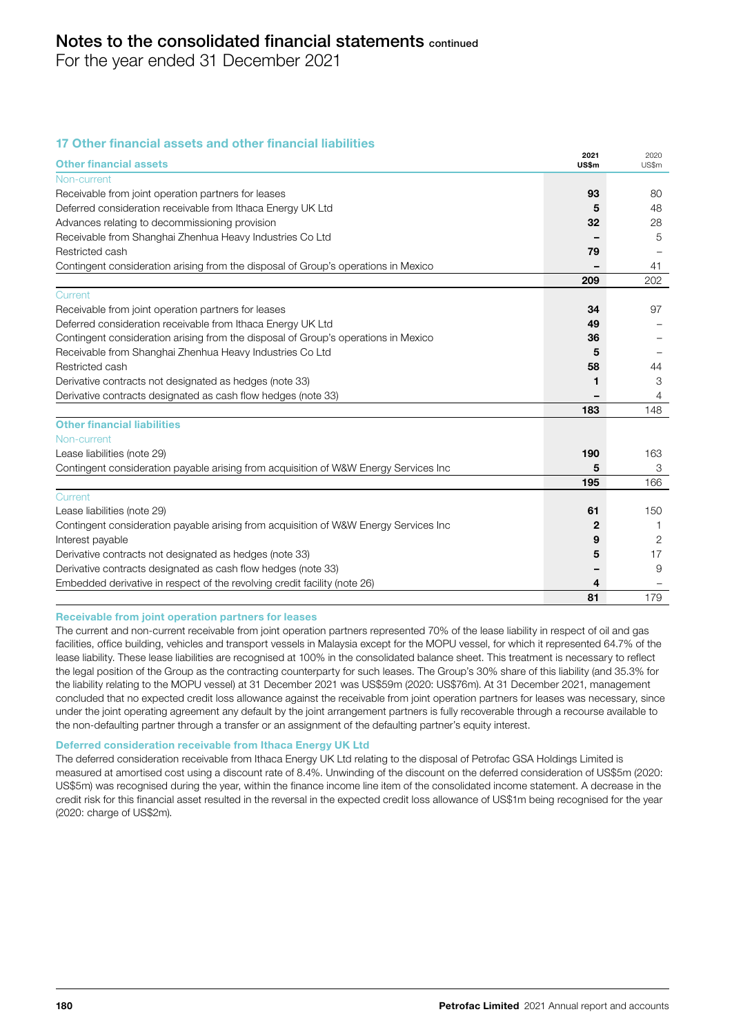For the year ended 31 December 2021

# 17 Other financial assets and other financial liabilities

| <b>Other financial assets</b>                                                        | 2021<br>US\$m | 2020<br>US\$m |
|--------------------------------------------------------------------------------------|---------------|---------------|
| Non-current                                                                          |               |               |
| Receivable from joint operation partners for leases                                  | 93            | 80            |
| Deferred consideration receivable from Ithaca Energy UK Ltd                          | 5             | 48            |
| Advances relating to decommissioning provision                                       | 32            | 28            |
| Receivable from Shanghai Zhenhua Heavy Industries Co Ltd                             |               | 5             |
| Restricted cash                                                                      | 79            |               |
| Contingent consideration arising from the disposal of Group's operations in Mexico   |               | 41            |
|                                                                                      | 209           | 202           |
| Current                                                                              |               |               |
| Receivable from joint operation partners for leases                                  | 34            | 97            |
| Deferred consideration receivable from Ithaca Energy UK Ltd                          | 49            |               |
| Contingent consideration arising from the disposal of Group's operations in Mexico   | 36            |               |
| Receivable from Shanghai Zhenhua Heavy Industries Co Ltd                             | 5             |               |
| Restricted cash                                                                      | 58            | 44            |
| Derivative contracts not designated as hedges (note 33)                              | 1             | 3             |
| Derivative contracts designated as cash flow hedges (note 33)                        |               | 4             |
|                                                                                      | 183           | 148           |
| <b>Other financial liabilities</b>                                                   |               |               |
| Non-current                                                                          |               |               |
| Lease liabilities (note 29)                                                          | 190           | 163           |
| Contingent consideration payable arising from acquisition of W&W Energy Services Inc | 5             | 3             |
|                                                                                      | 195           | 166           |
| Current                                                                              |               |               |
| Lease liabilities (note 29)                                                          | 61            | 150           |
| Contingent consideration payable arising from acquisition of W&W Energy Services Inc | $\mathbf{2}$  | -1            |
| Interest payable                                                                     | 9             | 2             |
| Derivative contracts not designated as hedges (note 33)                              | 5             | 17            |
| Derivative contracts designated as cash flow hedges (note 33)                        |               | 9             |
| Embedded derivative in respect of the revolving credit facility (note 26)            | 4             |               |
|                                                                                      | 81            | 179           |

#### Receivable from joint operation partners for leases

The current and non-current receivable from joint operation partners represented 70% of the lease liability in respect of oil and gas facilities, office building, vehicles and transport vessels in Malaysia except for the MOPU vessel, for which it represented 64.7% of the lease liability. These lease liabilities are recognised at 100% in the consolidated balance sheet. This treatment is necessary to reflect the legal position of the Group as the contracting counterparty for such leases. The Group's 30% share of this liability (and 35.3% for the liability relating to the MOPU vessel) at 31 December 2021 was US\$59m (2020: US\$76m). At 31 December 2021, management concluded that no expected credit loss allowance against the receivable from joint operation partners for leases was necessary, since under the joint operating agreement any default by the joint arrangement partners is fully recoverable through a recourse available to the non-defaulting partner through a transfer or an assignment of the defaulting partner's equity interest.

## Deferred consideration receivable from Ithaca Energy UK Ltd

The deferred consideration receivable from Ithaca Energy UK Ltd relating to the disposal of Petrofac GSA Holdings Limited is measured at amortised cost using a discount rate of 8.4%. Unwinding of the discount on the deferred consideration of US\$5m (2020: US\$5m) was recognised during the year, within the finance income line item of the consolidated income statement. A decrease in the credit risk for this financial asset resulted in the reversal in the expected credit loss allowance of US\$1m being recognised for the year (2020: charge of US\$2m).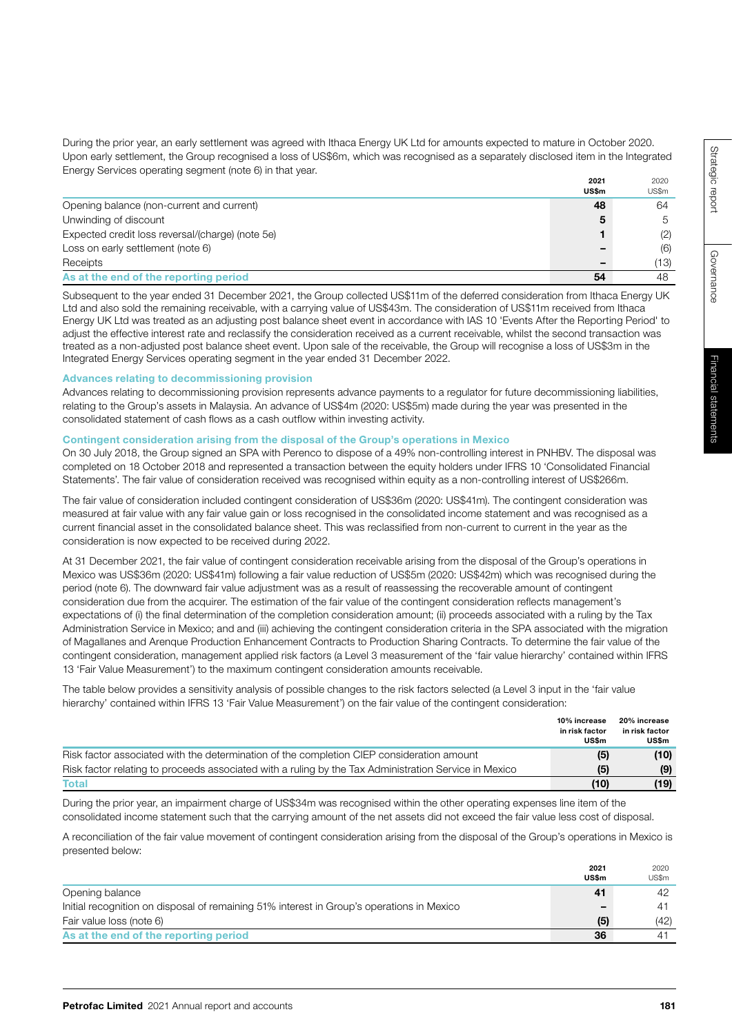2020 US\$m

| e decommissioning liabi<br>was presented in the |  |
|-------------------------------------------------|--|
|                                                 |  |

2021 US\$m

#### Advances relating to decommissioning provision Advances relating to decommissioning provision represents advance payments to a regulator for future decommissioning liabilities,

relating to the Group's assets in Malaysia. An advance of US\$4m (2020: US\$5m) made during the year consolidated statement of cash flows as a cash outflow within investing activity.

During the prior year, an early settlement was agreed with Ithaca Energy UK Ltd for amounts expected to mature in October 2020.

Opening balance (non-current and current) 48 64 Unwinding of discount 5 5 Expected credit loss reversal/(charge) (note 5e) 1 (2) Loss on early settlement (note 6) and the contract of the contract of the contract of the contract of the contract of the contract of the contract of the contract of the contract of the contract of the contract of the cont Receipts – (13) As at the end of the reporting period 54 54 48 Subsequent to the year ended 31 December 2021, the Group collected US\$11m of the deferred consideration from Ithaca Energy UK Ltd and also sold the remaining receivable, with a carrying value of US\$43m. The consideration of US\$11m received from Ithaca Energy UK Ltd was treated as an adjusting post balance sheet event in accordance with IAS 10 'Events After the Reporting Period' to adjust the effective interest rate and reclassify the consideration received as a current receivable, whilst the second transaction was treated as a non-adjusted post balance sheet event. Upon sale of the receivable, the Group will recognise a loss of US\$3m in the

# Contingent consideration arising from the disposal of the Group's operations in Mexico

Integrated Energy Services operating segment in the year ended 31 December 2022.

Energy Services operating segment (note 6) in that year.

On 30 July 2018, the Group signed an SPA with Perenco to dispose of a 49% non-controlling interest in PNHBV. The disposal was completed on 18 October 2018 and represented a transaction between the equity holders under IFRS 10 'Consolidated Financial Statements'. The fair value of consideration received was recognised within equity as a non-controlling interest of US\$266m.

The fair value of consideration included contingent consideration of US\$36m (2020: US\$41m). The contingent consideration was measured at fair value with any fair value gain or loss recognised in the consolidated income statement and was recognised as a current financial asset in the consolidated balance sheet. This was reclassified from non-current to current in the year as the consideration is now expected to be received during 2022.

At 31 December 2021, the fair value of contingent consideration receivable arising from the disposal of the Group's operations in Mexico was US\$36m (2020: US\$41m) following a fair value reduction of US\$5m (2020: US\$42m) which was recognised during the period (note 6). The downward fair value adjustment was as a result of reassessing the recoverable amount of contingent consideration due from the acquirer. The estimation of the fair value of the contingent consideration reflects management's expectations of (i) the final determination of the completion consideration amount; (ii) proceeds associated with a ruling by the Tax Administration Service in Mexico; and and (iii) achieving the contingent consideration criteria in the SPA associated with the migration of Magallanes and Arenque Production Enhancement Contracts to Production Sharing Contracts. To determine the fair value of the contingent consideration, management applied risk factors (a Level 3 measurement of the 'fair value hierarchy' contained within IFRS 13 'Fair Value Measurement') to the maximum contingent consideration amounts receivable.

The table below provides a sensitivity analysis of possible changes to the risk factors selected (a Level 3 input in the 'fair value hierarchy' contained within IFRS 13 'Fair Value Measurement') on the fair value of the contingent consideration:

|                                                                                                       | 10% increase<br>in risk factor<br>US\$m | 20% increase<br>in risk factor<br><b>US\$m</b> |
|-------------------------------------------------------------------------------------------------------|-----------------------------------------|------------------------------------------------|
| Risk factor associated with the determination of the completion CIEP consideration amount             | (5)                                     | (10)                                           |
| Risk factor relating to proceeds associated with a ruling by the Tax Administration Service in Mexico | (5)                                     | (9)                                            |
| <b>Total</b>                                                                                          | (10)                                    | (19)                                           |

During the prior year, an impairment charge of US\$34m was recognised within the other operating expenses line item of the consolidated income statement such that the carrying amount of the net assets did not exceed the fair value less cost of disposal.

A reconciliation of the fair value movement of contingent consideration arising from the disposal of the Group's operations in Mexico is presented below:

|                                                                                           | 2021<br>US\$m | 2020<br>US\$m  |
|-------------------------------------------------------------------------------------------|---------------|----------------|
| Opening balance                                                                           | 41            | 42             |
| Initial recognition on disposal of remaining 51% interest in Group's operations in Mexico |               | 4 <sup>1</sup> |
| Fair value loss (note 6)                                                                  | (5)           | (42)           |
| As at the end of the reporting period                                                     | 36            | 4              |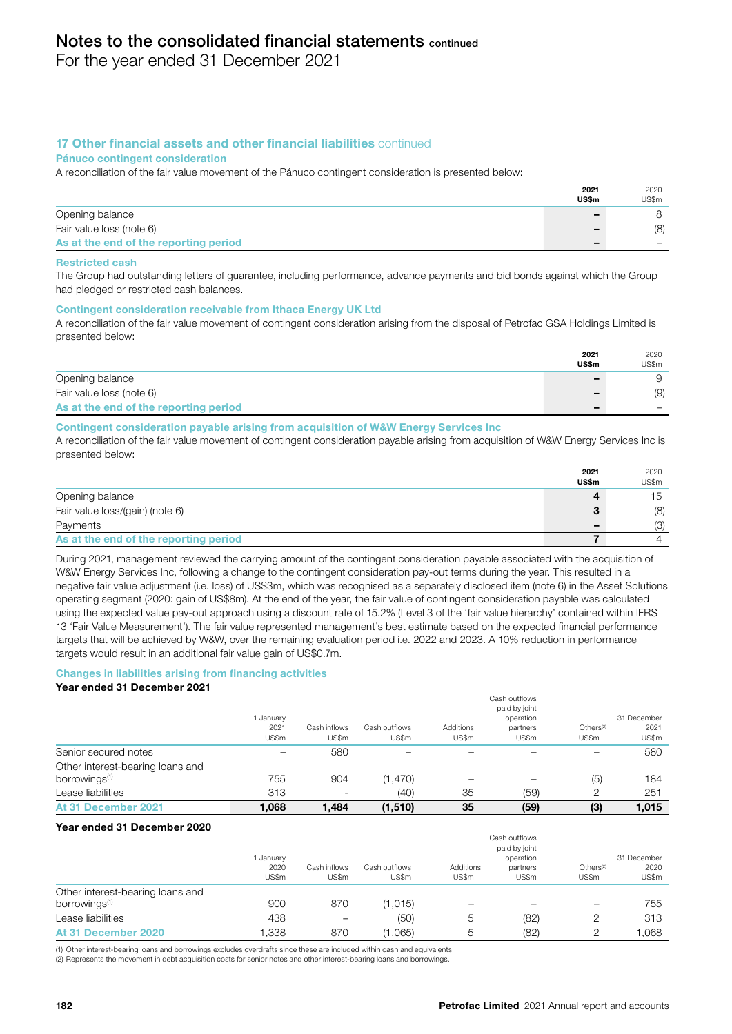For the year ended 31 December 2021

# 17 Other financial assets and other financial liabilities continued

#### Pánuco contingent consideration

A reconciliation of the fair value movement of the Pánuco contingent consideration is presented below:

|                                       | 2021<br>US\$m | 2020<br>US\$m |
|---------------------------------------|---------------|---------------|
| Opening balance                       | -             |               |
| Fair value loss (note 6)              | -             | (8)           |
| As at the end of the reporting period | -             |               |

#### Restricted cash

The Group had outstanding letters of guarantee, including performance, advance payments and bid bonds against which the Group had pledged or restricted cash balances.

#### Contingent consideration receivable from Ithaca Energy UK Ltd

A reconciliation of the fair value movement of contingent consideration arising from the disposal of Petrofac GSA Holdings Limited is presented below:

|                                       | 2021  | 2020  |
|---------------------------------------|-------|-------|
|                                       | US\$m | US\$m |
| Opening balance                       | -     |       |
| Fair value loss (note 6)              | -     | (9)   |
| As at the end of the reporting period | -     |       |

#### Contingent consideration payable arising from acquisition of W&W Energy Services Inc

A reconciliation of the fair value movement of contingent consideration payable arising from acquisition of W&W Energy Services Inc is presented below:

|                                       | 2021<br>US\$m | 2020<br>US\$m |
|---------------------------------------|---------------|---------------|
| Opening balance                       | д             | 15            |
| Fair value loss/(gain) (note 6)       | 3             | (8)           |
| Payments                              | -             | (3)           |
| As at the end of the reporting period |               |               |

During 2021, management reviewed the carrying amount of the contingent consideration payable associated with the acquisition of W&W Energy Services Inc, following a change to the contingent consideration pay-out terms during the year. This resulted in a negative fair value adjustment (i.e. loss) of US\$3m, which was recognised as a separately disclosed item (note 6) in the Asset Solutions operating segment (2020: gain of US\$8m). At the end of the year, the fair value of contingent consideration payable was calculated using the expected value pay-out approach using a discount rate of 15.2% (Level 3 of the 'fair value hierarchy' contained within IFRS 13 'Fair Value Measurement'). The fair value represented management's best estimate based on the expected financial performance targets that will be achieved by W&W, over the remaining evaluation period i.e. 2022 and 2023. A 10% reduction in performance targets would result in an additional fair value gain of US\$0.7m.

#### Changes in liabilities arising from financing activities Year ended 31 December 2021

|                                                               |                          |                          |                        |                    | Cash outflows<br>paid by joint |                                |                              |
|---------------------------------------------------------------|--------------------------|--------------------------|------------------------|--------------------|--------------------------------|--------------------------------|------------------------------|
|                                                               | January<br>2021<br>US\$m | Cash inflows<br>US\$m    | Cash outflows<br>US\$m | Additions<br>US\$m | operation<br>partners<br>US\$m | Others <sup>(2)</sup><br>US\$m | 31 December<br>2021<br>US\$m |
| Senior secured notes                                          |                          | 580                      |                        |                    |                                |                                | 580                          |
| Other interest-bearing loans and<br>borrowings <sup>(1)</sup> | 755                      | 904                      | (1,470)                |                    | -                              | (5)                            | 184                          |
| Lease liabilities                                             | 313                      | $\overline{\phantom{0}}$ | (40)                   | 35                 | (59)                           | っ                              | 251                          |
| At 31 December 2021                                           | 1.068                    | 1.484                    | (1,510)                | 35                 | (59)                           | (3)                            | 1,015                        |

#### Year ended 31 December 2020

|                                                               | January<br>2020<br>US\$m | Cash inflows<br>US\$m | Cash outflows<br>US\$m | Additions<br>US\$m | Cash outflows<br>paid by joint<br>operation<br>partners<br>US\$m | Others <sup>(2)</sup><br>US\$m | 31 December<br>2020<br>US\$m |
|---------------------------------------------------------------|--------------------------|-----------------------|------------------------|--------------------|------------------------------------------------------------------|--------------------------------|------------------------------|
| Other interest-bearing loans and<br>borrowings <sup>(1)</sup> | 900                      | 870                   | (1,015)                |                    |                                                                  |                                | 755                          |
| Lease liabilities                                             | 438                      | -                     | (50)                   | 5                  | (82)                                                             | っ                              | 313                          |
| At 31 December 2020                                           | 1.338                    | 870                   | (1,065)                | $\mathcal{D}$      | (82)                                                             |                                | 1.068                        |

(1) Other interest-bearing loans and borrowings excludes overdrafts since these are included within cash and equivalents.

(2) Represents the movement in debt acquisition costs for senior notes and other interest-bearing loans and borrowings.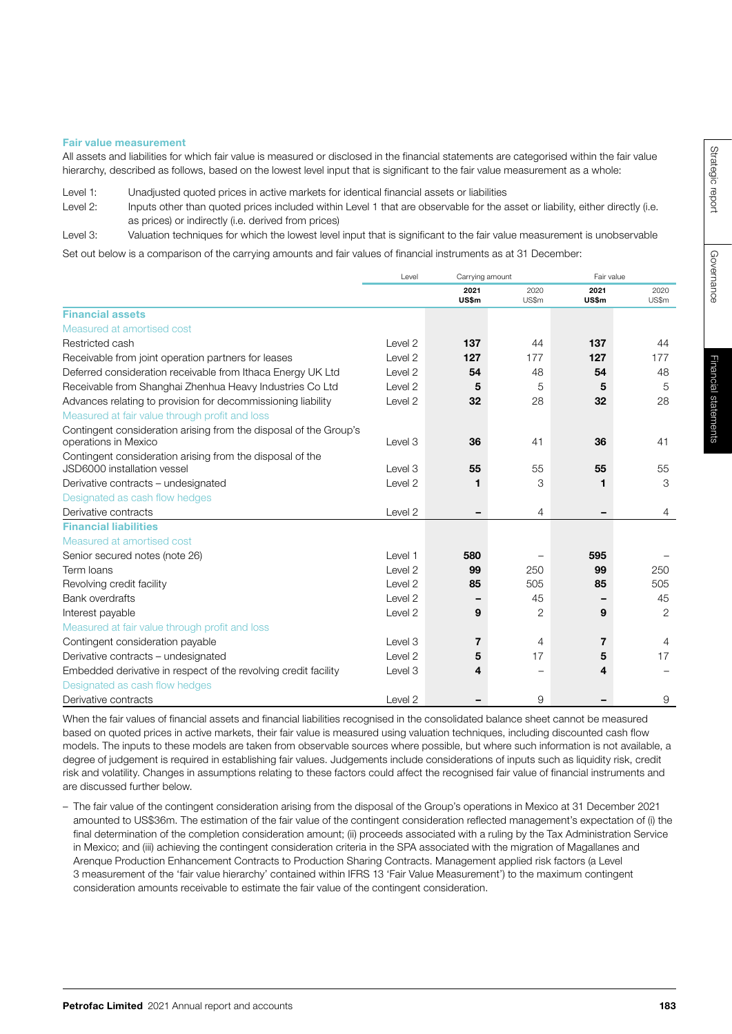Governance

Governance

# Fair value measurement

All assets and liabilities for which fair value is measured or disclosed in the financial statements are categorised within the fair value hierarchy, described as follows, based on the lowest level input that is significant to the fair value measurement as a whole:

Level 1: Unadjusted quoted prices in active markets for identical financial assets or liabilities

Level 2: Inputs other than quoted prices included within Level 1 that are observable for the asset or liability, either directly (i.e. as prices) or indirectly (i.e. derived from prices)

Level 3: Valuation techniques for which the lowest level input that is significant to the fair value measurement is unobservable

Set out below is a comparison of the carrying amounts and fair values of financial instruments as at 31 December:

|                                                                   | Level              | Carrying amount |                          | Fair value    |                |
|-------------------------------------------------------------------|--------------------|-----------------|--------------------------|---------------|----------------|
|                                                                   |                    | 2021<br>US\$m   | 2020<br>US\$m            | 2021<br>US\$m | 2020<br>US\$m  |
| <b>Financial assets</b>                                           |                    |                 |                          |               |                |
| Measured at amortised cost                                        |                    |                 |                          |               |                |
| Restricted cash                                                   | Level 2            | 137             | 44                       | 137           | 44             |
| Receivable from joint operation partners for leases               | Level 2            | 127             | 177                      | 127           | 177            |
| Deferred consideration receivable from Ithaca Energy UK Ltd       | Level 2            | 54              | 48                       | 54            | 48             |
| Receivable from Shanghai Zhenhua Heavy Industries Co Ltd          | Level 2            | 5               | 5                        | 5             | 5              |
| Advances relating to provision for decommissioning liability      | Level 2            | 32              | 28                       | 32            | 28             |
| Measured at fair value through profit and loss                    |                    |                 |                          |               |                |
| Contingent consideration arising from the disposal of the Group's |                    |                 |                          |               |                |
| operations in Mexico                                              | Level 3            | 36              | 41                       | 36            | 41             |
| Contingent consideration arising from the disposal of the         |                    |                 |                          |               |                |
| JSD6000 installation vessel                                       | Level 3            | 55              | 55                       | 55            | 55             |
| Derivative contracts - undesignated                               | Level 2            | 1               | 3                        | 1             | 3              |
| Designated as cash flow hedges                                    |                    |                 |                          |               |                |
| Derivative contracts                                              | Level <sub>2</sub> | ۰               | 4                        |               | $\overline{4}$ |
| <b>Financial liabilities</b>                                      |                    |                 |                          |               |                |
| Measured at amortised cost                                        |                    |                 |                          |               |                |
| Senior secured notes (note 26)                                    | Level 1            | 580             |                          | 595           |                |
| Term Ioans                                                        | Level 2            | 99              | 250                      | 99            | 250            |
| Revolving credit facility                                         | Level 2            | 85              | 505                      | 85            | 505            |
| <b>Bank overdrafts</b>                                            | Level 2            | ۰               | 45                       |               | 45             |
| Interest payable                                                  | Level 2            | 9               | $\overline{2}$           | 9             | $\overline{2}$ |
| Measured at fair value through profit and loss                    |                    |                 |                          |               |                |
| Contingent consideration payable                                  | Level 3            | $\overline{7}$  | 4                        | 7             | 4              |
| Derivative contracts - undesignated                               | Level 2            | 5               | 17                       | 5             | 17             |
| Embedded derivative in respect of the revolving credit facility   | Level 3            | 4               | $\overline{\phantom{0}}$ | 4             |                |
| Designated as cash flow hedges                                    |                    |                 |                          |               |                |
| Derivative contracts                                              | Level 2            |                 | 9                        |               | 9              |

When the fair values of financial assets and financial liabilities recognised in the consolidated balance sheet cannot be measured based on quoted prices in active markets, their fair value is measured using valuation techniques, including discounted cash flow models. The inputs to these models are taken from observable sources where possible, but where such information is not available, a degree of judgement is required in establishing fair values. Judgements include considerations of inputs such as liquidity risk, credit risk and volatility. Changes in assumptions relating to these factors could affect the recognised fair value of financial instruments and are discussed further below.

– The fair value of the contingent consideration arising from the disposal of the Group's operations in Mexico at 31 December 2021 amounted to US\$36m. The estimation of the fair value of the contingent consideration reflected management's expectation of (i) the final determination of the completion consideration amount; (ii) proceeds associated with a ruling by the Tax Administration Service in Mexico; and (iii) achieving the contingent consideration criteria in the SPA associated with the migration of Magallanes and Arenque Production Enhancement Contracts to Production Sharing Contracts. Management applied risk factors (a Level 3 measurement of the 'fair value hierarchy' contained within IFRS 13 'Fair Value Measurement') to the maximum contingent consideration amounts receivable to estimate the fair value of the contingent consideration.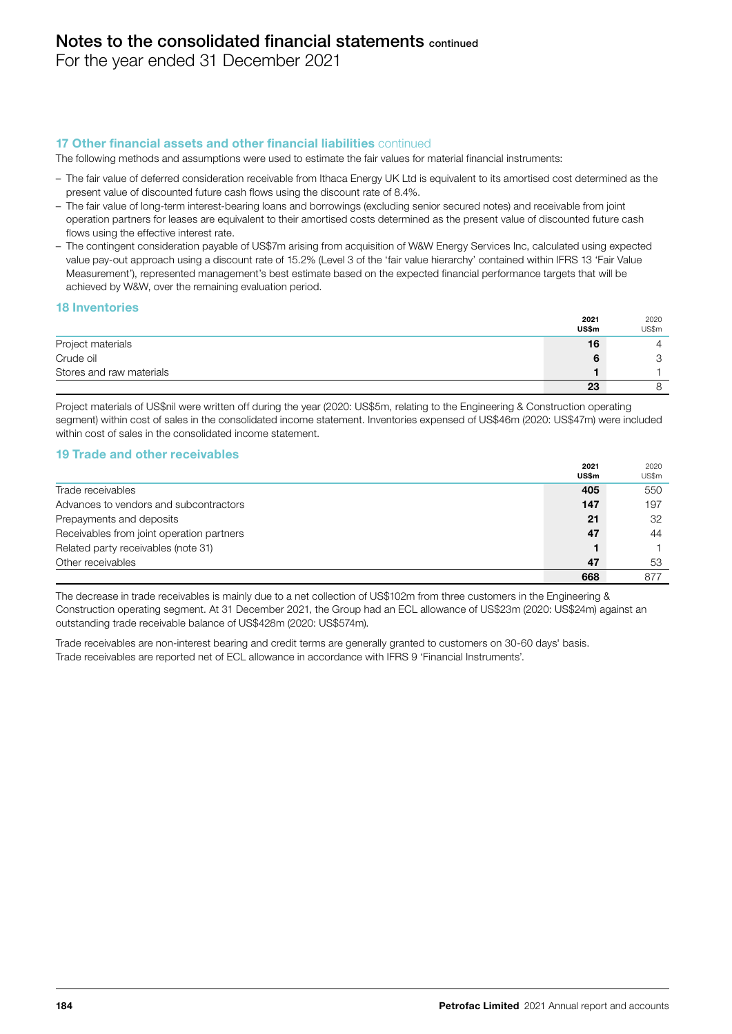For the year ended 31 December 2021

# 17 Other financial assets and other financial liabilities continued

The following methods and assumptions were used to estimate the fair values for material financial instruments:

- The fair value of deferred consideration receivable from Ithaca Energy UK Ltd is equivalent to its amortised cost determined as the present value of discounted future cash flows using the discount rate of 8.4%.
- The fair value of long-term interest-bearing loans and borrowings (excluding senior secured notes) and receivable from joint operation partners for leases are equivalent to their amortised costs determined as the present value of discounted future cash flows using the effective interest rate.
- The contingent consideration payable of US\$7m arising from acquisition of W&W Energy Services Inc, calculated using expected value pay-out approach using a discount rate of 15.2% (Level 3 of the 'fair value hierarchy' contained within IFRS 13 'Fair Value Measurement'), represented management's best estimate based on the expected financial performance targets that will be achieved by W&W, over the remaining evaluation period.

#### 18 Inventories

|                          | 2021  | 2020  |
|--------------------------|-------|-------|
|                          | US\$m | US\$m |
| Project materials        | 16    |       |
| Crude oil                |       |       |
| Stores and raw materials |       |       |
|                          | 23    |       |

Project materials of US\$nil were written off during the year (2020: US\$5m, relating to the Engineering & Construction operating segment) within cost of sales in the consolidated income statement. Inventories expensed of US\$46m (2020: US\$47m) were included within cost of sales in the consolidated income statement.

# 19 Trade and other receivables

|                                           | 2021<br>US\$m | 2020<br>US\$m |
|-------------------------------------------|---------------|---------------|
| Trade receivables                         | 405           | 550           |
| Advances to vendors and subcontractors    | 147           | 197           |
| Prepayments and deposits                  | 21            | 32            |
| Receivables from joint operation partners | 47            | 44            |
| Related party receivables (note 31)       |               |               |
| Other receivables                         | 47            | 53            |
|                                           | 668           | 877           |

The decrease in trade receivables is mainly due to a net collection of US\$102m from three customers in the Engineering & Construction operating segment. At 31 December 2021, the Group had an ECL allowance of US\$23m (2020: US\$24m) against an outstanding trade receivable balance of US\$428m (2020: US\$574m).

Trade receivables are non-interest bearing and credit terms are generally granted to customers on 30-60 days' basis. Trade receivables are reported net of ECL allowance in accordance with IFRS 9 'Financial Instruments'.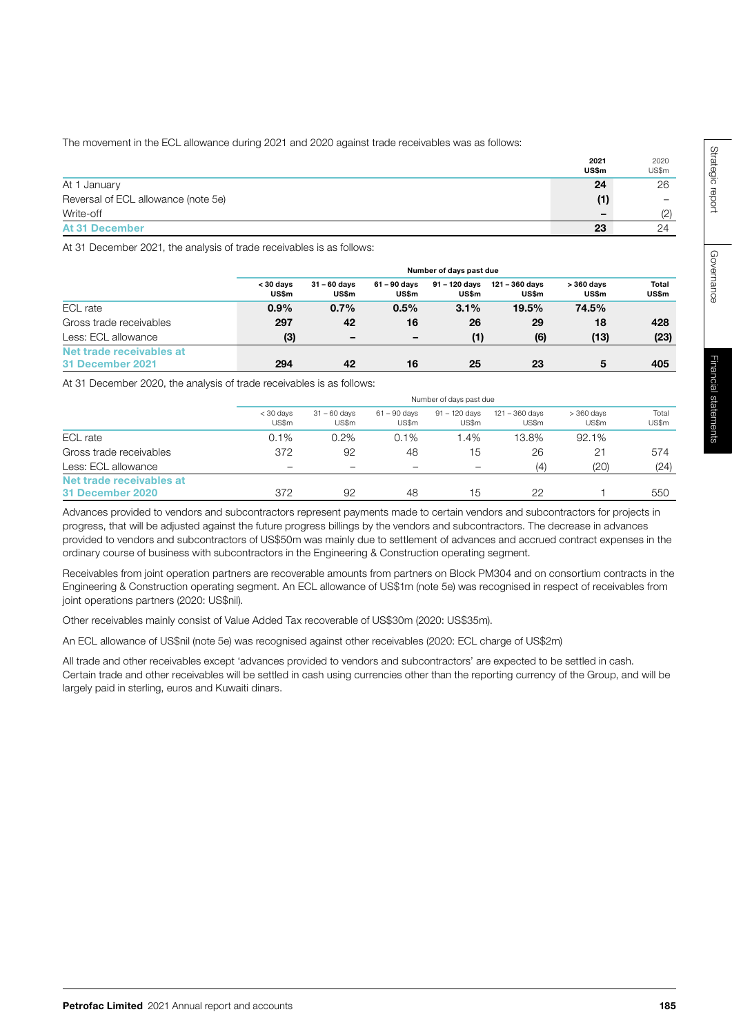The movement in the ECL allowance during 2021 and 2020 against trade receivables was as follows:

|                                     | 2021<br>US\$m | 2020<br>US\$m |
|-------------------------------------|---------------|---------------|
| At 1 January                        | 24            | 26            |
| Reversal of ECL allowance (note 5e) | (1)           |               |
| Write-off                           | -             | (2)           |
| <b>At 31 December</b>               | 23            | 24            |

At 31 December 2021, the analysis of trade receivables is as follows:

|                                              |                           | Number of days past due  |                          |                        |                         |                      |                |  |  |
|----------------------------------------------|---------------------------|--------------------------|--------------------------|------------------------|-------------------------|----------------------|----------------|--|--|
|                                              | < 30 days<br><b>US\$m</b> | $31 - 60$ davs<br>US\$m  | 61 – 90 davs<br>US\$m    | 91 - 120 davs<br>US\$m | 121 - 360 davs<br>US\$m | $>360$ davs<br>US\$m | Total<br>US\$m |  |  |
| ECL rate                                     | 0.9%                      | 0.7%                     | 0.5%                     | 3.1%                   | 19.5%                   | 74.5%                |                |  |  |
| Gross trade receivables                      | 297                       | 42                       | 16                       | 26                     | 29                      | 18                   | 428            |  |  |
| Less: ECL allowance                          | (3)                       | $\overline{\phantom{m}}$ | $\overline{\phantom{m}}$ | (1)                    | (6)                     | (13)                 | (23)           |  |  |
| Net trade receivables at<br>31 December 2021 | 294                       | 42                       | 16                       | 25                     | 23                      | 5                    | 405            |  |  |

At 31 December 2020, the analysis of trade receivables is as follows:

|                                              |                          | Number of days past due  |                          |                          |                           |                      |                |  |  |
|----------------------------------------------|--------------------------|--------------------------|--------------------------|--------------------------|---------------------------|----------------------|----------------|--|--|
|                                              | $<$ 30 days<br>US\$m     | $31 - 60$ days<br>US\$m  | $61 - 90$ davs<br>US\$m  | $91 - 120$ davs<br>US\$m | $121 - 360$ davs<br>US\$m | $>360$ days<br>US\$m | Total<br>US\$m |  |  |
| ECL rate                                     | 0.1%                     | 0.2%                     | 0.1%                     | .4%                      | 13.8%                     | 92.1%                |                |  |  |
| Gross trade receivables                      | 372                      | 92                       | 48                       | 15                       | 26                        | 21                   | 574            |  |  |
| Less: ECL allowance                          | $\overline{\phantom{0}}$ | $\overline{\phantom{0}}$ | $\overline{\phantom{0}}$ | $\equiv$                 | (4)                       | (20)                 | (24)           |  |  |
| Net trade receivables at<br>31 December 2020 | 372                      | 92                       | 48                       | 15                       | 22                        |                      | 550            |  |  |

Advances provided to vendors and subcontractors represent payments made to certain vendors and subcontractors for projects in progress, that will be adjusted against the future progress billings by the vendors and subcontractors. The decrease in advances provided to vendors and subcontractors of US\$50m was mainly due to settlement of advances and accrued contract expenses in the ordinary course of business with subcontractors in the Engineering & Construction operating segment.

Receivables from joint operation partners are recoverable amounts from partners on Block PM304 and on consortium contracts in the Engineering & Construction operating segment. An ECL allowance of US\$1m (note 5e) was recognised in respect of receivables from joint operations partners (2020: US\$nil).

Other receivables mainly consist of Value Added Tax recoverable of US\$30m (2020: US\$35m).

An ECL allowance of US\$nil (note 5e) was recognised against other receivables (2020: ECL charge of US\$2m)

All trade and other receivables except 'advances provided to vendors and subcontractors' are expected to be settled in cash. Certain trade and other receivables will be settled in cash using currencies other than the reporting currency of the Group, and will be largely paid in sterling, euros and Kuwaiti dinars.

Governance

Governance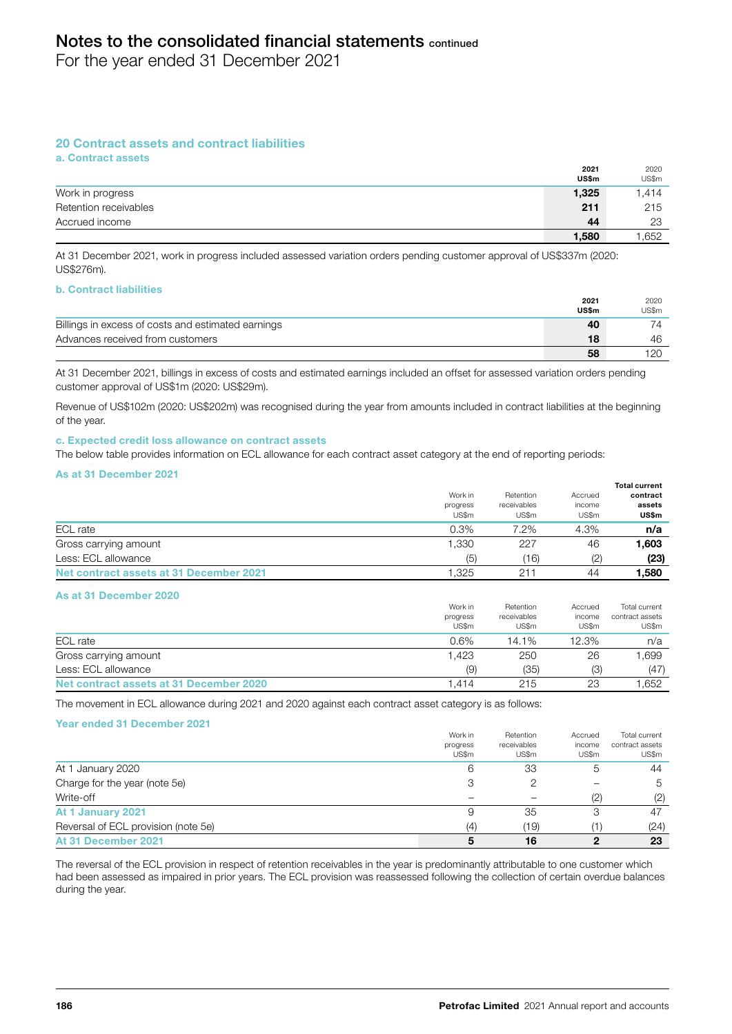For the year ended 31 December 2021

# 20 Contract assets and contract liabilities

a. Contract assets

|                       | 2021<br>US\$m | 2020<br>US\$m |
|-----------------------|---------------|---------------|
| Work in progress      | 1,325         | 1.414         |
| Retention receivables | 211           | 215           |
| Accrued income        | 44            | 23            |
|                       | 1,580         | 1.652         |

At 31 December 2021, work in progress included assessed variation orders pending customer approval of US\$337m (2020: US\$276m).

#### b. Contract liabilities

|                                                    | 2021  | 2020  |
|----------------------------------------------------|-------|-------|
|                                                    | US\$m | US\$m |
| Billings in excess of costs and estimated earnings | 40    | 74    |
| Advances received from customers                   | 18    | 46    |
|                                                    | 58    |       |

At 31 December 2021, billings in excess of costs and estimated earnings included an offset for assessed variation orders pending customer approval of US\$1m (2020: US\$29m).

Revenue of US\$102m (2020: US\$202m) was recognised during the year from amounts included in contract liabilities at the beginning of the year.

#### c. Expected credit loss allowance on contract assets

The below table provides information on ECL allowance for each contract asset category at the end of reporting periods:

#### As at 31 December 2021

|                                         |          |             |         | <b>Total current</b> |
|-----------------------------------------|----------|-------------|---------|----------------------|
|                                         | Work in  | Retention   | Accrued | contract             |
|                                         | progress | receivables | income  | assets               |
|                                         | US\$m    | US\$m       | US\$m   | US\$m                |
| ECL rate                                | 0.3%     | 7.2%        | 4.3%    | n/a                  |
| Gross carrying amount                   | 1,330    | 227         | 46      | 1,603                |
| Less: ECL allowance                     | (5)      | (16)        | (2)     | (23)                 |
| Net contract assets at 31 December 2021 | ',325    | $21 -$      | 44      | 1.580                |

#### As at 31 December 2020

|                                         | Work in<br>progress | Retention<br>receivables | Accrued<br>income | Total current<br>contract assets |
|-----------------------------------------|---------------------|--------------------------|-------------------|----------------------------------|
|                                         | US\$m               | US\$m                    | US\$m             | US\$m                            |
| ECL rate                                | $0.6\%$             | 14.1%                    | 12.3%             | n/a                              |
| Gross carrying amount                   | 1.423               | 250                      | 26                | 1.699                            |
| Less: ECL allowance                     | (9)                 | (35)                     | (3)               | (47)                             |
| Net contract assets at 31 December 2020 | 1.414               | 215                      | 23                | .652                             |

The movement in ECL allowance during 2021 and 2020 against each contract asset category is as follows:

#### Year ended 31 December 2021

|                                     | Work in  | Retention   | Accrued | Total current   |
|-------------------------------------|----------|-------------|---------|-----------------|
|                                     | progress | receivables | income  | contract assets |
|                                     | US\$m    | US\$m       | US\$m   | US\$m           |
| At 1 January 2020                   | 6        | 33          | 5       | 44              |
| Charge for the year (note 5e)       | 3        | 2           |         | 5               |
| Write-off                           |          | -           | (2)     | (2)             |
| At 1 January 2021                   | 9        | 35          | 3       | 47              |
| Reversal of ECL provision (note 5e) | (4)      | (19)        |         | (24)            |
| At 31 December 2021                 | 5        | 16          | 2       | 23              |

The reversal of the ECL provision in respect of retention receivables in the year is predominantly attributable to one customer which had been assessed as impaired in prior years. The ECL provision was reassessed following the collection of certain overdue balances during the year.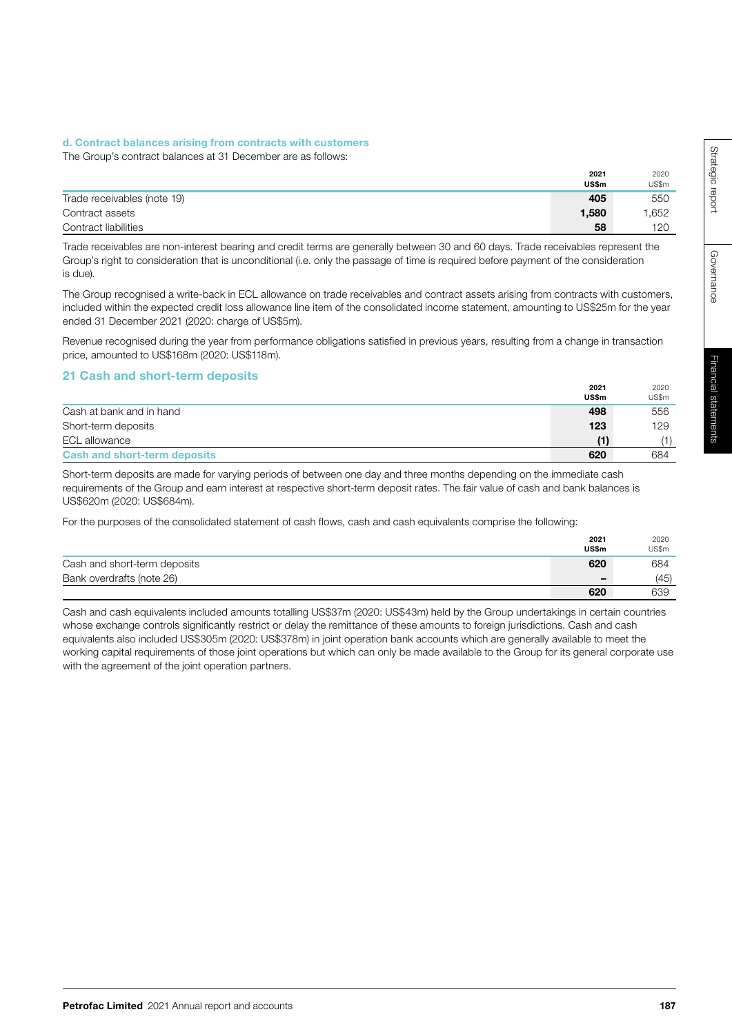## d. Contract balances arising from contracts with customers

The Group's contract balances at 31 December are as follows:

|                             | 2021<br>US\$m | 2020<br>US\$m |
|-----------------------------|---------------|---------------|
| Trade receivables (note 19) | 405           | 550           |
| Contract assets             | 1,580         | 1,652         |
| Contract liabilities        | 58            | 120           |

Trade receivables are non-interest bearing and credit terms are generally between 30 and 60 days. Trade receivables represent the Group's right to consideration that is unconditional (i.e. only the passage of time is required before payment of the consideration is due).

The Group recognised a write-back in ECL allowance on trade receivables and contract assets arising from contracts with customers, included within the expected credit loss allowance line item of the consolidated income statement, amounting to US\$25m for the year ended 31 December 2021 (2020: charge of US\$5m).

Revenue recognised during the year from performance obligations satisfied in previous years, resulting from a change in transaction price, amounted to US\$168m (2020: US\$118m).

# 21 Cash and short-term deposits

|                                     | 2021<br>US\$m | 2020<br>US\$m |
|-------------------------------------|---------------|---------------|
| Cash at bank and in hand            | 498           | 556           |
| Short-term deposits                 | 123           | 129           |
| ECL allowance                       | (1)           | (1)           |
| <b>Cash and short-term deposits</b> | 620           | 684           |

Short-term deposits are made for varying periods of between one day and three months depending on the immediate cash requirements of the Group and earn interest at respective short-term deposit rates. The fair value of cash and bank balances is US\$620m (2020: US\$684m).

For the purposes of the consolidated statement of cash flows, cash and cash equivalents comprise the following:

|                              | 2021<br>US\$m | 2020<br>US\$m |
|------------------------------|---------------|---------------|
| Cash and short-term deposits | 620           | 684           |
| Bank overdrafts (note 26)    | -             | (45)          |
|                              | 620           | 639           |

Cash and cash equivalents included amounts totalling US\$37m (2020: US\$43m) held by the Group undertakings in certain countries whose exchange controls significantly restrict or delay the remittance of these amounts to foreign jurisdictions. Cash and cash equivalents also included US\$305m (2020: US\$378m) in joint operation bank accounts which are generally available to meet the working capital requirements of those joint operations but which can only be made available to the Group for its general corporate use with the agreement of the joint operation partners.

Governance

Governance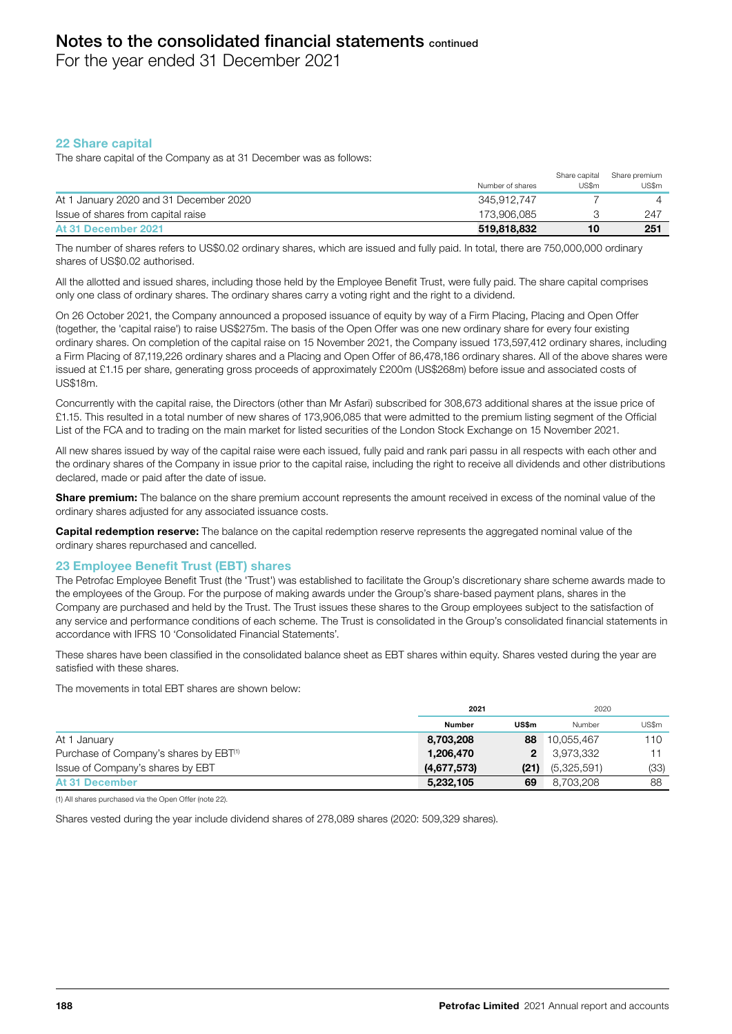For the year ended 31 December 2021

# 22 Share capital

The share capital of the Company as at 31 December was as follows:

|                                        | Number of shares | Share capital<br>US\$m | Share premium<br>US\$m |
|----------------------------------------|------------------|------------------------|------------------------|
| At 1 January 2020 and 31 December 2020 | 345.912.747      |                        |                        |
| Issue of shares from capital raise     | 173.906.085      |                        | 247                    |
| At 31 December 2021                    | 519,818,832      | 10                     | 251                    |

The number of shares refers to US\$0.02 ordinary shares, which are issued and fully paid. In total, there are 750,000,000 ordinary shares of US\$0.02 authorised.

All the allotted and issued shares, including those held by the Employee Benefit Trust, were fully paid. The share capital comprises only one class of ordinary shares. The ordinary shares carry a voting right and the right to a dividend.

On 26 October 2021, the Company announced a proposed issuance of equity by way of a Firm Placing, Placing and Open Offer (together, the 'capital raise') to raise US\$275m. The basis of the Open Offer was one new ordinary share for every four existing ordinary shares. On completion of the capital raise on 15 November 2021, the Company issued 173,597,412 ordinary shares, including a Firm Placing of 87,119,226 ordinary shares and a Placing and Open Offer of 86,478,186 ordinary shares. All of the above shares were issued at £1.15 per share, generating gross proceeds of approximately £200m (US\$268m) before issue and associated costs of US\$18m.

Concurrently with the capital raise, the Directors (other than Mr Asfari) subscribed for 308,673 additional shares at the issue price of £1.15. This resulted in a total number of new shares of 173,906,085 that were admitted to the premium listing segment of the Official List of the FCA and to trading on the main market for listed securities of the London Stock Exchange on 15 November 2021.

All new shares issued by way of the capital raise were each issued, fully paid and rank pari passu in all respects with each other and the ordinary shares of the Company in issue prior to the capital raise, including the right to receive all dividends and other distributions declared, made or paid after the date of issue.

Share premium: The balance on the share premium account represents the amount received in excess of the nominal value of the ordinary shares adjusted for any associated issuance costs.

Capital redemption reserve: The balance on the capital redemption reserve represents the aggregated nominal value of the ordinary shares repurchased and cancelled.

# 23 Employee Benefit Trust (EBT) shares

The Petrofac Employee Benefit Trust (the 'Trust') was established to facilitate the Group's discretionary share scheme awards made to the employees of the Group. For the purpose of making awards under the Group's share-based payment plans, shares in the Company are purchased and held by the Trust. The Trust issues these shares to the Group employees subject to the satisfaction of any service and performance conditions of each scheme. The Trust is consolidated in the Group's consolidated financial statements in accordance with IFRS 10 'Consolidated Financial Statements'.

These shares have been classified in the consolidated balance sheet as EBT shares within equity. Shares vested during the year are satisfied with these shares.

The movements in total EBT shares are shown below:

|                                                    | 2021          |       | 2020        |       |
|----------------------------------------------------|---------------|-------|-------------|-------|
|                                                    | <b>Number</b> | US\$m | Number      | US\$m |
| At 1 January                                       | 8,703,208     | 88    | 10,055,467  | 110   |
| Purchase of Company's shares by EBT <sup>(1)</sup> | 1,206,470     | 2     | 3,973,332   |       |
| Issue of Company's shares by EBT                   | (4,677,573)   | (21)  | (5,325,591) | (33)  |
| <b>At 31 December</b>                              | 5,232,105     | 69    | 8,703,208   | 88    |

(1) All shares purchased via the Open Offer (note 22).

Shares vested during the year include dividend shares of 278,089 shares (2020: 509,329 shares).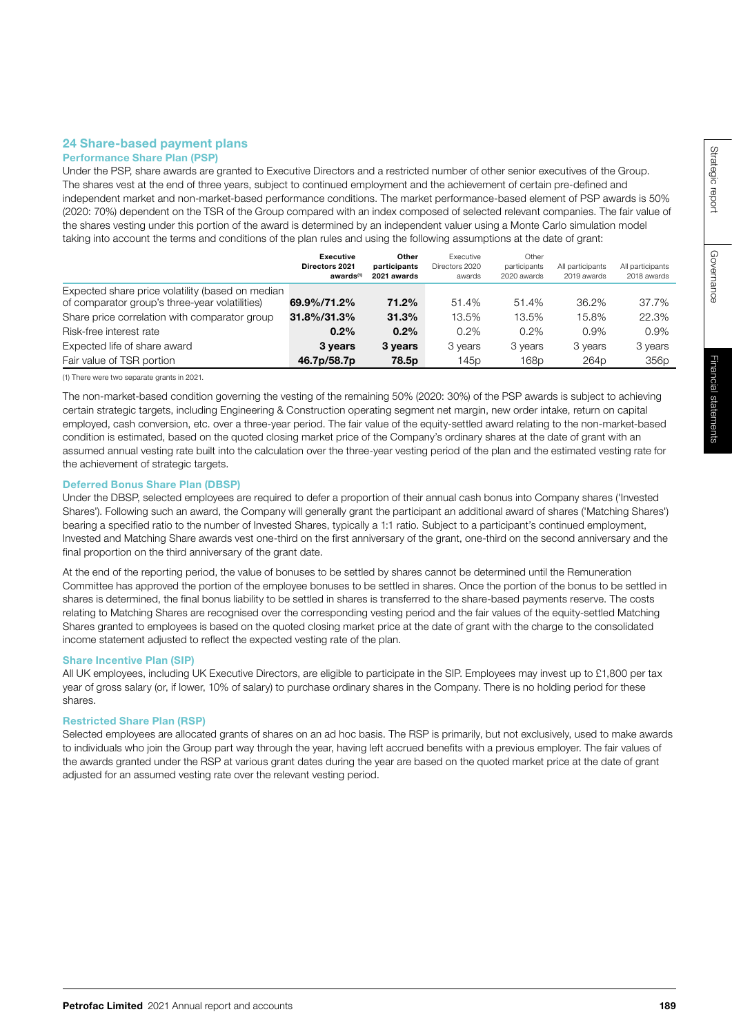# 24 Share-based payment plans

# Performance Share Plan (PSP)

Under the PSP, share awards are granted to Executive Directors and a restricted number of other senior executives of the Group. The shares vest at the end of three years, subject to continued employment and the achievement of certain pre-defined and independent market and non-market-based performance conditions. The market performance-based element of PSP awards is 50% (2020: 70%) dependent on the TSR of the Group compared with an index composed of selected relevant companies. The fair value of the shares vesting under this portion of the award is determined by an independent valuer using a Monte Carlo simulation model taking into account the terms and conditions of the plan rules and using the following assumptions at the date of grant:

|                                                  | <b>Executive</b><br>Directors 2021<br>awards <sup>(1)</sup> | Other<br>participants<br>2021 awards | <b>Executive</b><br>Directors 2020<br>awards | Other<br>participants<br>2020 awards | All participants<br>2019 awards | All participants<br>2018 awards |
|--------------------------------------------------|-------------------------------------------------------------|--------------------------------------|----------------------------------------------|--------------------------------------|---------------------------------|---------------------------------|
| Expected share price volatility (based on median |                                                             |                                      |                                              |                                      |                                 |                                 |
| of comparator group's three-year volatilities)   | 69.9%/71.2%                                                 | 71.2%                                | 51.4%                                        | 51.4%                                | 36.2%                           | 37.7%                           |
| Share price correlation with comparator group    | 31.8%/31.3%                                                 | 31.3%                                | 13.5%                                        | 13.5%                                | 15.8%                           | 22.3%                           |
| Risk-free interest rate                          | $0.2\%$                                                     | 0.2%                                 | 0.2%                                         | $0.2\%$                              | 0.9%                            | 0.9%                            |
| Expected life of share award                     | 3 years                                                     | 3 years                              | 3 years                                      | 3 years                              | 3 years                         | 3 years                         |
| Fair value of TSR portion                        | 46.7p/58.7p                                                 | 78.5p                                | 145p                                         | 168 <sub>p</sub>                     | 264 <sub>p</sub>                | 356 <sub>p</sub>                |

(1) There were two separate grants in 2021.

The non-market-based condition governing the vesting of the remaining 50% (2020: 30%) of the PSP awards is subject to achieving certain strategic targets, including Engineering & Construction operating segment net margin, new order intake, return on capital employed, cash conversion, etc. over a three-year period. The fair value of the equity-settled award relating to the non-market-based condition is estimated, based on the quoted closing market price of the Company's ordinary shares at the date of grant with an assumed annual vesting rate built into the calculation over the three-year vesting period of the plan and the estimated vesting rate for the achievement of strategic targets.

#### Deferred Bonus Share Plan (DBSP)

Under the DBSP, selected employees are required to defer a proportion of their annual cash bonus into Company shares ('Invested Shares'). Following such an award, the Company will generally grant the participant an additional award of shares ('Matching Shares') bearing a specified ratio to the number of Invested Shares, typically a 1:1 ratio. Subject to a participant's continued employment, Invested and Matching Share awards vest one-third on the first anniversary of the grant, one-third on the second anniversary and the final proportion on the third anniversary of the grant date.

At the end of the reporting period, the value of bonuses to be settled by shares cannot be determined until the Remuneration Committee has approved the portion of the employee bonuses to be settled in shares. Once the portion of the bonus to be settled in shares is determined, the final bonus liability to be settled in shares is transferred to the share-based payments reserve. The costs relating to Matching Shares are recognised over the corresponding vesting period and the fair values of the equity-settled Matching Shares granted to employees is based on the quoted closing market price at the date of grant with the charge to the consolidated income statement adjusted to reflect the expected vesting rate of the plan.

#### Share Incentive Plan (SIP)

All UK employees, including UK Executive Directors, are eligible to participate in the SIP. Employees may invest up to £1,800 per tax year of gross salary (or, if lower, 10% of salary) to purchase ordinary shares in the Company. There is no holding period for these shares.

#### Restricted Share Plan (RSP)

Selected employees are allocated grants of shares on an ad hoc basis. The RSP is primarily, but not exclusively, used to make awards to individuals who join the Group part way through the year, having left accrued benefits with a previous employer. The fair values of the awards granted under the RSP at various grant dates during the year are based on the quoted market price at the date of grant adjusted for an assumed vesting rate over the relevant vesting period.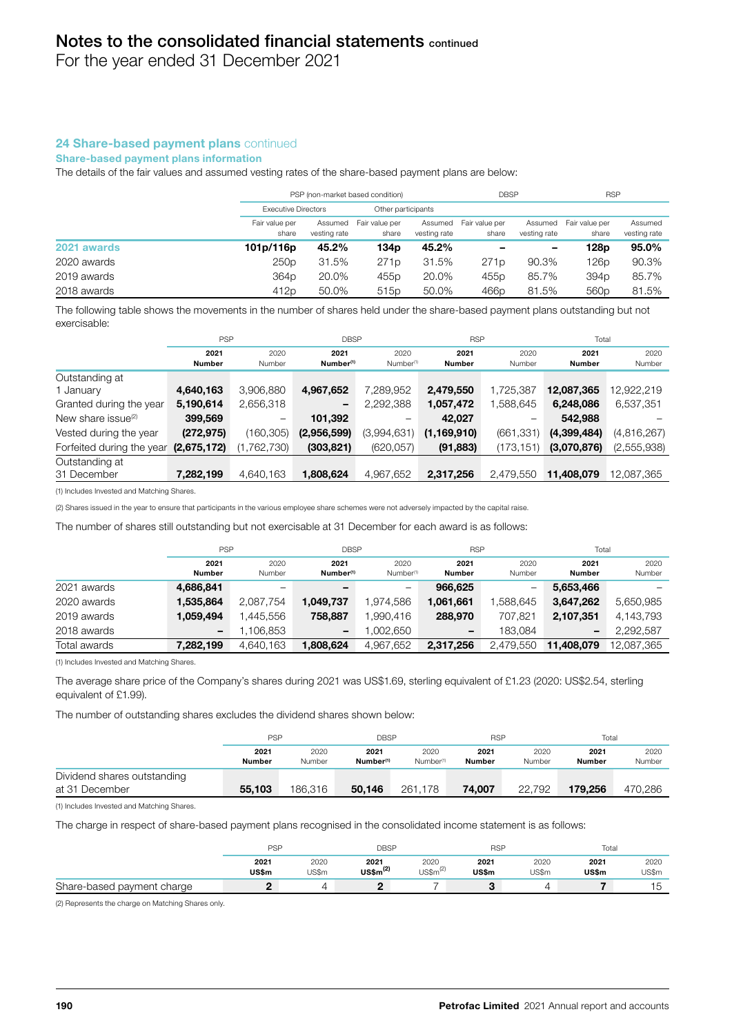For the year ended 31 December 2021

# 24 Share-based payment plans continued

#### Share-based payment plans information

The details of the fair values and assumed vesting rates of the share-based payment plans are below:

|             | PSP (non-market based condition) |                         |                         |                         | <b>DBSP</b>             |                         | <b>RSP</b>              |                         |
|-------------|----------------------------------|-------------------------|-------------------------|-------------------------|-------------------------|-------------------------|-------------------------|-------------------------|
|             | <b>Executive Directors</b>       |                         | Other participants      |                         |                         |                         |                         |                         |
|             | Fair value per<br>share          | Assumed<br>vesting rate | Fair value per<br>share | Assumed<br>vesting rate | Fair value per<br>share | Assumed<br>vesting rate | Fair value per<br>share | Assumed<br>vesting rate |
| 2021 awards | 101p/116p                        | 45.2%                   | 134 p                   | 45.2%                   | -                       | -                       | 128p                    | 95.0%                   |
| 2020 awards | 250 <sub>p</sub>                 | 31.5%                   | 271 <sub>p</sub>        | 31.5%                   | 271 <sub>p</sub>        | 90.3%                   | 126p                    | 90.3%                   |
| 2019 awards | 364 <sub>p</sub>                 | 20.0%                   | 455 <sub>p</sub>        | 20.0%                   | 455 <sub>p</sub>        | 85.7%                   | 394 <sub>p</sub>        | 85.7%                   |
| 2018 awards | 412 <sub>p</sub>                 | 50.0%                   | 515 <sub>p</sub>        | 50.0%                   | 466 <sub>p</sub>        | 81.5%                   | 560 <sub>p</sub>        | 81.5%                   |

The following table shows the movements in the number of shares held under the share-based payment plans outstanding but not exercisable:

|                           | <b>PSP</b>     |                          | <b>DBSP</b>                   |                               | <b>RSP</b>     |                | Total                 |                |
|---------------------------|----------------|--------------------------|-------------------------------|-------------------------------|----------------|----------------|-----------------------|----------------|
|                           | 2021<br>Number | 2020<br>Number           | 2021<br>Number <sup>(1)</sup> | 2020<br>Number <sup>(1)</sup> | 2021<br>Number | 2020<br>Number | 2021<br><b>Number</b> | 2020<br>Number |
| Outstanding at            |                |                          |                               |                               |                |                |                       |                |
| 1 January                 | 4,640,163      | 3,906,880                | 4,967,652                     | 7,289,952                     | 2,479,550      | 1,725,387      | 12,087,365            | 12,922,219     |
| Granted during the year   | 5,190,614      | 2,656,318                | -                             | 2,292,388                     | 1,057,472      | 1,588,645      | 6,248,086             | 6,537,351      |
| New share issue $(2)$     | 399,569        | $\overline{\phantom{m}}$ | 101,392                       |                               | 42,027         | -              | 542,988               |                |
| Vested during the year    | (272, 975)     | (160, 305)               | (2,956,599)                   | (3,994,631)                   | (1, 169, 910)  | (661, 331)     | (4,399,484)           | (4,816,267)    |
| Forfeited during the year | (2,675,172)    | (1,762,730)              | (303, 821)                    | (620, 057)                    | (91, 883)      | (173, 151)     | (3,070,876)           | (2,555,938)    |
| Outstanding at            |                |                          |                               |                               |                |                |                       |                |
| 31 December               | 7,282,199      | 4,640,163                | 1,808,624                     | 4,967,652                     | 2,317,256      | 2,479,550      | 11,408,079            | 12,087,365     |
|                           |                |                          |                               |                               |                |                |                       |                |

(1) Includes Invested and Matching Shares.

(2) Shares issued in the year to ensure that participants in the various employee share schemes were not adversely impacted by the capital raise.

The number of shares still outstanding but not exercisable at 31 December for each award is as follows:

|              | <b>PSP</b><br><b>DBSP</b>    |                |                               |                               | <b>RSP</b>               | Total          |                              |                |
|--------------|------------------------------|----------------|-------------------------------|-------------------------------|--------------------------|----------------|------------------------------|----------------|
|              | 2021<br>Number               | 2020<br>Number | 2021<br>Number <sup>(1)</sup> | 2020<br>Number <sup>(1)</sup> | 2021<br>Number           | 2020<br>Number | 2021<br>Number               | 2020<br>Number |
| 2021 awards  | 4,686,841                    |                | -                             | -                             | 966.625                  | -              | 5,653,466                    |                |
| 2020 awards  | 1,535,864                    | 2,087,754      | 1,049,737                     | 1,974,586                     | 1,061,661                | ,588,645       | 3,647,262                    | 5,650,985      |
| 2019 awards  | 1,059,494                    | .445.556       | 758,887                       | 990,416.                      | 288,970                  | 707,821        | 2,107,351                    | 4,143,793      |
| 2018 awards  | $\qquad \qquad \blacksquare$ | .106.853       | $\overline{\phantom{a}}$      | ,002,650                      | $\overline{\phantom{a}}$ | 183.084        | $\qquad \qquad \blacksquare$ | 2,292,587      |
| Total awards | 7,282,199                    | 4,640,163      | 1,808,624                     | 4,967,652                     | 2,317,256                | 2,479,550      | 11,408,079                   | 12,087,365     |

(1) Includes Invested and Matching Shares.

The average share price of the Company's shares during 2021 was US\$1.69, sterling equivalent of £1.23 (2020: US\$2.54, sterling equivalent of £1.99).

The number of outstanding shares excludes the dividend shares shown below:

|                                               | <b>PSP</b>            |                |                               | <b>DBSP</b>                   |                       | <b>RSP</b>     |                | Total          |  |
|-----------------------------------------------|-----------------------|----------------|-------------------------------|-------------------------------|-----------------------|----------------|----------------|----------------|--|
|                                               | 2021<br><b>Number</b> | 2020<br>Number | 2021<br>Number <sup>(1)</sup> | 2020<br>Number <sup>(1)</sup> | 2021<br><b>Number</b> | 2020<br>Number | 2021<br>Number | 2020<br>Number |  |
| Dividend shares outstanding<br>at 31 December | 55.103                | 186,316        | 50.146                        | 261.178                       | 74.007                | 22.792         | 179.256        | 470,286        |  |

(1) Includes Invested and Matching Shares.

The charge in respect of share-based payment plans recognised in the consolidated income statement is as follows:

|                            | <b>PSF</b>    |               | DBSP                         |                              | <b>RSP</b>    |               | Total         |               |
|----------------------------|---------------|---------------|------------------------------|------------------------------|---------------|---------------|---------------|---------------|
|                            | 2021<br>US\$m | 2020<br>US\$m | 2021<br>US\$m <sup>(2)</sup> | 2020<br>US\$m <sup>(2)</sup> | 2021<br>US\$m | 2020<br>US\$m | 2021<br>US\$m | 2020<br>US\$m |
| Share-based payment charge |               |               |                              |                              |               |               |               | ィに            |

(2) Represents the charge on Matching Shares only.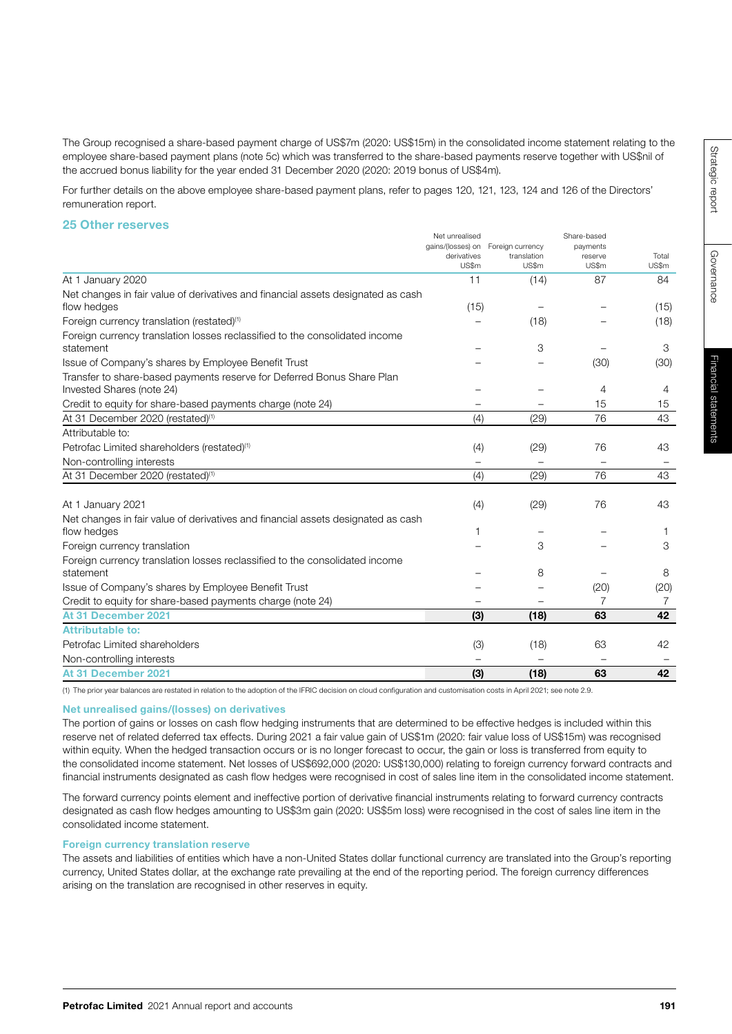The Group recognised a share-based payment charge of US\$7m (2020: US\$15m) in the consolidated income statement relating to the employee share-based payment plans (note 5c) which was transferred to the share-based payments reserve together with US\$nil of the accrued bonus liability for the year ended 31 December 2020 (2020: 2019 bonus of US\$4m).

For further details on the above employee share-based payment plans, refer to pages 120, 121, 123, 124 and 126 of the Directors' remuneration report.

#### 25 Other reserves

|                                                                                  | Net unrealised           |                            | gains/(losses) on Foreign currency<br>payments | Share-based |  |
|----------------------------------------------------------------------------------|--------------------------|----------------------------|------------------------------------------------|-------------|--|
|                                                                                  |                          | derivatives<br>translation | reserve                                        | Total       |  |
|                                                                                  | US\$m                    | US\$m                      | US\$m                                          | US\$m       |  |
| At 1 January 2020                                                                | 11                       | (14)                       | 87                                             | 84          |  |
| Net changes in fair value of derivatives and financial assets designated as cash |                          |                            |                                                |             |  |
| flow hedges                                                                      | (15)                     |                            |                                                | (15)        |  |
| Foreign currency translation (restated) <sup>(1)</sup>                           |                          | (18)                       |                                                | (18)        |  |
| Foreign currency translation losses reclassified to the consolidated income      |                          |                            |                                                |             |  |
| statement                                                                        |                          | 3                          |                                                | 3           |  |
| Issue of Company's shares by Employee Benefit Trust                              |                          |                            | (30)                                           | (30)        |  |
| Transfer to share-based payments reserve for Deferred Bonus Share Plan           |                          |                            |                                                |             |  |
| Invested Shares (note 24)                                                        |                          |                            | 4                                              | 4           |  |
| Credit to equity for share-based payments charge (note 24)                       |                          |                            | 15                                             | 15          |  |
| At 31 December 2020 (restated) <sup>(1)</sup>                                    | (4)                      | (29)                       | 76                                             | 43          |  |
| Attributable to:                                                                 |                          |                            |                                                |             |  |
| Petrofac Limited shareholders (restated) <sup>(1)</sup>                          | (4)                      | (29)                       | 76                                             | 43          |  |
| Non-controlling interests                                                        | $\overline{\phantom{0}}$ |                            |                                                |             |  |
| At 31 December 2020 (restated) <sup>(1)</sup>                                    | (4)                      | (29)                       | 76                                             | 43          |  |
|                                                                                  |                          |                            |                                                |             |  |
| At 1 January 2021                                                                | (4)                      | (29)                       | 76                                             | 43          |  |
| Net changes in fair value of derivatives and financial assets designated as cash |                          |                            |                                                |             |  |
| flow hedges                                                                      | 1                        |                            |                                                |             |  |
| Foreign currency translation                                                     |                          | 3                          |                                                | 3           |  |
| Foreign currency translation losses reclassified to the consolidated income      |                          |                            |                                                |             |  |
| statement                                                                        |                          | 8                          |                                                | 8           |  |
| Issue of Company's shares by Employee Benefit Trust                              |                          |                            | (20)                                           | (20)        |  |
| Credit to equity for share-based payments charge (note 24)                       |                          |                            |                                                | 7           |  |
| At 31 December 2021                                                              | (3)                      | (18)                       | 63                                             | 42          |  |
| <b>Attributable to:</b>                                                          |                          |                            |                                                |             |  |
| Petrofac Limited shareholders                                                    | (3)                      | (18)                       | 63                                             | 42          |  |
| Non-controlling interests                                                        |                          |                            |                                                |             |  |
| At 31 December 2021                                                              | (3)                      | (18)                       | 63                                             | 42          |  |
|                                                                                  |                          |                            |                                                |             |  |

(1) The prior year balances are restated in relation to the adoption of the IFRIC decision on cloud configuration and customisation costs in April 2021; see note 2.9.

#### Net unrealised gains/(losses) on derivatives

The portion of gains or losses on cash flow hedging instruments that are determined to be effective hedges is included within this reserve net of related deferred tax effects. During 2021 a fair value gain of US\$1m (2020: fair value loss of US\$15m) was recognised within equity. When the hedged transaction occurs or is no longer forecast to occur, the gain or loss is transferred from equity to the consolidated income statement. Net losses of US\$692,000 (2020: US\$130,000) relating to foreign currency forward contracts and financial instruments designated as cash flow hedges were recognised in cost of sales line item in the consolidated income statement.

The forward currency points element and ineffective portion of derivative financial instruments relating to forward currency contracts designated as cash flow hedges amounting to US\$3m gain (2020: US\$5m loss) were recognised in the cost of sales line item in the consolidated income statement.

#### Foreign currency translation reserve

The assets and liabilities of entities which have a non-United States dollar functional currency are translated into the Group's reporting currency, United States dollar, at the exchange rate prevailing at the end of the reporting period. The foreign currency differences arising on the translation are recognised in other reserves in equity.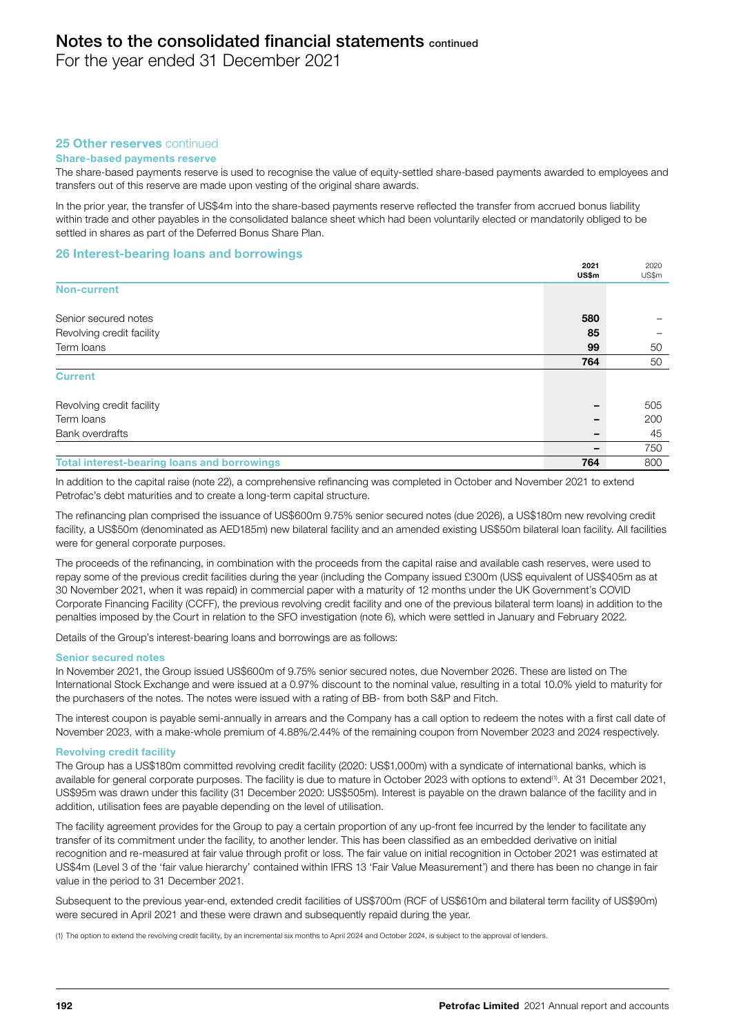For the year ended 31 December 2021

# 25 Other reserves continued

# Share-based payments reserve

The share-based payments reserve is used to recognise the value of equity-settled share-based payments awarded to employees and transfers out of this reserve are made upon vesting of the original share awards.

In the prior year, the transfer of US\$4m into the share-based payments reserve reflected the transfer from accrued bonus liability within trade and other payables in the consolidated balance sheet which had been voluntarily elected or mandatorily obliged to be settled in shares as part of the Deferred Bonus Share Plan.

### 26 Interest-bearing loans and borrowings

|                                                    | 2021<br>US\$m | 2020<br>US\$m |
|----------------------------------------------------|---------------|---------------|
| <b>Non-current</b>                                 |               |               |
| Senior secured notes                               | 580           |               |
| Revolving credit facility                          | 85            |               |
| Term loans                                         | 99            | 50            |
|                                                    | 764           | 50            |
| <b>Current</b>                                     |               |               |
| Revolving credit facility                          |               | 505           |
| Term loans                                         |               | 200           |
| Bank overdrafts                                    |               | 45            |
|                                                    |               | 750           |
| <b>Total interest-bearing loans and borrowings</b> | 764           | 800           |

In addition to the capital raise (note 22), a comprehensive refinancing was completed in October and November 2021 to extend Petrofac's debt maturities and to create a long-term capital structure.

The refinancing plan comprised the issuance of US\$600m 9.75% senior secured notes (due 2026), a US\$180m new revolving credit facility, a US\$50m (denominated as AED185m) new bilateral facility and an amended existing US\$50m bilateral loan facility. All facilities were for general corporate purposes.

The proceeds of the refinancing, in combination with the proceeds from the capital raise and available cash reserves, were used to repay some of the previous credit facilities during the year (including the Company issued £300m (US\$ equivalent of US\$405m as at 30 November 2021, when it was repaid) in commercial paper with a maturity of 12 months under the UK Government's COVID Corporate Financing Facility (CCFF), the previous revolving credit facility and one of the previous bilateral term loans) in addition to the penalties imposed by the Court in relation to the SFO investigation (note 6), which were settled in January and February 2022.

Details of the Group's interest-bearing loans and borrowings are as follows:

#### Senior secured notes

In November 2021, the Group issued US\$600m of 9.75% senior secured notes, due November 2026. These are listed on The International Stock Exchange and were issued at a 0.97% discount to the nominal value, resulting in a total 10.0% yield to maturity for the purchasers of the notes. The notes were issued with a rating of BB- from both S&P and Fitch.

The interest coupon is payable semi-annually in arrears and the Company has a call option to redeem the notes with a first call date of November 2023, with a make-whole premium of 4.88%/2.44% of the remaining coupon from November 2023 and 2024 respectively.

#### Revolving credit facility

The Group has a US\$180m committed revolving credit facility (2020: US\$1,000m) with a syndicate of international banks, which is available for general corporate purposes. The facility is due to mature in October 2023 with options to extend<sup>(1)</sup>. At 31 December 2021, US\$95m was drawn under this facility (31 December 2020: US\$505m). Interest is payable on the drawn balance of the facility and in addition, utilisation fees are payable depending on the level of utilisation.

The facility agreement provides for the Group to pay a certain proportion of any up-front fee incurred by the lender to facilitate any transfer of its commitment under the facility, to another lender. This has been classified as an embedded derivative on initial recognition and re-measured at fair value through profit or loss. The fair value on initial recognition in October 2021 was estimated at US\$4m (Level 3 of the 'fair value hierarchy' contained within IFRS 13 'Fair Value Measurement') and there has been no change in fair value in the period to 31 December 2021.

Subsequent to the previous year-end, extended credit facilities of US\$700m (RCF of US\$610m and bilateral term facility of US\$90m) were secured in April 2021 and these were drawn and subsequently repaid during the year.

(1) The option to extend the revolving credit facility, by an incremental six months to April 2024 and October 2024, is subject to the approval of lenders.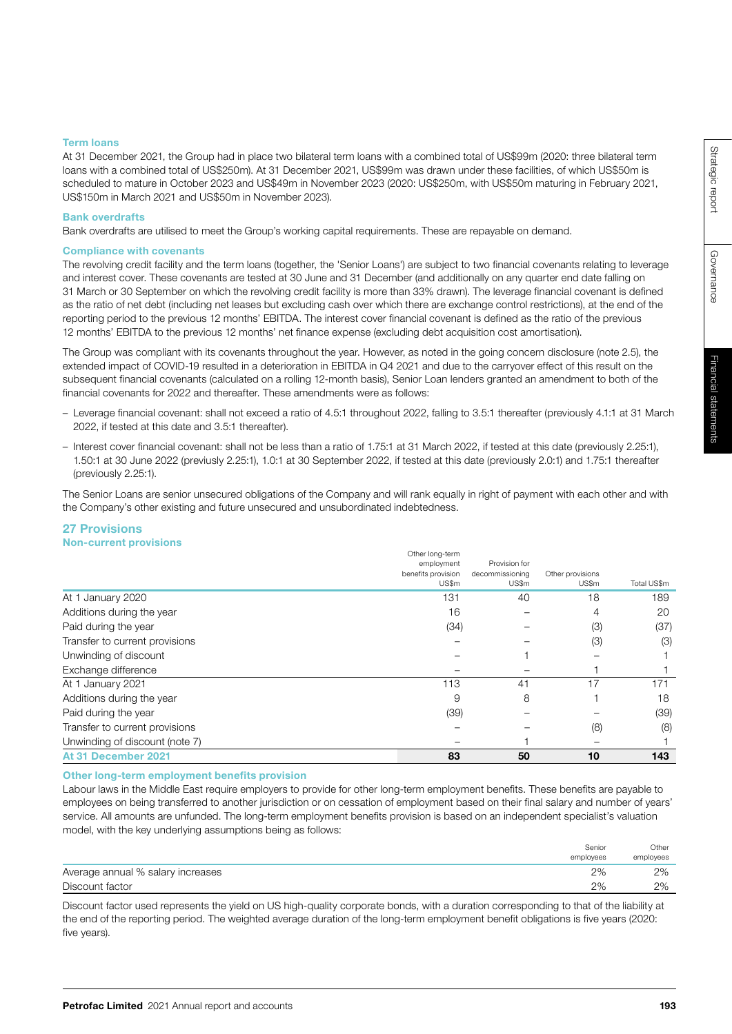Governance

Governance

## Term loans

At 31 December 2021, the Group had in place two bilateral term loans with a combined total of US\$99m (2020: three bilateral term loans with a combined total of US\$250m). At 31 December 2021, US\$99m was drawn under these facilities, of which US\$50m is scheduled to mature in October 2023 and US\$49m in November 2023 (2020: US\$250m, with US\$50m maturing in February 2021, US\$150m in March 2021 and US\$50m in November 2023).

#### Bank overdrafts

Bank overdrafts are utilised to meet the Group's working capital requirements. These are repayable on demand.

#### Compliance with covenants

The revolving credit facility and the term loans (together, the 'Senior Loans') are subject to two financial covenants relating to leverage and interest cover. These covenants are tested at 30 June and 31 December (and additionally on any quarter end date falling on 31 March or 30 September on which the revolving credit facility is more than 33% drawn). The leverage financial covenant is defined as the ratio of net debt (including net leases but excluding cash over which there are exchange control restrictions), at the end of the reporting period to the previous 12 months' EBITDA. The interest cover financial covenant is defined as the ratio of the previous 12 months' EBITDA to the previous 12 months' net finance expense (excluding debt acquisition cost amortisation).

The Group was compliant with its covenants throughout the year. However, as noted in the going concern disclosure (note 2.5), the extended impact of COVID-19 resulted in a deterioration in EBITDA in Q4 2021 and due to the carryover effect of this result on the subsequent financial covenants (calculated on a rolling 12-month basis), Senior Loan lenders granted an amendment to both of the financial covenants for 2022 and thereafter. These amendments were as follows:

- Leverage financial covenant: shall not exceed a ratio of 4.5:1 throughout 2022, falling to 3.5:1 thereafter (previously 4.1:1 at 31 March 2022, if tested at this date and 3.5:1 thereafter).
- Interest cover financial covenant: shall not be less than a ratio of 1.75:1 at 31 March 2022, if tested at this date (previously 2.25:1), 1.50:1 at 30 June 2022 (previusly 2.25:1), 1.0:1 at 30 September 2022, if tested at this date (previously 2.0:1) and 1.75:1 thereafter (previously 2.25:1).

The Senior Loans are senior unsecured obligations of the Company and will rank equally in right of payment with each other and with the Company's other existing and future unsecured and unsubordinated indebtedness.

#### 27 Provisions Non-current provisions

|                                | Other long-term                  |                                  |                  |             |
|--------------------------------|----------------------------------|----------------------------------|------------------|-------------|
|                                | employment<br>benefits provision | Provision for<br>decommissioning | Other provisions |             |
|                                | US\$m                            | US\$m                            | US\$m            | Total US\$m |
| At 1 January 2020              | 131                              | 40                               | 18               | 189         |
| Additions during the year      | 16                               |                                  | 4                | 20          |
| Paid during the year           | (34)                             |                                  | (3)              | (37)        |
| Transfer to current provisions |                                  |                                  | (3)              | (3)         |
| Unwinding of discount          |                                  |                                  |                  |             |
| Exchange difference            |                                  |                                  |                  |             |
| At 1 January 2021              | 113                              | 41                               | 17               | 171         |
| Additions during the year      | 9                                | 8                                |                  | 18          |
| Paid during the year           | (39)                             |                                  |                  | (39)        |
| Transfer to current provisions |                                  |                                  | (8)              | (8)         |
| Unwinding of discount (note 7) |                                  |                                  |                  |             |
| At 31 December 2021            | 83                               | 50                               | 10               | 143         |

#### Other long-term employment benefits provision

Labour laws in the Middle East require employers to provide for other long-term employment benefits. These benefits are payable to employees on being transferred to another jurisdiction or on cessation of employment based on their final salary and number of years' service. All amounts are unfunded. The long-term employment benefits provision is based on an independent specialist's valuation model, with the key underlying assumptions being as follows:

|                                   | Senior    | Other     |
|-----------------------------------|-----------|-----------|
|                                   | employees | employees |
| Average annual % salary increases | 2%        | 2%        |
| Discount factor                   | 2%        | 2%        |

Discount factor used represents the yield on US high-quality corporate bonds, with a duration corresponding to that of the liability at the end of the reporting period. The weighted average duration of the long-term employment benefit obligations is five years (2020: five years).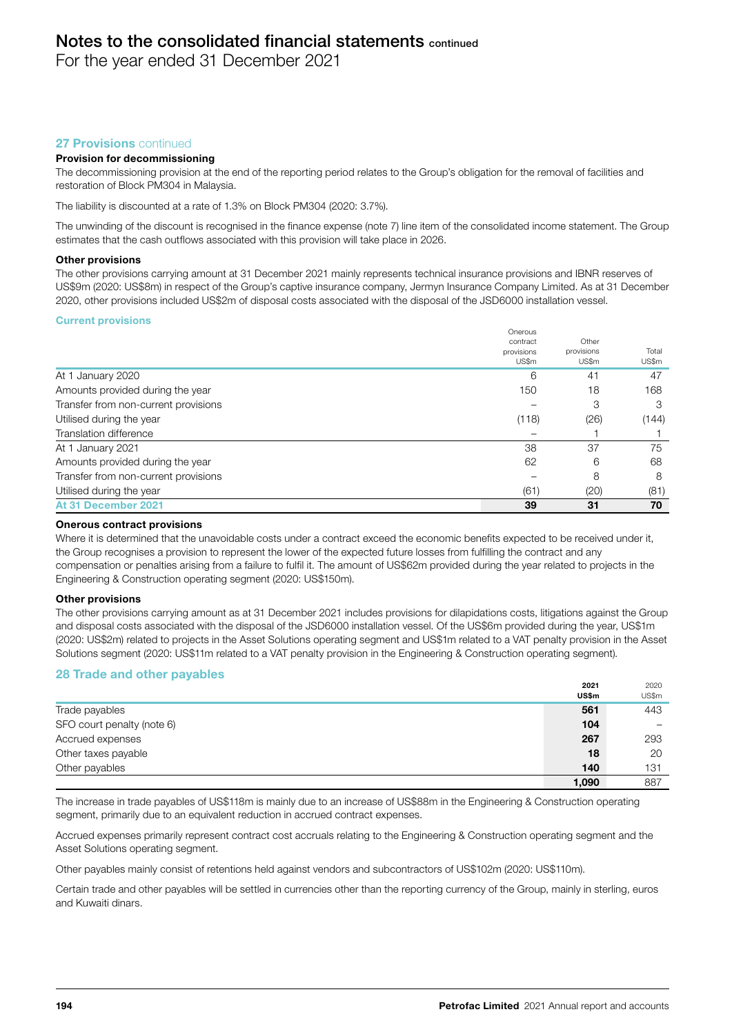For the year ended 31 December 2021

# 27 **Provisions** continued

## Provision for decommissioning

The decommissioning provision at the end of the reporting period relates to the Group's obligation for the removal of facilities and restoration of Block PM304 in Malaysia.

The liability is discounted at a rate of 1.3% on Block PM304 (2020: 3.7%).

The unwinding of the discount is recognised in the finance expense (note 7) line item of the consolidated income statement. The Group estimates that the cash outflows associated with this provision will take place in 2026.

#### Other provisions

The other provisions carrying amount at 31 December 2021 mainly represents technical insurance provisions and IBNR reserves of US\$9m (2020: US\$8m) in respect of the Group's captive insurance company, Jermyn Insurance Company Limited. As at 31 December 2020, other provisions included US\$2m of disposal costs associated with the disposal of the JSD6000 installation vessel.

#### Current provisions

|                                      | Onerous    |            |       |
|--------------------------------------|------------|------------|-------|
|                                      | contract   | Other      |       |
|                                      | provisions | provisions | Total |
|                                      | US\$m      | US\$m      | US\$m |
| At 1 January 2020                    | 6          | 41         | 47    |
| Amounts provided during the year     | 150        | 18         | 168   |
| Transfer from non-current provisions |            | 3          | 3     |
| Utilised during the year             | (118)      | (26)       | (144) |
| Translation difference               |            |            |       |
| At 1 January 2021                    | 38         | 37         | 75    |
| Amounts provided during the year     | 62         | 6          | 68    |
| Transfer from non-current provisions |            | 8          | 8     |
| Utilised during the year             | (61)       | (20)       | (81)  |
| At 31 December 2021                  | 39         | 31         | 70    |

#### Onerous contract provisions

Where it is determined that the unavoidable costs under a contract exceed the economic benefits expected to be received under it, the Group recognises a provision to represent the lower of the expected future losses from fulfilling the contract and any compensation or penalties arising from a failure to fulfil it. The amount of US\$62m provided during the year related to projects in the Engineering & Construction operating segment (2020: US\$150m).

#### Other provisions

The other provisions carrying amount as at 31 December 2021 includes provisions for dilapidations costs, litigations against the Group and disposal costs associated with the disposal of the JSD6000 installation vessel. Of the US\$6m provided during the year, US\$1m (2020: US\$2m) related to projects in the Asset Solutions operating segment and US\$1m related to a VAT penalty provision in the Asset Solutions segment (2020: US\$11m related to a VAT penalty provision in the Engineering & Construction operating segment).

# 28 Trade and other payables

|                            | 2021<br>US\$m | 2020<br>US\$m |
|----------------------------|---------------|---------------|
| Trade payables             | 561           | 443           |
| SFO court penalty (note 6) | 104           | -             |
| Accrued expenses           | 267           | 293           |
| Other taxes payable        | 18            | 20            |
| Other payables             | 140           | 131           |
|                            | 1,090         | 887           |

The increase in trade payables of US\$118m is mainly due to an increase of US\$88m in the Engineering & Construction operating segment, primarily due to an equivalent reduction in accrued contract expenses.

Accrued expenses primarily represent contract cost accruals relating to the Engineering & Construction operating segment and the Asset Solutions operating segment.

Other payables mainly consist of retentions held against vendors and subcontractors of US\$102m (2020: US\$110m).

Certain trade and other payables will be settled in currencies other than the reporting currency of the Group, mainly in sterling, euros and Kuwaiti dinars.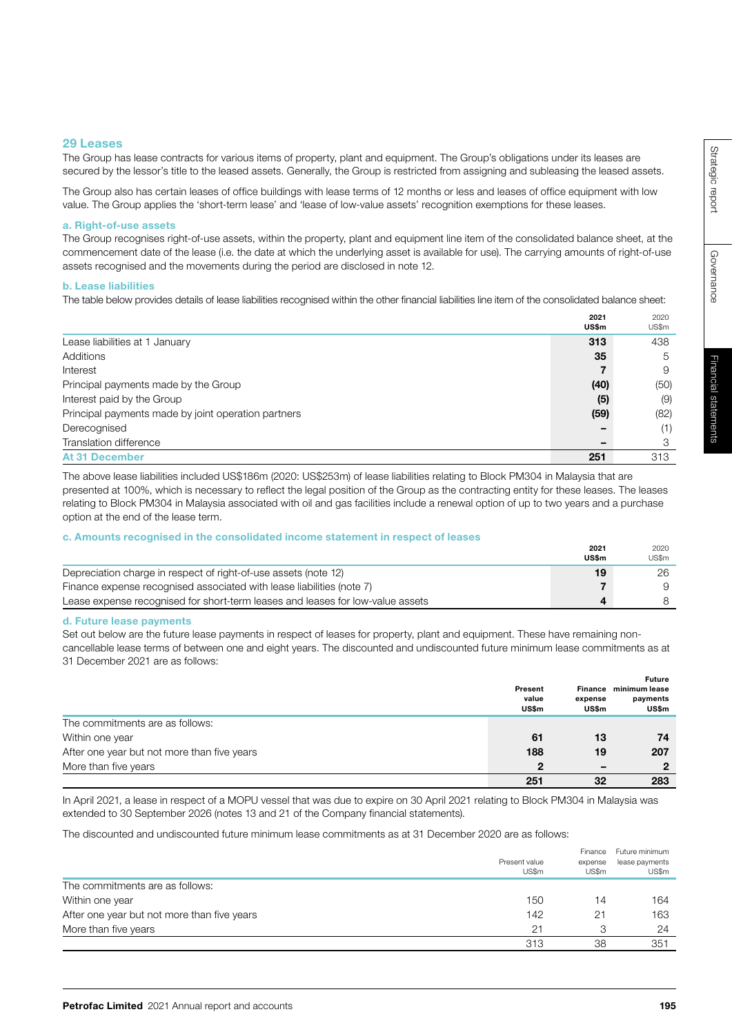Governance

Governance

 $2021$ 

 $2020$ 

## 29 Leases

The Group has lease contracts for various items of property, plant and equipment. The Group's obligations under its leases are secured by the lessor's title to the leased assets. Generally, the Group is restricted from assigning and subleasing the leased assets.

The Group also has certain leases of office buildings with lease terms of 12 months or less and leases of office equipment with low value. The Group applies the 'short-term lease' and 'lease of low-value assets' recognition exemptions for these leases.

#### a. Right-of-use assets

The Group recognises right-of-use assets, within the property, plant and equipment line item of the consolidated balance sheet, at the commencement date of the lease (i.e. the date at which the underlying asset is available for use). The carrying amounts of right-of-use assets recognised and the movements during the period are disclosed in note 12.

#### b. Lease liabilities

The table below provides details of lease liabilities recognised within the other financial liabilities line item of the consolidated balance sheet:

|                                                     | ---<br>US\$m | LULU<br>US\$m |
|-----------------------------------------------------|--------------|---------------|
| Lease liabilities at 1 January                      | 313          | 438           |
| Additions                                           | 35           | 5             |
| Interest                                            |              | 9             |
| Principal payments made by the Group                | (40)         | (50)          |
| Interest paid by the Group                          | (5)          | (9)           |
| Principal payments made by joint operation partners | (59)         | (82)          |
| Derecognised                                        |              | (1)           |
| Translation difference                              |              | 3             |
| <b>At 31 December</b>                               | 251          | 313           |

The above lease liabilities included US\$186m (2020: US\$253m) of lease liabilities relating to Block PM304 in Malaysia that are presented at 100%, which is necessary to reflect the legal position of the Group as the contracting entity for these leases. The leases relating to Block PM304 in Malaysia associated with oil and gas facilities include a renewal option of up to two years and a purchase option at the end of the lease term.

#### c. Amounts recognised in the consolidated income statement in respect of leases

|                                                                                | 2021         | 2020  |
|--------------------------------------------------------------------------------|--------------|-------|
|                                                                                | <b>US\$m</b> | US\$m |
| Depreciation charge in respect of right-of-use assets (note 12)                | 19           | 26    |
| Finance expense recognised associated with lease liabilities (note 7)          |              |       |
| Lease expense recognised for short-term leases and leases for low-value assets |              |       |

#### d. Future lease payments

Set out below are the future lease payments in respect of leases for property, plant and equipment. These have remaining noncancellable lease terms of between one and eight years. The discounted and undiscounted future minimum lease commitments as at 31 December 2021 are as follows:

|                                             | Present<br>value<br>US\$m | Finance<br>expense<br>US\$m | Future<br>minimum lease<br>payments<br>US\$m |
|---------------------------------------------|---------------------------|-----------------------------|----------------------------------------------|
| The commitments are as follows:             |                           |                             |                                              |
| Within one year                             | 61                        | 13                          | 74                                           |
| After one year but not more than five years | 188                       | 19                          | 207                                          |
| More than five years                        | 2                         | -                           | $\mathbf{2}$                                 |
|                                             | 251                       | 32                          | 283                                          |

In April 2021, a lease in respect of a MOPU vessel that was due to expire on 30 April 2021 relating to Block PM304 in Malaysia was extended to 30 September 2026 (notes 13 and 21 of the Company financial statements).

The discounted and undiscounted future minimum lease commitments as at 31 December 2020 are as follows:

|                                             | Present value<br>US\$m | Finance<br>expense<br>US\$m | Future minimum<br>lease payments<br>US\$m |
|---------------------------------------------|------------------------|-----------------------------|-------------------------------------------|
| The commitments are as follows:             |                        |                             |                                           |
| Within one year                             | 150                    | 14                          | 164                                       |
| After one year but not more than five years | 142                    | 21                          | 163                                       |
| More than five years                        | 21                     | З                           | 24                                        |
|                                             | 313                    | 38                          | 351                                       |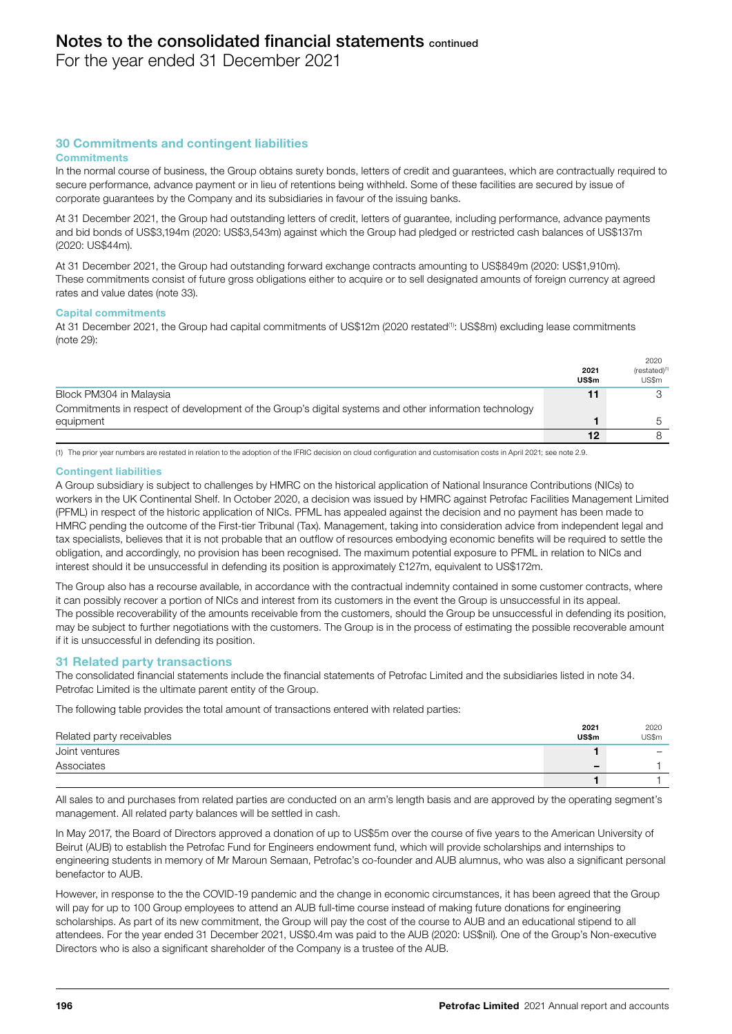For the year ended 31 December 2021

# 30 Commitments and contingent liabilities

#### **Commitments**

In the normal course of business, the Group obtains surety bonds, letters of credit and guarantees, which are contractually required to secure performance, advance payment or in lieu of retentions being withheld. Some of these facilities are secured by issue of corporate guarantees by the Company and its subsidiaries in favour of the issuing banks.

At 31 December 2021, the Group had outstanding letters of credit, letters of guarantee, including performance, advance payments and bid bonds of US\$3,194m (2020: US\$3,543m) against which the Group had pledged or restricted cash balances of US\$137m (2020: US\$44m).

At 31 December 2021, the Group had outstanding forward exchange contracts amounting to US\$849m (2020: US\$1,910m). These commitments consist of future gross obligations either to acquire or to sell designated amounts of foreign currency at agreed rates and value dates (note 33).

#### Capital commitments

At 31 December 2021, the Group had capital commitments of US\$12m (2020 restated(1): US\$8m) excluding lease commitments (note 29):

|                                                                                                       |               | 2020                               |
|-------------------------------------------------------------------------------------------------------|---------------|------------------------------------|
|                                                                                                       | 2021<br>US\$m | (restated) <sup>(1)</sup><br>US\$m |
| Block PM304 in Malaysia                                                                               | 11            |                                    |
| Commitments in respect of development of the Group's digital systems and other information technology |               |                                    |
| equipment                                                                                             |               |                                    |
|                                                                                                       | 12            |                                    |

(1) The prior year numbers are restated in relation to the adoption of the IFRIC decision on cloud configuration and customisation costs in April 2021; see note 2.9.

#### Contingent liabilities

A Group subsidiary is subject to challenges by HMRC on the historical application of National Insurance Contributions (NICs) to workers in the UK Continental Shelf. In October 2020, a decision was issued by HMRC against Petrofac Facilities Management Limited (PFML) in respect of the historic application of NICs. PFML has appealed against the decision and no payment has been made to HMRC pending the outcome of the First-tier Tribunal (Tax). Management, taking into consideration advice from independent legal and tax specialists, believes that it is not probable that an outflow of resources embodying economic benefits will be required to settle the obligation, and accordingly, no provision has been recognised. The maximum potential exposure to PFML in relation to NICs and interest should it be unsuccessful in defending its position is approximately £127m, equivalent to US\$172m.

The Group also has a recourse available, in accordance with the contractual indemnity contained in some customer contracts, where it can possibly recover a portion of NICs and interest from its customers in the event the Group is unsuccessful in its appeal. The possible recoverability of the amounts receivable from the customers, should the Group be unsuccessful in defending its position, may be subject to further negotiations with the customers. The Group is in the process of estimating the possible recoverable amount if it is unsuccessful in defending its position.

#### 31 Related party transactions

The consolidated financial statements include the financial statements of Petrofac Limited and the subsidiaries listed in note 34. Petrofac Limited is the ultimate parent entity of the Group.

The following table provides the total amount of transactions entered with related parties:

| Related party receivables | 2021<br>US\$m | 2020<br>US\$m |
|---------------------------|---------------|---------------|
| Joint ventures            |               |               |
| Associates                | -             |               |
|                           |               |               |

All sales to and purchases from related parties are conducted on an arm's length basis and are approved by the operating segment's management. All related party balances will be settled in cash.

In May 2017, the Board of Directors approved a donation of up to US\$5m over the course of five years to the American University of Beirut (AUB) to establish the Petrofac Fund for Engineers endowment fund, which will provide scholarships and internships to engineering students in memory of Mr Maroun Semaan, Petrofac's co-founder and AUB alumnus, who was also a significant personal benefactor to AUB.

However, in response to the the COVID-19 pandemic and the change in economic circumstances, it has been agreed that the Group will pay for up to 100 Group employees to attend an AUB full-time course instead of making future donations for engineering scholarships. As part of its new commitment, the Group will pay the cost of the course to AUB and an educational stipend to all attendees. For the year ended 31 December 2021, US\$0.4m was paid to the AUB (2020: US\$nil). One of the Group's Non-executive Directors who is also a significant shareholder of the Company is a trustee of the AUB.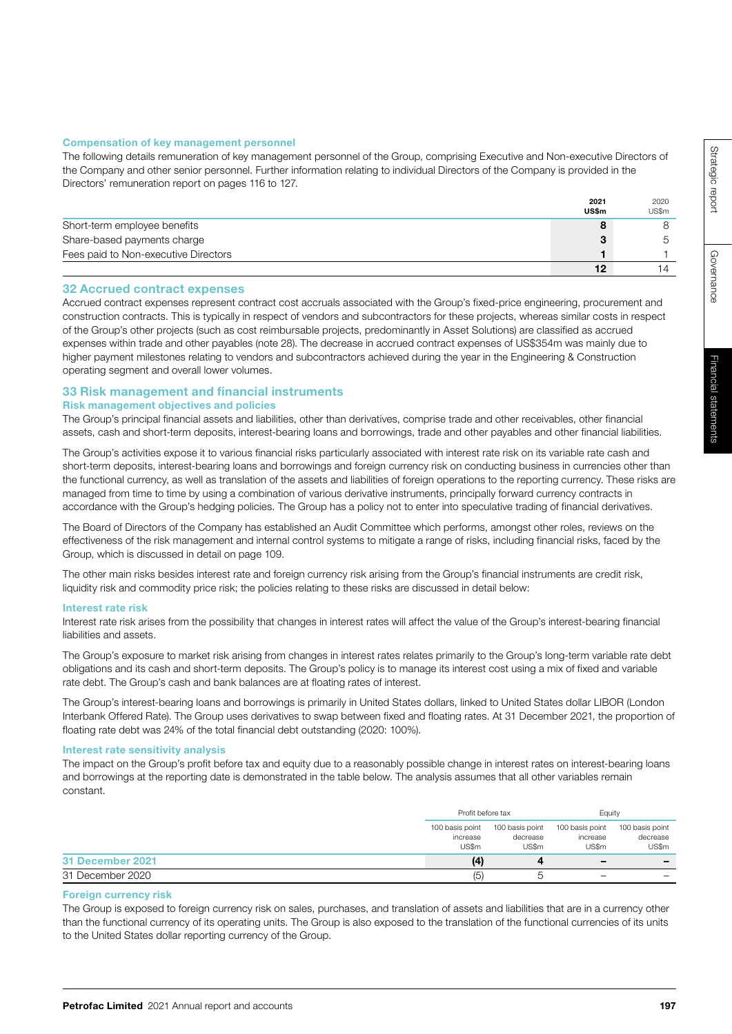# Compensation of key management personnel

The following details remuneration of key management personnel of the Group, comprising Executive and Non-executive Directors of the Company and other senior personnel. Further information relating to individual Directors of the Company is provided in the Directors' remuneration report on pages 116 to 127.

|                                      | 2021  | 2020  |
|--------------------------------------|-------|-------|
|                                      | US\$m | US\$m |
| Short-term employee benefits         |       |       |
| Share-based payments charge          |       |       |
| Fees paid to Non-executive Directors |       |       |
|                                      | 12    |       |

# 32 Accrued contract expenses

Accrued contract expenses represent contract cost accruals associated with the Group's fixed-price engineering, procurement and construction contracts. This is typically in respect of vendors and subcontractors for these projects, whereas similar costs in respect of the Group's other projects (such as cost reimbursable projects, predominantly in Asset Solutions) are classified as accrued expenses within trade and other payables (note 28). The decrease in accrued contract expenses of US\$354m was mainly due to higher payment milestones relating to vendors and subcontractors achieved during the year in the Engineering & Construction operating segment and overall lower volumes.

# 33 Risk management and financial instruments

# Risk management objectives and policies

The Group's principal financial assets and liabilities, other than derivatives, comprise trade and other receivables, other financial assets, cash and short-term deposits, interest-bearing loans and borrowings, trade and other payables and other financial liabilities.

The Group's activities expose it to various financial risks particularly associated with interest rate risk on its variable rate cash and short-term deposits, interest-bearing loans and borrowings and foreign currency risk on conducting business in currencies other than the functional currency, as well as translation of the assets and liabilities of foreign operations to the reporting currency. These risks are managed from time to time by using a combination of various derivative instruments, principally forward currency contracts in accordance with the Group's hedging policies. The Group has a policy not to enter into speculative trading of financial derivatives.

The Board of Directors of the Company has established an Audit Committee which performs, amongst other roles, reviews on the effectiveness of the risk management and internal control systems to mitigate a range of risks, including financial risks, faced by the Group, which is discussed in detail on page 109.

The other main risks besides interest rate and foreign currency risk arising from the Group's financial instruments are credit risk, liquidity risk and commodity price risk; the policies relating to these risks are discussed in detail below:

# Interest rate risk

Interest rate risk arises from the possibility that changes in interest rates will affect the value of the Group's interest-bearing financial liabilities and assets.

The Group's exposure to market risk arising from changes in interest rates relates primarily to the Group's long-term variable rate debt obligations and its cash and short-term deposits. The Group's policy is to manage its interest cost using a mix of fixed and variable rate debt. The Group's cash and bank balances are at floating rates of interest.

The Group's interest-bearing loans and borrowings is primarily in United States dollars, linked to United States dollar LIBOR (London Interbank Offered Rate). The Group uses derivatives to swap between fixed and floating rates. At 31 December 2021, the proportion of floating rate debt was 24% of the total financial debt outstanding (2020: 100%).

# Interest rate sensitivity analysis

The impact on the Group's profit before tax and equity due to a reasonably possible change in interest rates on interest-bearing loans and borrowings at the reporting date is demonstrated in the table below. The analysis assumes that all other variables remain constant.

|                  | Profit before tax                    |                                      | Equity                               |                                      |
|------------------|--------------------------------------|--------------------------------------|--------------------------------------|--------------------------------------|
|                  | 100 basis point<br>increase<br>US\$m | 100 basis point<br>decrease<br>US\$m | 100 basis point<br>increase<br>US\$m | 100 basis point<br>decrease<br>US\$m |
| 31 December 2021 | (4)                                  |                                      | $\overline{\phantom{0}}$             | $\overline{\phantom{0}}$             |
| 31 December 2020 | (5)                                  |                                      | $\overline{\phantom{0}}$             | -                                    |

# Foreign currency risk

The Group is exposed to foreign currency risk on sales, purchases, and translation of assets and liabilities that are in a currency other than the functional currency of its operating units. The Group is also exposed to the translation of the functional currencies of its units to the United States dollar reporting currency of the Group.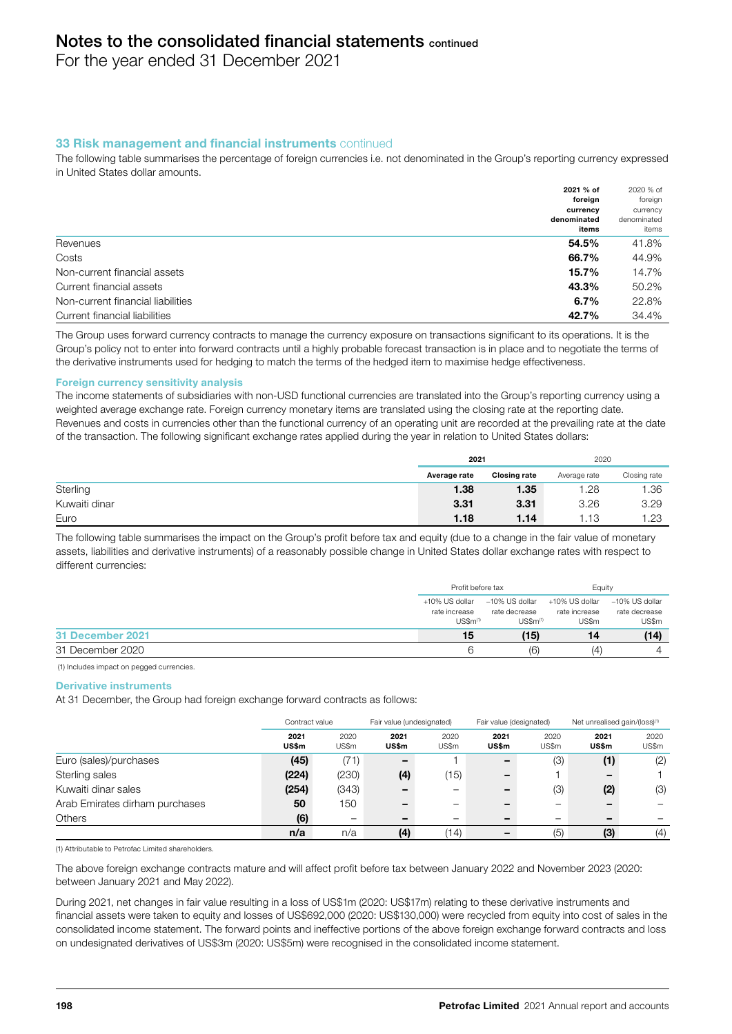For the year ended 31 December 2021

# **33 Risk management and financial instruments continued**

The following table summarises the percentage of foreign currencies i.e. not denominated in the Group's reporting currency expressed in United States dollar amounts.

|                                   | 2021 % of<br>foreign | 2020 % of<br>foreign |
|-----------------------------------|----------------------|----------------------|
|                                   | currency             | currency             |
|                                   | denominated<br>items | denominated<br>items |
| Revenues                          | 54.5%                | 41.8%                |
| Costs                             | 66.7%                | 44.9%                |
| Non-current financial assets      | 15.7%                | 14.7%                |
| Current financial assets          | 43.3%                | 50.2%                |
| Non-current financial liabilities | 6.7%                 | 22.8%                |
| Current financial liabilities     | 42.7%                | 34.4%                |

The Group uses forward currency contracts to manage the currency exposure on transactions significant to its operations. It is the Group's policy not to enter into forward contracts until a highly probable forecast transaction is in place and to negotiate the terms of the derivative instruments used for hedging to match the terms of the hedged item to maximise hedge effectiveness.

## Foreign currency sensitivity analysis

The income statements of subsidiaries with non-USD functional currencies are translated into the Group's reporting currency using a weighted average exchange rate. Foreign currency monetary items are translated using the closing rate at the reporting date. Revenues and costs in currencies other than the functional currency of an operating unit are recorded at the prevailing rate at the date of the transaction. The following significant exchange rates applied during the year in relation to United States dollars:

|               | 2021         |              | 2020         |              |
|---------------|--------------|--------------|--------------|--------------|
|               | Average rate | Closing rate | Average rate | Closing rate |
| Sterling      | 1.38         | 1.35         | 1.28         | .36          |
| Kuwaiti dinar | 3.31         | 3.31         | 3.26         | 3.29         |
| Euro          | 1.18         | 1.14         | .13          | 1.23         |

The following table summarises the impact on the Group's profit before tax and equity (due to a change in the fair value of monetary assets, liabilities and derivative instruments) of a reasonably possible change in United States dollar exchange rates with respect to different currencies:

|                         | Profit before tax               |                                 | Eauity                          |                                 |
|-------------------------|---------------------------------|---------------------------------|---------------------------------|---------------------------------|
|                         | +10% US dollar<br>rate increase | –10% US dollar<br>rate decrease | +10% US dollar<br>rate increase | -10% US dollar<br>rate decrease |
|                         | $US\$ $m^{(1)}$                 | $US~m^{(1)}$                    | US\$m                           | US\$m                           |
| <b>31 December 2021</b> | 15                              | (15)                            | 14                              | (14)                            |
| 31 December 2020        | 'n                              | (6)                             | (4)                             |                                 |

(1) Includes impact on pegged currencies.

#### Derivative instruments

At 31 December, the Group had foreign exchange forward contracts as follows:

|                                | Contract value |                          | Fair value (undesignated) |               | Fair value (designated) |               | Net unrealised gain/(loss) <sup>(1)</sup> |               |
|--------------------------------|----------------|--------------------------|---------------------------|---------------|-------------------------|---------------|-------------------------------------------|---------------|
|                                | 2021<br>US\$m  | 2020<br>US\$m            | 2021<br><b>US\$m</b>      | 2020<br>US\$m | 2021<br>US\$m           | 2020<br>US\$m | 2021<br>US\$m                             | 2020<br>US\$m |
| Euro (sales)/purchases         | (45)           | (71)                     | -                         |               | -                       | (3)           | (1)                                       | (2)           |
| Sterling sales                 | (224)          | (230)                    | (4)                       | (15)          |                         |               | -                                         |               |
| Kuwaiti dinar sales            | (254)          | (343)                    |                           |               |                         | (3)           | (2)                                       | (3)           |
| Arab Emirates dirham purchases | 50             | 150                      | -                         |               |                         |               |                                           |               |
| <b>Others</b>                  | (6)            | $\overline{\phantom{m}}$ | -                         |               |                         |               |                                           |               |
|                                | n/a            | n/a                      | (4)                       | (14)          |                         | (5)           | (3)                                       | (4)           |

(1) Attributable to Petrofac Limited shareholders.

The above foreign exchange contracts mature and will affect profit before tax between January 2022 and November 2023 (2020: between January 2021 and May 2022).

During 2021, net changes in fair value resulting in a loss of US\$1m (2020: US\$17m) relating to these derivative instruments and financial assets were taken to equity and losses of US\$692,000 (2020: US\$130,000) were recycled from equity into cost of sales in the consolidated income statement. The forward points and ineffective portions of the above foreign exchange forward contracts and loss on undesignated derivatives of US\$3m (2020: US\$5m) were recognised in the consolidated income statement.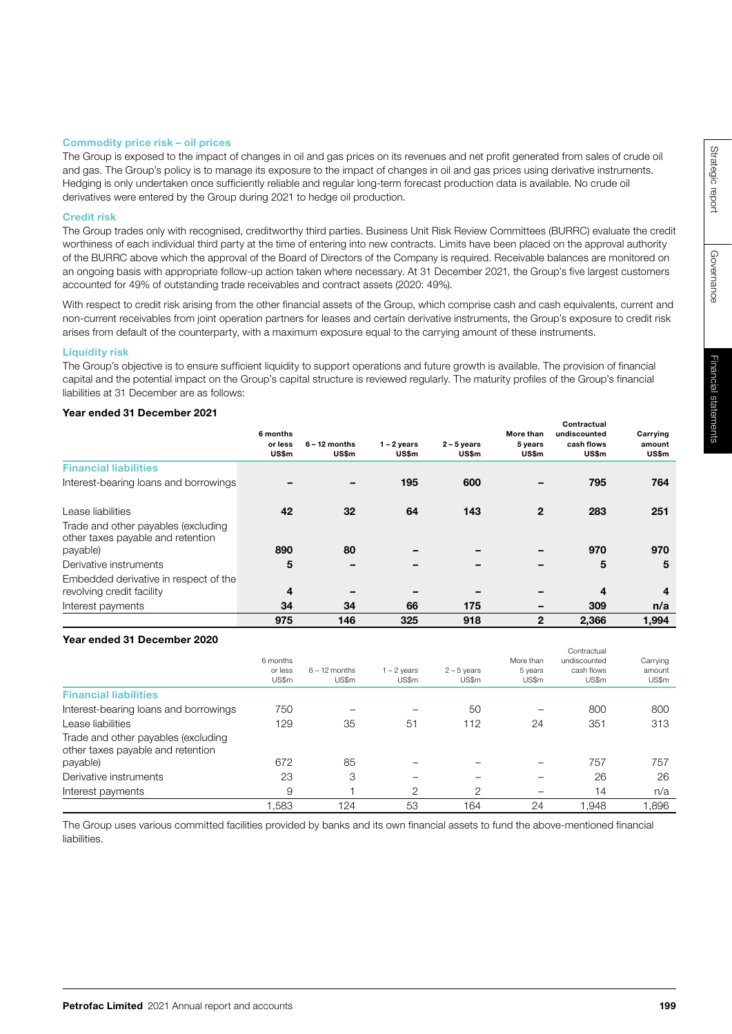Governance

Governance

#### Commodity price risk – oil prices

The Group is exposed to the impact of changes in oil and gas prices on its revenues and net profit generated from sales of crude oil and gas. The Group's policy is to manage its exposure to the impact of changes in oil and gas prices using derivative instruments. Hedging is only undertaken once sufficiently reliable and regular long-term forecast production data is available. No crude oil derivatives were entered by the Group during 2021 to hedge oil production.

#### Credit risk

The Group trades only with recognised, creditworthy third parties. Business Unit Risk Review Committees (BURRC) evaluate the credit worthiness of each individual third party at the time of entering into new contracts. Limits have been placed on the approval authority of the BURRC above which the approval of the Board of Directors of the Company is required. Receivable balances are monitored on an ongoing basis with appropriate follow-up action taken where necessary. At 31 December 2021, the Group's five largest customers accounted for 49% of outstanding trade receivables and contract assets (2020: 49%).

With respect to credit risk arising from the other financial assets of the Group, which comprise cash and cash equivalents, current and non-current receivables from joint operation partners for leases and certain derivative instruments, the Group's exposure to credit risk arises from default of the counterparty, with a maximum exposure equal to the carrying amount of these instruments.

## Liquidity risk

The Group's objective is to ensure sufficient liquidity to support operations and future growth is available. The provision of financial capital and the potential impact on the Group's capital structure is reviewed regularly. The maturity profiles of the Group's financial liabilities at 31 December are as follows:

## Year ended 31 December 2021

|                                                                          | 6 months<br>or less<br><b>US\$m</b> | $6 - 12$ months<br>US\$m | $1 - 2$ years<br>US\$m | $2 - 5$ years<br><b>US\$m</b> | More than<br>5 years<br><b>US\$m</b> | Contractual<br>undiscounted<br>cash flows<br>US\$m | Carrying<br>amount<br>US\$m |
|--------------------------------------------------------------------------|-------------------------------------|--------------------------|------------------------|-------------------------------|--------------------------------------|----------------------------------------------------|-----------------------------|
| <b>Financial liabilities</b>                                             |                                     |                          |                        |                               |                                      |                                                    |                             |
| Interest-bearing loans and borrowings                                    |                                     |                          | 195                    | 600                           |                                      | 795                                                | 764                         |
| Lease liabilities                                                        | 42                                  | 32                       | 64                     | 143                           | $\mathbf{2}$                         | 283                                                | 251                         |
| Trade and other payables (excluding<br>other taxes payable and retention |                                     |                          |                        |                               |                                      |                                                    |                             |
| payable)                                                                 | 890                                 | 80                       |                        |                               |                                      | 970                                                | 970                         |
| Derivative instruments                                                   | 5                                   |                          |                        |                               | -                                    | 5                                                  | 5                           |
| Embedded derivative in respect of the                                    |                                     |                          |                        |                               |                                      |                                                    |                             |
| revolving credit facility                                                | 4                                   |                          |                        |                               |                                      | 4                                                  | 4                           |
| Interest payments                                                        | 34                                  | 34                       | 66                     | 175                           | $\qquad \qquad$                      | 309                                                | n/a                         |
|                                                                          | 975                                 | 146                      | 325                    | 918                           | $\overline{2}$                       | 2,366                                              | 1,994                       |

#### Year ended 31 December 2020

|                                                                          | 6 months<br>or less<br>US\$m | $6 - 12$ months<br>US\$m | $1 - 2$ years<br>US\$m | $2 - 5$ years<br>US\$m | More than<br>5 years<br>US\$m | Contractual<br>undiscounted<br>cash flows<br>US\$m | Carrying<br>amount<br>US\$m |
|--------------------------------------------------------------------------|------------------------------|--------------------------|------------------------|------------------------|-------------------------------|----------------------------------------------------|-----------------------------|
| <b>Financial liabilities</b>                                             |                              |                          |                        |                        |                               |                                                    |                             |
| Interest-bearing loans and borrowings                                    | 750                          |                          |                        | 50                     |                               | 800                                                | 800                         |
| Lease liabilities                                                        | 129                          | 35                       | 51                     | 112                    | 24                            | 351                                                | 313                         |
| Trade and other payables (excluding<br>other taxes payable and retention |                              |                          |                        |                        |                               |                                                    |                             |
| payable)                                                                 | 672                          | 85                       |                        |                        |                               | 757                                                | 757                         |
| Derivative instruments                                                   | 23                           | 3                        |                        |                        |                               | 26                                                 | 26                          |
| Interest payments                                                        | 9                            |                          | $\mathcal{P}$          | $\overline{2}$         |                               | 14                                                 | n/a                         |
|                                                                          | 1.583                        | 124                      | 53                     | 164                    | 24                            | 1.948                                              | 1.896                       |

The Group uses various committed facilities provided by banks and its own financial assets to fund the above-mentioned financial liabilities.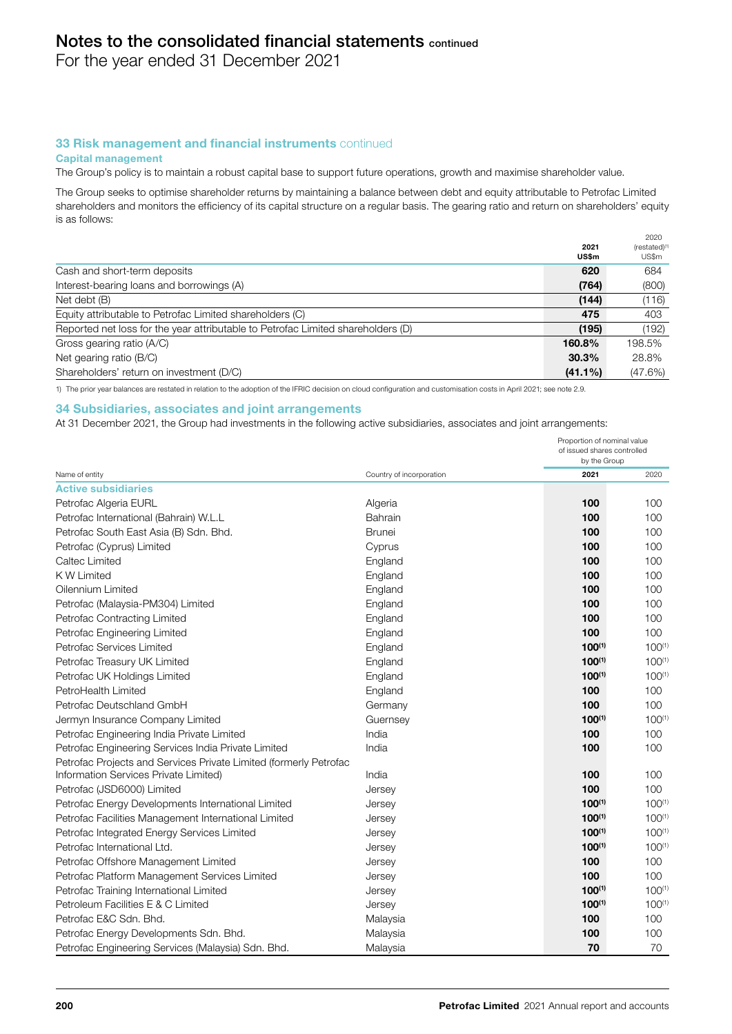For the year ended 31 December 2021

# 33 Risk management and financial instruments continued

#### Capital management

The Group's policy is to maintain a robust capital base to support future operations, growth and maximise shareholder value.

The Group seeks to optimise shareholder returns by maintaining a balance between debt and equity attributable to Petrofac Limited shareholders and monitors the efficiency of its capital structure on a regular basis. The gearing ratio and return on shareholders' equity is as follows:

|                                                                                  | 2021<br><b>US\$m</b> | 2020<br>(restated) <sup>(1</sup><br>US\$m |
|----------------------------------------------------------------------------------|----------------------|-------------------------------------------|
| Cash and short-term deposits                                                     | 620                  | 684                                       |
| Interest-bearing loans and borrowings (A)                                        | (764)                | (800)                                     |
| Net debt (B)                                                                     | (144)                | (116)                                     |
| Equity attributable to Petrofac Limited shareholders (C)                         | 475                  | 403                                       |
| Reported net loss for the year attributable to Petrofac Limited shareholders (D) | (195)                | (192)                                     |
| Gross gearing ratio (A/C)                                                        | 160.8%               | 198.5%                                    |
| Net gearing ratio (B/C)                                                          | 30.3%                | 28.8%                                     |
| Shareholders' return on investment (D/C)                                         | $(41.1\%)$           | (47.6%)                                   |

1) The prior year balances are restated in relation to the adoption of the IFRIC decision on cloud configuration and customisation costs in April 2021; see note 2.9.

#### 34 Subsidiaries, associates and joint arrangements

At 31 December 2021, the Group had investments in the following active subsidiaries, associates and joint arrangements:

|                                                                   |                          | Proportion of nominal value<br>of issued shares controlled<br>by the Group |             |  |
|-------------------------------------------------------------------|--------------------------|----------------------------------------------------------------------------|-------------|--|
| Name of entity                                                    | Country of incorporation | 2021                                                                       | 2020        |  |
| <b>Active subsidiaries</b>                                        |                          |                                                                            |             |  |
| Petrofac Algeria EURL                                             | Algeria                  | 100                                                                        | 100         |  |
| Petrofac International (Bahrain) W.L.L                            | Bahrain                  | 100                                                                        | 100         |  |
| Petrofac South East Asia (B) Sdn. Bhd.                            | Brunei                   | 100                                                                        | 100         |  |
| Petrofac (Cyprus) Limited                                         | Cyprus                   | 100                                                                        | 100         |  |
| Caltec Limited                                                    | England                  | 100                                                                        | 100         |  |
| K W Limited                                                       | England                  | 100                                                                        | 100         |  |
| Oilennium Limited                                                 | England                  | 100                                                                        | 100         |  |
| Petrofac (Malaysia-PM304) Limited                                 | England                  | 100                                                                        | 100         |  |
| Petrofac Contracting Limited                                      | England                  | 100                                                                        | 100         |  |
| Petrofac Engineering Limited                                      | England                  | 100                                                                        | 100         |  |
| Petrofac Services Limited                                         | England                  | $100^{(1)}$                                                                | $100^{(1)}$ |  |
| Petrofac Treasury UK Limited                                      | England                  | $100^{(1)}$                                                                | $100^{(1)}$ |  |
| Petrofac UK Holdings Limited                                      | England                  | $100^{(1)}$                                                                | $100^{(1)}$ |  |
| PetroHealth Limited                                               | England                  | 100                                                                        | 100         |  |
| Petrofac Deutschland GmbH                                         | Germany                  | 100                                                                        | 100         |  |
| Jermyn Insurance Company Limited                                  | Guernsey                 | $100^{(1)}$                                                                | $100^{(1)}$ |  |
| Petrofac Engineering India Private Limited                        | India                    | 100                                                                        | 100         |  |
| Petrofac Engineering Services India Private Limited               | India                    | 100                                                                        | 100         |  |
| Petrofac Projects and Services Private Limited (formerly Petrofac |                          |                                                                            |             |  |
| Information Services Private Limited)                             | India                    | 100                                                                        | 100         |  |
| Petrofac (JSD6000) Limited                                        | Jersey                   | 100                                                                        | 100         |  |
| Petrofac Energy Developments International Limited                | Jersey                   | $100^{(1)}$                                                                | $100^{(1)}$ |  |
| Petrofac Facilities Management International Limited              | Jersey                   | $100^{(1)}$                                                                | $100^{(1)}$ |  |
| Petrofac Integrated Energy Services Limited                       | Jersey                   | $100^{(1)}$                                                                | $100^{(1)}$ |  |
| Petrofac International Ltd.                                       | Jersey                   | $100^{(1)}$                                                                | $100^{(1)}$ |  |
| Petrofac Offshore Management Limited                              | Jersey                   | 100                                                                        | 100         |  |
| Petrofac Platform Management Services Limited                     | Jersey                   | 100                                                                        | 100         |  |
| Petrofac Training International Limited                           | Jersey                   | $100^{(1)}$                                                                | $100^{(1)}$ |  |
| Petroleum Facilities E & C Limited                                | Jersey                   | $100^{(1)}$                                                                | $100^{(1)}$ |  |
| Petrofac E&C Sdn, Bhd.                                            | Malaysia                 | 100                                                                        | 100         |  |
| Petrofac Energy Developments Sdn. Bhd.                            | Malaysia                 | 100                                                                        | 100         |  |
| Petrofac Engineering Services (Malaysia) Sdn. Bhd.                | Malaysia                 | 70                                                                         | 70          |  |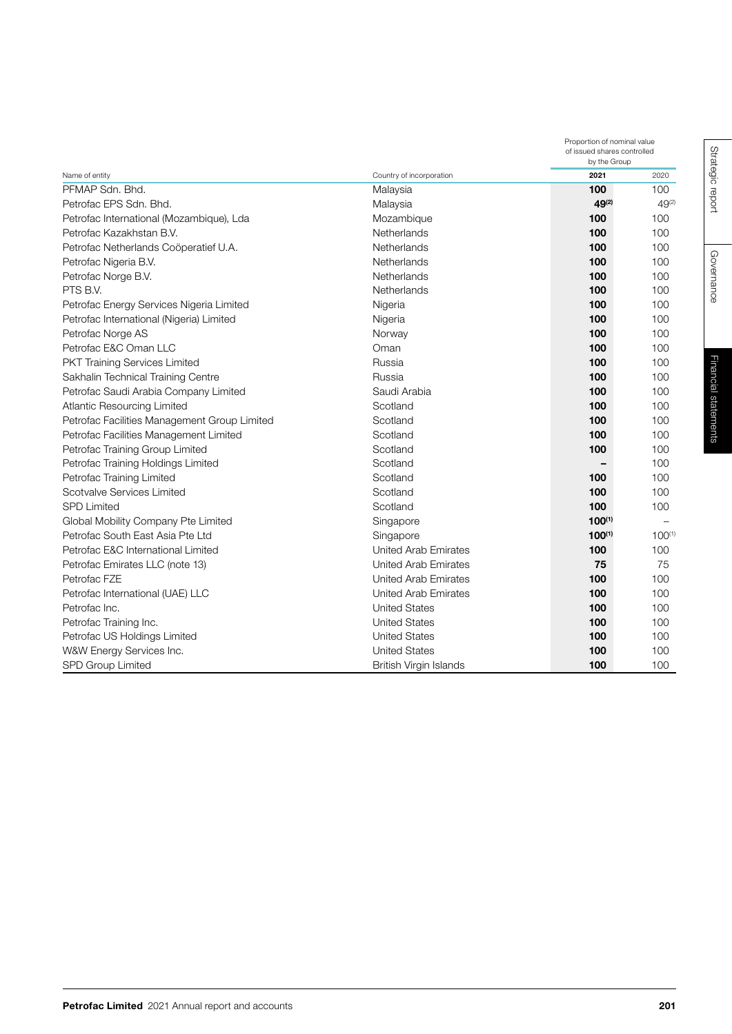|                                              |                               |             | Proportion of nominal value<br>of issued shares controlled<br>by the Group |  |  |
|----------------------------------------------|-------------------------------|-------------|----------------------------------------------------------------------------|--|--|
| Name of entity                               | Country of incorporation      | 2021        | 2020                                                                       |  |  |
| PFMAP Sdn, Bhd.                              | Malaysia                      | 100         | 100                                                                        |  |  |
| Petrofac EPS Sdn. Bhd.                       | Malaysia                      | 49(2)       | $49^{(2)}$                                                                 |  |  |
| Petrofac International (Mozambique), Lda     | Mozambique                    | 100         | 100                                                                        |  |  |
| Petrofac Kazakhstan B.V.                     | Netherlands                   | 100         | 100                                                                        |  |  |
| Petrofac Netherlands Coöperatief U.A.        | Netherlands                   | 100         | 100                                                                        |  |  |
| Petrofac Nigeria B.V.                        | Netherlands                   | 100         | 100                                                                        |  |  |
| Petrofac Norge B.V.                          | Netherlands                   | 100         | 100                                                                        |  |  |
| PTS B.V.                                     | Netherlands                   | 100         | 100                                                                        |  |  |
| Petrofac Energy Services Nigeria Limited     | Nigeria                       | 100         | 100                                                                        |  |  |
| Petrofac International (Nigeria) Limited     | Nigeria                       | 100         | 100                                                                        |  |  |
| Petrofac Norge AS                            | Norway                        | 100         | 100                                                                        |  |  |
| Petrofac E&C Oman LLC                        | Oman                          | 100         | 100                                                                        |  |  |
| PKT Training Services Limited                | Russia                        | 100         | 100                                                                        |  |  |
| Sakhalin Technical Training Centre           | Russia                        | 100         | 100                                                                        |  |  |
| Petrofac Saudi Arabia Company Limited        | Saudi Arabia                  | 100         | 100                                                                        |  |  |
| <b>Atlantic Resourcing Limited</b>           | Scotland                      | 100         | 100                                                                        |  |  |
| Petrofac Facilities Management Group Limited | Scotland                      | 100         | 100                                                                        |  |  |
| Petrofac Facilities Management Limited       | Scotland                      | 100         | 100                                                                        |  |  |
| Petrofac Training Group Limited              | Scotland                      | 100         | 100                                                                        |  |  |
| Petrofac Training Holdings Limited           | Scotland                      |             | 100                                                                        |  |  |
| Petrofac Training Limited                    | Scotland                      | 100         | 100                                                                        |  |  |
| Scotvalve Services Limited                   | Scotland                      | 100         | 100                                                                        |  |  |
| <b>SPD Limited</b>                           | Scotland                      | 100         | 100                                                                        |  |  |
| Global Mobility Company Pte Limited          | Singapore                     | $100^{(1)}$ |                                                                            |  |  |
| Petrofac South East Asia Pte Ltd             | Singapore                     | $100^{(1)}$ | $100^{(1)}$                                                                |  |  |
| Petrofac E&C International Limited           | <b>United Arab Emirates</b>   | 100         | 100                                                                        |  |  |
| Petrofac Emirates LLC (note 13)              | United Arab Emirates          | 75          | 75                                                                         |  |  |
| Petrofac FZE                                 | <b>United Arab Emirates</b>   | 100         | 100                                                                        |  |  |
| Petrofac International (UAE) LLC             | <b>United Arab Emirates</b>   | 100         | 100                                                                        |  |  |
| Petrofac Inc.                                | <b>United States</b>          | 100         | 100                                                                        |  |  |
| Petrofac Training Inc.                       | <b>United States</b>          | 100         | 100                                                                        |  |  |
| Petrofac US Holdings Limited                 | <b>United States</b>          | 100         | 100                                                                        |  |  |
| W&W Energy Services Inc.                     | <b>United States</b>          | 100         | 100                                                                        |  |  |
| SPD Group Limited                            | <b>British Virgin Islands</b> | 100         | 100                                                                        |  |  |

Governance

Governance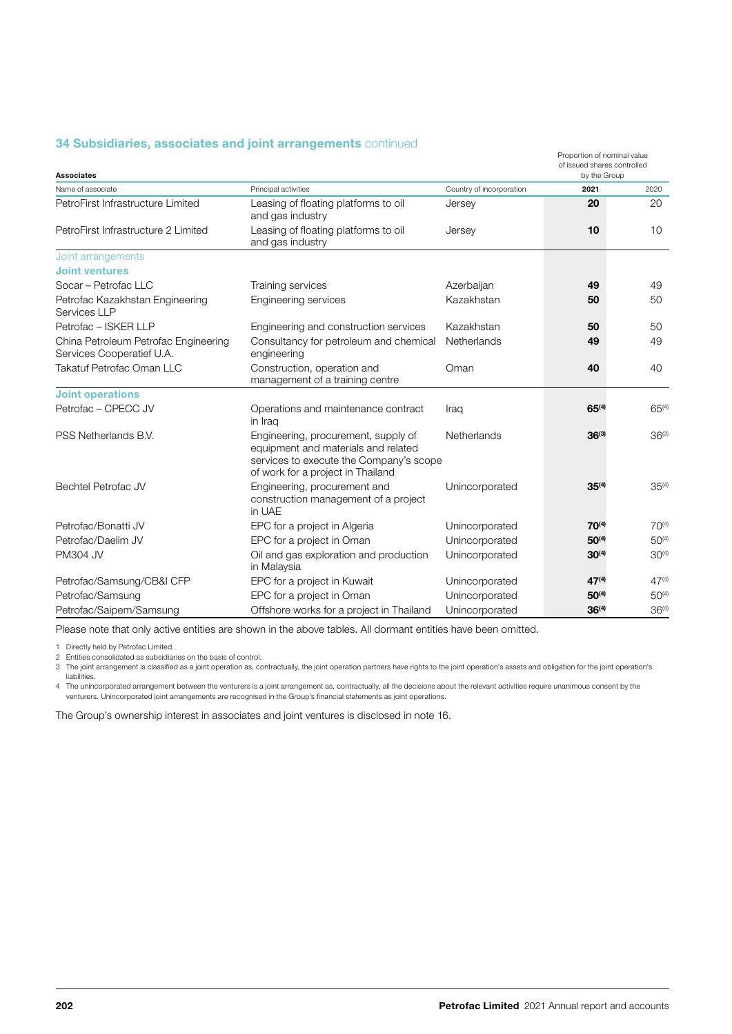# **34 Subsidiaries, associates and joint arrangements continued**

| <b>Associates</b>                                                 |                                                                                                                                                            |                          | Proportion of nominal value<br>of issued shares controlled<br>by the Group |            |
|-------------------------------------------------------------------|------------------------------------------------------------------------------------------------------------------------------------------------------------|--------------------------|----------------------------------------------------------------------------|------------|
| Name of associate                                                 | Principal activities                                                                                                                                       | Country of incorporation | 2021                                                                       | 2020       |
| PetroFirst Infrastructure Limited                                 | Leasing of floating platforms to oil<br>and gas industry                                                                                                   | Jersey                   | 20                                                                         | 20         |
| PetroFirst Infrastructure 2 Limited                               | Leasing of floating platforms to oil<br>and gas industry                                                                                                   | Jersey                   | 10                                                                         | 10         |
| Joint arrangements                                                |                                                                                                                                                            |                          |                                                                            |            |
| <b>Joint ventures</b>                                             |                                                                                                                                                            |                          |                                                                            |            |
| Socar - Petrofac LLC                                              | Training services                                                                                                                                          | Azerbaijan               | 49                                                                         | 49         |
| Petrofac Kazakhstan Engineering<br>Services LLP                   | Engineering services                                                                                                                                       | Kazakhstan               | 50                                                                         | 50         |
| Petrofac - ISKER LLP                                              | Engineering and construction services                                                                                                                      | Kazakhstan               | 50                                                                         | 50         |
| China Petroleum Petrofac Engineering<br>Services Cooperatief U.A. | Consultancy for petroleum and chemical<br>engineering                                                                                                      | Netherlands              | 49                                                                         | 49         |
| <b>Takatuf Petrofac Oman LLC</b>                                  | Construction, operation and<br>management of a training centre                                                                                             | Oman                     | 40                                                                         | 40         |
| <b>Joint operations</b>                                           |                                                                                                                                                            |                          |                                                                            |            |
| Petrofac - CPECC JV                                               | Operations and maintenance contract<br>in Iraq                                                                                                             | Iraq                     | $65^{(4)}$                                                                 | $65^{(4)}$ |
| PSS Netherlands B.V.                                              | Engineering, procurement, supply of<br>equipment and materials and related<br>services to execute the Company's scope<br>of work for a project in Thailand | Netherlands              | $36^{(3)}$                                                                 | $36^{(3)}$ |
| <b>Bechtel Petrofac JV</b>                                        | Engineering, procurement and<br>construction management of a project<br>in UAE                                                                             | Unincorporated           | $35^{(4)}$                                                                 | $35^{(4)}$ |
| Petrofac/Bonatti JV                                               | EPC for a project in Algeria                                                                                                                               | Unincorporated           | $70^{(4)}$                                                                 | $70^{(4)}$ |
| Petrofac/Daelim JV                                                | EPC for a project in Oman                                                                                                                                  | Unincorporated           | $50^{(4)}$                                                                 | $50^{(4)}$ |
| <b>PM304 JV</b>                                                   | Oil and gas exploration and production<br>in Malaysia                                                                                                      | Unincorporated           | $30^{(4)}$                                                                 | $30^{(4)}$ |
| Petrofac/Samsung/CB&I CFP                                         | EPC for a project in Kuwait                                                                                                                                | Unincorporated           | $47^{(4)}$                                                                 | $47^{(4)}$ |
| Petrofac/Samsung                                                  | EPC for a project in Oman                                                                                                                                  | Unincorporated           | $50^{(4)}$                                                                 | $50^{(4)}$ |
| Petrofac/Saipem/Samsung                                           | Offshore works for a project in Thailand                                                                                                                   | Unincorporated           | $36^{(4)}$                                                                 | $36^{(4)}$ |

Please note that only active entities are shown in the above tables. All dormant entities have been omitted.

1 Directly held by Petrofac Limited.

2 Entities consolidated as subsidiaries on the basis of control.<br>3 The joint arrangement is classified as a joint operation as, contractually, the joint operation partners have rights to the joint operation's assets and ob liabilities.

The unincorporated arrangement between the venturers is a joint arrangement as, contractually, all the decisions about the relevant activities require unanimous consent by the<br>venturers. Unincorporated joint arrangements a

The Group's ownership interest in associates and joint ventures is disclosed in note 16.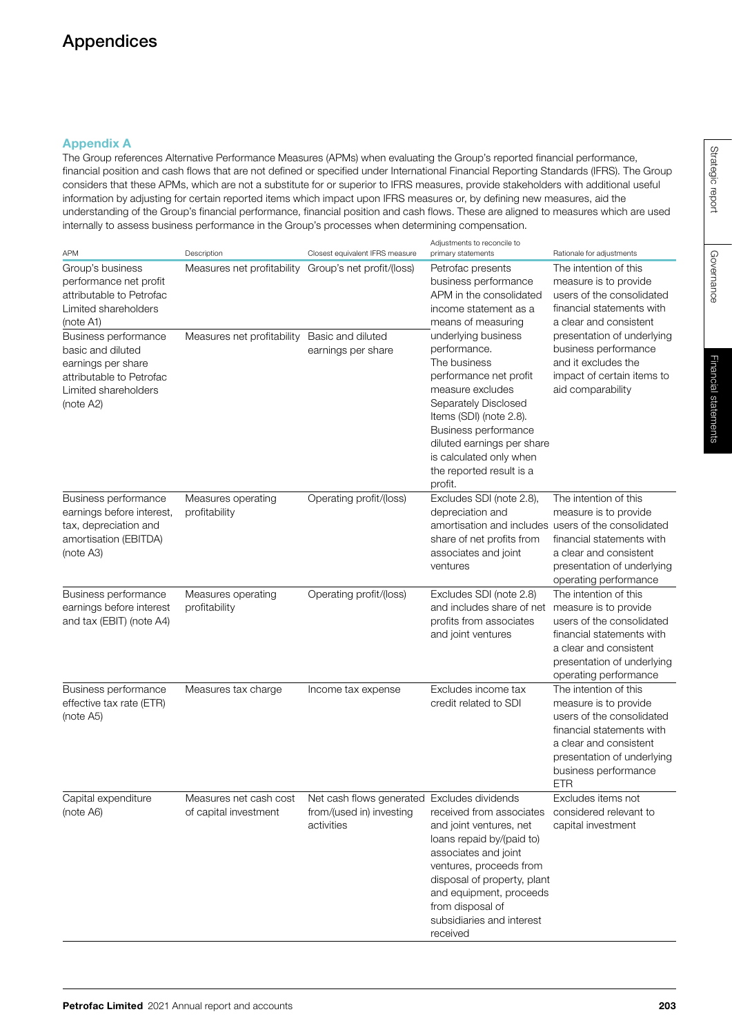# Appendices

# Appendix A

The Group references Alternative Performance Measures (APMs) when evaluating the Group's reported financial performance, financial position and cash flows that are not defined or specified under International Financial Reporting Standards (IFRS). The Group considers that these APMs, which are not a substitute for or superior to IFRS measures, provide stakeholders with additional useful information by adjusting for certain reported items which impact upon IFRS measures or, by defining new measures, aid the understanding of the Group's financial performance, financial position and cash flows. These are aligned to measures which are used internally to assess business performance in the Group's processes when determining compensation.

| <b>APM</b>                                                                                                                       | Description                                     | Closest equivalent IFRS measure                                                       | Adiustments to reconcile to<br>primary statements                                                                                                                                                                                                                            | Rationale for adjustments                                                                                                                                                                              |
|----------------------------------------------------------------------------------------------------------------------------------|-------------------------------------------------|---------------------------------------------------------------------------------------|------------------------------------------------------------------------------------------------------------------------------------------------------------------------------------------------------------------------------------------------------------------------------|--------------------------------------------------------------------------------------------------------------------------------------------------------------------------------------------------------|
| Group's business<br>performance net profit<br>attributable to Petrofac<br>Limited shareholders<br>(note A1)                      | Measures net profitability                      | Group's net profit/(loss)                                                             | Petrofac presents<br>business performance<br>APM in the consolidated<br>income statement as a<br>means of measuring                                                                                                                                                          | The intention of this<br>measure is to provide<br>users of the consolidated<br>financial statements with<br>a clear and consistent                                                                     |
| Business performance<br>basic and diluted<br>earnings per share<br>attributable to Petrofac<br>Limited shareholders<br>(note A2) | Measures net profitability                      | Basic and diluted<br>earnings per share                                               | underlying business<br>performance.<br>The business<br>performance net profit<br>measure excludes<br>Separately Disclosed<br>Items (SDI) (note 2.8).<br>Business performance<br>diluted earnings per share<br>is calculated only when<br>the reported result is a<br>profit. | presentation of underlying<br>business performance<br>and it excludes the<br>impact of certain items to<br>aid comparability                                                                           |
| Business performance<br>earnings before interest,<br>tax, depreciation and<br>amortisation (EBITDA)<br>(note A3)                 | Measures operating<br>profitability             | Operating profit/(loss)                                                               | Excludes SDI (note 2.8),<br>depreciation and<br>amortisation and includes users of the consolidated<br>share of net profits from<br>associates and joint<br>ventures                                                                                                         | The intention of this<br>measure is to provide<br>financial statements with<br>a clear and consistent<br>presentation of underlying<br>operating performance                                           |
| Business performance<br>earnings before interest<br>and tax (EBIT) (note A4)                                                     | Measures operating<br>profitability             | Operating profit/(loss)                                                               | Excludes SDI (note 2.8)<br>and includes share of net<br>profits from associates<br>and joint ventures                                                                                                                                                                        | The intention of this<br>measure is to provide<br>users of the consolidated<br>financial statements with<br>a clear and consistent<br>presentation of underlying<br>operating performance              |
| Business performance<br>effective tax rate (ETR)<br>(note A5)                                                                    | Measures tax charge                             | Income tax expense                                                                    | Excludes income tax<br>credit related to SDI                                                                                                                                                                                                                                 | The intention of this<br>measure is to provide<br>users of the consolidated<br>financial statements with<br>a clear and consistent<br>presentation of underlying<br>business performance<br><b>ETR</b> |
| Capital expenditure<br>(note A6)                                                                                                 | Measures net cash cost<br>of capital investment | Net cash flows generated Excludes dividends<br>from/(used in) investing<br>activities | received from associates<br>and joint ventures, net<br>loans repaid by/(paid to)<br>associates and joint<br>ventures, proceeds from<br>disposal of property, plant<br>and equipment, proceeds<br>from disposal of<br>subsidiaries and interest<br>received                   | Excludes items not<br>considered relevant to<br>capital investment                                                                                                                                     |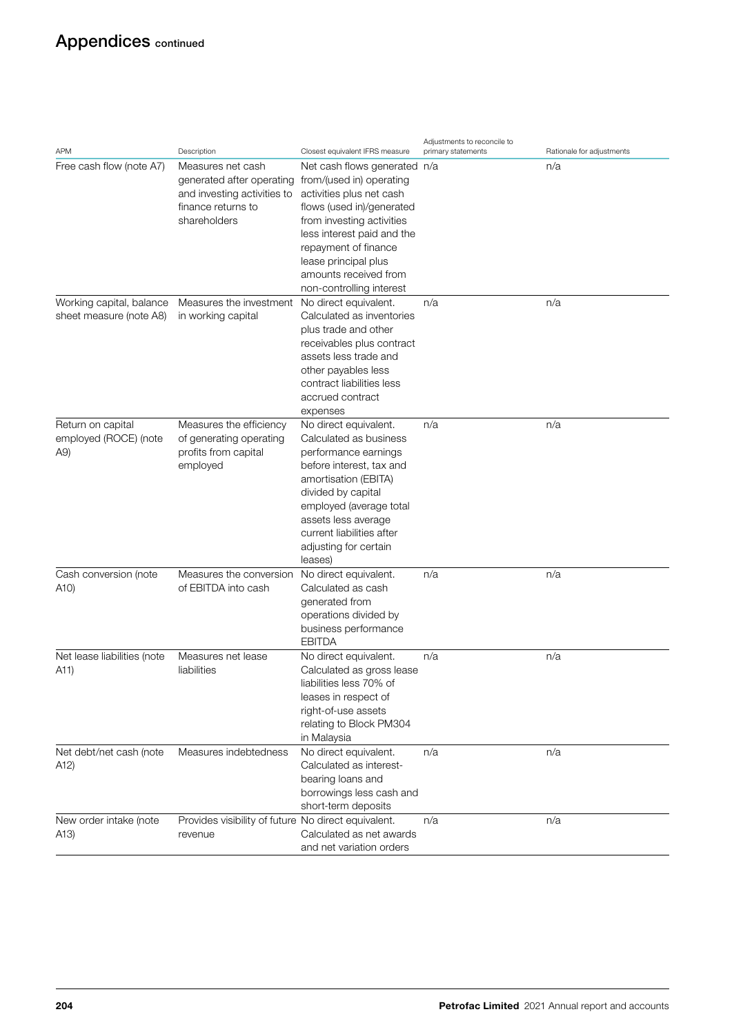# Appendices continued

| <b>APM</b>                                          | Description                                                                                                         | Closest equivalent IFRS measure                                                                                                                                                                                                                                                   | Adjustments to reconcile to<br>primary statements | Rationale for adjustments |
|-----------------------------------------------------|---------------------------------------------------------------------------------------------------------------------|-----------------------------------------------------------------------------------------------------------------------------------------------------------------------------------------------------------------------------------------------------------------------------------|---------------------------------------------------|---------------------------|
| Free cash flow (note A7)                            | Measures net cash<br>generated after operating<br>and investing activities to<br>finance returns to<br>shareholders | Net cash flows generated n/a<br>from/(used in) operating<br>activities plus net cash<br>flows (used in)/generated<br>from investing activities<br>less interest paid and the<br>repayment of finance<br>lease principal plus<br>amounts received from<br>non-controlling interest |                                                   | n/a                       |
| Working capital, balance<br>sheet measure (note A8) | Measures the investment<br>in working capital                                                                       | No direct equivalent.<br>Calculated as inventories<br>plus trade and other<br>receivables plus contract<br>assets less trade and<br>other payables less<br>contract liabilities less<br>accrued contract<br>expenses                                                              | n/a                                               | n/a                       |
| Return on capital<br>employed (ROCE) (note<br>A9)   | Measures the efficiency<br>of generating operating<br>profits from capital<br>employed                              | No direct equivalent.<br>Calculated as business<br>performance earnings<br>before interest, tax and<br>amortisation (EBITA)<br>divided by capital<br>employed (average total<br>assets less average<br>current liabilities after<br>adjusting for certain<br>leases)              | n/a                                               | n/a                       |
| Cash conversion (note<br>A10)                       | Measures the conversion<br>of EBITDA into cash                                                                      | No direct equivalent.<br>Calculated as cash<br>generated from<br>operations divided by<br>business performance<br><b>EBITDA</b>                                                                                                                                                   | n/a                                               | n/a                       |
| Net lease liabilities (note<br>A11)                 | Measures net lease<br>liabilities                                                                                   | No direct equivalent.<br>Calculated as gross lease<br>liabilities less 70% of<br>leases in respect of<br>right-of-use assets<br>relating to Block PM304<br>in Malaysia                                                                                                            | n/a                                               | n/a                       |
| Net debt/net cash (note<br>A12)                     | Measures indebtedness                                                                                               | No direct equivalent.<br>Calculated as interest-<br>bearing loans and<br>borrowings less cash and<br>short-term deposits                                                                                                                                                          | n/a                                               | n/a                       |
| New order intake (note<br>A13)                      | Provides visibility of future No direct equivalent.<br>revenue                                                      | Calculated as net awards<br>and net variation orders                                                                                                                                                                                                                              | n/a                                               | n/a                       |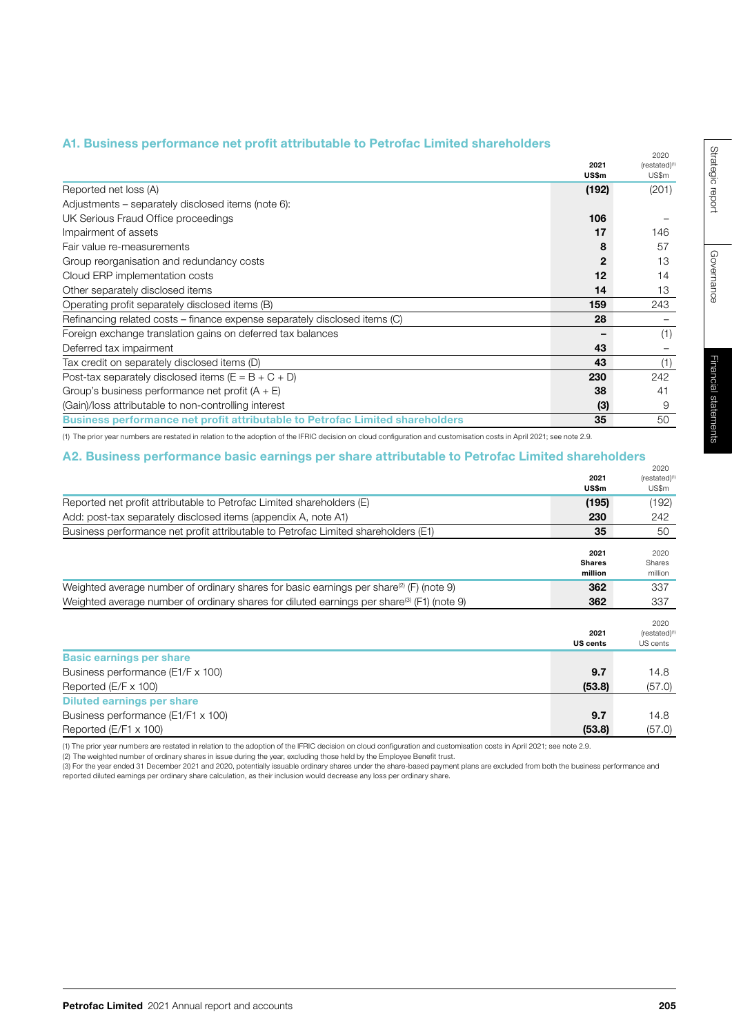# A1. Business performance net profit attributable to Petrofac Limited shareholders

|                                                                                                                                                                                                                                | 2021  | 2020<br>(restated) <sup>(1)</sup> |
|--------------------------------------------------------------------------------------------------------------------------------------------------------------------------------------------------------------------------------|-------|-----------------------------------|
|                                                                                                                                                                                                                                | US\$m | US\$m                             |
| Reported net loss (A)                                                                                                                                                                                                          | (192) | (201)                             |
| Adjustments – separately disclosed items (note 6):                                                                                                                                                                             |       |                                   |
| UK Serious Fraud Office proceedings                                                                                                                                                                                            | 106   |                                   |
| Impairment of assets                                                                                                                                                                                                           | 17    | 146                               |
| Fair value re-measurements                                                                                                                                                                                                     | 8     | 57                                |
| Group reorganisation and redundancy costs                                                                                                                                                                                      |       | 13                                |
| Cloud ERP implementation costs                                                                                                                                                                                                 | 12    | 14                                |
| Other separately disclosed items                                                                                                                                                                                               | 14    | 13                                |
| Operating profit separately disclosed items (B)                                                                                                                                                                                | 159   | 243                               |
| Refinancing related costs - finance expense separately disclosed items (C)                                                                                                                                                     | 28    |                                   |
| Foreign exchange translation gains on deferred tax balances                                                                                                                                                                    |       | (1)                               |
| Deferred tax impairment                                                                                                                                                                                                        | 43    |                                   |
| Tax credit on separately disclosed items (D)                                                                                                                                                                                   | 43    | (1)                               |
| Post-tax separately disclosed items ( $E = B + C + D$ )                                                                                                                                                                        | 230   | 242                               |
| Group's business performance net profit $(A + E)$                                                                                                                                                                              | 38    | 41                                |
| (Gain)/loss attributable to non-controlling interest                                                                                                                                                                           | (3)   | 9                                 |
| <b>Business performance net profit attributable to Petrofac Limited shareholders</b>                                                                                                                                           | 35    | 50                                |
| and the contract of the contract of the contract of the contract of the contract of the contract of the contract of the contract of the contract of the contract of the contract of the contract of the contract of the contra |       |                                   |

(1) The prior year numbers are restated in relation to the adoption of the IFRIC decision on cloud configuration and customisation costs in April 2021; see note 2.9.

# A2. Business performance basic earnings per share attributable to Petrofac Limited shareholders

|                                                                                                        | 2021<br>US\$m                    | 2020<br>(restated) <sup>(1)</sup><br>US\$m   |
|--------------------------------------------------------------------------------------------------------|----------------------------------|----------------------------------------------|
| Reported net profit attributable to Petrofac Limited shareholders (E)                                  | (195)                            | (192)                                        |
| Add: post-tax separately disclosed items (appendix A, note A1)                                         | 230                              | 242                                          |
| Business performance net profit attributable to Petrofac Limited shareholders (E1)                     | 35                               | 50                                           |
|                                                                                                        | 2021<br><b>Shares</b><br>million | 2020<br>Shares<br>million                    |
| Weighted average number of ordinary shares for basic earnings per share <sup>(2)</sup> (F) (note 9)    | 362                              | 337                                          |
| Weighted average number of ordinary shares for diluted earnings per share <sup>(3)</sup> (F1) (note 9) | 362                              | 337                                          |
|                                                                                                        | 2021<br><b>US cents</b>          | 2020<br>(restated) <sup>(1</sup><br>US cents |
| <b>Basic earnings per share</b>                                                                        |                                  |                                              |
| Business performance (E1/F x 100)                                                                      | 9.7                              | 14.8                                         |
| Reported (E/F x 100)                                                                                   | (53.8)                           | (57.0)                                       |
| <b>Diluted earnings per share</b>                                                                      |                                  |                                              |
| Business performance (E1/F1 x 100)                                                                     | 9.7                              | 14.8                                         |
| Reported (E/F1 x 100)                                                                                  | (53.8)                           | (57.0)                                       |

(1) The prior year numbers are restated in relation to the adoption of the IFRIC decision on cloud configuration and customisation costs in April 2021; see note 2.9.<br>(2) The weighted number of ordinary shares in issue duri

reported diluted earnings per ordinary share calculation, as their inclusion would decrease any loss per ordinary share.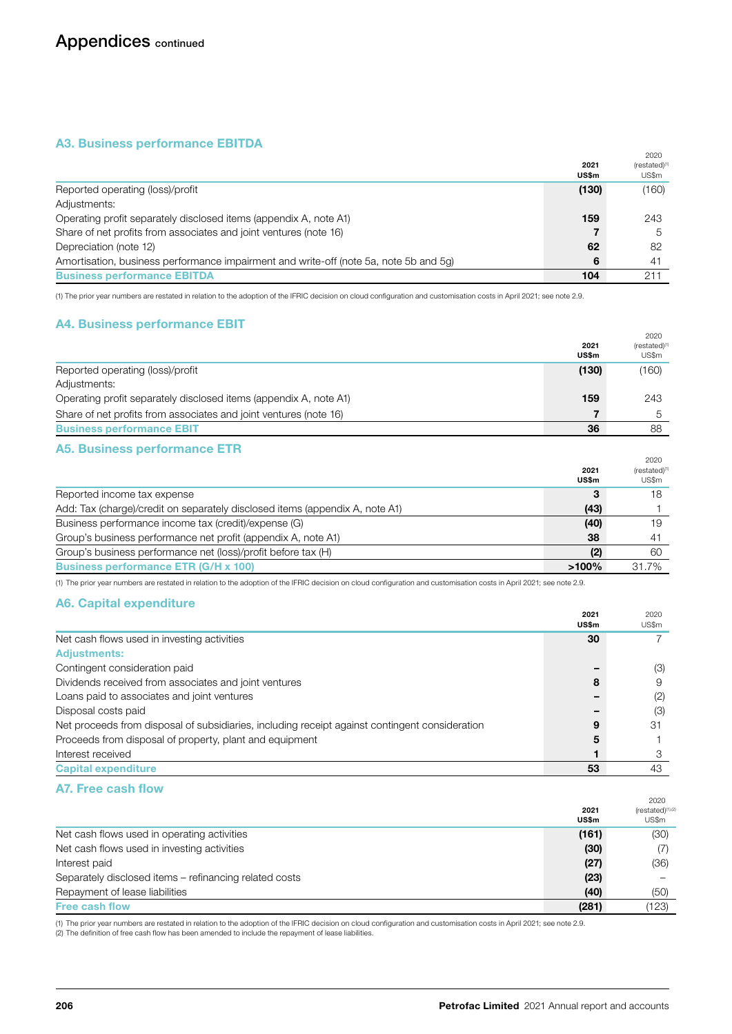# A3. Business performance EBITDA

|                                                                                       |                      | 2020                      |
|---------------------------------------------------------------------------------------|----------------------|---------------------------|
|                                                                                       | 2021<br><b>US\$m</b> | $(rested)^{(1)}$<br>US\$m |
| Reported operating (loss)/profit                                                      | (130)                | (160)                     |
| Adjustments:                                                                          |                      |                           |
| Operating profit separately disclosed items (appendix A, note A1)                     | 159                  | 243                       |
| Share of net profits from associates and joint ventures (note 16)                     |                      | <sub>5</sub>              |
| Depreciation (note 12)                                                                | 62                   | 82                        |
| Amortisation, business performance impairment and write-off (note 5a, note 5b and 5q) | 6                    | -41                       |
| <b>Business performance EBITDA</b>                                                    | 104                  | 211                       |

(1) The prior year numbers are restated in relation to the adoption of the IFRIC decision on cloud configuration and customisation costs in April 2021; see note 2.9.

# A4. Business performance EBIT

|                                                                   |               | 2020                               |
|-------------------------------------------------------------------|---------------|------------------------------------|
|                                                                   | 2021<br>US\$m | (restated) <sup>(1)</sup><br>US\$m |
|                                                                   |               |                                    |
| Reported operating (loss)/profit                                  | (130)         | (160)                              |
| Adjustments:                                                      |               |                                    |
| Operating profit separately disclosed items (appendix A, note A1) | 159           | 243                                |
| Share of net profits from associates and joint ventures (note 16) |               |                                    |
| <b>Business performance EBIT</b>                                  | 36            | 88                                 |

# A5. Business performance ETR

|                                                                              | 2021<br>US\$m | 2020<br>(restated) <sup>(1)</sup><br>US\$m |
|------------------------------------------------------------------------------|---------------|--------------------------------------------|
| Reported income tax expense                                                  | 3             | 18                                         |
| Add: Tax (charge)/credit on separately disclosed items (appendix A, note A1) | (43)          |                                            |
| Business performance income tax (credit)/expense (G)                         | (40)          | 19                                         |
| Group's business performance net profit (appendix A, note A1)                | 38            | 41                                         |
| Group's business performance net (loss)/profit before tax (H)                | (2)           | 60                                         |
| <b>Business performance ETR (G/H x 100)</b>                                  | $>100\%$      | 31.7%                                      |

(1) The prior year numbers are restated in relation to the adoption of the IFRIC decision on cloud configuration and customisation costs in April 2021; see note 2.9.

# A6. Capital expenditure

|                                                                                                | 20Z I<br><b>US\$m</b> | ZUZU<br>US\$m |
|------------------------------------------------------------------------------------------------|-----------------------|---------------|
| Net cash flows used in investing activities                                                    | 30                    |               |
| <b>Adjustments:</b>                                                                            |                       |               |
| Contingent consideration paid                                                                  |                       | (3)           |
| Dividends received from associates and joint ventures                                          | 8                     | 9             |
| Loans paid to associates and joint ventures                                                    |                       | (2)           |
| Disposal costs paid                                                                            |                       | (3)           |
| Net proceeds from disposal of subsidiaries, including receipt against contingent consideration | 9                     | 31            |
| Proceeds from disposal of property, plant and equipment                                        | 5                     |               |
| Interest received                                                                              |                       | З             |
| <b>Capital expenditure</b>                                                                     | 53                    | 43            |

# A7. Free cash flow

|                                                        | 2021<br>US\$m | 2020<br>(restated) <sup>(1),(2</sup><br>US\$m |
|--------------------------------------------------------|---------------|-----------------------------------------------|
| Net cash flows used in operating activities            | (161)         | (30)                                          |
| Net cash flows used in investing activities            | (30)          | (7)                                           |
| Interest paid                                          | (27)          | (36)                                          |
| Separately disclosed items – refinancing related costs | (23)          |                                               |
| Repayment of lease liabilities                         | (40)          | (50)                                          |
| <b>Free cash flow</b>                                  | (281)         | (123)                                         |

(1) The prior year numbers are restated in relation to the adoption of the IFRIC decision on cloud configuration and customisation costs in April 2021; see note 2.9.

(2) The definition of free cash flow has been amended to include the repayment of lease liabilities.

 $2021$ 

 $2020$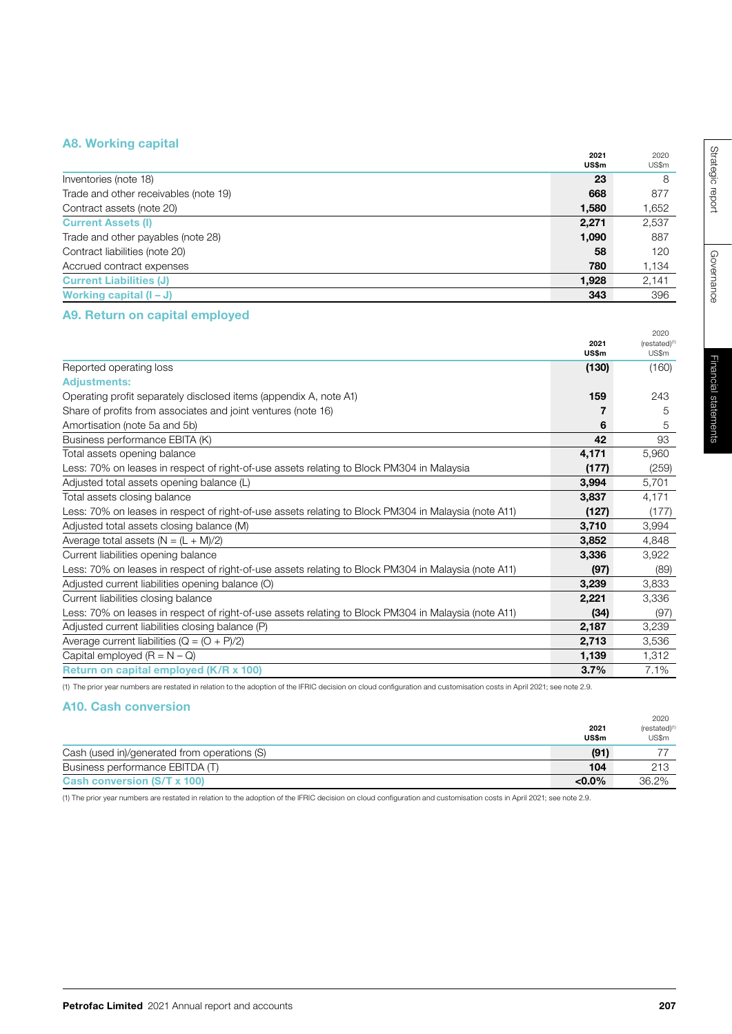# A8. Working capital

|                                       | 2021<br>US\$m | 2020<br>US\$m |
|---------------------------------------|---------------|---------------|
| Inventories (note 18)                 | 23            | 8             |
| Trade and other receivables (note 19) | 668           | 877           |
| Contract assets (note 20)             | 1.580         | 1,652         |
| <b>Current Assets (I)</b>             | 2,271         | 2,537         |
| Trade and other payables (note 28)    | 1,090         | 887           |
| Contract liabilities (note 20)        | 58            | 120           |
| Accrued contract expenses             | 780           | 1,134         |
| <b>Current Liabilities (J)</b>        | 1,928         | 2,141         |
| Working capital $(I - J)$             | 343           | 396           |

# A9. Return on capital employed

|                                                                                                      | 2021  | 2020<br>$(rested)^{(1)}$ |
|------------------------------------------------------------------------------------------------------|-------|--------------------------|
|                                                                                                      | US\$m | US\$m                    |
| Reported operating loss                                                                              | (130) | (160)                    |
| <b>Adjustments:</b>                                                                                  |       |                          |
| Operating profit separately disclosed items (appendix A, note A1)                                    | 159   | 243                      |
| Share of profits from associates and joint ventures (note 16)                                        | 7     | 5                        |
| Amortisation (note 5a and 5b)                                                                        | 6     | 5                        |
| Business performance EBITA (K)                                                                       | 42    | 93                       |
| Total assets opening balance                                                                         | 4,171 | 5,960                    |
| Less: 70% on leases in respect of right-of-use assets relating to Block PM304 in Malaysia            | (177) | (259)                    |
| Adjusted total assets opening balance (L)                                                            | 3,994 | 5.701                    |
| Total assets closing balance                                                                         | 3,837 | 4,171                    |
| Less: 70% on leases in respect of right-of-use assets relating to Block PM304 in Malaysia (note A11) | (127) | (177)                    |
| Adjusted total assets closing balance (M)                                                            | 3,710 | 3,994                    |
| Average total assets $(N = (L + M)/2)$                                                               | 3,852 | 4,848                    |
| Current liabilities opening balance                                                                  | 3,336 | 3,922                    |
| Less: 70% on leases in respect of right-of-use assets relating to Block PM304 in Malaysia (note A11) | (97)  | (89)                     |
| Adjusted current liabilities opening balance (O)                                                     | 3,239 | 3,833                    |
| Current liabilities closing balance                                                                  | 2,221 | 3,336                    |
| Less: 70% on leases in respect of right-of-use assets relating to Block PM304 in Malaysia (note A11) | (34)  | (97)                     |
| Adjusted current liabilities closing balance (P)                                                     | 2,187 | 3,239                    |
| Average current liabilities ( $Q = (O + P)/2$ )                                                      | 2,713 | 3,536                    |
| Capital employed $(R = N - Q)$                                                                       | 1,139 | 1,312                    |
| Return on capital employed (K/R x 100)                                                               | 3.7%  | 7.1%                     |
|                                                                                                      |       |                          |

(1) The prior year numbers are restated in relation to the adoption of the IFRIC decision on cloud configuration and customisation costs in April 2021; see note 2.9.

# A10. Cash conversion

|                                              | 2021<br>US\$m | 2020<br>$(rested)^{(1)}$<br>US\$m |
|----------------------------------------------|---------------|-----------------------------------|
| Cash (used in)/generated from operations (S) | (91)          |                                   |
| Business performance EBITDA (T)              | 104           | 213                               |
| Cash conversion (S/T x 100)                  | $< 0.0\%$     | 36.2%                             |

(1) The prior year numbers are restated in relation to the adoption of the IFRIC decision on cloud configuration and customisation costs in April 2021; see note 2.9.

2020